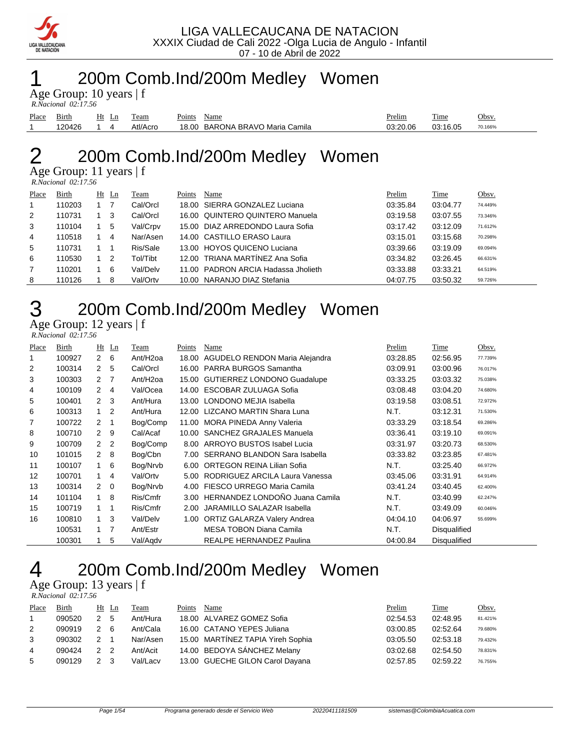

### 200m Comb.Ind/200m Medley Women

Age Group: 10 years | f  *R.Nacional 02:17.56* 

| Place | $\mathbf{m}$ .<br>Birth | Ht<br>Ln | l'eam    | Points | Name                            | Prelim   | $\sim$<br>l'ime | Obsv.   |
|-------|-------------------------|----------|----------|--------|---------------------------------|----------|-----------------|---------|
|       | 120426                  |          | Atl/Acro |        | 18.00 BARONA BRAVO Maria Camila | 03:20.06 | 03:16.05        | 70.166% |

## 200m Comb.Ind/200m Medley Women

Age Group: 11 years | f  *R.Nacional 02:17.56* 

|                | R.Nacional 02:17.56 |         |    |          |        |                                     |          |          |         |
|----------------|---------------------|---------|----|----------|--------|-------------------------------------|----------|----------|---------|
| Place          | Birth               | $Ht$ Ln |    | Team     | Points | Name                                | Prelim   | Time     | Obsv.   |
| $\mathbf{1}$   | 110203              | 1 7     |    | Cal/Orcl |        | 18.00 SIERRA GONZALEZ Luciana       | 03:35.84 | 03:04.77 | 74.449% |
| 2              | 110731              |         | 3  | Cal/Orcl |        | 16.00 QUINTERO QUINTERO Manuela     | 03:19.58 | 03:07.55 | 73.346% |
| 3              | 110104              |         | 5  | Val/Crpv |        | 15.00 DIAZ ARREDONDO Laura Sofia    | 03:17.42 | 03:12.09 | 71.612% |
| 4              | 110518              |         | 4  | Nar/Asen |        | 14.00 CASTILLO ERASO Laura          | 03:15.01 | 03:15.68 | 70.298% |
| 5              | 110731              |         |    | Ris/Sale |        | 13.00 HOYOS QUICENO Luciana         | 03:39.66 | 03:19.09 | 69.094% |
| 6              | 110530              |         | 2  | Tol/Tibt |        | 12.00 TRIANA MARTINEZ Ana Sofia     | 03:34.82 | 03:26.45 | 66.631% |
| $\overline{7}$ | 110201              |         | -6 | Val/Delv |        | 11.00 PADRON ARCIA Hadassa Jholieth | 03:33.88 | 03:33.21 | 64.519% |
| 8              | 110126              |         | 8  | Val/Ortv |        | 10.00 NARANJO DIAZ Stefania         | 04:07.75 | 03:50.32 | 59.726% |

## 200m Comb.Ind/200m Medley Women

Age Group: 12 years | f

| R.Nacional 02:17.56 |  |
|---------------------|--|
|                     |  |

| Place | Birth  |                | $Ht$ Ln     | Team                 | Points | Name                               | Prelim   | Time                | Obsv.   |
|-------|--------|----------------|-------------|----------------------|--------|------------------------------------|----------|---------------------|---------|
|       | 100927 | $2\quad 6$     |             | Ant/H <sub>2oa</sub> | 18.00  | AGUDELO RENDON Maria Alejandra     | 03:28.85 | 02:56.95            | 77.739% |
| 2     | 100314 | $\overline{2}$ | 5           | Cal/Orcl             | 16.00  | <b>PARRA BURGOS Samantha</b>       | 03:09.91 | 03:00.96            | 76.017% |
| 3     | 100303 | 2 <sub>7</sub> |             | Ant/H <sub>20a</sub> | 15.00  | <b>GUTIERREZ LONDONO Guadalupe</b> | 03:33.25 | 03:03.32            | 75.038% |
| 4     | 100109 | $\overline{2}$ | 4           | Val/Ocea             | 14.00  | ESCOBAR ZULUAGA Sofia              | 03:08.48 | 03:04.20            | 74.680% |
| 5     | 100401 | $\mathbf{2}$   | 3           | Ant/Hura             | 13.00  | LONDONO MEJIA Isabella             | 03:19.58 | 03:08.51            | 72.972% |
| 6     | 100313 |                | 2           | Ant/Hura             | 12.00  | <b>LIZCANO MARTIN Shara Luna</b>   | N.T.     | 03:12.31            | 71.530% |
| 7     | 100722 | 2              | $\mathbf 1$ | Bog/Comp             | 11.00  | <b>MORA PINEDA Anny Valeria</b>    | 03:33.29 | 03:18.54            | 69.286% |
| 8     | 100710 | 2              | 9           | Cal/Acaf             | 10.00  | <b>SANCHEZ GRAJALES Manuela</b>    | 03:36.41 | 03:19.10            | 69.091% |
| 9     | 100709 | 2 <sub>2</sub> |             | Bog/Comp             | 8.00   | ARROYO BUSTOS Isabel Lucia         | 03:31.97 | 03:20.73            | 68.530% |
| 10    | 101015 | $\mathbf{2}$   | 8           | Bog/Cbn              | 7.00   | SERRANO BLANDON Sara Isabella      | 03:33.82 | 03:23.85            | 67.481% |
| 11    | 100107 |                | 6           | Bog/Nrvb             | 6.00   | <b>ORTEGON REINA Lilian Sofia</b>  | N.T.     | 03:25.40            | 66.972% |
| 12    | 100701 |                | 4           | Val/Ortv             | 5.00   | RODRIGUEZ ARCILA Laura Vanessa     | 03:45.06 | 03:31.91            | 64.914% |
| 13    | 100314 | $\mathbf{2}$   | $\mathbf 0$ | Bog/Nrvb             | 4.00   | FIESCO URREGO Maria Camila         | 03:41.24 | 03:40.45            | 62.400% |
| 14    | 101104 |                | 8           | Ris/Cmfr             | 3.00   | HERNANDEZ LONDOÑO Juana Camila     | N.T.     | 03:40.99            | 62.247% |
| 15    | 100719 |                | 1           | Ris/Cmfr             | 2.00   | JARAMILLO SALAZAR Isabella         | N.T.     | 03:49.09            | 60.046% |
| 16    | 100810 |                | 3           | Val/Delv             | 1.00   | <b>ORTIZ GALARZA Valery Andrea</b> | 04:04.10 | 04:06.97            | 55.699% |
|       | 100531 |                | 7           | Ant/Estr             |        | <b>MESA TOBON Diana Camila</b>     | N.T.     | Disqualified        |         |
|       | 100301 |                | 5           | Val/Aqdv             |        | REALPE HERNANDEZ Paulina           | 04:00.84 | <b>Disqualified</b> |         |

## 200m Comb.Ind/200m Medley Women

### Age Group: 13 years | f

 *R.Nacional 02:17.56* 

| Place | Birth  |     | Ht Ln | Team     | Points | Name                              | Prelim   | <b>Time</b> | Obsv.   |
|-------|--------|-----|-------|----------|--------|-----------------------------------|----------|-------------|---------|
|       | 090520 | 2 5 |       | Ant/Hura |        | 18.00 ALVAREZ GOMEZ Sofia         | 02:54.53 | 02:48.95    | 81.421% |
| 2     | 090919 | 2 6 |       | Ant/Cala |        | 16.00 CATANO YEPES Juliana        | 03:00.85 | 02:52.64    | 79.680% |
| 3     | 090302 | 2   |       | Nar/Asen |        | 15.00 MARTÍNEZ TAPIA Yireh Sophia | 03:05.50 | 02:53.18    | 79.432% |
| 4     | 090424 | 2 2 |       | Ant/Acit |        | 14.00 BEDOYA SÁNCHEZ Melany       | 03:02.68 | 02:54.50    | 78.831% |
| 5     | 090129 | 2 3 |       | Val/Lacv |        | 13.00 GUECHE GILON Carol Dayana   | 02:57.85 | 02:59.22    | 76.755% |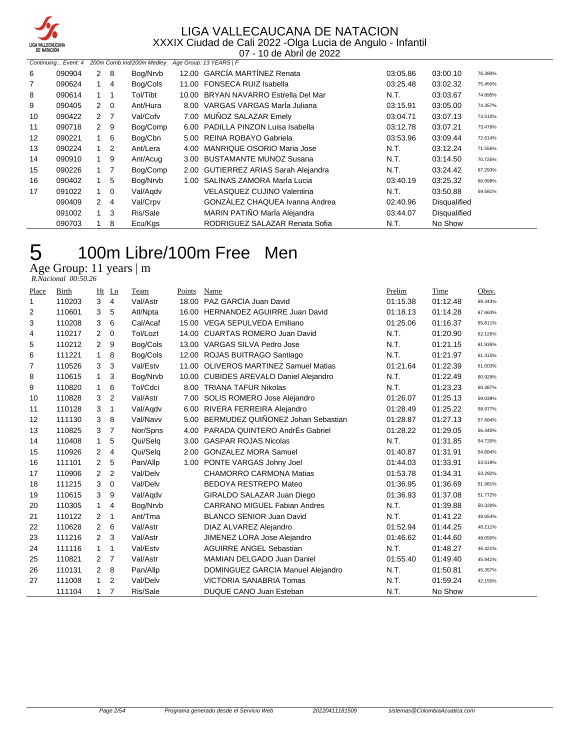

07 - 10 de Abril de 2022

| Continuing Event: 4<br>6 |                      |                |                                                                                          |                           |                                |                                                                                                                                                                                                                                                                                                                                                                                                                    |                     |         |
|--------------------------|----------------------|----------------|------------------------------------------------------------------------------------------|---------------------------|--------------------------------|--------------------------------------------------------------------------------------------------------------------------------------------------------------------------------------------------------------------------------------------------------------------------------------------------------------------------------------------------------------------------------------------------------------------|---------------------|---------|
| 090904                   |                      |                | Bog/Nrvb                                                                                 |                           |                                | 03:05.86                                                                                                                                                                                                                                                                                                                                                                                                           | 03:00.10            | 76.380% |
| 090624                   |                      | 4              | Bog/Cols                                                                                 |                           |                                | 03:25.48                                                                                                                                                                                                                                                                                                                                                                                                           | 03:02.32            | 75.450% |
| 090614                   |                      |                | Tol/Tibt                                                                                 |                           |                                | N.T.                                                                                                                                                                                                                                                                                                                                                                                                               | 03:03.67            | 74.895% |
| 090405                   |                      |                | Ant/Hura                                                                                 |                           |                                | 03:15.91                                                                                                                                                                                                                                                                                                                                                                                                           | 03:05.00            | 74.357% |
| 090422                   |                      |                | Val/Cofv                                                                                 |                           |                                | 03:04.71                                                                                                                                                                                                                                                                                                                                                                                                           | 03:07.13            | 73.510% |
| 090718                   | $\mathbf{2}$         | -9             | Bog/Comp                                                                                 |                           |                                | 03:12.78                                                                                                                                                                                                                                                                                                                                                                                                           | 03:07.21            | 73.479% |
| 090221                   |                      | - 6            | Bog/Cbn                                                                                  |                           |                                | 03:53.96                                                                                                                                                                                                                                                                                                                                                                                                           | 03:09.44            | 72.614% |
| 090224                   |                      | 2              | Ant/Lera                                                                                 |                           |                                | N.T.                                                                                                                                                                                                                                                                                                                                                                                                               | 03:12.24            | 71.556% |
| 090910                   |                      |                | Ant/Acug                                                                                 |                           |                                | N.T.                                                                                                                                                                                                                                                                                                                                                                                                               | 03:14.50            | 70.725% |
| 090226                   |                      |                | Bog/Comp                                                                                 |                           |                                | N.T.                                                                                                                                                                                                                                                                                                                                                                                                               | 03:24.42            | 67.293% |
| 090402                   |                      | 5              | Bog/Nrvb                                                                                 |                           |                                | 03:40.19                                                                                                                                                                                                                                                                                                                                                                                                           | 03:25.32            | 66.998% |
| 091022                   |                      |                | Val/Aqdv                                                                                 |                           | VELASQUEZ CUJINO Valentina     | N.T.                                                                                                                                                                                                                                                                                                                                                                                                               | 03:50.88            | 59.581% |
| 090409                   | $\mathbf{2}^{\circ}$ | $\overline{4}$ | Val/Crpv                                                                                 |                           | GONZÁLEZ CHAQUEA Ivanna Andrea | 02:40.96                                                                                                                                                                                                                                                                                                                                                                                                           | <b>Disqualified</b> |         |
| 091002                   |                      | -3             | Ris/Sale                                                                                 |                           | MARIN PATIÑO María Alejandra   | 03:44.07                                                                                                                                                                                                                                                                                                                                                                                                           | <b>Disqualified</b> |         |
| 090703                   |                      | 8              | Ecu/Kgs                                                                                  |                           | RODRIGUEZ SALAZAR Renata Sofia | N.T.                                                                                                                                                                                                                                                                                                                                                                                                               | No Show             |         |
|                          |                      |                | 2 8<br>$1 \quad 1$<br>$2\quad 0$<br>$2 \overline{7}$<br>1 9<br>$1 \quad 7$<br>$1\quad 0$ | 200m Comb.Ind/200m Medley | 4.00                           | Age Group: 13 YEARS   F<br>12.00 GARCÍA MARTÍNEZ Renata<br>11.00 FONSECA RUIZ Isabella<br>10.00 BRYAN NAVARRO Estrella Del Mar<br>8.00 VARGAS VARGAS Maria Juliana<br>7.00 MUÑOZ SALAZAR Emely<br>6.00 PADILLA PINZON Luisa Isabella<br>5.00 REINA ROBAYO Gabriela<br><b>MANRIQUE OSORIO Maria Jose</b><br>3.00 BUSTAMANTE MUNOZ Susana<br>2.00 GUTIERREZ ARIAS Sarah Alejandra<br>1.00 SALINAS ZAMORA MarÍa Lucia |                     |         |

## 100m Libre/100m Free Men

Age Group: 11 years | m  *R.Nacional 00:50.26* 

| Place | <b>Birth</b> | Ht             | Ln             | Team     | Points | Name                                   | Prelim   | Time     | Obsv.   |
|-------|--------------|----------------|----------------|----------|--------|----------------------------------------|----------|----------|---------|
| 1     | 110203       | 3              | 4              | Val/Astr |        | 18.00 PAZ GARCIA Juan David            | 01:15.38 | 01:12.48 | 69.343% |
| 2     | 110601       | 3              | 5              | Atl/Npta | 16.00  | <b>HERNANDEZ AGUIRRE Juan David</b>    | 01:18.13 | 01:14.28 | 67.663% |
| 3     | 110208       | 3              | 6              | Cal/Acaf | 15.00  | VEGA SEPULVEDA Emiliano                | 01:25.06 | 01:16.37 | 65.811% |
| 4     | 110217       | $\overline{2}$ | 0              | Tol/Lozt | 14.00  | <b>CUARTAS ROMERO Juan David</b>       | N.T.     | 01:20.90 | 62.126% |
| 5     | 110212       | 2              | 9              | Bog/Cols | 13.00  | VARGAS SILVA Pedro Jose                | N.T.     | 01:21.15 | 61.935% |
| 6     | 111221       | $\mathbf{1}$   | 8              | Bog/Cols | 12.00  | ROJAS BUITRAGO Santiago                | N.T.     | 01:21.97 | 61.315% |
| 7     | 110526       | 3              | 3              | Val/Estv | 11.00  | <b>OLIVEROS MARTINEZ Samuel Matias</b> | 01:21.64 | 01:22.39 | 61.003% |
| 8     | 110615       | $\mathbf{1}$   | 3              | Bog/Nrvb | 10.00  | CUBIDES AREVALO Daniel Alejandro       | N.T.     | 01:22.49 | 60.929% |
| 9     | 110820       | $\mathbf{1}$   | 6              | Tol/Cdci | 8.00   | <b>TRIANA TAFUR Nikolas</b>            | N.T.     | 01:23.23 | 60.387% |
| 10    | 110828       | 3              | $\overline{2}$ | Val/Astr | 7.00   | SOLIS ROMERO Jose Alejandro            | 01:26.07 | 01:25.13 | 59.039% |
| 11    | 110128       | 3              | 1              | Val/Aqdv | 6.00   | RIVERA FERREIRA Alejandro              | 01:28.49 | 01:25.22 | 58.977% |
| 12    | 111130       | 3              | 8              | Val/Navv | 5.00   | BERMUDEZ QUIÑONEZ Johan Sebastian      | 01:28.87 | 01:27.13 | 57.684% |
| 13    | 110825       | 3              | 7              | Nor/Spns | 4.00   | PARADA QUINTERO AndrÉs Gabriel         | 01:28.22 | 01:29.05 | 56.440% |
| 14    | 110408       | $\mathbf{1}$   | 5              | Qui/Selg | 3.00   | <b>GASPAR ROJAS Nicolas</b>            | N.T.     | 01:31.85 | 54.720% |
| 15    | 110926       | $\overline{2}$ | 4              | Qui/Sela | 2.00   | <b>GONZALEZ MORA Samuel</b>            | 01:40.87 | 01:31.91 | 54.684% |
| 16    | 111101       | $\overline{2}$ | 5              | Pan/Allp | 1.00   | PONTE VARGAS Johny Joel                | 01:44.03 | 01:33.91 | 53.519% |
| 17    | 110906       | $\overline{2}$ | 2              | Val/Delv |        | <b>CHAMORRO CARMONA Matias</b>         | 01:53.78 | 01:34.31 | 53.292% |
| 18    | 111215       | 3              | 0              | Val/Delv |        | <b>BEDOYA RESTREPO Mateo</b>           | 01:36.95 | 01:36.69 | 51.981% |
| 19    | 110615       | 3              | 9              | Val/Aqdv |        | GIRALDO SALAZAR Juan Diego             | 01:36.93 | 01:37.08 | 51.772% |
| 20    | 110305       | $\mathbf{1}$   | 4              | Bog/Nrvb |        | <b>CARRANO MIGUEL Fabian Andres</b>    | N.T.     | 01:39.88 | 50.320% |
| 21    | 110122       | $\overline{2}$ | 1              | Ant/Tma  |        | <b>BLANCO SENIOR Juan David</b>        | N.T.     | 01:41.22 | 49.654% |
| 22    | 110628       | $\overline{2}$ | 6              | Val/Astr |        | DIAZ ALVAREZ Alejandro                 | 01:52.94 | 01:44.25 | 48.211% |
| 23    | 111216       | 2              | 3              | Val/Astr |        | JIMENEZ LORA Jose Alejandro            | 01:46.62 | 01:44.60 | 48.050% |
| 24    | 111116       | $\mathbf{1}$   | 1              | Val/Estv |        | <b>AGUIRRE ANGEL Sebastian</b>         | N.T.     | 01:48.27 | 46.421% |
| 25    | 110821       | $\overline{2}$ | 7              | Val/Astr |        | <b>MAMIAN DELGADO Juan Daniel</b>      | 01:55.40 | 01:49.40 | 45.941% |
| 26    | 110131       | $\overline{2}$ | 8              | Pan/Allp |        | DOMINGUEZ GARCIA Manuel Alejandro      | N.T.     | 01:50.81 | 45.357% |
| 27    | 111008       | 1              | 2              | Val/Delv |        | <b>VICTORIA SANABRIA Tomas</b>         | N.T.     | 01:59.24 | 42.150% |
|       | 111104       | 1              | $\overline{7}$ | Ris/Sale |        | <b>DUQUE CANO Juan Esteban</b>         | N.T.     | No Show  |         |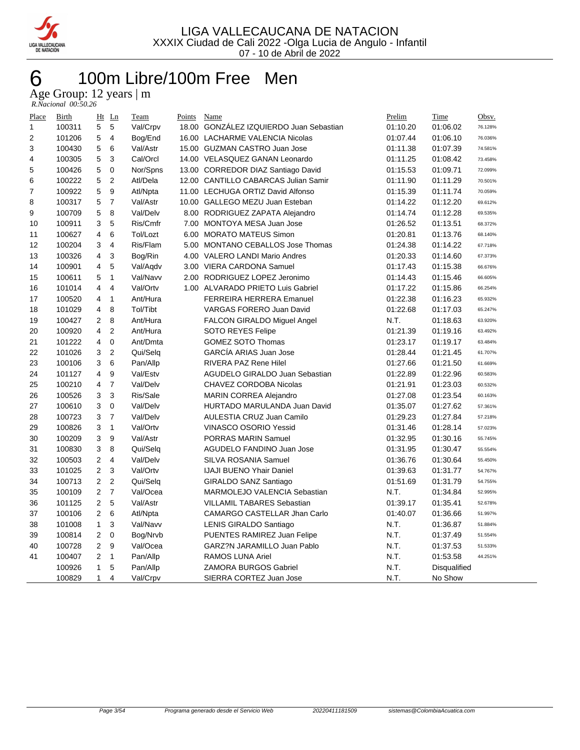

### 100m Libre/100m Free Men Age Group: 12 years | m

| R.Nacional 00:50.26 |  |
|---------------------|--|
|---------------------|--|

| <b>Place</b> | Birth  | Ht             | Ln             | Team     | Points | Name                                 | Prelim   | Time         | Obsv.   |
|--------------|--------|----------------|----------------|----------|--------|--------------------------------------|----------|--------------|---------|
| $\mathbf{1}$ | 100311 | 5              | 5              | Val/Crpv | 18.00  | GONZALEZ IZQUIERDO Juan Sebastian    | 01:10.20 | 01:06.02     | 76.128% |
| 2            | 101206 | 5              | $\overline{4}$ | Bog/End  |        | 16.00 LACHARME VALENCIA Nicolas      | 01:07.44 | 01:06.10     | 76.036% |
| 3            | 100430 | 5              | 6              | Val/Astr |        | 15.00 GUZMAN CASTRO Juan Jose        | 01:11.38 | 01:07.39     | 74.581% |
| 4            | 100305 | 5              | 3              | Cal/Orcl |        | 14.00 VELASQUEZ GANAN Leonardo       | 01:11.25 | 01:08.42     | 73.458% |
| 5            | 100426 | 5              | 0              | Nor/Spns |        | 13.00 CORREDOR DIAZ Santiago David   | 01:15.53 | 01:09.71     | 72.099% |
| 6            | 100222 | 5              | $\overline{2}$ | Atl/Dela |        | 12.00 CANTILLO CABARCAS Julian Samir | 01:11.90 | 01:11.29     | 70.501% |
| 7            | 100922 | 5              | 9              | Atl/Npta |        | 11.00 LECHUGA ORTIZ David Alfonso    | 01:15.39 | 01:11.74     | 70.059% |
| 8            | 100317 | 5              | $\overline{7}$ | Val/Astr |        | 10.00 GALLEGO MEZU Juan Esteban      | 01:14.22 | 01:12.20     | 69.612% |
| 9            | 100709 | 5              | 8              | Val/Delv |        | 8.00 RODRIGUEZ ZAPATA Alejandro      | 01:14.74 | 01:12.28     | 69.535% |
| 10           | 100911 | 3              | 5              | Ris/Cmfr |        | 7.00 MONTOYA MESA Juan Jose          | 01:26.52 | 01:13.51     | 68.372% |
| 11           | 100627 | 4              | 6              | Tol/Lozt | 6.00   | <b>MORATO MATEUS Simon</b>           | 01:20.81 | 01:13.76     | 68.140% |
| 12           | 100204 | 3              | $\overline{4}$ | Ris/Flam | 5.00   | <b>MONTANO CEBALLOS Jose Thomas</b>  | 01:24.38 | 01:14.22     | 67.718% |
| 13           | 100326 | 4              | 3              | Bog/Rin  |        | 4.00 VALERO LANDI Mario Andres       | 01:20.33 | 01:14.60     | 67.373% |
| 14           | 100901 | 4              | 5              | Val/Aqdv |        | 3.00 VIERA CARDONA Samuel            | 01:17.43 | 01:15.38     | 66.676% |
| 15           | 100611 | 5              | $\mathbf{1}$   | Val/Navv |        | 2.00 RODRIGUEZ LOPEZ Jeronimo        | 01:14.43 | 01:15.46     | 66.605% |
| 16           | 101014 | 4              | $\overline{4}$ | Val/Ortv |        | 1.00 ALVARADO PRIETO Luis Gabriel    | 01:17.22 | 01:15.86     | 66.254% |
| 17           | 100520 | 4              | $\mathbf{1}$   | Ant/Hura |        | <b>FERREIRA HERRERA Emanuel</b>      | 01:22.38 | 01:16.23     | 65.932% |
| 18           | 101029 | 4              | 8              | Tol/Tibt |        | VARGAS FORERO Juan David             | 01:22.68 | 01:17.03     | 65.247% |
| 19           | 100427 | $\overline{2}$ | 8              | Ant/Hura |        | <b>FALCON GIRALDO Miguel Angel</b>   | N.T.     | 01:18.63     | 63.920% |
| 20           | 100920 | 4              | $\overline{c}$ | Ant/Hura |        | <b>SOTO REYES Felipe</b>             | 01:21.39 | 01:19.16     | 63.492% |
| 21           | 101222 | $\overline{4}$ | 0              | Ant/Dmta |        | <b>GOMEZ SOTO Thomas</b>             | 01:23.17 | 01:19.17     | 63.484% |
| 22           | 101026 | 3              | $\overline{2}$ | Qui/Selq |        | <b>GARCIA ARIAS Juan Jose</b>        | 01:28.44 | 01:21.45     | 61.707% |
| 23           | 100106 | 3              | 6              | Pan/Allp |        | <b>RIVERA PAZ Rene Hilel</b>         | 01:27.66 | 01:21.50     | 61.669% |
| 24           | 101127 | 4              | 9              | Val/Estv |        | AGUDELO GIRALDO Juan Sebastian       | 01:22.89 | 01:22.96     | 60.583% |
| 25           | 100210 | 4              | $\overline{7}$ | Val/Delv |        | CHAVEZ CORDOBA Nicolas               | 01:21.91 | 01:23.03     | 60.532% |
| 26           | 100526 | 3              | 3              | Ris/Sale |        | <b>MARIN CORREA Alejandro</b>        | 01:27.08 | 01:23.54     | 60.163% |
| 27           | 100610 | 3              | 0              | Val/Delv |        | HURTADO MARULANDA Juan David         | 01:35.07 | 01:27.62     | 57.361% |
| 28           | 100723 | 3              | $\overline{7}$ | Val/Delv |        | AULESTIA CRUZ Juan Camilo            | 01:29.23 | 01:27.84     | 57.218% |
| 29           | 100826 | 3              | $\mathbf{1}$   | Val/Ortv |        | <b>VINASCO OSORIO Yessid</b>         | 01:31.46 | 01:28.14     | 57.023% |
| 30           | 100209 | 3              | 9              | Val/Astr |        | <b>PORRAS MARIN Samuel</b>           | 01:32.95 | 01:30.16     | 55.745% |
| 31           | 100830 | 3              | 8              | Qui/Selq |        | AGUDELO FANDINO Juan Jose            | 01:31.95 | 01:30.47     | 55.554% |
| 32           | 100503 | $\overline{2}$ | $\overline{4}$ | Val/Delv |        | SILVA ROSANIA Samuel                 | 01:36.76 | 01:30.64     | 55.450% |
| 33           | 101025 | $\overline{2}$ | 3              | Val/Ortv |        | <b>IJAJI BUENO Yhair Daniel</b>      | 01:39.63 | 01:31.77     | 54.767% |
| 34           | 100713 | 2              | $\overline{c}$ | Qui/Selg |        | GIRALDO SANZ Santiago                | 01:51.69 | 01:31.79     | 54.755% |
| 35           | 100109 | $\overline{2}$ | $\overline{7}$ | Val/Ocea |        | MARMOLEJO VALENCIA Sebastian         | N.T.     | 01:34.84     | 52.995% |
| 36           | 101125 | $\overline{2}$ | 5              | Val/Astr |        | <b>VILLAMIL TABARES Sebastian</b>    | 01:39.17 | 01:35.41     | 52.678% |
| 37           | 100106 | $\overline{2}$ | 6              | Atl/Npta |        | CAMARGO CASTELLAR Jhan Carlo         | 01:40.07 | 01:36.66     | 51.997% |
| 38           | 101008 | $\mathbf{1}$   | 3              | Val/Navv |        | LENIS GIRALDO Santiago               | N.T.     | 01:36.87     | 51.884% |
| 39           | 100814 | $\overline{2}$ | 0              | Bog/Nrvb |        | <b>PUENTES RAMIREZ Juan Felipe</b>   | N.T.     | 01:37.49     | 51.554% |
| 40           | 100728 | $\overline{2}$ | 9              | Val/Ocea |        | GARZ?N JARAMILLO Juan Pablo          | N.T.     | 01:37.53     | 51.533% |
| 41           | 100407 | $\overline{2}$ | $\mathbf{1}$   | Pan/Allp |        | <b>RAMOS LUNA Ariel</b>              | N.T.     | 01:53.58     | 44.251% |
|              | 100926 | $\mathbf{1}$   | 5              | Pan/Allp |        | ZAMORA BURGOS Gabriel                | N.T.     | Disqualified |         |
|              | 100829 | $\mathbf{1}$   | 4              | Val/Crpv |        | SIERRA CORTEZ Juan Jose              | N.T.     | No Show      |         |
|              |        |                |                |          |        |                                      |          |              |         |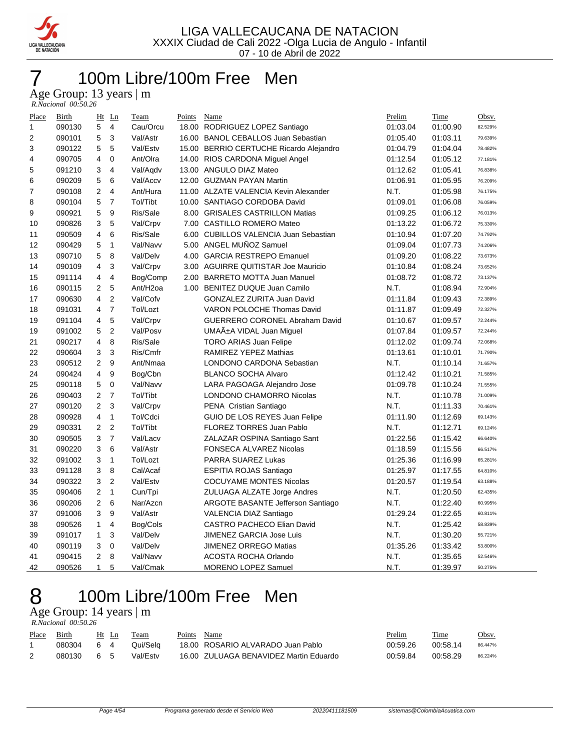

### 100m Libre/100m Free Men

Age Group: 13 years | m  *R.Nacional 00:50.26* 

| Place | Birth  | Ht Ln          |                | Team                 | Points | Name                                     | Prelim   | Time     | Obsv.   |
|-------|--------|----------------|----------------|----------------------|--------|------------------------------------------|----------|----------|---------|
| 1     | 090130 | 5              | $\overline{4}$ | Cau/Orcu             |        | 18.00 RODRIGUEZ LOPEZ Santiago           | 01:03.04 | 01:00.90 | 82.529% |
| 2     | 090101 | 5              | 3              | Val/Astr             |        | 16.00 BANOL CEBALLOS Juan Sebastian      | 01:05.40 | 01:03.11 | 79.639% |
| 3     | 090122 | 5              | 5              | Val/Estv             |        | 15.00 BERRIO CERTUCHE Ricardo Alejandro  | 01:04.79 | 01:04.04 | 78.482% |
| 4     | 090705 | 4              | $\mathbf 0$    | Ant/Olra             |        | 14.00 RIOS CARDONA Miguel Angel          | 01:12.54 | 01:05.12 | 77.181% |
| 5     | 091210 | 3              | 4              | Val/Aqdv             |        | 13.00 ANGULO DIAZ Mateo                  | 01:12.62 | 01:05.41 | 76.838% |
| 6     | 090209 | 5              | 6              | Val/Accv             |        | 12.00 GUZMAN PAYAN Martin                | 01:06.91 | 01:05.95 | 76.209% |
| 7     | 090108 | $\overline{2}$ | $\overline{4}$ | Ant/Hura             |        | 11.00 ALZATE VALENCIA Kevin Alexander    | N.T.     | 01:05.98 | 76.175% |
| 8     | 090104 | 5              | $\overline{7}$ | Tol/Tibt             |        | 10.00 SANTIAGO CORDOBA David             | 01:09.01 | 01:06.08 | 76.059% |
| 9     | 090921 | 5              | 9              | Ris/Sale             |        | 8.00 GRISALES CASTRILLON Matias          | 01:09.25 | 01:06.12 | 76.013% |
| 10    | 090826 | 3              | 5              | Val/Crpv             |        | 7.00 CASTILLO ROMERO Mateo               | 01:13.22 | 01:06.72 | 75.330% |
| 11    | 090509 | $\overline{4}$ | 6              | Ris/Sale             |        | 6.00 CUBILLOS VALENCIA Juan Sebastian    | 01:10.94 | 01:07.20 | 74.792% |
| 12    | 090429 | 5              | $\mathbf{1}$   | Val/Navv             |        | 5.00 ANGEL MUÑOZ Samuel                  | 01:09.04 | 01:07.73 | 74.206% |
| 13    | 090710 | 5              | 8              | Val/Delv             |        | 4.00 GARCIA RESTREPO Emanuel             | 01:09.20 | 01:08.22 | 73.673% |
| 14    | 090109 | 4              | 3              | Val/Crpv             |        | 3.00 AGUIRRE QUITISTAR Joe Mauricio      | 01:10.84 | 01:08.24 | 73.652% |
| 15    | 091114 | $\overline{4}$ | $\overline{4}$ | Bog/Comp             |        | 2.00 BARRETO MOTTA Juan Manuel           | 01:08.72 | 01:08.72 | 73.137% |
| 16    | 090115 | $\overline{2}$ | 5              | Ant/H <sub>2oa</sub> |        | 1.00 BENITEZ DUQUE Juan Camilo           | N.T.     | 01:08.94 | 72.904% |
| 17    | 090630 | $\overline{4}$ | $\overline{c}$ | Val/Cofv             |        | GONZALEZ ZURITA Juan David               | 01:11.84 | 01:09.43 | 72.389% |
| 18    | 091031 | $\overline{4}$ | $\overline{7}$ | Tol/Lozt             |        | <b>VARON POLOCHE Thomas David</b>        | 01:11.87 | 01:09.49 | 72.327% |
| 19    | 091104 | $\overline{4}$ | 5              | Val/Crpv             |        | <b>GUERRERO CORONEL Abraham David</b>    | 01:10.67 | 01:09.57 | 72.244% |
| 19    | 091002 | 5              | $\overline{c}$ | Val/Posv             |        | UMAA±A VIDAL Juan Miguel                 | 01:07.84 | 01:09.57 | 72.244% |
| 21    | 090217 | $\overline{4}$ | 8              | Ris/Sale             |        | <b>TORO ARIAS Juan Felipe</b>            | 01:12.02 | 01:09.74 | 72.068% |
| 22    | 090604 | 3              | 3              | Ris/Cmfr             |        | RAMIREZ YEPEZ Mathias                    | 01:13.61 | 01:10.01 | 71.790% |
| 23    | 090512 | $\overline{2}$ | 9              | Ant/Nmaa             |        | LONDONO CARDONA Sebastian                | N.T.     | 01:10.14 | 71.657% |
| 24    | 090424 | $\overline{4}$ | 9              | Bog/Cbn              |        | <b>BLANCO SOCHA Alvaro</b>               | 01:12.42 | 01:10.21 | 71.585% |
| 25    | 090118 | 5              | $\mathbf 0$    | Val/Navv             |        | LARA PAGOAGA Alejandro Jose              | 01:09.78 | 01:10.24 | 71.555% |
| 26    | 090403 | $\overline{2}$ | $\overline{7}$ | Tol/Tibt             |        | LONDONO CHAMORRO Nicolas                 | N.T.     | 01:10.78 | 71.009% |
| 27    | 090120 | $\overline{2}$ | 3              | Val/Crpv             |        | PENA Cristian Santiago                   | N.T.     | 01:11.33 | 70.461% |
| 28    | 090928 | $\overline{4}$ | $\mathbf{1}$   | Tol/Cdci             |        | GUIO DE LOS REYES Juan Felipe            | 01:11.90 | 01:12.69 | 69.143% |
| 29    | 090331 | $\overline{2}$ | $\overline{2}$ | Tol/Tibt             |        | FLOREZ TORRES Juan Pablo                 | N.T.     | 01:12.71 | 69.124% |
| 30    | 090505 | 3              | $\overline{7}$ | Val/Lacv             |        | ZALAZAR OSPINA Santiago Sant             | 01:22.56 | 01:15.42 | 66.640% |
| 31    | 090220 | 3              | 6              | Val/Astr             |        | <b>FONSECA ALVAREZ Nicolas</b>           | 01:18.59 | 01:15.56 | 66.517% |
| 32    | 091002 | 3              | $\mathbf{1}$   | Tol/Lozt             |        | <b>PARRA SUAREZ Lukas</b>                | 01:25.36 | 01:16.99 | 65.281% |
| 33    | 091128 | 3              | 8              | Cal/Acaf             |        | <b>ESPITIA ROJAS Santiago</b>            | 01:25.97 | 01:17.55 | 64.810% |
| 34    | 090322 | 3              | $\overline{2}$ | Val/Estv             |        | <b>COCUYAME MONTES Nicolas</b>           | 01:20.57 | 01:19.54 | 63.188% |
| 35    | 090406 | $\mathbf{2}$   | $\mathbf{1}$   | Cun/Tpi              |        | ZULUAGA ALZATE Jorge Andres              | N.T.     | 01:20.50 | 62.435% |
| 36    | 090206 | $\mathbf{2}$   | 6              | Nar/Azcn             |        | <b>ARGOTE BASANTE Jefferson Santiago</b> | N.T.     | 01:22.40 | 60.995% |
| 37    | 091006 | 3              | 9              | Val/Astr             |        | VALENCIA DIAZ Santiago                   | 01:29.24 | 01:22.65 | 60.811% |
| 38    | 090526 | $\mathbf{1}$   | $\overline{4}$ | Bog/Cols             |        | <b>CASTRO PACHECO Elian David</b>        | N.T.     | 01:25.42 | 58.839% |
| 39    | 091017 | $\mathbf{1}$   | 3              | Val/Delv             |        | JIMENEZ GARCIA Jose Luis                 | N.T.     | 01:30.20 | 55.721% |
| 40    | 090119 | 3              | $\mathbf 0$    | Val/Delv             |        | <b>JIMENEZ ORREGO Matias</b>             | 01:35.26 | 01:33.42 | 53.800% |
| 41    | 090415 | $\overline{2}$ | 8              | Val/Navv             |        | <b>ACOSTA ROCHA Orlando</b>              | N.T.     | 01:35.65 | 52.546% |
| 42    | 090526 | $\mathbf{1}$   | 5              | Val/Cmak             |        | <b>MORENO LOPEZ Samuel</b>               | N.T.     | 01:39.97 | 50.275% |
|       |        |                |                |                      |        |                                          |          |          |         |

## 100m Libre/100m Free Men

#### Age Group: 14 years | m  *R.Nacional 00:50.26*

| Place | Birth  |    | Ht Ln | Team     | Points | Name                                   | Prelim   | Time     | Obsv.   |
|-------|--------|----|-------|----------|--------|----------------------------------------|----------|----------|---------|
|       | 080304 | 64 |       | Qui/Sela |        | 18.00 ROSARIO ALVARADO Juan Pablo      | 00:59.26 | 00:58.14 | 86.447% |
|       | 080130 | 65 |       | Val/Fstv |        | 16.00 ZULUAGA BENAVIDEZ Martin Eduardo | 00:59.84 | 00:58.29 | 86.224% |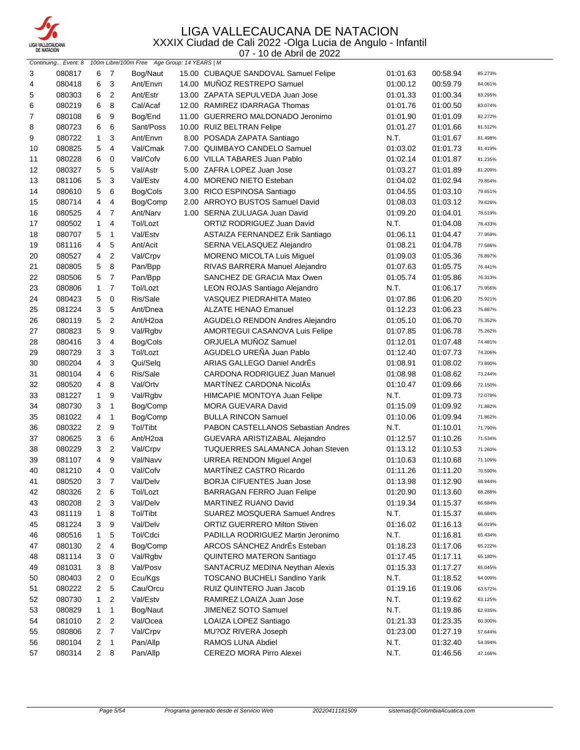

07 - 10 de Abril de 2022

|    | Continuing Event: 8 |                |                         | 100m Libre/100m Free Age Group: 14 YEARS   M |                                        |          |          |         |
|----|---------------------|----------------|-------------------------|----------------------------------------------|----------------------------------------|----------|----------|---------|
| 3  | 080817              | 6              | 7                       | Bog/Naut                                     | 15.00 CUBAQUE SANDOVAL Samuel Felipe   | 01:01.63 | 00:58.94 | 85.273% |
| 4  | 080418              | 6              | 3                       | Ant/Envn                                     | 14.00 MUÑOZ RESTREPO Samuel            | 01:00.12 | 00:59.79 | 84.061% |
| 5  | 080303              | 6              | 2                       | Ant/Estr                                     | 13.00 ZAPATA SEPULVEDA Juan Jose       | 01:01.33 | 01:00.34 | 83.295% |
| 6  | 080219              | 6              | 8                       | Cal/Acaf                                     | 12.00 RAMIREZ IDARRAGA Thomas          | 01:01.76 | 01:00.50 | 83.074% |
| 7  | 080108              | 6              | 9                       | Bog/End                                      | 11.00 GUERRERO MALDONADO Jeronimo      | 01:01.90 | 01:01.09 | 82.272% |
| 8  | 080723              | 6              | 6                       | Sant/Poss                                    | 10.00 RUIZ BELTRAN Felipe              | 01:01.27 | 01:01.66 | 81.512% |
| 9  | 080722              | $\mathbf{1}$   | 3                       | Ant/Envn                                     | 8.00 POSADA ZAPATA Santiago            | N.T.     | 01:01.67 | 81.498% |
| 10 | 080825              | 5              | 4                       | Val/Cmak                                     | 7.00 QUIMBAYO CANDELO Samuel           | 01:03.02 | 01:01.73 | 81.419% |
| 11 | 080228              | 6              | 0                       | Val/Cofv                                     | 6.00 VILLA TABARES Juan Pablo          | 01:02.14 | 01:01.87 | 81.235% |
| 12 | 080327              | 5              | 5                       | Val/Astr                                     | 5.00 ZAFRA LOPEZ Juan Jose             | 01:03.27 | 01:01.89 | 81.209% |
| 13 | 081106              | 5              | 3                       | Val/Estv                                     | 4.00 MORENO NIETO Esteban              | 01:04.02 | 01:02.94 | 79.854% |
| 14 | 080610              | 5              | 6                       | Bog/Cols                                     | 3.00 RICO ESPINOSA Santiago            | 01:04.55 | 01:03.10 | 79.651% |
| 15 | 080714              | 4              | $\overline{\mathbf{4}}$ | Bog/Comp                                     | 2.00 ARROYO BUSTOS Samuel David        | 01:08.03 | 01:03.12 | 79.626% |
| 16 | 080525              | 4              | 7                       | Ant/Narv                                     | 1.00 SERNA ZULUAGA Juan David          | 01:09.20 | 01:04.01 | 78.519% |
| 17 | 080502              | $\mathbf{1}$   | $\overline{4}$          | Tol/Lozt                                     | ORTIZ RODRIGUEZ Juan David             | N.T.     | 01:04.08 | 78.433% |
| 18 | 080707              | 5              | $\mathbf{1}$            | Val/Estv                                     | ASTAIZA FERNANDEZ Erik Santiago        | 01:06.11 | 01:04.47 | 77.959% |
| 19 | 081116              | 4              | 5                       | Ant/Acit                                     | SERNA VELASQUEZ Alejandro              | 01:08.21 | 01:04.78 | 77.586% |
| 20 | 080527              | 4              | 2                       | Val/Crpv                                     | MORENO MICOLTA Luis Miguel             | 01:09.03 | 01:05.36 | 76.897% |
| 21 | 080805              | 5              | 8                       | Pan/Bpp                                      | RIVAS BARRERA Manuel Alejandro         | 01:07.63 | 01:05.75 | 76.441% |
| 22 | 080506              | 5              | $\overline{7}$          | Pan/Bpp                                      | SANCHEZ DE GRACIA Max Owen             | 01:05.74 | 01:05.86 | 76.313% |
| 23 | 080806              | $\mathbf{1}$   | $\overline{7}$          | Tol/Lozt                                     | LEON ROJAS Santiago Alejandro          | N.T.     | 01:06.17 | 75.956% |
| 24 | 080423              | 5              | $\mathbf 0$             | Ris/Sale                                     | VASQUEZ PIEDRAHITA Mateo               | 01:07.86 | 01:06.20 | 75.921% |
| 25 | 081224              | 3              | 5                       | Ant/Dnea                                     | <b>ALZATE HENAO Emanuel</b>            | 01:12.23 | 01:06.23 | 75.887% |
| 26 | 080119              | 5              | $\overline{2}$          | Ant/H <sub>2oa</sub>                         | <b>AGUDELO RENDON Andres Alejandro</b> | 01:05.10 | 01:06.70 | 75.352% |
| 27 | 080823              | 5              | 9                       | Val/Rgbv                                     | AMORTEGUI CASANOVA Luis Felipe         | 01:07.85 | 01:06.78 | 75.262% |
| 28 | 080416              | 3              | 4                       | Bog/Cols                                     | ORJUELA MUÑOZ Samuel                   | 01:12.01 | 01:07.48 | 74.481% |
| 29 | 080729              | 3              | 3                       | Tol/Lozt                                     | AGUDELO UREÑA Juan Pablo               | 01:12.40 | 01:07.73 | 74.206% |
| 30 | 080204              | 4              | 3                       | Qui/Selq                                     | ARIAS GALLEGO Daniel AndrÉs            | 01:08.91 | 01:08.02 | 73.890% |
| 31 | 080104              | 4              | 6                       | Ris/Sale                                     | CARDONA RODRIGUEZ Juan Manuel          | 01:08.98 | 01:08.62 | 73.244% |
| 32 | 080520              | 4              | 8                       | Val/Ortv                                     | MARTINEZ CARDONA NicolAs               | 01:10.47 | 01:09.66 | 72.150% |
| 33 | 081227              | $\mathbf{1}$   | 9                       | Val/Rgbv                                     | HIMCAPIE MONTOYA Juan Felipe           | N.T.     | 01:09.73 | 72.078% |
| 34 | 080730              | 3              | $\mathbf{1}$            | Bog/Comp                                     | MORA GUEVARA David                     | 01:15.09 | 01:09.92 | 71.882% |
| 35 | 081022              | 4              | 1                       | Bog/Comp                                     | <b>BULLA RINCON Samuel</b>             | 01:10.06 | 01:09.94 | 71.862% |
| 36 | 080322              | 2              | 9                       | Tol/Tibt                                     | PABON CASTELLANOS Sebastian Andres     | N.T.     | 01:10.01 | 71.790% |
| 37 | 080625              | 3              | 6                       | Ant/H <sub>2oa</sub>                         | GUEVARA ARISTIZABAL Alejandro          | 01:12.57 | 01:10.26 | 71.534% |
| 38 | 080229              | 3              | $\overline{2}$          | Val/Crpv                                     | TUQUERRES SALAMANCA Johan Steven       | 01:13.12 | 01:10.53 | 71.260% |
| 39 | 081107              | 4              | 9                       | Val/Navv                                     | <b>URREA RENDON Miguel Angel</b>       | 01:10.63 | 01:10.68 | 71.109% |
| 40 | 081210              | 4              | $\mathbf 0$             | Val/Cofv                                     | MARTÍNEZ CASTRO Ricardo                | 01:11.26 | 01:11.20 | 70.590% |
| 41 | 080520              | 3              | 7                       | Val/Delv                                     | BORJA CIFUENTES Juan Jose              | 01:13.98 | 01:12.90 | 68.944% |
| 42 | 080326              | 2              | 6                       | Tol/Lozt                                     | BARRAGAN FERRO Juan Felipe             | 01:20.90 | 01:13.60 | 68.288% |
| 43 | 080208              | 2              | 3                       | Val/Delv                                     | MARTINEZ RUANO David                   | 01:19.34 | 01:15.37 | 66.684% |
| 43 | 081119              | $\mathbf{1}$   | 8                       | Tol/Tibt                                     | SUAREZ MOSQUERA Samuel Andres          | N.T.     | 01:15.37 | 66.684% |
| 45 | 081224              | 3              | 9                       | Val/Delv                                     | <b>ORTIZ GUERRERO Milton Stiven</b>    | 01:16.02 | 01:16.13 | 66.019% |
| 46 | 080516              | $\mathbf{1}$   | 5                       | Tol/Cdci                                     | PADILLA RODRIGUEZ Martin Jeronimo      | N.T.     | 01:16.81 | 65.434% |
| 47 | 080130              | 2              | 4                       | Bog/Comp                                     | ARCOS SÁNCHEZ AndrÉs Esteban           | 01:18.23 | 01:17.06 | 65.222% |
| 48 | 081114              | 3              | 0                       | Val/Rgbv                                     | <b>QUINTERO MATERON Santiago</b>       | 01:17.45 | 01:17.11 | 65.180% |
| 49 | 081031              | 3              | 8                       | Val/Posv                                     | SANTACRUZ MEDINA Neythan Alexis        | 01:15.33 | 01:17.27 | 65.045% |
| 50 | 080403              | 2              | 0                       | Ecu/Kgs                                      | <b>TOSCANO BUCHELI Sandino Yarik</b>   | N.T.     | 01:18.52 | 64.009% |
| 51 | 080222              | 2              | 5                       | Cau/Orcu                                     | RUIZ QUINTERO Juan Jacob               | 01:19.16 | 01:19.06 | 63.572% |
| 52 | 080730              | 1              | 2                       | Val/Estv                                     | RAMIREZ LOAIZA Juan Jose               | N.T.     | 01:19.62 | 63.125% |
| 53 | 080829              | 1              | 1                       | Bog/Naut                                     | JIMENEZ SOTO Samuel                    | N.T.     | 01:19.86 | 62.935% |
| 54 | 081010              | 2              | $\overline{2}$          | Val/Ocea                                     | LOAIZA LOPEZ Santiago                  | 01:21.33 | 01:23.35 | 60.300% |
| 55 | 080806              | 2              | $\overline{7}$          | Val/Crpv                                     | MU?OZ RIVERA Joseph                    | 01:23.00 | 01:27.19 | 57.644% |
| 56 | 080104              | 2              | $\mathbf{1}$            | Pan/Allp                                     | RAMOS LUNA Abdiel                      | N.T.     | 01:32.40 | 54.394% |
| 57 | 080314              | $\overline{2}$ | 8                       | Pan/Allp                                     | CEREZO MORA Pirro Alexei               | N.T.     | 01:46.56 | 47.166% |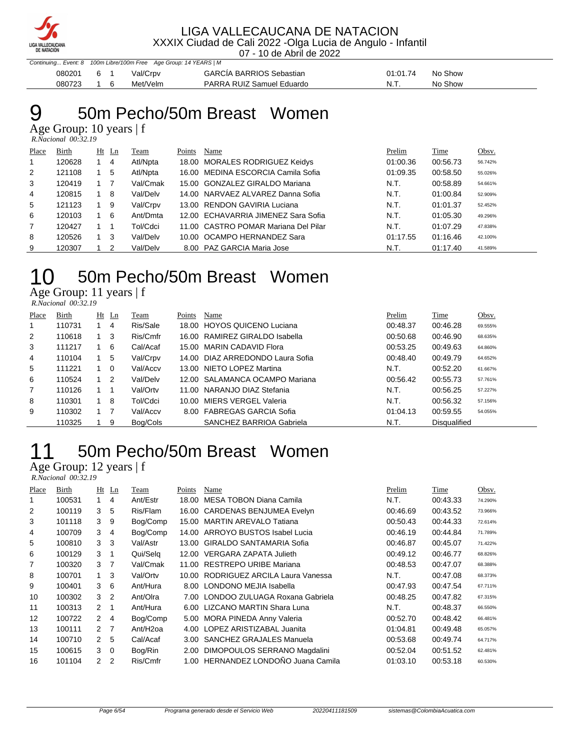

07 - 10 de Abril de 2022

|        |    | bonumung Livent. 0 Noon Libre/Toom Nee Age Oroup. IT ILANO   M |                                 |          |         |
|--------|----|----------------------------------------------------------------|---------------------------------|----------|---------|
| 080201 | 61 | Val/Crpv                                                       | <b>GARCIA BARRIOS Sebastian</b> | 01:01.74 | No Show |
| 080723 |    | Met/Velm                                                       | PARRA RUIZ Samuel Eduardo       | .N.T     | No Show |

## 50m Pecho/50m Breast Women

Continuing... Event: 8 100m Libre/100m Free Age Group: 14 YEARS | M

Age Group: 10 years | f  *R.Nacional 00:32.19* 

| Place          | Birth  |             | $Ht$ Ln | Team     | Points | Name                                 | Prelim   | Time     | Obsv.   |
|----------------|--------|-------------|---------|----------|--------|--------------------------------------|----------|----------|---------|
|                | 120628 |             | 4       | Atl/Npta |        | 18.00 MORALES RODRIGUEZ Keidys       | 01:00.36 | 00:56.73 | 56.742% |
| 2              | 121108 |             | 5       | Atl/Npta |        | 16.00 MEDINA ESCORCIA Camila Sofia   | 01:09.35 | 00:58.50 | 55.026% |
| 3              | 120419 |             |         | Val/Cmak |        | 15.00 GONZALEZ GIRALDO Mariana       | N.T.     | 00:58.89 | 54.661% |
| $\overline{4}$ | 120815 |             | - 8     | Val/Delv |        | 14.00 NARVAEZ ALVAREZ Danna Sofia    | N.T.     | 01:00.84 | 52.909% |
| 5              | 121123 |             | -9      | Val/Crpv |        | 13.00 RENDON GAVIRIA Luciana         | N.T.     | 01:01.37 | 52.452% |
| 6              | 120103 |             | - 6     | Ant/Dmta |        | 12.00 ECHAVARRIA JIMENEZ Sara Sofia  | N.T.     | 01:05.30 | 49.296% |
| 7              | 120427 |             |         | Tol/Cdci |        | 11.00 CASTRO POMAR Mariana Del Pilar | N.T.     | 01:07.29 | 47.838% |
| 8              | 120526 | $1 \quad 3$ |         | Val/Delv |        | 10.00 OCAMPO HERNANDEZ Sara          | 01:17.55 | 01:16.46 | 42.100% |
| 9              | 120307 |             | - 2     | Val/Delv |        | 8.00 PAZ GARCIA Maria Jose           | N.T.     | 01:17.40 | 41.589% |

## 50m Pecho/50m Breast Women

Age Group: 11 years | f

 *R.Nacional 00:32.19* 

| Place | <b>Birth</b> | Ht | Ln             | Team     | Points | Name                             | Prelim   | Time                | Obsv.   |
|-------|--------------|----|----------------|----------|--------|----------------------------------|----------|---------------------|---------|
| 1     | 110731       |    | 4              | Ris/Sale |        | 18.00 HOYOS QUICENO Luciana      | 00:48.37 | 00:46.28            | 69.555% |
| 2     | 110618       |    | -3             | Ris/Cmfr |        | 16.00 RAMIREZ GIRALDO Isabella   | 00:50.68 | 00:46.90            | 68.635% |
| 3     | 111217       |    | 6              | Cal/Acaf |        | 15.00 MARIN CADAVID Flora        | 00:53.25 | 00:49.63            | 64.860% |
| 4     | 110104       |    | 5              | Val/Crpv |        | 14.00 DIAZ ARREDONDO Laura Sofia | 00:48.40 | 00:49.79            | 64.652% |
| 5     | 111221       |    | $\overline{0}$ | Val/Accv |        | 13.00 NIETO LOPEZ Martina        | N.T.     | 00:52.20            | 61.667% |
| 6     | 110524       |    | $\overline{2}$ | Val/Delv |        | 12.00 SALAMANCA OCAMPO Mariana   | 00:56.42 | 00:55.73            | 57.761% |
| 7     | 110126       |    |                | Val/Ortv |        | 11.00 NARANJO DIAZ Stefania      | N.T.     | 00:56.25            | 57.227% |
| 8     | 110301       |    | -8             | Tol/Cdci |        | 10.00 MIERS VERGEL Valeria       | N.T.     | 00:56.32            | 57.156% |
| 9     | 110302       |    |                | Val/Accv | 8.00   | <b>FABREGAS GARCIA Sofia</b>     | 01:04.13 | 00:59.55            | 54.055% |
|       | 110325       |    | 9              | Bog/Cols |        | SANCHEZ BARRIOA Gabriela         | N.T.     | <b>Disqualified</b> |         |

# 50m Pecho/50m Breast Women

Age Group: 12 years | f  *R.Nacional 00:32.19* 

| Place | Birth  |               | Ht Ln          | Team                 | Points | Name                            | Prelim   | Time     | Obsv.   |
|-------|--------|---------------|----------------|----------------------|--------|---------------------------------|----------|----------|---------|
|       | 100531 | 1             | 4              | Ant/Estr             | 18.00  | MESA TOBON Diana Camila         | N.T.     | 00:43.33 | 74.290% |
| 2     | 100119 | 3             | 5              | Ris/Flam             |        | 16.00 CARDENAS BENJUMEA Evelyn  | 00:46.69 | 00:43.52 | 73.966% |
| 3     | 101118 | 3             | 9              | Bog/Comp             | 15.00  | <b>MARTIN AREVALO Tatiana</b>   | 00:50.43 | 00:44.33 | 72.614% |
| 4     | 100709 | 3             | $\overline{4}$ | Bog/Comp             | 14.00  | ARROYO BUSTOS Isabel Lucia      | 00:46.19 | 00:44.84 | 71.789% |
| 5     | 100810 | 3             | 3              | Val/Astr             | 13.00  | <b>GIRALDO SANTAMARIA Sofia</b> | 00:46.87 | 00:45.07 | 71.422% |
| 6     | 100129 | 3             | 1              | Qui/Selg             | 12.00  | <b>VERGARA ZAPATA Julieth</b>   | 00:49.12 | 00:46.77 | 68.826% |
| 7     | 100320 | 3             | $\overline{7}$ | Val/Cmak             | 11.00  | RESTREPO URIBE Mariana          | 00:48.53 | 00:47.07 | 68.388% |
| 8     | 100701 | $\mathbf{1}$  | 3              | Val/Ortv             | 10.00  | RODRIGUEZ ARCILA Laura Vanessa  | N.T.     | 00:47.08 | 68.373% |
| 9     | 100401 | 3             | 6              | Ant/Hura             | 8.00   | LONDONO MEJIA Isabella          | 00:47.93 | 00:47.54 | 67.711% |
| 10    | 100302 | 3             | $\overline{2}$ | Ant/Olra             | 7.00   | LONDOO ZULUAGA Roxana Gabriela  | 00:48.25 | 00:47.82 | 67.315% |
| 11    | 100313 | $\mathcal{P}$ | $\mathbf 1$    | Ant/Hura             | 6.00   | LIZCANO MARTIN Shara Luna       | N.T.     | 00:48.37 | 66.550% |
| 12    | 100722 | $\mathcal{P}$ | 4              | Bog/Comp             | 5.00   | <b>MORA PINEDA Anny Valeria</b> | 00:52.70 | 00:48.42 | 66.481% |
| 13    | 100111 | $\mathcal{P}$ | $\overline{7}$ | Ant/H <sub>20a</sub> | 4.00   | LOPEZ ARISTIZABAL Juanita       | 01:04.81 | 00:49.48 | 65.057% |
| 14    | 100710 | $\mathcal{P}$ | 5              | Cal/Acaf             | 3.00   | <b>SANCHEZ GRAJALES Manuela</b> | 00:53.68 | 00:49.74 | 64.717% |
| 15    | 100615 | 3             | 0              | Bog/Rin              | 2.00   | DIMOPOULOS SERRANO Magdalini    | 00:52.04 | 00:51.52 | 62.481% |
| 16    | 101104 | 2             | $\overline{2}$ | Ris/Cmfr             | 1.00   | HERNANDEZ LONDOÑO Juana Camila  | 01:03.10 | 00:53.18 | 60.530% |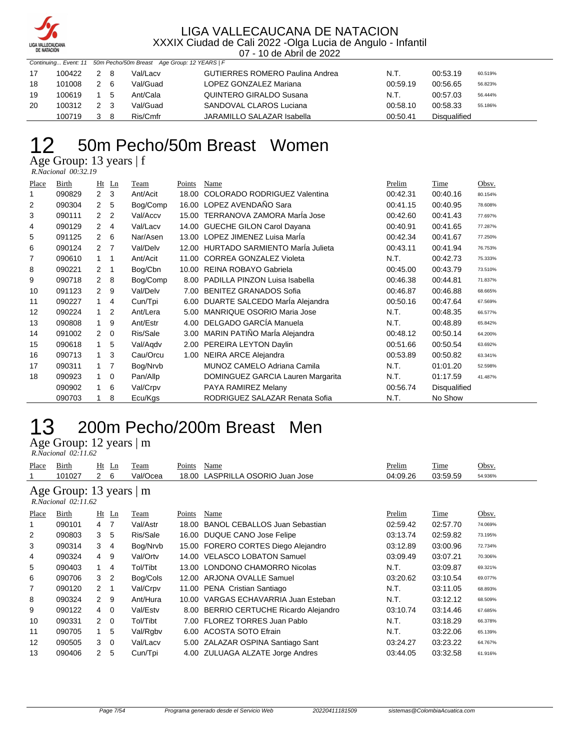

Continuing... Event: 11 50m Pecho/50m Breast Age Group: 12 YEARS | F

|    |        |     |     | Communique Lydin, it communications are chosen and chosen in the community of the |                                        |          |              |         |
|----|--------|-----|-----|-----------------------------------------------------------------------------------|----------------------------------------|----------|--------------|---------|
| 17 | 100422 | 2 8 |     | Val/Lacv                                                                          | <b>GUTIERRES ROMERO Paulina Andrea</b> | N.T.     | 00:53.19     | 60.519% |
| 18 | 101008 | 2 6 |     | Val/Guad                                                                          | LOPEZ GONZALEZ Mariana                 | 00:59.19 | 00:56.65     | 56.823% |
| 19 | 100619 |     | 1 5 | Ant/Cala                                                                          | QUINTERO GIRALDO Susana                | N.T.     | 00:57.03     | 56.444% |
| 20 | 100312 | 2 3 |     | Val/Guad                                                                          | SANDOVAL CLAROS Luciana                | 00:58.10 | 00:58.33     | 55.186% |
|    | 100719 | 3   | - 8 | Ris/Cmfr                                                                          | <b>JARAMILLO SALAZAR Isabella</b>      | 00:50.41 | Disqualified |         |

## 50m Pecho/50m Breast Women

Age Group: 13 years | f<br>R.Nacional 00:32.19

|       | R.Nacional 00:32.19 |                |                |                    |        |                                       |          |          |          |
|-------|---------------------|----------------|----------------|--------------------|--------|---------------------------------------|----------|----------|----------|
| Place | Birth               | Ht             | $\mathbf{L}$ n | Team               | Points | Name                                  | Prelim   | Time     | Obsv.    |
| 1     | 090829              |                | $2 \quad 3$    | Ant/Acit           | 18.00  | COLORADO RODRIGUEZ Valentina          | 00:42.31 | 00:40.16 | 80.154%  |
| 2     | 090304              | $2^{\circ}$    | 5              | Bog/Comp           |        | 16.00 LOPEZ AVENDAÑO Sara             | 00:41.15 | 00:40.95 | 78.608%  |
| 3     | 090111              | $2^{\circ}$    | 2              | Val/Accv           |        | 15.00 TERRANOVA ZAMORA María Jose     | 00:42.60 | 00:41.43 | 77.697%  |
| 4     | 090129              | 2              | $\overline{4}$ | Val/Lacv           |        | 14.00 GUECHE GILON Carol Dayana       | 00:40.91 | 00:41.65 | 77.287%  |
| 5     | 091125              | 2              | 6              | Nar/Asen           |        | 13.00 LOPEZ JIMENEZ Luisa Marla       | 00:42.34 | 00:41.67 | 77.250%  |
| 6     | 090124              | 2 <sub>7</sub> |                | Val/Delv           |        | 12.00 HURTADO SARMIENTO María Julieta | 00:43.11 | 00:41.94 | 76.753%  |
| 7     | 090610              | $1 \quad$      | 1              | Ant/Acit           | 11.00  | <b>CORREA GONZALEZ Violeta</b>        | N.T.     | 00:42.73 | 75.333%  |
| 8     | 090221              | $2 \quad 1$    |                | Bog/Cbn            |        | 10.00 REINA ROBAYO Gabriela           | 00:45.00 | 00:43.79 | 73.510%  |
| 9     | 090718              | $\mathbf{2}$   | 8              | Bog/Comp           |        | 8.00 PADILLA PINZON Luisa Isabella    | 00:46.38 | 00:44.81 | 71.837%  |
| 10    | 091123              | $\mathbf{2}$   | 9              | Val/Delv           |        | 7.00 BENITEZ GRANADOS Sofia           | 00:46.87 | 00:46.88 | 68.665%  |
| 11    | 090227              | 1              | 4              | Cun/Tpi            |        | 6.00 DUARTE SALCEDO Marla Alejandra   | 00:50.16 | 00:47.64 | 67.569%  |
| 12    | 090224              | 1              | 2              | Ant/Lera           |        | 5.00 MANRIQUE OSORIO Maria Jose       | N.T.     | 00:48.35 | 66.577%  |
| 13    | 090808              | 1              | 9              | Ant/Estr           |        | 4.00 DELGADO GARCÍA Manuela           | N.T.     | 00:48.89 | 65.842%  |
| 14    | 091002              | $\mathbf{2}$   | $\mathbf 0$    | Ris/Sale           |        | 3.00 MARIN PATIÑO MarÍa Alejandra     | 00:48.12 | 00:50.14 | 64.200%  |
| 15    | 090618              | $\mathbf{1}$   | 5              | Val/Aqdv           |        | 2.00 PEREIRA LEYTON Daylin            | 00:51.66 | 00:50.54 | 63.692%  |
| 16    | 000713              |                | ว              | $C_{211}/C_{1211}$ |        | 1 00 NEIRA ARCE Algiandra             | 00.53.80 | 00.50.82 | G3 3410/ |

| 14 | 091002 | 2          | $\overline{0}$ | Ris/Sale | 3.00 MARIN PATIÑO MarÍa Alejandra | 00:48.12 | 00:50.14     | 64.200% |
|----|--------|------------|----------------|----------|-----------------------------------|----------|--------------|---------|
| 15 | 090618 |            | 5              | Val/Agdv | 2.00 PEREIRA LEYTON Daylin        | 00:51.66 | 00:50.54     | 63.692% |
| 16 | 090713 |            | - 3            | Cau/Orcu | 1.00 NEIRA ARCE Alejandra         | 00:53.89 | 00:50.82     | 63.341% |
| 17 | 090311 |            |                | Bog/Nrvb | MUNOZ CAMELO Adriana Camila       | N.T.     | 01:01.20     | 52.598% |
| 18 | 090923 | $1\quad 0$ |                | Pan/Allp | DOMINGUEZ GARCIA Lauren Margarita | N.T.     | 01:17.59     | 41.487% |
|    | 090902 | 1 6        |                | Val/Crpv | PAYA RAMIREZ Melany               | 00:56.74 | Disqualified |         |
|    | 090703 |            | 8              | Ecu/Kgs  | RODRIGUEZ SALAZAR Renata Sofia    | N.T.     | No Show      |         |

# 200m Pecho/200m Breast Men

Age Group: 12 years | m  *R.Nacional 02:11.62* 

| Place | Birth                                               |              | $Ht$ Ln        | Team     | Points | Name                              | Prelim   | Time     | Obsv.   |  |  |  |
|-------|-----------------------------------------------------|--------------|----------------|----------|--------|-----------------------------------|----------|----------|---------|--|--|--|
|       | 101027                                              | 2            | 6              | Val/Ocea | 18.00  | LASPRILLA OSORIO Juan Jose        | 04:09.26 | 03:59.59 | 54.936% |  |  |  |
|       | Age Group: 13 years $ m $<br>$R. Nacional$ 02:11.62 |              |                |          |        |                                   |          |          |         |  |  |  |
| Place | Birth                                               |              | $Ht$ Ln        | Team     | Points | Name                              | Prelim   | Time     | Obsv.   |  |  |  |
| 1     | 090101                                              | 4            | $\overline{7}$ | Val/Astr | 18.00  | BANOL CEBALLOS Juan Sebastian     | 02:59.42 | 02:57.70 | 74.069% |  |  |  |
| 2     | 090803                                              | 3            | 5              | Ris/Sale | 16.00  | DUQUE CANO Jose Felipe            | 03:13.74 | 02:59.82 | 73.195% |  |  |  |
| 3     | 090314                                              | 3            | 4              | Bog/Nrvb | 15.00  | FORERO CORTES Diego Alejandro     | 03:12.89 | 03:00.96 | 72.734% |  |  |  |
| 4     | 090324                                              | 4            | 9              | Val/Ortv | 14.00  | <b>VELASCO LOBATON Samuel</b>     | 03:09.49 | 03:07.21 | 70.306% |  |  |  |
| 5     | 090403                                              | 1.           | 4              | Tol/Tibt | 13.00  | LONDONO CHAMORRO Nicolas          | N.T.     | 03:09.87 | 69.321% |  |  |  |
| 6     | 090706                                              | 3            | $\overline{2}$ | Bog/Cols | 12.00  | ARJONA OVALLE Samuel              | 03:20.62 | 03:10.54 | 69.077% |  |  |  |
| 7     | 090120                                              | 2            | -1             | Val/Crpv | 11.00  | PENA Cristian Santiago            | N.T.     | 03:11.05 | 68.893% |  |  |  |
| 8     | 090324                                              | $\mathbf{2}$ | 9              | Ant/Hura | 10.00  | VARGAS ECHAVARRIA Juan Esteban    | N.T.     | 03:12.12 | 68.509% |  |  |  |
| 9     | 090122                                              | 4            | 0              | Val/Estv | 8.00   | BERRIO CERTUCHE Ricardo Alejandro | 03:10.74 | 03:14.46 | 67.685% |  |  |  |
| 10    | 090331                                              | 2            | $\Omega$       | Tol/Tibt | 7.00   | <b>FLOREZ TORRES Juan Pablo</b>   | N.T.     | 03:18.29 | 66.378% |  |  |  |
| 11    | 090705                                              | $\mathbf{1}$ | 5              | Val/Rgbv | 6.00   | ACOSTA SOTO Efrain                | N.T.     | 03:22.06 | 65.139% |  |  |  |
| 12    | 090505                                              | 3            | $\Omega$       | Val/Lacv | 5.00   | ZALAZAR OSPINA Santiago Sant      | 03:24.27 | 03:23.22 | 64.767% |  |  |  |
| 13    | 090406                                              | 2            | 5              | Cun/Tpi  | 4.00   | ZULUAGA ALZATE Jorge Andres       | 03:44.05 | 03:32.58 | 61.916% |  |  |  |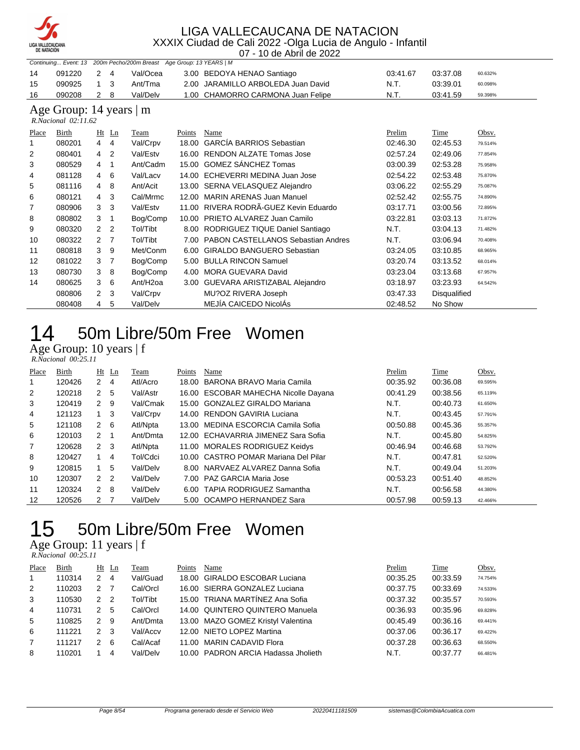

07 - 10 de Abril de 2022

|       | 200m Pecho/200m Breast Age Group: 13 YEARS   M<br>Continuing Event: 13 |                |                |                      |        |                                           |          |              |         |  |  |
|-------|------------------------------------------------------------------------|----------------|----------------|----------------------|--------|-------------------------------------------|----------|--------------|---------|--|--|
| 14    | 091220                                                                 | $\overline{2}$ | -4             | Val/Ocea             |        | 3.00 BEDOYA HENAO Santiago                | 03:41.67 | 03:37.08     | 60.632% |  |  |
| 15    | 090925                                                                 | 1              | 3              | Ant/Tma              | 2.00   | JARAMILLO ARBOLEDA Juan David             | N.T.     | 03:39.01     | 60.098% |  |  |
| 16    | 090208                                                                 | $\mathbf{2}$   | 8              | Val/Delv             |        | 1.00 CHAMORRO CARMONA Juan Felipe         | N.T.     | 03:41.59     | 59.398% |  |  |
|       | Age Group: 14 years   m                                                |                |                |                      |        |                                           |          |              |         |  |  |
|       | $R. Nacional$ 02:11.62                                                 |                |                |                      |        |                                           |          |              |         |  |  |
|       |                                                                        |                |                |                      |        |                                           |          |              |         |  |  |
| Place | <b>Birth</b>                                                           |                | $Ht$ Ln        | Team                 | Points | Name                                      | Prelim   | Time         | Obsv.   |  |  |
|       | 080201                                                                 | $\overline{4}$ | $\overline{4}$ | Val/Crpv             | 18.00  | <b>GARCÍA BARRIOS Sebastian</b>           | 02:46.30 | 02:45.53     | 79.514% |  |  |
| 2     | 080401                                                                 | 4              | $\overline{2}$ | Val/Estv             | 16.00  | RENDON ALZATE Tomas Jose                  | 02:57.24 | 02:49.06     | 77.854% |  |  |
| 3     | 080529                                                                 | 4              | $\mathbf{1}$   | Ant/Cadm             |        | 15.00 GOMEZ SÁNCHEZ Tomas                 | 03:00.39 | 02:53.28     | 75.958% |  |  |
| 4     | 081128                                                                 | $\overline{4}$ | 6              | Val/Lacv             |        | 14.00 ECHEVERRI MEDINA Juan Jose          | 02:54.22 | 02:53.48     | 75.870% |  |  |
| 5     | 081116                                                                 | 4              | 8              | Ant/Acit             |        | 13.00 SERNA VELASQUEZ Alejandro           | 03:06.22 | 02:55.29     | 75.087% |  |  |
| 6     | 080121                                                                 | 4              | 3              | Cal/Mrmc             |        | 12.00 MARIN ARENAS Juan Manuel            | 02:52.42 | 02:55.75     | 74.890% |  |  |
| 7     | 080906                                                                 | 3              | 3              | Val/Estv             |        | 11.00 RIVERA RODRÃ-GUEZ Kevin Eduardo     | 03:17.71 | 03:00.56     | 72.895% |  |  |
| 8     | 080802                                                                 | 3              | 1              | Bog/Comp             |        | 10.00 PRIETO ALVAREZ Juan Camilo          | 03:22.81 | 03:03.13     | 71.872% |  |  |
| 9     | 080320                                                                 | 2              | 2              | Tol/Tibt             |        | 8.00 RODRIGUEZ TIQUE Daniel Santiago      | N.T.     | 03:04.13     | 71.482% |  |  |
| 10    | 080322                                                                 | 2              | 7              | Tol/Tibt             | 7.00   | <b>PABON CASTELLANOS Sebastian Andres</b> | N.T.     | 03:06.94     | 70.408% |  |  |
| 11    | 080818                                                                 | 3              | 9              | Met/Conm             | 6.00   | <b>GIRALDO BANGUERO Sebastian</b>         | 03:24.05 | 03:10.85     | 68.965% |  |  |
| 12    | 081022                                                                 | 3              | 7              | Bog/Comp             | 5.00   | <b>BULLA RINCON Samuel</b>                | 03:20.74 | 03:13.52     | 68.014% |  |  |
| 13    | 080730                                                                 | 3              | 8              | Bog/Comp             | 4.00   | <b>MORA GUEVARA David</b>                 | 03:23.04 | 03:13.68     | 67.957% |  |  |
| 14    | 080625                                                                 | 3              | 6              | Ant/H <sub>20a</sub> | 3.00   | GUEVARA ARISTIZABAL Alejandro             | 03:18.97 | 03:23.93     | 64.542% |  |  |
|       | 080806                                                                 | $\overline{2}$ | 3              | Val/Crpv             |        | MU?OZ RIVERA Joseph                       | 03:47.33 | Disqualified |         |  |  |
|       | 080408                                                                 | 4              | 5              | Val/Delv             |        | MEJÍA CAICEDO NicolÁs                     | 02:48.52 | No Show      |         |  |  |

## 50m Libre/50m Free Women

Age Group: 10 years | f  *R.Nacional 00:25.11* 

| Place | Birth  | $Ht$ Ln        |                | Team     | Points | Name                                 | Prelim   | Time     | Obsv.   |
|-------|--------|----------------|----------------|----------|--------|--------------------------------------|----------|----------|---------|
|       | 120426 | 2              | -4             | Atl/Acro | 18.00  | BARONA BRAVO Maria Camila            | 00:35.92 | 00:36.08 | 69.595% |
| 2     | 120218 | $\overline{2}$ | 5              | Val/Astr |        | 16.00 ESCOBAR MAHECHA Nicolle Dayana | 00:41.29 | 00:38.56 | 65.119% |
| 3     | 120419 | 2              | -9             | Val/Cmak |        | 15.00 GONZALEZ GIRALDO Mariana       | N.T.     | 00:40.73 | 61.650% |
| 4     | 121123 |                | -3             | Val/Crpv |        | 14.00 RENDON GAVIRIA Luciana         | N.T.     | 00:43.45 | 57.791% |
| 5     | 121108 | 2              | - 6            | Atl/Npta |        | 13.00 MEDINA ESCORCIA Camila Sofia   | 00:50.88 | 00:45.36 | 55.357% |
| 6     | 120103 | 2              |                | Ant/Dmta |        | 12.00 ECHAVARRIA JIMENEZ Sara Sofia  | N.T.     | 00:45.80 | 54.825% |
| 7     | 120628 | $2 \quad 3$    |                | Atl/Npta |        | 11.00 MORALES RODRIGUEZ Keidys       | 00:46.94 | 00:46.68 | 53.792% |
| 8     | 120427 |                | 4              | Tol/Cdci |        | 10.00 CASTRO POMAR Mariana Del Pilar | N.T.     | 00:47.81 | 52.520% |
| 9     | 120815 |                | 5              | Val/Delv |        | 8.00 NARVAEZ ALVAREZ Danna Sofia     | N.T.     | 00:49.04 | 51.203% |
| 10    | 120307 | $\mathcal{P}$  | $\overline{2}$ | Val/Delv |        | 7.00 PAZ GARCIA Maria Jose           | 00:53.23 | 00:51.40 | 48.852% |
| 11    | 120324 | $\mathcal{P}$  | -8             | Val/Delv |        | 6.00 TAPIA RODRIGUEZ Samantha        | N.T.     | 00:56.58 | 44.380% |
| 12    | 120526 | 2              | 7              | Val/Delv |        | 5.00 OCAMPO HERNANDEZ Sara           | 00:57.98 | 00:59.13 | 42.466% |

# 50m Libre/50m Free Women

Age Group: 11 years | f

| R.Nacional 00:25.11 |  |
|---------------------|--|
|                     |  |

| Place        | <b>Birth</b> |               | Ht Ln | Team     | Points | Name                                | Prelim   | Time     | Obsv.   |
|--------------|--------------|---------------|-------|----------|--------|-------------------------------------|----------|----------|---------|
| $\mathbf{1}$ | 110314       | 2             | 4     | Val/Guad |        | 18.00 GIRALDO ESCOBAR Luciana       | 00:35.25 | 00:33.59 | 74.754% |
| 2            | 110203       | 2             |       | Cal/Orcl |        | 16.00 SIERRA GONZALEZ Luciana       | 00:37.75 | 00:33.69 | 74.533% |
| 3            | 110530       | $\mathcal{P}$ | 2     | Tol/Tibt |        | 15.00 TRIANA MARTINEZ Ana Sofia     | 00:37.32 | 00:35.57 | 70.593% |
| 4            | 110731       | 2             | 5     | Cal/Orcl |        | 14.00 QUINTERO QUINTERO Manuela     | 00:36.93 | 00:35.96 | 69.828% |
| 5            | 110825       | 2             | 9     | Ant/Dmta |        | 13.00 MAZO GOMEZ Kristyl Valentina  | 00:45.49 | 00:36.16 | 69.441% |
| 6            | 111221       | 2 3           |       | Val/Accv |        | 12.00 NIETO LOPEZ Martina           | 00:37.06 | 00:36.17 | 69.422% |
|              | 111217       | $\mathcal{P}$ | 6     | Cal/Acaf |        | 11.00 MARIN CADAVID Flora           | 00:37.28 | 00:36.63 | 68.550% |
| 8            | 110201       |               | 4     | Val/Delv |        | 10.00 PADRON ARCIA Hadassa Jholieth | N.T.     | 00:37.77 | 66.481% |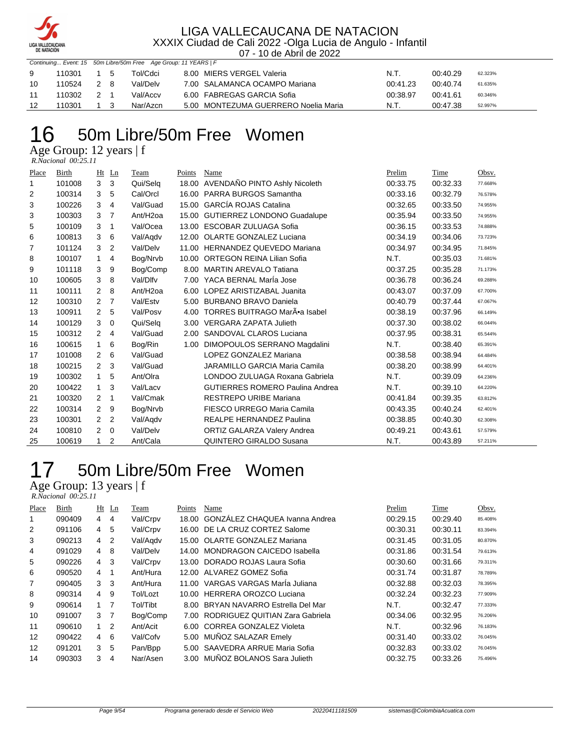

07 - 10 de Abril de 2022

|    | Continuing Event: 15 50m Libre/50m Free Age Group: 11 YEARS   F |                |  |          |  |                                      |          |          |         |  |
|----|-----------------------------------------------------------------|----------------|--|----------|--|--------------------------------------|----------|----------|---------|--|
| 9  | 110301                                                          | 1 5            |  | Tol/Cdci |  | 8.00 MIERS VERGEL Valeria            | N.T.     | 00:40.29 | 62.323% |  |
| 10 | 110524                                                          | 28             |  | Val/Delv |  | 7.00 SALAMANCA OCAMPO Mariana        | 00:41.23 | 00:40.74 | 61.635% |  |
| 11 | 110302                                                          | 2 <sup>1</sup> |  | Val/Accv |  | 6.00 FABREGAS GARCIA Sofia           | 00:38.97 | 00:41.61 | 60.346% |  |
| 12 | 110301                                                          |                |  | Nar/Azcn |  | 5.00 MONTEZUMA GUERRERO Noelia Maria | N.T.     | 00.47.38 | 52.997% |  |

### 50m Libre/50m Free Women

Age Group: 12 years | f

 *R.Nacional 00:25.11* 

| Place | <b>Birth</b> | Ht             | Ln             | Team                 | Points | Name                                   | Prelim   | Time     | Obsv.   |
|-------|--------------|----------------|----------------|----------------------|--------|----------------------------------------|----------|----------|---------|
| 1     | 101008       | 3              | 3              | Qui/Selg             | 18.00  | AVENDAÑO PINTO Ashly Nicoleth          | 00:33.75 | 00:32.33 | 77.668% |
| 2     | 100314       | 3              | 5              | Cal/Orcl             | 16.00  | <b>PARRA BURGOS Samantha</b>           | 00:33.16 | 00:32.79 | 76.578% |
| 3     | 100226       | 3              | 4              | Val/Guad             | 15.00  | <b>GARCÍA ROJAS Catalina</b>           | 00:32.65 | 00:33.50 | 74.955% |
| 3     | 100303       | 3              | 7              | Ant/H2oa             | 15.00  | <b>GUTIERREZ LONDONO Guadalupe</b>     | 00:35.94 | 00:33.50 | 74.955% |
| 5     | 100109       | 3              | 1              | Val/Ocea             |        | 13.00 ESCOBAR ZULUAGA Sofia            | 00:36.15 | 00:33.53 | 74.888% |
| 6     | 100813       | 3              | 6              | Val/Aqdv             | 12.00  | <b>OLARTE GONZALEZ Luciana</b>         | 00:34.19 | 00:34.06 | 73.723% |
| 7     | 101124       | 3              | 2              | Val/Delv             |        | 11.00 HERNANDEZ QUEVEDO Mariana        | 00:34.97 | 00:34.95 | 71.845% |
| 8     | 100107       | $\mathbf{1}$   | 4              | Bog/Nrvb             | 10.00  | <b>ORTEGON REINA Lilian Sofia</b>      | N.T.     | 00:35.03 | 71.681% |
| 9     | 101118       | 3              | 9              | Bog/Comp             | 8.00   | <b>MARTIN AREVALO Tatiana</b>          | 00:37.25 | 00:35.28 | 71.173% |
| 10    | 100605       | 3              | 8              | Val/Dlfv             | 7.00   | YACA BERNAL Maria Jose                 | 00:36.78 | 00:36.24 | 69.288% |
| 11    | 100111       | 2              | 8              | Ant/H <sub>20a</sub> | 6.00   | LOPEZ ARISTIZABAL Juanita              | 00:43.07 | 00:37.09 | 67.700% |
| 12    | 100310       | 2              | $\overline{7}$ | Val/Estv             | 5.00   | <b>BURBANO BRAVO Daniela</b>           | 00:40.79 | 00:37.44 | 67.067% |
| 13    | 100911       | 2              | 5              | Val/Posv             | 4.00   | TORRES BUITRAGO MarÕa Isabel           | 00:38.19 | 00:37.96 | 66.149% |
| 14    | 100129       | 3              | 0              | Qui/Selq             | 3.00   | VERGARA ZAPATA Julieth                 | 00:37.30 | 00:38.02 | 66.044% |
| 15    | 100312       | $\overline{2}$ | 4              | Val/Guad             | 2.00   | SANDOVAL CLAROS Luciana                | 00:37.95 | 00:38.31 | 65.544% |
| 16    | 100615       | 1              | 6              | Bog/Rin              | 1.00   | DIMOPOULOS SERRANO Magdalini           | N.T.     | 00:38.40 | 65.391% |
| 17    | 101008       | 2              | 6              | Val/Guad             |        | LOPEZ GONZALEZ Mariana                 | 00:38.58 | 00:38.94 | 64.484% |
| 18    | 100215       | 2              | 3              | Val/Guad             |        | <b>JARAMILLO GARCIA Maria Camila</b>   | 00:38.20 | 00:38.99 | 64.401% |
| 19    | 100302       | $\mathbf{1}$   | 5              | Ant/Olra             |        | LONDOO ZULUAGA Roxana Gabriela         | N.T.     | 00:39.09 | 64.236% |
| 20    | 100422       | $\mathbf{1}$   | 3              | Val/Lacv             |        | <b>GUTIERRES ROMERO Paulina Andrea</b> | N.T.     | 00:39.10 | 64.220% |
| 21    | 100320       | $\overline{2}$ | 1              | Val/Cmak             |        | <b>RESTREPO URIBE Mariana</b>          | 00:41.84 | 00:39.35 | 63.812% |
| 22    | 100314       | 2              | 9              | Bog/Nrvb             |        | FIESCO URREGO Maria Camila             | 00:43.35 | 00:40.24 | 62.401% |
| 23    | 100301       | 2              | 2              | Val/Aqdv             |        | <b>REALPE HERNANDEZ Paulina</b>        | 00:38.85 | 00:40.30 | 62.308% |
| 24    | 100810       | 2              | $\mathbf 0$    | Val/Delv             |        | <b>ORTIZ GALARZA Valery Andrea</b>     | 00:49.21 | 00:43.61 | 57.579% |
| 25    | 100619       | 1.             | 2              | Ant/Cala             |        | QUINTERO GIRALDO Susana                | N.T.     | 00:43.89 | 57.211% |

## 50m Libre/50m Free Women

Age Group: 13 years | f  *R.Nacional 00:25.11* 

| Place | Birth  |                | $Ht$ Ln        | Team     | Points | Name                                  | Prelim   | Time     | Obsv.   |
|-------|--------|----------------|----------------|----------|--------|---------------------------------------|----------|----------|---------|
| 1     | 090409 | $\overline{4}$ | 4              | Val/Crpv | 18.00  | <b>GONZALEZ CHAQUEA Ivanna Andrea</b> | 00:29.15 | 00:29.40 | 85.408% |
| 2     | 091106 | $\overline{4}$ | 5              | Val/Crpv |        | 16.00 DE LA CRUZ CORTEZ Salome        | 00:30.31 | 00:30.11 | 83.394% |
| 3     | 090213 | $\overline{4}$ | $\overline{2}$ | Val/Agdv |        | 15.00 OLARTE GONZALEZ Mariana         | 00:31.45 | 00:31.05 | 80.870% |
| 4     | 091029 | $\overline{4}$ | 8              | Val/Delv |        | 14.00 MONDRAGON CAICEDO Isabella      | 00:31.86 | 00:31.54 | 79.613% |
| 5     | 090226 | $\overline{4}$ | 3              | Val/Crpv | 13.00  | DORADO ROJAS Laura Sofia              | 00:30.60 | 00:31.66 | 79.311% |
| 6     | 090520 | 4              | 1              | Ant/Hura |        | 12.00 ALVAREZ GOMEZ Sofia             | 00:31.74 | 00:31.87 | 78.789% |
| 7     | 090405 | 3              | 3              | Ant/Hura |        | 11.00 VARGAS VARGAS Maria Juliana     | 00:32.88 | 00:32.03 | 78.395% |
| 8     | 090314 | 4              | 9              | Tol/Lozt |        | 10.00 HERRERA OROZCO Luciana          | 00:32.24 | 00:32.23 | 77.909% |
| 9     | 090614 | $1 \quad 7$    |                | Tol/Tibt |        | 8.00 BRYAN NAVARRO Estrella Del Mar   | N.T.     | 00:32.47 | 77.333% |
| 10    | 091007 | 3              | - 7            | Bog/Comp |        | 7.00 RODRIGUEZ QUITIAN Zara Gabriela  | 00:34.06 | 00:32.95 | 76.206% |
| 11    | 090610 | 1              | $\overline{2}$ | Ant/Acit |        | 6.00 CORREA GONZALEZ Violeta          | N.T.     | 00:32.96 | 76.183% |
| 12    | 090422 | 4              | 6              | Val/Cofv |        | 5.00 MUNOZ SALAZAR Emely              | 00:31.40 | 00:33.02 | 76.045% |
| 12    | 091201 | 3              | 5              | Pan/Bpp  |        | 5.00 SAAVEDRA ARRUE Maria Sofia       | 00:32.83 | 00:33.02 | 76.045% |
| 14    | 090303 | 3              | 4              | Nar/Asen |        | 3.00 MUÑOZ BOLANOS Sara Julieth       | 00:32.75 | 00:33.26 | 75.496% |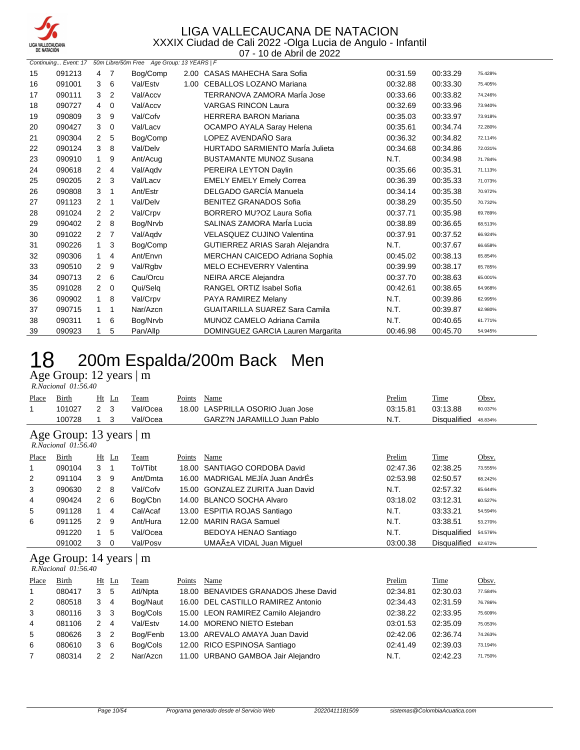

07 - 10 de Abril de 2022

|    |        |                |                | Continuing Event: 17 50m Libre/50m Free Age Group: 13 YEARS   F |      |                                        |          |          |         |
|----|--------|----------------|----------------|-----------------------------------------------------------------|------|----------------------------------------|----------|----------|---------|
| 15 | 091213 | 4 7            |                | Bog/Comp                                                        |      | 2.00 CASAS MAHECHA Sara Sofia          | 00:31.59 | 00:33.29 | 75.428% |
| 16 | 091001 | 3              | 6              | Val/Estv                                                        | 1.00 | <b>CEBALLOS LOZANO Mariana</b>         | 00:32.88 | 00:33.30 | 75.405% |
| 17 | 090111 | 3              | 2              | Val/Accv                                                        |      | TERRANOVA ZAMORA María Jose            | 00:33.66 | 00:33.82 | 74.246% |
| 18 | 090727 | 4              | 0              | Val/Accv                                                        |      | <b>VARGAS RINCON Laura</b>             | 00:32.69 | 00:33.96 | 73.940% |
| 19 | 090809 | 3              | 9              | Val/Cofv                                                        |      | <b>HERRERA BARON Mariana</b>           | 00:35.03 | 00:33.97 | 73.918% |
| 20 | 090427 | 3              | 0              | Val/Lacv                                                        |      | OCAMPO AYALA Saray Helena              | 00:35.61 | 00:34.74 | 72.280% |
| 21 | 090304 | 2              | 5              | Bog/Comp                                                        |      | LOPEZ AVENDAÑO Sara                    | 00:36.32 | 00:34.82 | 72.114% |
| 22 | 090124 | 3              | 8              | Val/Delv                                                        |      | <b>HURTADO SARMIENTO María Julieta</b> | 00:34.68 | 00:34.86 | 72.031% |
| 23 | 090910 | $\mathbf{1}$   | 9              | Ant/Acug                                                        |      | <b>BUSTAMANTE MUNOZ Susana</b>         | N.T.     | 00:34.98 | 71.784% |
| 24 | 090618 | $\overline{2}$ | 4              | Val/Aqdv                                                        |      | PEREIRA LEYTON Daylin                  | 00:35.66 | 00:35.31 | 71.113% |
| 25 | 090205 | $\overline{2}$ | 3              | Val/Lacv                                                        |      | <b>EMELY EMELY Emely Correa</b>        | 00:36.39 | 00:35.33 | 71.073% |
| 26 | 090808 | 3              | 1              | Ant/Estr                                                        |      | DELGADO GARCÍA Manuela                 | 00:34.14 | 00:35.38 | 70.972% |
| 27 | 091123 | $\overline{2}$ | 1              | Val/Delv                                                        |      | <b>BENITEZ GRANADOS Sofia</b>          | 00:38.29 | 00:35.50 | 70.732% |
| 28 | 091024 | $\overline{2}$ | $\overline{2}$ | Val/Crpv                                                        |      | BORRERO MU?OZ Laura Sofia              | 00:37.71 | 00:35.98 | 69.789% |
| 29 | 090402 | $\overline{2}$ | 8              | Bog/Nrvb                                                        |      | SALINAS ZAMORA MarÍa Lucia             | 00:38.89 | 00:36.65 | 68.513% |
| 30 | 091022 | 2              | 7              | Val/Aqdv                                                        |      | VELASQUEZ CUJINO Valentina             | 00:37.91 | 00:37.52 | 66.924% |
| 31 | 090226 | 1              | 3              | Bog/Comp                                                        |      | GUTIERREZ ARIAS Sarah Alejandra        | N.T.     | 00:37.67 | 66.658% |
| 32 | 090306 | 1              | 4              | Ant/Envn                                                        |      | MERCHAN CAICEDO Adriana Sophia         | 00:45.02 | 00:38.13 | 65.854% |
| 33 | 090510 | 2              | 9              | Val/Rgbv                                                        |      | <b>MELO ECHEVERRY Valentina</b>        | 00:39.99 | 00:38.17 | 65.785% |
| 34 | 090713 | $\overline{2}$ | 6              | Cau/Orcu                                                        |      | NEIRA ARCE Alejandra                   | 00:37.70 | 00:38.63 | 65.001% |
| 35 | 091028 | $\overline{2}$ | $\mathbf 0$    | Qui/Selg                                                        |      | RANGEL ORTIZ Isabel Sofia              | 00:42.61 | 00:38.65 | 64.968% |
| 36 | 090902 | 1              | 8              | Val/Crpv                                                        |      | PAYA RAMIREZ Melany                    | N.T.     | 00:39.86 | 62.995% |
| 37 | 090715 | 1              | $\mathbf{1}$   | Nar/Azcn                                                        |      | <b>GUAITARILLA SUAREZ Sara Camila</b>  | N.T.     | 00:39.87 | 62.980% |
| 38 | 090311 | 1              | 6              | Bog/Nrvb                                                        |      | MUNOZ CAMELO Adriana Camila            | N.T.     | 00:40.65 | 61.771% |
| 39 | 090923 | 1              | 5              | Pan/Allp                                                        |      | DOMINGUEZ GARCIA Lauren Margarita      | 00:46.98 | 00:45.70 | 54.945% |

## 18 200m Espalda/200m Back Men

Age Group: 12 years | m  *R.Nacional 01:56.40* 

| Place                                          | Birth                                                     | Ht             | Ln             | Team     | Points | Name                              | Prelim   | Time         | Obsv.   |
|------------------------------------------------|-----------------------------------------------------------|----------------|----------------|----------|--------|-----------------------------------|----------|--------------|---------|
| 1                                              | 101027                                                    | $\overline{2}$ | 3              | Val/Ocea | 18.00  | LASPRILLA OSORIO Juan Jose        | 03:15.81 | 03:13.88     | 60.037% |
|                                                | 100728                                                    |                | 3              | Val/Ocea |        | GARZ?N JARAMILLO Juan Pablo       | N.T.     | Disqualified | 48.834% |
| Age Group: 13 years   m<br>R.Nacional 01:56.40 |                                                           |                |                |          |        |                                   |          |              |         |
| Place                                          | Birth                                                     | Ht             | Ln             | Team     | Points | Name                              | Prelim   | Time         | Obsv.   |
|                                                | 090104                                                    | 3              | 1              | Tol/Tibt | 18.00  | SANTIAGO CORDOBA David            | 02:47.36 | 02:38.25     | 73.555% |
| 2                                              | 091104                                                    | 3              | 9              | Ant/Dmta | 16.00  | MADRIGAL MEJÍA Juan AndrÉs        | 02:53.98 | 02:50.57     | 68.242% |
| 3                                              | 090630                                                    | $\overline{2}$ | 8              | Val/Cofv | 15.00  | <b>GONZALEZ ZURITA Juan David</b> | N.T.     | 02:57.32     | 65.644% |
| 4                                              | 090424                                                    | 2              | 6              | Bog/Cbn  | 14.00  | <b>BLANCO SOCHA Alvaro</b>        | 03:18.02 | 03:12.31     | 60.527% |
| 5                                              | 091128                                                    | 1              | $\overline{4}$ | Cal/Acaf | 13.00  | <b>ESPITIA ROJAS Santiago</b>     | N.T.     | 03:33.21     | 54.594% |
| 6                                              | 091125                                                    | 2              | 9              | Ant/Hura | 12.00  | <b>MARIN RAGA Samuel</b>          | N.T.     | 03:38.51     | 53.270% |
|                                                | 091220                                                    | 1              | 5              | Val/Ocea |        | BEDOYA HENAO Santiago             | N.T.     | Disqualified | 54.576% |
|                                                | 091002                                                    | 3              | 0              | Val/Posv |        | UMAñA VIDAL Juan Miguel           | 03:00.38 | Disqualified | 62.672% |
|                                                | Age Group: 14 years $\vert$ m<br>$R. Nacional$ $01:56.40$ |                |                |          |        |                                   |          |              |         |
| Place                                          | Birth                                                     | Ht             | $\mathbf{L}$ n | Team     | Points | Name                              | Prelim   | Time         | Obsv.   |
| 1                                              | 080417                                                    | 3              | 5              | Atl/Npta | 18.00  | BENAVIDES GRANADOS Jhese David    | 02:34.81 | 02:30.03     | 77.584% |
| 2                                              | 080518                                                    | 3              | 4              | Bog/Naut | 16.00  | DEL CASTILLO RAMIREZ Antonio      | 02:34.43 | 02:31.59     | 76.786% |
| 3                                              | 080116                                                    | 3              | 3              | Bog/Cols | 15.00  | LEON RAMIREZ Camilo Alejandro     | 02:38.22 | 02:33.95     | 75.609% |
| 4                                              | 081106                                                    | 2              | 4              | Val/Estv | 14.00  | <b>MORENO NIETO Esteban</b>       | 03:01.53 | 02:35.09     | 75.053% |
| 5                                              | 080626                                                    | 3              | $\overline{2}$ | Bog/Fenb | 13.00  | AREVALO AMAYA Juan David          | 02:42.06 | 02:36.74     | 74.263% |
| 6                                              | 080610                                                    | 3              | 6              | Bog/Cols |        | 12.00 RICO ESPINOSA Santiago      | 02:41.49 | 02:39.03     | 73.194% |

7 080314 2 2 Nar/Azcn 11.00 URBANO GAMBOA Jair Alejandro N.T. 02:42.23 71.750%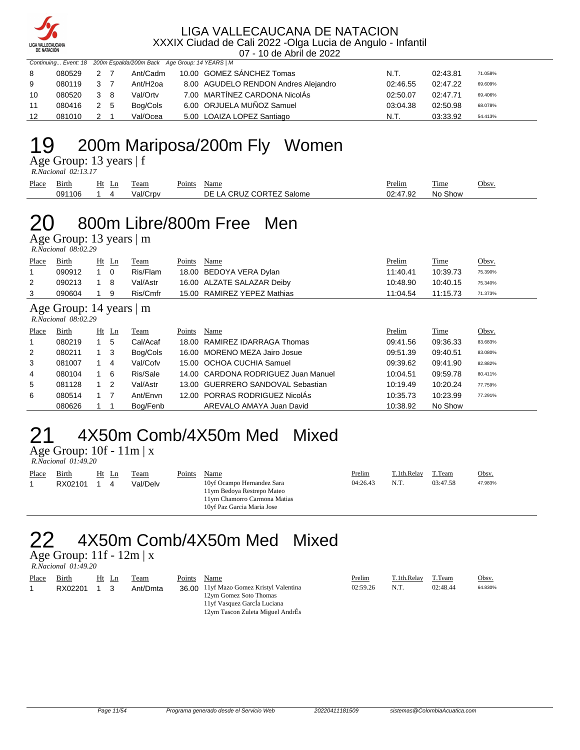

07 - 10 de Abril de 2022

|                   | Continuing Event: 18 200m Espalda/200m Back Age Group: 14 YEARS   M |             |  |                       |  |                                      |          |          |         |  |
|-------------------|---------------------------------------------------------------------|-------------|--|-----------------------|--|--------------------------------------|----------|----------|---------|--|
| 8                 | 080529                                                              | 2 7         |  | Ant/Cadm              |  | 10.00 GOMEZ SANCHEZ Tomas            | N.T.     | 02:43.81 | 71.058% |  |
| 9                 | 080119                                                              | 3 7         |  | Ant/H <sub>2</sub> oa |  | 8.00 AGUDELO RENDON Andres Alejandro | 02:46.55 | 02:47.22 | 69.609% |  |
| 10                | 080520                                                              | $3 \quad 8$ |  | Val/Ortv              |  | 7.00 MARTÍNEZ CARDONA NicolÁs        | 02:50.07 | 02:47.71 | 69.406% |  |
| 11                | 080416                                                              | 2 5         |  | Bog/Cols              |  | 6.00 ORJUELA MUÑOZ Samuel            | 03:04.38 | 02:50.98 | 68.078% |  |
| $12 \overline{ }$ | 081010                                                              |             |  | Val/Ocea              |  | 5.00 LOAIZA LOPEZ Santiago           | N.T.     | 03:33.92 | 54.413% |  |

## 19 200m Mariposa/200m Fly Women

Age Group: 13 years | f

 *R.Nacional 02:13.17* 

| Place | Birth. | Ht<br>ப | eam      | $\sim$ $\sim$<br><sup>o</sup> oints | Name                          | Prelim<br><u> The Communication of the Communication of the Communication of the Communication of the Communication of the Communication of the Communication of the Communication of the Communication of the Communication of the Commun</u> | m.<br>1'ıme | <u>Obsv.</u> |
|-------|--------|---------|----------|-------------------------------------|-------------------------------|------------------------------------------------------------------------------------------------------------------------------------------------------------------------------------------------------------------------------------------------|-------------|--------------|
|       | 091106 |         | Val/Crny |                                     | CORTEZ<br>CDL<br>⊐ר<br>Salome | ∩ጋ∙ <i>ለገ</i> 0ጋ<br>، 37 . م<br>JZ                                                                                                                                                                                                             | No<br>Show  |              |

## 20 800m Libre/800m Free Men

Age Group: 13 years | m  *R.Nacional 08:02.29* 

| Place | Birth                                          |             | $Ht$ Ln        | Team     | Points | Name                                | Prelim   | Time     | Obsv.   |
|-------|------------------------------------------------|-------------|----------------|----------|--------|-------------------------------------|----------|----------|---------|
|       | 090912                                         |             | $\overline{0}$ | Ris/Flam |        | 18.00 BEDOYA VERA Dylan             | 11:40.41 | 10:39.73 | 75.390% |
| 2     | 090213                                         |             | 8              | Val/Astr |        | 16.00 ALZATE SALAZAR Deiby          | 10:48.90 | 10:40.15 | 75.340% |
| 3     | 090604                                         |             | 9              | Ris/Cmfr |        | 15.00 RAMIREZ YEPEZ Mathias         | 11:04.54 | 11:15.73 | 71.373% |
|       | Age Group: 14 years   m<br>R.Nacional 08:02.29 |             |                |          |        |                                     |          |          |         |
| Place | Birth                                          |             | $Ht$ Ln        | Team     | Points | Name                                | Prelim   | Time     | Obsv.   |
|       | 080219                                         |             | 5              | Cal/Acaf |        | 18.00 RAMIREZ IDARRAGA Thomas       | 09:41.56 | 09:36.33 | 83.683% |
| 2     | 080211                                         |             | 3              | Bog/Cols |        | 16.00 MORENO MEZA Jairo Josue       | 09:51.39 | 09:40.51 | 83.080% |
| 3     | 081007                                         | $1 \quad 4$ |                | Val/Cofv |        | 15.00 OCHOA CUCHIA Samuel           | 09:39.62 | 09:41.90 | 82.882% |
| 4     | 080104                                         | $1\quad 6$  |                | Ris/Sale |        | 14.00 CARDONA RODRIGUEZ Juan Manuel | 10:04.51 | 09:59.78 | 80.411% |
| 5     | 081128                                         | $1\quad 2$  |                | Val/Astr |        | 13.00 GUERRERO SANDOVAL Sebastian   | 10:19.49 | 10:20.24 | 77.759% |
| 6     | 080514                                         | 1 7         |                | Ant/Envn |        | 12.00 PORRAS RODRIGUEZ NicolAs      | 10:35.73 | 10:23.99 | 77.291% |
|       | 080626                                         |             |                | Bog/Fenb |        | AREVALO AMAYA Juan David            | 10:38.92 | No Show  |         |

## 4X50m Comb/4X50m Med Mixed

Age Group: 10f - 11m | x  *R.Nacional 01:49.20* 

| Place<br>Birth<br>RX02101 |  | Ht Ln<br>4 | l'eam<br>Val/Delv | Points | Name<br>10yf Ocampo Hernandez Sara<br>11ym Bedova Restrepo Mateo<br>11ym Chamorro Carmona Matias<br>10vf Paz Garcia Maria Jose | Prelim<br>04:26.43 | T.1th.Relay<br>N.T. | T.Team<br>03:47.58 | Obsv.<br>47.983% |
|---------------------------|--|------------|-------------------|--------|--------------------------------------------------------------------------------------------------------------------------------|--------------------|---------------------|--------------------|------------------|
|---------------------------|--|------------|-------------------|--------|--------------------------------------------------------------------------------------------------------------------------------|--------------------|---------------------|--------------------|------------------|

### 22 4X50m Comb/4X50m Med Mixed

Age Group: 11f - 12m | x

| R.Nacional 01:49.20 |  |
|---------------------|--|
|                     |  |

| Place | Birth   | Ht | -Ln | eam      | Points | Name                                                                                              | Prelim   | T.1th.Relay | T.Team   | Obsv.   |
|-------|---------|----|-----|----------|--------|---------------------------------------------------------------------------------------------------|----------|-------------|----------|---------|
|       | RX02201 |    |     | Ant/Dmta |        | 36.00 11yf Mazo Gomez Kristyl Valentina<br>12ym Gomez Soto Thomas<br>11 vf Vasquez GarcIa Luciana | 02:59.26 |             | 02:48.44 | 64.830% |

12ym Tascon Zuleta Miguel AndrÉs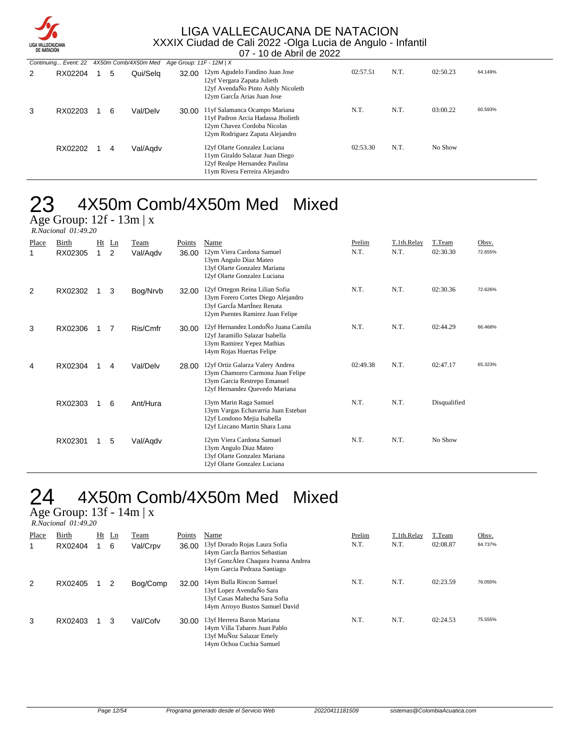

|   |                                           |   |          |                            | ິ<br>19.90119022                                                                                                                      |          |      |          |         |
|---|-------------------------------------------|---|----------|----------------------------|---------------------------------------------------------------------------------------------------------------------------------------|----------|------|----------|---------|
|   | Continuing Event: 22 4X50m Comb/4X50m Med |   |          | Age Group: $11F - 12M$   X |                                                                                                                                       |          |      |          |         |
| 2 | RX02204                                   | 5 | Qui/Selq | 32.00                      | 12ym Agudelo Fandino Juan Jose<br>12yf Vergara Zapata Julieth<br>12yf AvendaÑo Pinto Ashly Nicoleth<br>12ym García Arias Juan Jose    | 02:57.51 | N.T. | 02:50.23 | 64.149% |
| 3 | RX02203                                   | 6 | Val/Delv | 30.00                      | 11yf Salamanca Ocampo Mariana<br>11yf Padron Arcia Hadassa Jholieth<br>12ym Chavez Cordoba Nicolas<br>12ym Rodriguez Zapata Alejandro | N.T.     | N.T. | 03:00.22 | 60.593% |
|   | RX02202                                   | 4 | Val/Agdv |                            | 12yf Olarte Gonzalez Luciana<br>11ym Giraldo Salazar Juan Diego<br>12yf Realpe Hernandez Paulina<br>11ym Rivera Ferreira Alejandro    | 02:53.30 | N.T. | No Show  |         |

## 23 4X50m Comb/4X50m Med Mixed

Age Group: 12f - 13m | x

|            | R.Nacional 01:49.20 |         |                      |                  |                 |                                                                                                                                          |                |                     |                    |                  |  |  |
|------------|---------------------|---------|----------------------|------------------|-----------------|------------------------------------------------------------------------------------------------------------------------------------------|----------------|---------------------|--------------------|------------------|--|--|
| Place<br>1 | Birth<br>RX02305    | Ht<br>1 | Ln<br>$\overline{2}$ | Team<br>Val/Aqdv | Points<br>36.00 | Name<br>12ym Viera Cardona Samuel<br>13ym Angulo Diaz Mateo<br>13yf Olarte Gonzalez Mariana<br>12yf Olarte Gonzalez Luciana              | Prelim<br>N.T. | T.1th.Relay<br>N.T. | T.Team<br>02:30.30 | Obsv.<br>72.655% |  |  |
| 2          | RX02302             |         | 3                    | Bog/Nrvb         | 32.00           | 12yf Ortegon Reina Lilian Sofia<br>13ym Forero Cortes Diego Alejandro<br>13yf García Martínez Renata<br>12ym Puentes Ramirez Juan Felipe | N.T.           | N.T.                | 02:30.36           | 72.626%          |  |  |
| 3          | RX02306             |         | 7                    | Ris/Cmfr         | 30.00           | 12yf Hernandez LondoÑo Juana Camila<br>12yf Jaramillo Salazar Isabella<br>13ym Ramirez Yepez Mathias<br>14ym Rojas Huertas Felipe        | N.T.           | N.T.                | 02:44.29           | 66.468%          |  |  |
| 4          | RX02304             |         | 4                    | Val/Delv         | 28.00           | 12yf Ortiz Galarza Valery Andrea<br>13ym Chamorro Carmona Juan Felipe<br>13ym Garcia Restrepo Emanuel<br>12yf Hernandez Quevedo Mariana  | 02:49.38       | N.T.                | 02:47.17           | 65.323%          |  |  |
|            | RX02303             | 1       | 6                    | Ant/Hura         |                 | 13ym Marin Raga Samuel<br>13ym Vargas Echavarria Juan Esteban<br>12yf Londono Mejia Isabella<br>12yf Lizcano Martin Shara Luna           | N.T.           | N.T.                | Disqualified       |                  |  |  |
|            | RX02301             | 1       | 5                    | Val/Aqdv         |                 | 12ym Viera Cardona Samuel<br>13ym Angulo Diaz Mateo<br>13yf Olarte Gonzalez Mariana<br>12yf Olarte Gonzalez Luciana                      | N.T.           | N.T.                | No Show            |                  |  |  |

### 24 4X50m Comb/4X50m Med Mixed

Age Group: 13f - 14m | x  *R.Nacional 01:49.20* 

| Place | <b>Birth</b><br>RX02404 | $Ht$ Ln<br>6 | Team<br>Val/Crpv | Points<br>36.00 | Name<br>13yf Dorado Rojas Laura Sofia<br>14ym García Barrios Sebastian<br>13yf GonzÁlez Chaquea Ivanna Andrea<br>14ym Garcia Pedraza Santiago | Prelim<br>N.T. | T.1th.Relay<br>N.T. | T.Team<br>02:08.87 | Obsv.<br>84.737% |
|-------|-------------------------|--------------|------------------|-----------------|-----------------------------------------------------------------------------------------------------------------------------------------------|----------------|---------------------|--------------------|------------------|
| 2     | RX02405                 | 2            | Bog/Comp         | 32.00           | 14ym Bulla Rincon Samuel<br>13yf Lopez AvendaÑo Sara<br>13yf Casas Mahecha Sara Sofia<br>14ym Arroyo Bustos Samuel David                      | N.T.           | N.T.                | 02:23.59           | 76.050%          |
| 3     | RX02403                 | 3            | Val/Cofv         | 30.00           | 13vf Herrera Baron Mariana<br>14ym Villa Tabares Juan Pablo<br>13yf MuÑoz Salazar Emely<br>14ym Ochoa Cuchia Samuel                           | N.T.           | N.T.                | 02:24.53           | 75.555%          |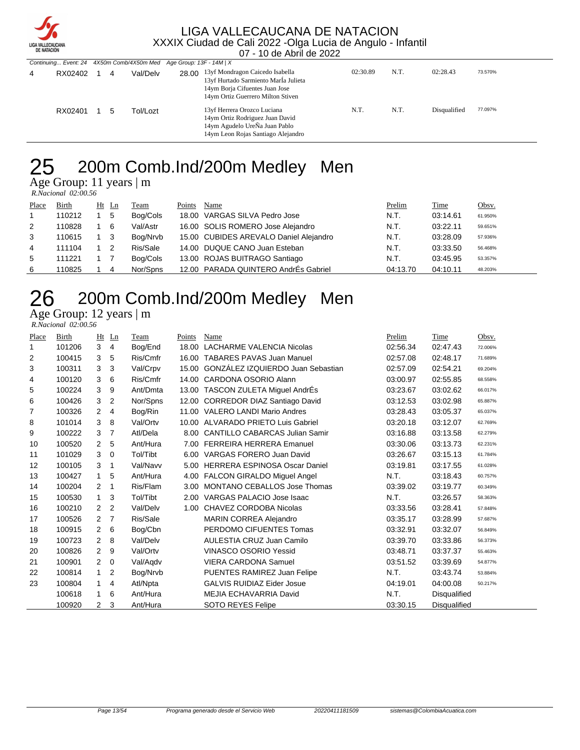

07 - 10 de Abril de 2022

|   |         | Continuing Event: 24 4X50m Comb/4X50m Med Age Group: 13F - 14M   X |   |          |  |                                                                                                                                                      |          |      |              |         |
|---|---------|--------------------------------------------------------------------|---|----------|--|------------------------------------------------------------------------------------------------------------------------------------------------------|----------|------|--------------|---------|
| 4 | RX02402 |                                                                    | 4 | Val/Delv |  | 28.00 13yf Mondragon Caicedo Isabella<br>13yf Hurtado Sarmiento Marla Julieta<br>14ym Borja Cifuentes Juan Jose<br>14ym Ortiz Guerrero Milton Stiven | 02:30.89 | N.T. | 02:28.43     | 73.570% |
|   | RX02401 |                                                                    | 5 | Tol/Lozt |  | 13yf Herrera Orozco Luciana<br>14ym Ortiz Rodriguez Juan David<br>14ym Agudelo UreÑa Juan Pablo<br>14ym Leon Rojas Santiago Alejandro                | N.T.     | N.T. | Disqualified | 77.097% |

### 200m Comb.Ind/200m Medley Men

Age Group: 11 years | m

 *R.Nacional 02:00.56* 

| Place          | <b>Birth</b> | $Ht$ Ln | <b>Team</b> | Points | Name                                   | Prelim   | <b>Time</b> | Obsv.   |
|----------------|--------------|---------|-------------|--------|----------------------------------------|----------|-------------|---------|
| $\overline{1}$ | 110212       | 5       | Bog/Cols    |        | 18.00 VARGAS SILVA Pedro Jose          | N.T.     | 03:14.61    | 61.950% |
| 2              | 110828       | -6      | Val/Astr    |        | 16.00 SOLIS ROMERO Jose Alejandro      | N.T.     | 03:22.11    | 59.651% |
| 3              | 110615       | - 3     | Bog/Nrvb    |        | 15.00 CUBIDES AREVALO Daniel Alejandro | N.T.     | 03:28.09    | 57.936% |
| 4              | 111104       | -2      | Ris/Sale    |        | 14.00 DUQUE CANO Juan Esteban          | N.T.     | 03:33.50    | 56.468% |
| 5              | 111221       |         | Bog/Cols    |        | 13.00 ROJAS BUITRAGO Santiago          | N.T.     | 03:45.95    | 53.357% |
| 6              | 110825       | 4       | Nor/Spns    |        | 12.00 PARADA QUINTERO AndrÉs Gabriel   | 04:13.70 | 04:10.11    | 48.203% |

## 26 200m Comb.Ind/200m Medley Men

Age Group: 12 years | m

| Place | <b>Birth</b> | Ht             | Ln             | Team     | Points | Name                                  | Prelim   | Time         | Obsv.   |
|-------|--------------|----------------|----------------|----------|--------|---------------------------------------|----------|--------------|---------|
| 1     | 101206       | 3              | 4              | Bog/End  | 18.00  | <b>LACHARME VALENCIA Nicolas</b>      | 02:56.34 | 02:47.43     | 72.006% |
| 2     | 100415       | 3              | 5              | Ris/Cmfr | 16.00  | <b>TABARES PAVAS Juan Manuel</b>      | 02:57.08 | 02:48.17     | 71.689% |
| 3     | 100311       | 3              | 3              | Val/Crpv | 15.00  | GONZÁLEZ IZQUIERDO Juan Sebastian     | 02:57.09 | 02:54.21     | 69.204% |
| 4     | 100120       | 3              | 6              | Ris/Cmfr | 14.00  | CARDONA OSORIO Alann                  | 03:00.97 | 02:55.85     | 68.558% |
| 5     | 100224       | 3              | 9              | Ant/Dmta | 13.00  | TASCON ZULETA Miguel AndrÉs           | 03:23.67 | 03:02.62     | 66.017% |
| 6     | 100426       | 3              | 2              | Nor/Spns | 12.00  | <b>CORREDOR DIAZ Santiago David</b>   | 03:12.53 | 03:02.98     | 65.887% |
| 7     | 100326       | $\overline{2}$ | 4              | Bog/Rin  | 11.00  | <b>VALERO LANDI Mario Andres</b>      | 03:28.43 | 03:05.37     | 65.037% |
| 8     | 101014       | 3              | 8              | Val/Ortv | 10.00  | <b>ALVARADO PRIETO Luis Gabriel</b>   | 03:20.18 | 03:12.07     | 62.769% |
| 9     | 100222       | 3              | $\overline{7}$ | Atl/Dela | 8.00   | <b>CANTILLO CABARCAS Julian Samir</b> | 03:16.88 | 03:13.58     | 62.279% |
| 10    | 100520       | $\overline{2}$ | 5              | Ant/Hura | 7.00   | <b>FERREIRA HERRERA Emanuel</b>       | 03:30.06 | 03:13.73     | 62.231% |
| 11    | 101029       | 3              | 0              | Tol/Tibt | 6.00   | VARGAS FORERO Juan David              | 03:26.67 | 03:15.13     | 61.784% |
| 12    | 100105       | 3              | 1              | Val/Navv | 5.00   | <b>HERRERA ESPINOSA Oscar Daniel</b>  | 03:19.81 | 03:17.55     | 61.028% |
| 13    | 100427       | 1              | 5              | Ant/Hura | 4.00   | FALCON GIRALDO Miguel Angel           | N.T.     | 03:18.43     | 60.757% |
| 14    | 100204       | $\overline{2}$ | 1              | Ris/Flam | 3.00   | <b>MONTANO CEBALLOS Jose Thomas</b>   | 03:39.02 | 03:19.77     | 60.349% |
| 15    | 100530       | $\mathbf 1$    | 3              | Tol/Tibt | 2.00   | VARGAS PALACIO Jose Isaac             | N.T.     | 03:26.57     | 58.363% |
| 16    | 100210       | 2              | 2              | Val/Delv | 1.00   | CHAVEZ CORDOBA Nicolas                | 03:33.56 | 03:28.41     | 57.848% |
| 17    | 100526       | $\overline{2}$ | $\overline{7}$ | Ris/Sale |        | <b>MARIN CORREA Alejandro</b>         | 03:35.17 | 03:28.99     | 57.687% |
| 18    | 100915       | $\overline{2}$ | 6              | Bog/Cbn  |        | PERDOMO CIFUENTES Tomas               | 03:32.91 | 03:32.07     | 56.849% |
| 19    | 100723       | $\overline{2}$ | 8              | Val/Delv |        | AULESTIA CRUZ Juan Camilo             | 03:39.70 | 03:33.86     | 56.373% |
| 20    | 100826       | $\overline{2}$ | 9              | Val/Ortv |        | <b>VINASCO OSORIO Yessid</b>          | 03:48.71 | 03:37.37     | 55.463% |
| 21    | 100901       | $\overline{2}$ | 0              | Val/Aqdv |        | <b>VIERA CARDONA Samuel</b>           | 03:51.52 | 03:39.69     | 54.877% |
| 22    | 100814       | $\mathbf{1}$   | 2              | Bog/Nrvb |        | PUENTES RAMIREZ Juan Felipe           | N.T.     | 03:43.74     | 53.884% |
| 23    | 100804       | $\mathbf{1}$   | 4              | Atl/Npta |        | <b>GALVIS RUIDIAZ Eider Josue</b>     | 04:19.01 | 04:00.08     | 50.217% |
|       | 100618       | 1              | 6              | Ant/Hura |        | MEJIA ECHAVARRIA David                | N.T.     | Disqualified |         |
|       | 100920       | $\overline{2}$ | 3              | Ant/Hura |        | <b>SOTO REYES Felipe</b>              | 03:30.15 | Disqualified |         |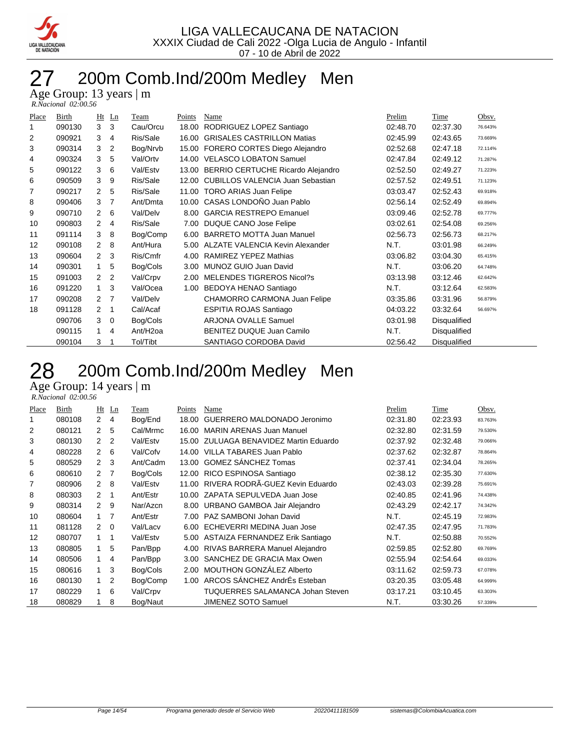

## 27 200m Comb.Ind/200m Medley Men

Age Group: 13 years | m

| R.Nacional 02:00.56 |  |
|---------------------|--|

| Place | <b>Birth</b> | Ht                   | Ln | Team                 | Points | Name                              | Prelim   | Time                | Obsv.   |
|-------|--------------|----------------------|----|----------------------|--------|-----------------------------------|----------|---------------------|---------|
| 1     | 090130       | 3                    | 3  | Cau/Orcu             | 18.00  | RODRIGUEZ LOPEZ Santiago          | 02:48.70 | 02:37.30            | 76.643% |
| 2     | 090921       | 3                    | 4  | Ris/Sale             | 16.00  | <b>GRISALES CASTRILLON Matias</b> | 02:45.99 | 02:43.65            | 73.669% |
| 3     | 090314       | 3                    | 2  | Bog/Nrvb             | 15.00  | FORERO CORTES Diego Alejandro     | 02:52.68 | 02:47.18            | 72.114% |
| 4     | 090324       | 3                    | 5  | Val/Ortv             | 14.00  | <b>VELASCO LOBATON Samuel</b>     | 02:47.84 | 02:49.12            | 71.287% |
| 5     | 090122       | 3                    | 6  | Val/Estv             | 13.00  | BERRIO CERTUCHE Ricardo Alejandro | 02:52.50 | 02:49.27            | 71.223% |
| 6     | 090509       | 3                    | 9  | Ris/Sale             | 12.00  | CUBILLOS VALENCIA Juan Sebastian  | 02:57.52 | 02:49.51            | 71.123% |
| 7     | 090217       | $\mathcal{P}$        | 5  | Ris/Sale             | 11.00  | <b>TORO ARIAS Juan Felipe</b>     | 03:03.47 | 02:52.43            | 69.918% |
| 8     | 090406       | 3                    | 7  | Ant/Dmta             | 10.00  | CASAS LONDOÑO Juan Pablo          | 02:56.14 | 02:52.49            | 69.894% |
| 9     | 090710       | $\mathbf{2}^{\circ}$ | 6  | Val/Delv             | 8.00   | <b>GARCIA RESTREPO Emanuel</b>    | 03:09.46 | 02:52.78            | 69.777% |
| 10    | 090803       | $\mathcal{P}$        | 4  | Ris/Sale             | 7.00   | <b>DUQUE CANO Jose Felipe</b>     | 03:02.61 | 02:54.08            | 69.256% |
| 11    | 091114       | 3                    | 8  | Bog/Comp             | 6.00   | <b>BARRETO MOTTA Juan Manuel</b>  | 02:56.73 | 02:56.73            | 68.217% |
| 12    | 090108       | $\mathbf{2}^{\circ}$ | 8  | Ant/Hura             | 5.00   | ALZATE VALENCIA Kevin Alexander   | N.T.     | 03:01.98            | 66.249% |
| 13    | 090604       | $\mathcal{P}$        | 3  | Ris/Cmfr             | 4.00   | RAMIREZ YEPEZ Mathias             | 03:06.82 | 03:04.30            | 65.415% |
| 14    | 090301       | $\mathbf{1}$         | 5  | Bog/Cols             | 3.00   | MUNOZ GUIO Juan David             | N.T.     | 03:06.20            | 64.748% |
| 15    | 091003       | $\mathcal{P}$        | 2  | Val/Crpv             | 2.00   | <b>MELENDES TIGREROS Nicol?s</b>  | 03:13.98 | 03:12.46            | 62.642% |
| 16    | 091220       | $\mathbf{1}$         | 3  | Val/Ocea             | 1.00   | BEDOYA HENAO Santiago             | N.T.     | 03:12.64            | 62.583% |
| 17    | 090208       | $\mathcal{P} \equiv$ | 7  | Val/Delv             |        | CHAMORRO CARMONA Juan Felipe      | 03:35.86 | 03:31.96            | 56.879% |
| 18    | 091128       | $\mathbf{2}^{\circ}$ | 1  | Cal/Acaf             |        | <b>ESPITIA ROJAS Santiago</b>     | 04:03.22 | 03:32.64            | 56.697% |
|       | 090706       | 3                    | 0  | Bog/Cols             |        | ARJONA OVALLE Samuel              | 03:01.98 | Disqualified        |         |
|       | 090115       | 1                    | 4  | Ant/H <sub>20a</sub> |        | BENITEZ DUQUE Juan Camilo         | N.T.     | <b>Disqualified</b> |         |
|       | 090104       | 3                    | 1  | Tol/Tibt             |        | SANTIAGO CORDOBA David            | 02:56.42 | <b>Disqualified</b> |         |

## 28 200m Comb.Ind/200m Medley Men

Age Group: 14 years | m

| R.Nacional 02:00.56 |  |
|---------------------|--|
|---------------------|--|

| Place | Birth  | Ht            | Ln       | Team     | Points | Name                                    | Prelim   | Time     | Obsv.   |
|-------|--------|---------------|----------|----------|--------|-----------------------------------------|----------|----------|---------|
|       | 080108 | $\mathbf{2}$  | 4        | Bog/End  | 18.00  | GUERRERO MALDONADO Jeronimo             | 02:31.80 | 02:23.93 | 83.763% |
| 2     | 080121 | $\mathcal{P}$ | 5        | Cal/Mrmc | 16.00  | <b>MARIN ARENAS Juan Manuel</b>         | 02:32.80 | 02:31.59 | 79.530% |
| 3     | 080130 | 2             | 2        | Val/Estv | 15.00  | ZULUAGA BENAVIDEZ Martin Eduardo        | 02:37.92 | 02:32.48 | 79.066% |
| 4     | 080228 | $\mathcal{P}$ | 6        | Val/Cofv | 14.00  | VILLA TABARES Juan Pablo                | 02:37.62 | 02:32.87 | 78.864% |
| 5     | 080529 | $\mathcal{P}$ | 3        | Ant/Cadm | 13.00  | <b>GOMEZ SÁNCHEZ Tomas</b>              | 02:37.41 | 02:34.04 | 78.265% |
| 6     | 080610 | $\mathcal{P}$ |          | Bog/Cols | 12.00  | RICO ESPINOSA Santiago                  | 02:38.12 | 02:35.30 | 77.630% |
| 7     | 080906 | $\mathcal{P}$ | 8        | Val/Estv | 11.00  | RIVERA RODRÃ-GUEZ Kevin Eduardo         | 02:43.03 | 02:39.28 | 75.691% |
| 8     | 080303 | $\mathcal{P}$ |          | Ant/Estr | 10.00  | ZAPATA SEPULVEDA Juan Jose              | 02:40.85 | 02:41.96 | 74.438% |
| 9     | 080314 | $\mathcal{P}$ | 9        | Nar/Azcn | 8.00   | URBANO GAMBOA Jair Alejandro            | 02:43.29 | 02:42.17 | 74.342% |
| 10    | 080604 |               | 7        | Ant/Estr | 7.00   | PAZ SAMBONI Johan David                 | N.T.     | 02:45.19 | 72.983% |
| 11    | 081128 | $\mathcal{P}$ | $\Omega$ | Val/Lacv | 6.00   | ECHEVERRI MEDINA Juan Jose              | 02:47.35 | 02:47.95 | 71.783% |
| 12    | 080707 |               |          | Val/Estv |        | 5.00 ASTAIZA FERNANDEZ Erik Santiago    | N.T.     | 02:50.88 | 70.552% |
| 13    | 080805 | $\mathbf{1}$  | 5        | Pan/Bpp  | 4.00   | RIVAS BARRERA Manuel Alejandro          | 02:59.85 | 02:52.80 | 69.769% |
| 14    | 080506 |               | 4        | Pan/Bpp  | 3.00   | SANCHEZ DE GRACIA Max Owen              | 02:55.94 | 02:54.64 | 69.033% |
| 15    | 080616 |               | 3        | Bog/Cols | 2.00   | MOUTHON GONZÁLEZ Alberto                | 03:11.62 | 02:59.73 | 67.078% |
| 16    | 080130 |               | 2        | Bog/Comp | 1.00   | ARCOS SÁNCHEZ AndrÉs Esteban            | 03:20.35 | 03:05.48 | 64.999% |
| 17    | 080229 |               | 6        | Val/Crpv |        | <b>TUQUERRES SALAMANCA Johan Steven</b> | 03:17.21 | 03:10.45 | 63.303% |
| 18    | 080829 |               | 8        | Bog/Naut |        | <b>JIMENEZ SOTO Samuel</b>              | N.T.     | 03:30.26 | 57.339% |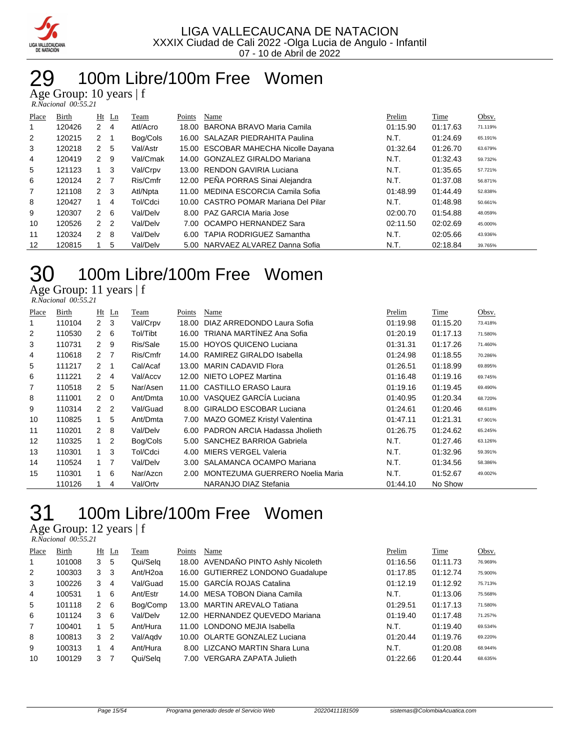

## 100m Libre/100m Free Women

Age Group: 10 years | f

| R.Nacional 00:55.21 |  |
|---------------------|--|

| Place          | <b>Birth</b> |                | $Ht$ Ln        | Team     | Points | Name                                 | Prelim   | <b>Time</b> | Obsv.   |
|----------------|--------------|----------------|----------------|----------|--------|--------------------------------------|----------|-------------|---------|
|                | 120426       | 2              | $\overline{4}$ | Atl/Acro | 18.00  | BARONA BRAVO Maria Camila            | 01:15.90 | 01:17.63    | 71.119% |
| 2              | 120215       | $2 \quad 1$    |                | Bog/Cols | 16.00  | SALAZAR PIEDRAHITA Paulina           | N.T.     | 01:24.69    | 65.191% |
| 3              | 120218       | 2              | - 5            | Val/Astr |        | 15.00 ESCOBAR MAHECHA Nicolle Dayana | 01:32.64 | 01:26.70    | 63.679% |
| 4              | 120419       | 2              | - 9            | Val/Cmak | 14.00  | <b>GONZALEZ GIRALDO Mariana</b>      | N.T.     | 01:32.43    | 59.732% |
| 5              | 121123       | $1 \quad 3$    |                | Val/Crpv | 13.00  | RENDON GAVIRIA Luciana               | N.T.     | 01:35.65    | 57.721% |
| 6              | 120124       | 2 <sub>7</sub> |                | Ris/Cmfr |        | 12.00 PEÑA PORRAS Sinai Alejandra    | N.T.     | 01:37.08    | 56.871% |
| $\overline{7}$ | 121108       | $2 \quad 3$    |                | Atl/Npta | 11.00  | MEDINA ESCORCIA Camila Sofia         | 01:48.99 | 01:44.49    | 52.838% |
| 8              | 120427       |                | 4              | Tol/Cdci |        | 10.00 CASTRO POMAR Mariana Del Pilar | N.T.     | 01:48.98    | 50.661% |
| 9              | 120307       | $2 \quad 6$    |                | Val/Delv |        | 8.00 PAZ GARCIA Maria Jose           | 02:00.70 | 01:54.88    | 48.059% |
| 10             | 120526       | 2 <sub>2</sub> |                | Val/Delv | 7.00   | OCAMPO HERNANDEZ Sara                | 02:11.50 | 02:02.69    | 45.000% |
| 11             | 120324       | $\mathcal{P}$  | -8             | Val/Delv |        | 6.00 TAPIA RODRIGUEZ Samantha        | N.T.     | 02:05.66    | 43.936% |
| 12             | 120815       |                | 5              | Val/Delv |        | 5.00 NARVAEZ ALVAREZ Danna Sofia     | N.T.     | 02:18.84    | 39.765% |

## 100m Libre/100m Free Women

Age Group: 11 years | f

 *R.Nacional 00:55.21* 

| Place | Birth  |                | Ht Ln          | Team     | Points | Name                            | Prelim   | Time     | Obsv.   |
|-------|--------|----------------|----------------|----------|--------|---------------------------------|----------|----------|---------|
| 1     | 110104 | 2 <sub>3</sub> |                | Val/Crpv | 18.00  | DIAZ ARREDONDO Laura Sofia      | 01:19.98 | 01:15.20 | 73.418% |
| 2     | 110530 | 2              | 6              | Tol/Tibt | 16.00  | TRIANA MARTINEZ Ana Sofia       | 01:20.19 | 01:17.13 | 71.580% |
| 3     | 110731 | $\overline{2}$ | -9             | Ris/Sale | 15.00  | <b>HOYOS QUICENO Luciana</b>    | 01:31.31 | 01:17.26 | 71.460% |
| 4     | 110618 | 2 <sub>7</sub> |                | Ris/Cmfr | 14.00  | RAMIREZ GIRALDO Isabella        | 01:24.98 | 01:18.55 | 70.286% |
| 5     | 111217 | 2              | -1             | Cal/Acaf | 13.00  | <b>MARIN CADAVID Flora</b>      | 01:26.51 | 01:18.99 | 69.895% |
| 6     | 111221 | 2              | $\overline{4}$ | Val/Accv | 12.00  | NIETO LOPEZ Martina             | 01:16.48 | 01:19.16 | 69.745% |
| 7     | 110518 | 2              | 5              | Nar/Asen | 11.00  | CASTILLO ERASO Laura            | 01:19.16 | 01:19.45 | 69.490% |
| 8     | 111001 | $2 \quad 0$    |                | Ant/Dmta |        | 10.00 VASQUEZ GARCÍA Luciana    | 01:40.95 | 01:20.34 | 68.720% |
| 9     | 110314 | 2 <sub>2</sub> |                | Val/Guad | 8.00   | <b>GIRALDO ESCOBAR Luciana</b>  | 01:24.61 | 01:20.46 | 68.618% |
| 10    | 110825 | 1              | -5             | Ant/Dmta | 7.00   | MAZO GOMEZ Kristyl Valentina    | 01:47.11 | 01:21.31 | 67.901% |
| 11    | 110201 | $\overline{2}$ | 8              | Val/Delv | 6.00   | PADRON ARCIA Hadassa Jholieth   | 01:26.75 | 01:24.62 | 65.245% |
| 12    | 110325 | $1\quad 2$     |                | Bog/Cols | 5.00   | SANCHEZ BARRIOA Gabriela        | N.T.     | 01:27.46 | 63.126% |
| 13    | 110301 | $1 \quad$      | -3             | Tol/Cdci | 4.00   | <b>MIERS VERGEL Valeria</b>     | N.T.     | 01:32.96 | 59.391% |
| 14    | 110524 | $1 \quad 7$    |                | Val/Delv | 3.00   | SALAMANCA OCAMPO Mariana        | N.T.     | 01:34.56 | 58.386% |
| 15    | 110301 | $1 \quad$      | 6              | Nar/Azcn | 2.00   | MONTEZUMA GUERRERO Noelia Maria | N.T.     | 01:52.67 | 49.002% |
|       | 110126 | 1              | 4              | Val/Ortv |        | NARANJO DIAZ Stefania           | 01:44.10 | No Show  |         |

## 100m Libre/100m Free Women

Age Group: 12 years | f

 *R.Nacional 00:55.21* 

| Place          | Birth  |               | Ht Ln | Team                 | Points | Name                                | Prelim   | Time     | Obsv.   |
|----------------|--------|---------------|-------|----------------------|--------|-------------------------------------|----------|----------|---------|
| $\mathbf{1}$   | 101008 | 3             | 5     | Qui/Selg             |        | 18.00 AVENDAÑO PINTO Ashly Nicoleth | 01:16.56 | 01:11.73 | 76.969% |
| $\overline{2}$ | 100303 | 3             | 3     | Ant/H <sub>20a</sub> |        | 16.00 GUTIERREZ LONDONO Guadalupe   | 01:17.85 | 01:12.74 | 75.900% |
| 3              | 100226 | 3             | 4     | Val/Guad             |        | 15.00 GARCÍA ROJAS Catalina         | 01:12.19 | 01:12.92 | 75.713% |
| $\overline{4}$ | 100531 |               | -6    | Ant/Estr             |        | 14.00 MESA TOBON Diana Camila       | N.T.     | 01:13.06 | 75.568% |
| 5              | 101118 | $\mathcal{P}$ | -6    | Bog/Comp             |        | 13.00 MARTIN AREVALO Tatiana        | 01:29.51 | 01:17.13 | 71.580% |
| 6              | 101124 | 3             | -6    | Val/Delv             |        | 12.00 HERNANDEZ QUEVEDO Mariana     | 01:19.40 | 01:17.48 | 71.257% |
| $\overline{7}$ | 100401 |               | 5     | Ant/Hura             |        | 11.00 LONDONO MEJIA Isabella        | N.T.     | 01:19.40 | 69.534% |
| 8              | 100813 | 3             | -2    | Val/Agdv             |        | 10.00 OLARTE GONZALEZ Luciana       | 01:20.44 | 01:19.76 | 69.220% |
| 9              | 100313 |               | 4     | Ant/Hura             |        | 8.00 LIZCANO MARTIN Shara Luna      | N.T.     | 01:20.08 | 68.944% |
| 10             | 100129 | 3             |       | Qui/Selg             |        | 7.00 VERGARA ZAPATA Julieth         | 01:22.66 | 01:20.44 | 68.635% |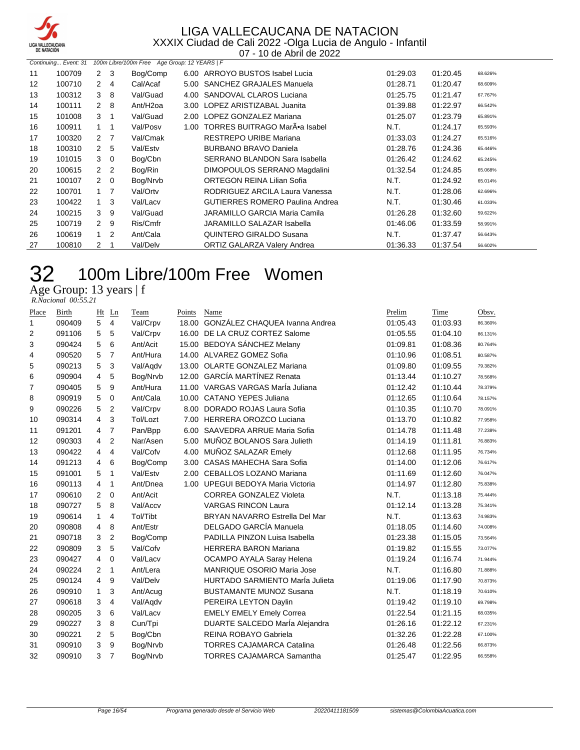

07 - 10 de Abril de 2022

| 100m Libre/100m Free Age Group: 12 YEARS   F<br>Continuing Event: 31 |        |                |                |                      |      |                                        |          |          |         |
|----------------------------------------------------------------------|--------|----------------|----------------|----------------------|------|----------------------------------------|----------|----------|---------|
| 11                                                                   | 100709 | 2              | 3              | Bog/Comp             |      | 6.00 ARROYO BUSTOS Isabel Lucia        | 01:29.03 | 01:20.45 | 68.626% |
| 12                                                                   | 100710 | $\mathbf{2}$   | 4              | Cal/Acaf             |      | 5.00 SANCHEZ GRAJALES Manuela          | 01:28.71 | 01:20.47 | 68.609% |
| 13                                                                   | 100312 | 3              | - 8            | Val/Guad             |      | 4.00 SANDOVAL CLAROS Luciana           | 01:25.75 | 01:21.47 | 67.767% |
| 14                                                                   | 100111 |                | $2 \quad 8$    | Ant/H <sub>20a</sub> |      | 3.00 LOPEZ ARISTIZABAL Juanita         | 01:39.88 | 01:22.97 | 66.542% |
| 15                                                                   | 101008 | 3 1            |                | Val/Guad             |      | 2.00 LOPEZ GONZALEZ Mariana            | 01:25.07 | 01:23.79 | 65.891% |
| 16                                                                   | 100911 | $1 \quad 1$    |                | Val/Posv             | 1.00 | TORRES BUITRAGO MarÕa Isabel           | N.T.     | 01:24.17 | 65.593% |
| 17                                                                   | 100320 | 2              | - 7            | Val/Cmak             |      | <b>RESTREPO URIBE Mariana</b>          | 01:33.03 | 01:24.27 | 65.516% |
| 18                                                                   | 100310 | $\mathbf{2}$   | -5             | Val/Estv             |      | BURBANO BRAVO Daniela                  | 01:28.76 | 01:24.36 | 65.446% |
| 19                                                                   | 101015 | 3              | 0              | Bog/Cbn              |      | <b>SERRANO BLANDON Sara Isabella</b>   | 01:26.42 | 01:24.62 | 65.245% |
| 20                                                                   | 100615 |                | 2 2            | Bog/Rin              |      | DIMOPOULOS SERRANO Magdalini           | 01:32.54 | 01:24.85 | 65.068% |
| 21                                                                   | 100107 | $\overline{2}$ | $\overline{0}$ | Bog/Nrvb             |      | ORTEGON REINA Lilian Sofia             | N.T.     | 01:24.92 | 65.014% |
| 22                                                                   | 100701 | $1 \quad 7$    |                | Val/Ortv             |      | RODRIGUEZ ARCILA Laura Vanessa         | N.T.     | 01:28.06 | 62.696% |
| 23                                                                   | 100422 | $\overline{1}$ | 3              | Val/Lacv             |      | <b>GUTIERRES ROMERO Paulina Andrea</b> | N.T.     | 01:30.46 | 61.033% |
| 24                                                                   | 100215 | 3              | 9              | Val/Guad             |      | <b>JARAMILLO GARCIA Maria Camila</b>   | 01:26.28 | 01:32.60 | 59.622% |
| 25                                                                   | 100719 | $\mathbf{2}$   | 9              | Ris/Cmfr             |      | JARAMILLO SALAZAR Isabella             | 01:46.06 | 01:33.59 | 58.991% |
| 26                                                                   | 100619 | 1.             | $\overline{2}$ | Ant/Cala             |      | QUINTERO GIRALDO Susana                | N.T.     | 01:37.47 | 56.643% |
| 27                                                                   | 100810 | 2              | 1              | Val/Delv             |      | <b>ORTIZ GALARZA Valery Andrea</b>     | 01:36.33 | 01:37.54 | 56.602% |

## 32 100m Libre/100m Free Women

Age Group: 13 years | f

 *R.Nacional 00:55.21* 

| Place | Birth  | Ht             | Ln             | Team     | Points | Name                                   | Prelim   | Time     | Obsv.   |
|-------|--------|----------------|----------------|----------|--------|----------------------------------------|----------|----------|---------|
| 1     | 090409 | 5              | $\overline{4}$ | Val/Crpv |        | 18.00 GONZÁLEZ CHAQUEA Ivanna Andrea   | 01:05.43 | 01:03.93 | 86.360% |
| 2     | 091106 | 5              | 5              | Val/Crpv | 16.00  | DE LA CRUZ CORTEZ Salome               | 01:05.55 | 01:04.10 | 86.131% |
| 3     | 090424 | 5              | 6              | Ant/Acit |        | 15.00 BEDOYA SÁNCHEZ Melany            | 01:09.81 | 01:08.36 | 80.764% |
| 4     | 090520 | 5              | $\overline{7}$ | Ant/Hura |        | 14.00 ALVAREZ GOMEZ Sofia              | 01:10.96 | 01:08.51 | 80.587% |
| 5     | 090213 | 5              | 3              | Val/Aqdv | 13.00  | <b>OLARTE GONZALEZ Mariana</b>         | 01:09.80 | 01:09.55 | 79.382% |
| 6     | 090904 | $\overline{4}$ | 5              | Bog/Nrvb |        | 12.00 GARCÍA MARTÍNEZ Renata           | 01:13.44 | 01:10.27 | 78.568% |
| 7     | 090405 | 5              | 9              | Ant/Hura |        | 11.00 VARGAS VARGAS MarÍa Juliana      | 01:12.42 | 01:10.44 | 78.379% |
| 8     | 090919 | 5              | $\mathbf 0$    | Ant/Cala |        | 10.00 CATANO YEPES Juliana             | 01:12.65 | 01:10.64 | 78.157% |
| 9     | 090226 | 5              | 2              | Val/Crpv |        | 8.00 DORADO ROJAS Laura Sofia          | 01:10.35 | 01:10.70 | 78.091% |
| 10    | 090314 | $\overline{4}$ | 3              | Tol/Lozt |        | 7.00 HERRERA OROZCO Luciana            | 01:13.70 | 01:10.82 | 77.958% |
| 11    | 091201 | 4              | $\overline{7}$ | Pan/Bpp  |        | 6.00 SAAVEDRA ARRUE Maria Sofia        | 01:14.78 | 01:11.48 | 77.238% |
| 12    | 090303 | 4              | 2              | Nar/Asen | 5.00   | MUÑOZ BOLANOS Sara Julieth             | 01:14.19 | 01:11.81 | 76.883% |
| 13    | 090422 | $\overline{4}$ | $\overline{4}$ | Val/Cofv | 4.00   | MUÑOZ SALAZAR Emely                    | 01:12.68 | 01:11.95 | 76.734% |
| 14    | 091213 | 4              | 6              | Bog/Comp | 3.00   | CASAS MAHECHA Sara Sofia               | 01:14.00 | 01:12.06 | 76.617% |
| 15    | 091001 | 5              | 1              | Val/Estv |        | 2.00 CEBALLOS LOZANO Mariana           | 01:11.69 | 01:12.60 | 76.047% |
| 16    | 090113 | $\overline{4}$ | $\mathbf{1}$   | Ant/Dnea |        | 1.00 UPEGUI BEDOYA Maria Victoria      | 01:14.97 | 01:12.80 | 75.838% |
| 17    | 090610 | $\overline{2}$ | 0              | Ant/Acit |        | <b>CORREA GONZALEZ Violeta</b>         | N.T.     | 01:13.18 | 75.444% |
| 18    | 090727 | 5              | 8              | Val/Accv |        | <b>VARGAS RINCON Laura</b>             | 01:12.14 | 01:13.28 | 75.341% |
| 19    | 090614 | $\mathbf{1}$   | 4              | Tol/Tibt |        | <b>BRYAN NAVARRO Estrella Del Mar</b>  | N.T.     | 01:13.63 | 74.983% |
| 20    | 090808 | $\overline{4}$ | 8              | Ant/Estr |        | DELGADO GARCÍA Manuela                 | 01:18.05 | 01:14.60 | 74.008% |
| 21    | 090718 | 3              | 2              | Bog/Comp |        | PADILLA PINZON Luisa Isabella          | 01:23.38 | 01:15.05 | 73.564% |
| 22    | 090809 | 3              | 5              | Val/Cofv |        | <b>HERRERA BARON Mariana</b>           | 01:19.82 | 01:15.55 | 73.077% |
| 23    | 090427 | $\overline{4}$ | $\mathbf 0$    | Val/Lacv |        | OCAMPO AYALA Saray Helena              | 01:19.24 | 01:16.74 | 71.944% |
| 24    | 090224 | 2              | $\mathbf{1}$   | Ant/Lera |        | <b>MANRIQUE OSORIO Maria Jose</b>      | N.T.     | 01:16.80 | 71.888% |
| 25    | 090124 | 4              | 9              | Val/Delv |        | <b>HURTADO SARMIENTO María Julieta</b> | 01:19.06 | 01:17.90 | 70.873% |
| 26    | 090910 | $\mathbf{1}$   | 3              | Ant/Acug |        | <b>BUSTAMANTE MUNOZ Susana</b>         | N.T.     | 01:18.19 | 70.610% |
| 27    | 090618 | 3              | 4              | Val/Aqdv |        | PEREIRA LEYTON Daylin                  | 01:19.42 | 01:19.10 | 69.798% |
| 28    | 090205 | 3              | 6              | Val/Lacv |        | <b>EMELY EMELY Emely Correa</b>        | 01:22.54 | 01:21.15 | 68.035% |
| 29    | 090227 | 3              | 8              | Cun/Tpi  |        | DUARTE SALCEDO MarÍa Alejandra         | 01:26.16 | 01:22.12 | 67.231% |
| 30    | 090221 | 2              | 5              | Bog/Cbn  |        | <b>REINA ROBAYO Gabriela</b>           | 01:32.26 | 01:22.28 | 67.100% |
| 31    | 090910 | 3              | 9              | Bog/Nrvb |        | <b>TORRES CAJAMARCA Catalina</b>       | 01:26.48 | 01:22.56 | 66.873% |
| 32    | 090910 | 3              | 7              | Bog/Nrvb |        | <b>TORRES CAJAMARCA Samantha</b>       | 01:25.47 | 01:22.95 | 66.558% |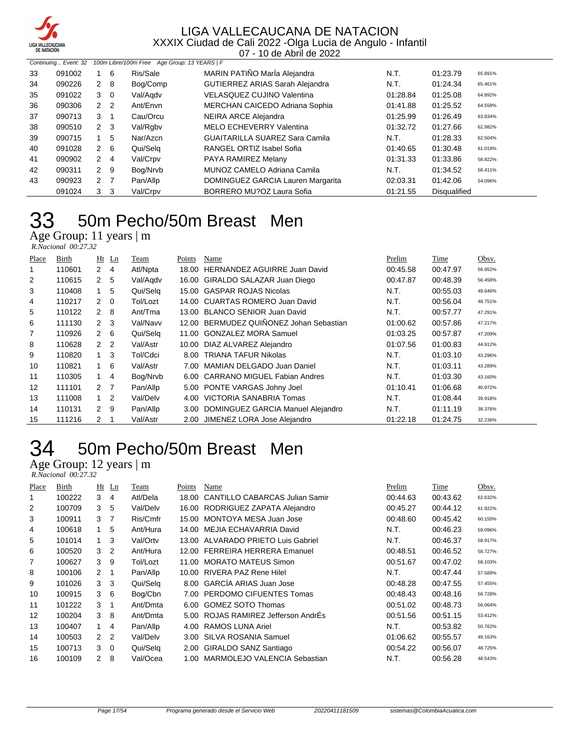

07 - 10 de Abril de 2022

|    | Continuing Event: 32              | 100m Libre/100m Free Age Group: 13 YEARS   F |     |          |                                       |          |                     |         |  |
|----|-----------------------------------|----------------------------------------------|-----|----------|---------------------------------------|----------|---------------------|---------|--|
| 33 | 091002                            |                                              | -6  | Ris/Sale | MARIN PATIÑO MarÍa Alejandra          | N.T.     | 01:23.79            | 65.891% |  |
| 34 | 090226                            | $\mathbf{2}$                                 | - 8 | Bog/Comp | GUTIERREZ ARIAS Sarah Alejandra       | N.T.     | 01:24.34            | 65.461% |  |
| 35 | 091022                            | $3 \quad 0$                                  |     | Val/Agdy | VELASQUEZ CUJINO Valentina            | 01:28.84 | 01:25.08            | 64.892% |  |
| 36 | 090306                            | 2 <sub>2</sub>                               |     | Ant/Envn | MERCHAN CAICEDO Adriana Sophia        | 01:41.88 | 01:25.52            | 64.558% |  |
| 37 | 090713                            | $3 \quad 1$                                  |     | Cau/Orcu | NEIRA ARCE Alejandra                  | 01:25.99 | 01:26.49            | 63.834% |  |
| 38 | 090510                            | $2 \quad 3$                                  |     | Val/Rgbv | <b>MELO ECHEVERRY Valentina</b>       | 01:32.72 | 01:27.66            | 62.982% |  |
| 39 | 090715                            |                                              | -5  | Nar/Azcn | <b>GUAITARILLA SUAREZ Sara Camila</b> | N.T.     | 01:28.33            | 62.504% |  |
| 40 | 091028                            | 2                                            | - 6 | Qui/Selg | RANGEL ORTIZ Isabel Sofia             | 01:40.65 | 01:30.48            | 61.019% |  |
| 41 | 090902                            | 2                                            | -4  | Val/Crpv | PAYA RAMIREZ Melany                   | 01:31.33 | 01:33.86            | 58.822% |  |
| 42 | 090311                            | 2 9                                          |     | Bog/Nrvb | MUNOZ CAMELO Adriana Camila           | N.T.     | 01:34.52            | 58.411% |  |
| 43 | 090923                            | 2 <sub>7</sub>                               |     | Pan/Allp | DOMINGUEZ GARCIA Lauren Margarita     | 02:03.31 | 01:42.06            | 54.096% |  |
|    | Val/Crpv<br>091024<br>$_{3}$<br>3 |                                              |     |          | BORRERO MU?OZ Laura Sofia             | 01:21.55 | <b>Disqualified</b> |         |  |

## 50m Pecho/50m Breast Men

Age Group: 11 years | m  *R.Nacional 00:27.32* 

| Place | Birth  |                | $Ht$ Ln | Team     | Points | Name                                | Prelim   | Time     | Obsv.   |
|-------|--------|----------------|---------|----------|--------|-------------------------------------|----------|----------|---------|
|       | 110601 | $2 \quad 4$    |         | Atl/Npta | 18.00  | HERNANDEZ AGUIRRE Juan David        | 00:45.58 | 00:47.97 | 56.952% |
| 2     | 110615 | 2 <sub>5</sub> |         | Val/Agdv | 16.00  | GIRALDO SALAZAR Juan Diego          | 00:47.87 | 00:48.39 | 56.458% |
| 3     | 110408 | 1              | 5       | Qui/Selg | 15.00  | <b>GASPAR ROJAS Nicolas</b>         | N.T.     | 00:55.03 | 49.646% |
| 4     | 110217 | $2\quad 0$     |         | Tol/Lozt | 14.00  | CUARTAS ROMERO Juan David           | N.T.     | 00:56.04 | 48.751% |
| 5     | 110122 | $2 \quad 8$    |         | Ant/Tma  | 13.00  | <b>BLANCO SENIOR Juan David</b>     | N.T.     | 00:57.77 | 47.291% |
| 6     | 111130 | $2 \quad 3$    |         | Val/Navv | 12.00  | BERMUDEZ QUIÑONEZ Johan Sebastian   | 01:00.62 | 00:57.86 | 47.217% |
| 7     | 110926 | $2\quad 6$     |         | Qui/Selg | 11.00  | <b>GONZALEZ MORA Samuel</b>         | 01:03.25 | 00:57.87 | 47.209% |
| 8     | 110628 | 2 <sub>2</sub> |         | Val/Astr | 10.00  | DIAZ ALVAREZ Alejandro              | 01:07.56 | 01:00.83 | 44.912% |
| 9     | 110820 | $\mathbf{1}$   | 3       | Tol/Cdci | 8.00   | <b>TRIANA TAFUR Nikolas</b>         | N.T.     | 01:03.10 | 43.296% |
| 10    | 110821 | 1              | 6       | Val/Astr | 7.00   | MAMIAN DELGADO Juan Daniel          | N.T.     | 01:03.11 | 43.289% |
| 11    | 110305 |                | 4       | Bog/Nrvb | 6.00   | <b>CARRANO MIGUEL Fabian Andres</b> | N.T.     | 01:03.30 | 43.160% |
| 12    | 111101 | 2 <sub>7</sub> |         | Pan/Allp | 5.00   | PONTE VARGAS Johny Joel             | 01:10.41 | 01:06.68 | 40.972% |
| 13    | 111008 | $1\quad 2$     |         | Val/Delv | 4.00   | <b>VICTORIA SANABRIA Tomas</b>      | N.T.     | 01:08.44 | 39.918% |
| 14    | 110131 | $2 \quad 9$    |         | Pan/Allp | 3.00   | DOMINGUEZ GARCIA Manuel Alejandro   | N.T.     | 01:11.19 | 38.376% |
| 15    | 111216 | 2              |         | Val/Astr | 2.00   | JIMENEZ LORA Jose Alejandro         | 01:22.18 | 01:24.75 | 32.236% |

## 50m Pecho/50m Breast Men

Age Group: 12 years | m

|       | R.Nacional 00:27.32 |                |                |          |        |                                       |          |          |         |  |  |  |
|-------|---------------------|----------------|----------------|----------|--------|---------------------------------------|----------|----------|---------|--|--|--|
| Place | Birth               |                | $Ht$ Ln        | Team     | Points | Name                                  | Prelim   | Time     | Obsv.   |  |  |  |
|       | 100222              | 3              | 4              | Atl/Dela | 18.00  | <b>CANTILLO CABARCAS Julian Samir</b> | 00:44.63 | 00:43.62 | 62.632% |  |  |  |
| 2     | 100709              | 3              | 5              | Val/Delv |        | 16.00 RODRIGUEZ ZAPATA Alejandro      | 00:45.27 | 00:44.12 | 61.922% |  |  |  |
| 3     | 100911              | 3              | 7              | Ris/Cmfr | 15.00  | MONTOYA MESA Juan Jose                | 00:48.60 | 00:45.42 | 60.150% |  |  |  |
| 4     | 100618              | 1.             | 5              | Ant/Hura | 14.00  | MEJIA ECHAVARRIA David                | N.T.     | 00:46.23 | 59.096% |  |  |  |
| 5     | 101014              | 1              | 3              | Val/Ortv |        | 13.00 ALVARADO PRIETO Luis Gabriel    | N.T.     | 00:46.37 | 58.917% |  |  |  |
| 6     | 100520              | 3              | 2              | Ant/Hura |        | 12.00 FERREIRA HERRERA Emanuel        | 00:48.51 | 00:46.52 | 58.727% |  |  |  |
| 7     | 100627              | 3              | 9              | Tol/Lozt |        | 11.00 MORATO MATEUS Simon             | 00:51.67 | 00:47.02 | 58.103% |  |  |  |
| 8     | 100106              | $\overline{2}$ | $\overline{1}$ | Pan/Allp |        | 10.00 RIVERA PAZ Rene Hilel           | N.T.     | 00:47.44 | 57.589% |  |  |  |
| 9     | 101026              | 3              | -3             | Qui/Selg |        | 8.00 GARCIA ARIAS Juan Jose           | 00:48.28 | 00:47.55 | 57.455% |  |  |  |
| 10    | 100915              | 3              | 6              | Bog/Cbn  |        | 7.00 PERDOMO CIFUENTES Tomas          | 00:48.43 | 00:48.16 | 56.728% |  |  |  |
| 11    | 101222              | 3              | 1              | Ant/Dmta | 6.00   | <b>GOMEZ SOTO Thomas</b>              | 00:51.02 | 00:48.73 | 56.064% |  |  |  |
| 12    | 100204              | 3              | 8              | Ant/Dmta |        | 5.00 ROJAS RAMIREZ Jefferson AndrEs   | 00:51.56 | 00:51.15 | 53.412% |  |  |  |
| 13    | 100407              | $\mathbf{1}$   | 4              | Pan/Allp | 4.00   | RAMOS LUNA Ariel                      | N.T.     | 00:53.82 | 50.762% |  |  |  |
| 14    | 100503              | $\mathcal{P}$  | 2              | Val/Delv | 3.00   | SILVA ROSANIA Samuel                  | 01:06.62 | 00:55.57 | 49.163% |  |  |  |
| 15    | 100713              | 3              | 0              | Qui/Selg | 2.00   | <b>GIRALDO SANZ Santiago</b>          | 00:54.22 | 00:56.07 | 48.725% |  |  |  |
| 16    | 100109              | $\overline{2}$ | 8              | Val/Ocea |        | 1.00 MARMOLEJO VALENCIA Sebastian     | N.T.     | 00:56.28 | 48.543% |  |  |  |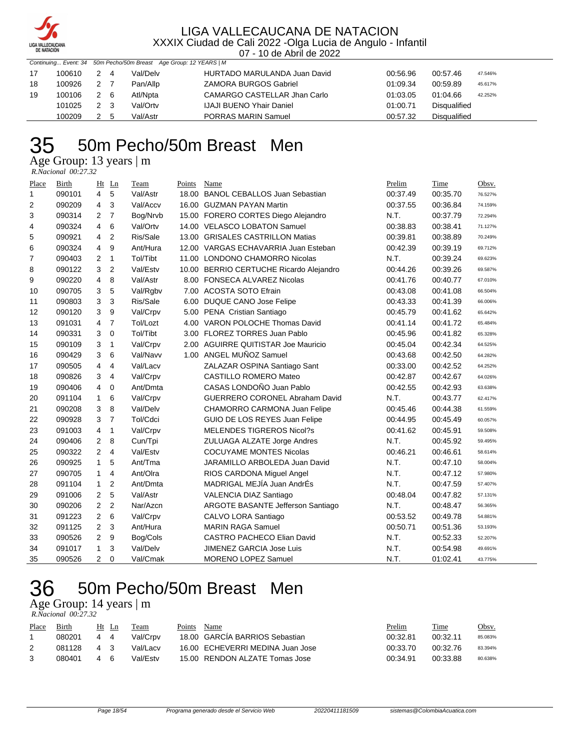

|    |        |     | Continuing Event: 34 50m Pecho/50m Breast Age Group: 12 YEARS   M |                                 |          |                     |
|----|--------|-----|-------------------------------------------------------------------|---------------------------------|----------|---------------------|
|    | 100610 | 24  | Val/Delv                                                          | HURTADO MARULANDA Juan David    | 00:56.96 | 00:57.46<br>47.546% |
| 18 | 100926 | 2 7 | Pan/Allp                                                          | <b>ZAMORA BURGOS Gabriel</b>    | 01:09.34 | 00:59.89<br>45.617% |
| 19 | 100106 | 2 6 | Atl/Npta                                                          | CAMARGO CASTELLAR Jhan Carlo    | 01:03.05 | 01:04.66<br>42.252% |
|    | 101025 | 2 3 | Val/Ortv                                                          | <b>IJAJI BUENO Yhair Daniel</b> | 01:00.71 | Disqualified        |
|    | 100209 | 2 5 | Val/Astr                                                          | PORRAS MARIN Samuel             | 00:57.32 | Disgualified        |

### 50m Pecho/50m Breast Men

Age Group: 13 years | m

| R.Nacional 00:27.32 |  |
|---------------------|--|

| Place        | <b>Birth</b> |                | Ht Ln          | Team     | Points | Name                                    | Prelim   | Time     | Obsv.   |
|--------------|--------------|----------------|----------------|----------|--------|-----------------------------------------|----------|----------|---------|
| $\mathbf{1}$ | 090101       | $\overline{4}$ | 5              | Val/Astr |        | 18.00 BANOL CEBALLOS Juan Sebastian     | 00:37.49 | 00:35.70 | 76.527% |
| 2            | 090209       | 4              | 3              | Val/Accv |        | 16.00 GUZMAN PAYAN Martin               | 00:37.55 | 00:36.84 | 74.159% |
| 3            | 090314       | $\overline{2}$ | $\overline{7}$ | Bog/Nrvb |        | 15.00 FORERO CORTES Diego Alejandro     | N.T.     | 00:37.79 | 72.294% |
| 4            | 090324       | 4              | 6              | Val/Ortv |        | 14.00 VELASCO LOBATON Samuel            | 00:38.83 | 00:38.41 | 71.127% |
| 5            | 090921       | $\overline{4}$ | 2              | Ris/Sale |        | 13.00 GRISALES CASTRILLON Matias        | 00:39.81 | 00:38.89 | 70.249% |
| 6            | 090324       | 4              | 9              | Ant/Hura |        | 12.00 VARGAS ECHAVARRIA Juan Esteban    | 00:42.39 | 00:39.19 | 69.712% |
| 7            | 090403       | $\overline{2}$ | $\mathbf{1}$   | Tol/Tibt |        | 11.00 LONDONO CHAMORRO Nicolas          | N.T.     | 00:39.24 | 69.623% |
| 8            | 090122       | 3              | 2              | Val/Estv |        | 10.00 BERRIO CERTUCHE Ricardo Alejandro | 00:44.26 | 00:39.26 | 69.587% |
| 9            | 090220       | 4              | 8              | Val/Astr |        | 8.00 FONSECA ALVAREZ Nicolas            | 00:41.76 | 00:40.77 | 67.010% |
| 10           | 090705       | 3              | 5              | Val/Rgbv |        | 7.00 ACOSTA SOTO Efrain                 | 00:43.08 | 00:41.08 | 66.504% |
| 11           | 090803       | 3              | 3              | Ris/Sale | 6.00   | DUQUE CANO Jose Felipe                  | 00:43.33 | 00:41.39 | 66.006% |
| 12           | 090120       | 3              | 9              | Val/Crpv | 5.00   | PENA Cristian Santiago                  | 00:45.79 | 00:41.62 | 65.642% |
| 13           | 091031       | 4              | $\overline{7}$ | Tol/Lozt |        | 4.00 VARON POLOCHE Thomas David         | 00:41.14 | 00:41.72 | 65.484% |
| 14           | 090331       | 3              | 0              | Tol/Tibt |        | 3.00 FLOREZ TORRES Juan Pablo           | 00:45.96 | 00:41.82 | 65.328% |
| 15           | 090109       | 3              | 1              | Val/Crpv |        | 2.00 AGUIRRE QUITISTAR Joe Mauricio     | 00:45.04 | 00:42.34 | 64.525% |
| 16           | 090429       | 3              | 6              | Val/Navv |        | 1.00 ANGEL MUÑOZ Samuel                 | 00:43.68 | 00:42.50 | 64.282% |
| 17           | 090505       | 4              | $\overline{4}$ | Val/Lacv |        | ZALAZAR OSPINA Santiago Sant            | 00:33.00 | 00:42.52 | 64.252% |
| 18           | 090826       | 3              | 4              | Val/Crpv |        | <b>CASTILLO ROMERO Mateo</b>            | 00:42.87 | 00:42.67 | 64.026% |
| 19           | 090406       | $\overline{4}$ | 0              | Ant/Dmta |        | CASAS LONDOÑO Juan Pablo                | 00:42.55 | 00:42.93 | 63.638% |
| 20           | 091104       | $\mathbf{1}$   | 6              | Val/Crpv |        | <b>GUERRERO CORONEL Abraham David</b>   | N.T.     | 00:43.77 | 62.417% |
| 21           | 090208       | 3              | 8              | Val/Delv |        | CHAMORRO CARMONA Juan Felipe            | 00:45.46 | 00:44.38 | 61.559% |
| 22           | 090928       | 3              | $\overline{7}$ | Tol/Cdci |        | GUIO DE LOS REYES Juan Felipe           | 00:44.95 | 00:45.49 | 60.057% |
| 23           | 091003       | 4              | $\mathbf{1}$   | Val/Crpv |        | <b>MELENDES TIGREROS Nicol?s</b>        | 00:41.62 | 00:45.91 | 59.508% |
| 24           | 090406       | 2              | 8              | Cun/Tpi  |        | ZULUAGA ALZATE Jorge Andres             | N.T.     | 00:45.92 | 59.495% |
| 25           | 090322       | $\overline{2}$ | 4              | Val/Estv |        | <b>COCUYAME MONTES Nicolas</b>          | 00:46.21 | 00:46.61 | 58.614% |
| 26           | 090925       | $\mathbf{1}$   | 5              | Ant/Tma  |        | JARAMILLO ARBOLEDA Juan David           | N.T.     | 00:47.10 | 58.004% |
| 27           | 090705       | $\mathbf{1}$   | $\overline{4}$ | Ant/Olra |        | RIOS CARDONA Miguel Angel               | N.T.     | 00:47.12 | 57.980% |
| 28           | 091104       | $\mathbf{1}$   | 2              | Ant/Dmta |        | MADRIGAL MEJÍA Juan AndrÉs              | N.T.     | 00:47.59 | 57.407% |
| 29           | 091006       | 2              | 5              | Val/Astr |        | VALENCIA DIAZ Santiago                  | 00:48.04 | 00:47.82 | 57.131% |
| 30           | 090206       | $\overline{2}$ | $\overline{2}$ | Nar/Azcn |        | ARGOTE BASANTE Jefferson Santiago       | N.T.     | 00:48.47 | 56.365% |
| 31           | 091223       | $\overline{2}$ | 6              | Val/Crpv |        | CALVO LORA Santiago                     | 00:53.52 | 00:49.78 | 54.881% |
| 32           | 091125       | $\overline{2}$ | 3              | Ant/Hura |        | <b>MARIN RAGA Samuel</b>                | 00:50.71 | 00:51.36 | 53.193% |
| 33           | 090526       | $\overline{2}$ | 9              | Bog/Cols |        | <b>CASTRO PACHECO Elian David</b>       | N.T.     | 00:52.33 | 52.207% |
| 34           | 091017       | $\mathbf{1}$   | 3              | Val/Delv |        | JIMENEZ GARCIA Jose Luis                | N.T.     | 00:54.98 | 49.691% |
| 35           | 090526       | $\overline{2}$ | $\mathbf 0$    | Val/Cmak |        | <b>MORENO LOPEZ Samuel</b>              | N.T.     | 01:02.41 | 43.775% |

## 50m Pecho/50m Breast Men

### Age Group: 14 years | m

 *R.Nacional 00:27.32* 

| Place | Birth  |     | Ht Ln | Team     | Points | Name                             | Prelim   | Time     | Obsv.   |
|-------|--------|-----|-------|----------|--------|----------------------------------|----------|----------|---------|
|       | 080201 | 44  |       | Val/Crov |        | 18.00 GARCIA BARRIOS Sebastian   | 00:32.81 | 00:32.11 | 85.083% |
|       | 081128 | 4 3 |       | Val/Lacv |        | 16.00 ECHEVERRI MEDINA Juan Jose | 00:33.70 | 00:32.76 | 83.394% |
|       | 080401 | 46  |       | Val/Fstv |        | 15.00 RENDON ALZATE Tomas Jose   | 00:34.91 | 00:33.88 | 80.638% |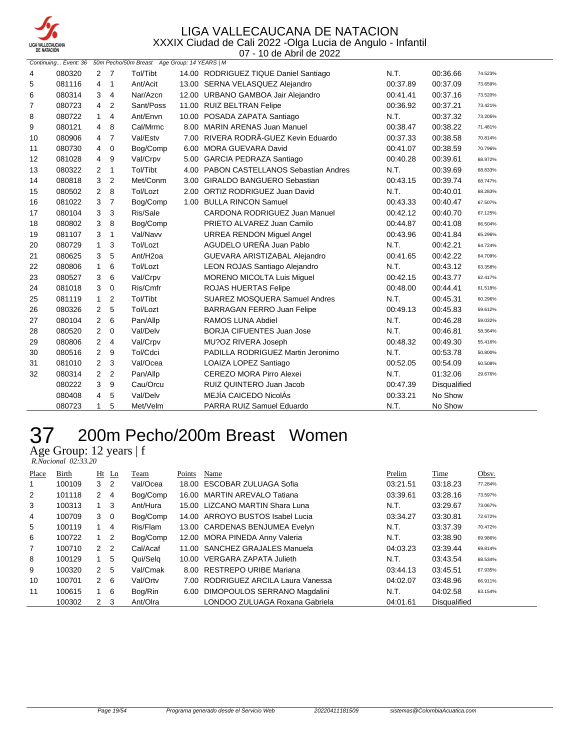

07 - 10 de Abril de 2022

| Continuing Event: 36 50m Pecho/50m Breast Age Group: 14 YEARS   M |        |                |                |                      |                                         |          |              |         |
|-------------------------------------------------------------------|--------|----------------|----------------|----------------------|-----------------------------------------|----------|--------------|---------|
| 4                                                                 | 080320 | 2 <sub>7</sub> |                | Tol/Tibt             | 14.00 RODRIGUEZ TIQUE Daniel Santiago   | N.T.     | 00:36.66     | 74.523% |
| 5                                                                 | 081116 | $\overline{4}$ | $\mathbf 1$    | Ant/Acit             | 13.00 SERNA VELASQUEZ Alejandro         | 00:37.89 | 00:37.09     | 73.659% |
| 6                                                                 | 080314 | 3              | $\overline{4}$ | Nar/Azcn             | 12.00 URBANO GAMBOA Jair Alejandro      | 00:41.41 | 00:37.16     | 73.520% |
| $\overline{7}$                                                    | 080723 | $\overline{4}$ | 2              | Sant/Poss            | 11.00 RUIZ BELTRAN Felipe               | 00:36.92 | 00:37.21     | 73.421% |
| 8                                                                 | 080722 | $\mathbf{1}$   | 4              | Ant/Envn             | 10.00 POSADA ZAPATA Santiago            | N.T.     | 00:37.32     | 73.205% |
| 9                                                                 | 080121 | 4              | 8              | Cal/Mrmc             | 8.00 MARIN ARENAS Juan Manuel           | 00:38.47 | 00:38.22     | 71.481% |
| 10                                                                | 080906 | $\overline{4}$ | $\overline{7}$ | Val/Estv             | 7.00 RIVERA RODRÃ-GUEZ Kevin Eduardo    | 00:37.33 | 00:38.58     | 70.814% |
| 11                                                                | 080730 | $\overline{4}$ | $\mathbf 0$    | Bog/Comp             | 6.00 MORA GUEVARA David                 | 00:41.07 | 00:38.59     | 70.796% |
| 12                                                                | 081028 | $\overline{4}$ | 9              | Val/Crpv             | 5.00 GARCIA PEDRAZA Santiago            | 00:40.28 | 00:39.61     | 68.972% |
| 13                                                                | 080322 | $\overline{2}$ | 1              | Tol/Tibt             | 4.00 PABON CASTELLANOS Sebastian Andres | N.T.     | 00:39.69     | 68.833% |
| 14                                                                | 080818 | 3              | $\overline{2}$ | Met/Conm             | 3.00 GIRALDO BANGUERO Sebastian         | 00:43.15 | 00:39.74     | 68.747% |
| 15                                                                | 080502 | 2              | 8              | Tol/Lozt             | 2.00 ORTIZ RODRIGUEZ Juan David         | N.T.     | 00:40.01     | 68.283% |
| 16                                                                | 081022 | 3              | $\overline{7}$ | Bog/Comp             | 1.00 BULLA RINCON Samuel                | 00:43.33 | 00:40.47     | 67.507% |
| 17                                                                | 080104 | 3              | 3              | Ris/Sale             | <b>CARDONA RODRIGUEZ Juan Manuel</b>    | 00:42.12 | 00:40.70     | 67.125% |
| 18                                                                | 080802 | 3              | 8              | Bog/Comp             | PRIETO ALVAREZ Juan Camilo              | 00:44.87 | 00:41.08     | 66.504% |
| 19                                                                | 081107 | 3              | 1              | Val/Navv             | <b>URREA RENDON Miguel Angel</b>        | 00:43.96 | 00:41.84     | 65.296% |
| 20                                                                | 080729 | $\mathbf{1}$   | 3              | Tol/Lozt             | AGUDELO UREÑA Juan Pablo                | N.T.     | 00:42.21     | 64.724% |
| 21                                                                | 080625 | 3              | 5              | Ant/H <sub>2oa</sub> | GUEVARA ARISTIZABAL Alejandro           | 00:41.65 | 00:42.22     | 64.709% |
| 22                                                                | 080806 | 1              | 6              | Tol/Lozt             | LEON ROJAS Santiago Alejandro           | N.T.     | 00:43.12     | 63.358% |
| 23                                                                | 080527 | 3              | 6              | Val/Crpv             | <b>MORENO MICOLTA Luis Miguel</b>       | 00:42.15 | 00:43.77     | 62.417% |
| 24                                                                | 081018 | 3              | 0              | Ris/Cmfr             | <b>ROJAS HUERTAS Felipe</b>             | 00:48.00 | 00:44.41     | 61.518% |
| 25                                                                | 081119 | $\mathbf{1}$   | 2              | Tol/Tibt             | SUAREZ MOSQUERA Samuel Andres           | N.T.     | 00:45.31     | 60.296% |
| 26                                                                | 080326 | $\overline{2}$ | 5              | Tol/Lozt             | <b>BARRAGAN FERRO Juan Felipe</b>       | 00:49.13 | 00:45.83     | 59.612% |
| 27                                                                | 080104 | $\overline{2}$ | 6              | Pan/Allp             | <b>RAMOS LUNA Abdiel</b>                | N.T.     | 00:46.28     | 59.032% |
| 28                                                                | 080520 | $\overline{2}$ | 0              | Val/Delv             | <b>BORJA CIFUENTES Juan Jose</b>        | N.T.     | 00:46.81     | 58.364% |
| 29                                                                | 080806 | $\overline{2}$ | 4              | Val/Crpv             | MU?OZ RIVERA Joseph                     | 00:48.32 | 00:49.30     | 55.416% |
| 30                                                                | 080516 | 2              | 9              | Tol/Cdci             | PADILLA RODRIGUEZ Martin Jeronimo       | N.T.     | 00:53.78     | 50.800% |
| 31                                                                | 081010 | $\overline{2}$ | 3              | Val/Ocea             | LOAIZA LOPEZ Santiago                   | 00:52.05 | 00:54.09     | 50.508% |
| 32                                                                | 080314 | $\overline{2}$ | 2              | Pan/Allp             | CEREZO MORA Pirro Alexei                | N.T.     | 01:32.06     | 29.676% |
|                                                                   | 080222 | 3              | 9              | Cau/Orcu             | RUIZ QUINTERO Juan Jacob                | 00:47.39 | Disqualified |         |
|                                                                   | 080408 | 4              | 5              | Val/Delv             | MEJÍA CAICEDO NicolÁs                   | 00:33.21 | No Show      |         |
|                                                                   | 080723 | 1              | 5              | Met/Velm             | PARRA RUIZ Samuel Eduardo               | N.T.     | No Show      |         |

## 37 200m Pecho/200m Breast Women

Age Group: 12 years | f

 *R.Nacional 02:33.20* 

| Place | Birth  |                | $Ht$ Ln        | Team     | Points | Name                                | Prelim   | Time                | Obsv.   |
|-------|--------|----------------|----------------|----------|--------|-------------------------------------|----------|---------------------|---------|
| 1     | 100109 | 3              | $\overline{2}$ | Val/Ocea |        | 18.00 ESCOBAR ZULUAGA Sofia         | 03:21.51 | 03:18.23            | 77.284% |
| 2     | 101118 | $\mathbf{2}$   | $\overline{4}$ | Bog/Comp |        | 16.00 MARTIN AREVALO Tatiana        | 03:39.61 | 03:28.16            | 73.597% |
| 3     | 100313 | $1 \quad 3$    |                | Ant/Hura |        | 15.00 LIZCANO MARTIN Shara Luna     | N.T.     | 03:29.67            | 73.067% |
| 4     | 100709 | 3              | - 0            | Bog/Comp |        | 14.00 ARROYO BUSTOS Isabel Lucia    | 03:34.27 | 03:30.81            | 72.672% |
| 5     | 100119 |                | 4              | Ris/Flam |        | 13.00 CARDENAS BENJUMEA Evelyn      | N.T.     | 03:37.39            | 70.472% |
| 6     | 100722 | $1\quad 2$     |                | Bog/Comp |        | 12.00 MORA PINEDA Anny Valeria      | N.T.     | 03:38.90            | 69.986% |
| 7     | 100710 | $\mathbf{2}$   | $\overline{2}$ | Cal/Acaf |        | 11.00 SANCHEZ GRAJALES Manuela      | 04:03.23 | 03:39.44            | 69.814% |
| 8     | 100129 | 1              | 5              | Qui/Selg |        | 10.00 VERGARA ZAPATA Julieth        | N.T.     | 03:43.54            | 68.534% |
| 9     | 100320 | 2 <sub>5</sub> |                | Val/Cmak |        | 8.00 RESTREPO URIBE Mariana         | 03:44.13 | 03:45.51            | 67.935% |
| 10    | 100701 | $2 \quad 6$    |                | Val/Ortv |        | 7.00 RODRIGUEZ ARCILA Laura Vanessa | 04:02.07 | 03:48.96            | 66.911% |
| 11    | 100615 | $1\quad 6$     |                | Bog/Rin  |        | 6.00 DIMOPOULOS SERRANO Magdalini   | N.T.     | 04:02.58            | 63.154% |
|       | 100302 | $\mathbf{2}$   | - 3            | Ant/Olra |        | LONDOO ZULUAGA Roxana Gabriela      | 04:01.61 | <b>Disqualified</b> |         |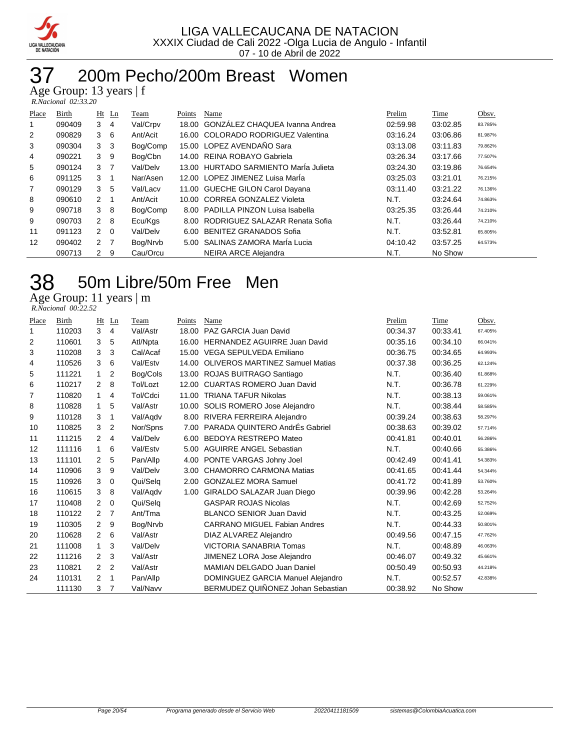

### 200m Pecho/200m Breast Women

Age Group: 13 years | f  *R.Nacional 02:33.20* 

| Place | <b>Birth</b> |                | Ht Ln          | Team     | Points | Name                                  | Prelim   | Time     | Obsv.   |
|-------|--------------|----------------|----------------|----------|--------|---------------------------------------|----------|----------|---------|
|       | 090409       | 3              | $\overline{4}$ | Val/Crpv | 18.00  | <b>GONZALEZ CHAQUEA Ivanna Andrea</b> | 02:59.98 | 03:02.85 | 83.785% |
| 2     | 090829       | 3              | -6             | Ant/Acit |        | 16.00 COLORADO RODRIGUEZ Valentina    | 03:16.24 | 03:06.86 | 81.987% |
| 3     | 090304       | 3              | -3             | Bog/Comp |        | 15.00 LOPEZ AVENDAÑO Sara             | 03:13.08 | 03:11.83 | 79.862% |
| 4     | 090221       | 3              | 9              | Bog/Cbn  |        | 14.00 REINA ROBAYO Gabriela           | 03:26.34 | 03:17.66 | 77.507% |
| 5     | 090124       | 3              | - 7            | Val/Delv |        | 13.00 HURTADO SARMIENTO María Julieta | 03:24.30 | 03:19.86 | 76.654% |
| 6     | 091125       | 3              | -1             | Nar/Asen |        | 12.00 LOPEZ JIMENEZ Luisa Marla       | 03:25.03 | 03:21.01 | 76.215% |
| 7     | 090129       | 3              | -5             | Val/Lacv |        | 11.00 GUECHE GILON Carol Dayana       | 03:11.40 | 03:21.22 | 76.136% |
| 8     | 090610       | 2 <sub>1</sub> |                | Ant/Acit | 10.00  | <b>CORREA GONZALEZ Violeta</b>        | N.T.     | 03:24.64 | 74.863% |
| 9     | 090718       | 3              | -8             | Bog/Comp |        | 8.00 PADILLA PINZON Luisa Isabella    | 03:25.35 | 03:26.44 | 74.210% |
| 9     | 090703       | $2 \quad 8$    |                | Ecu/Kgs  | 8.00   | RODRIGUEZ SALAZAR Renata Sofia        | N.T.     | 03:26.44 | 74.210% |
| 11    | 091123       | $\mathcal{P}$  | $\Omega$       | Val/Delv | 6.00   | <b>BENITEZ GRANADOS Sofia</b>         | N.T.     | 03:52.81 | 65.805% |
| 12    | 090402       | 2 <sub>7</sub> |                | Bog/Nrvb | 5.00   | SALINAS ZAMORA Maria Lucia            | 04:10.42 | 03:57.25 | 64.573% |
|       | 090713       | $\mathbf{2}$   | 9              | Cau/Orcu |        | NEIRA ARCE Alejandra                  | N.T.     | No Show  |         |

### 50m Libre/50m Free Men

Age Group: 11 years | m

 *R.Nacional 00:22.52* 

| Place | Birth  | Ht                   | Ln             | Team     | Points | Name                                   | Prelim   | Time     | Obsv.   |
|-------|--------|----------------------|----------------|----------|--------|----------------------------------------|----------|----------|---------|
| 1     | 110203 | 3                    | 4              | Val/Astr | 18.00  | PAZ GARCIA Juan David                  | 00:34.37 | 00:33.41 | 67.405% |
| 2     | 110601 | 3                    | 5              | Atl/Npta |        | 16.00 HERNANDEZ AGUIRRE Juan David     | 00:35.16 | 00:34.10 | 66.041% |
| 3     | 110208 | 3                    | 3              | Cal/Acaf | 15.00  | <b>VEGA SEPULVEDA Emiliano</b>         | 00:36.75 | 00:34.65 | 64.993% |
| 4     | 110526 | 3                    | 6              | Val/Estv | 14.00  | <b>OLIVEROS MARTINEZ Samuel Matias</b> | 00:37.38 | 00:36.25 | 62.124% |
| 5     | 111221 | 1                    | 2              | Bog/Cols |        | 13.00 ROJAS BUITRAGO Santiago          | N.T.     | 00:36.40 | 61.868% |
| 6     | 110217 | $\overline{2}$       | 8              | Tol/Lozt | 12.00  | <b>CUARTAS ROMERO Juan David</b>       | N.T.     | 00:36.78 | 61.229% |
| 7     | 110820 | $\mathbf{1}$         | 4              | Tol/Cdci | 11.00  | <b>TRIANA TAFUR Nikolas</b>            | N.T.     | 00:38.13 | 59.061% |
| 8     | 110828 | $\mathbf{1}$         | 5              | Val/Astr | 10.00  | SOLIS ROMERO Jose Alejandro            | N.T.     | 00:38.44 | 58.585% |
| 9     | 110128 | 3                    | 1              | Val/Aqdv |        | 8.00 RIVERA FERREIRA Alejandro         | 00:39.24 | 00:38.63 | 58.297% |
| 10    | 110825 | 3                    | 2              | Nor/Spns |        | 7.00 PARADA QUINTERO AndrÉs Gabriel    | 00:38.63 | 00:39.02 | 57.714% |
| 11    | 111215 | $\overline{2}$       | 4              | Val/Delv | 6.00   | <b>BEDOYA RESTREPO Mateo</b>           | 00:41.81 | 00:40.01 | 56.286% |
| 12    | 111116 | $\mathbf{1}$         | 6              | Val/Estv | 5.00   | <b>AGUIRRE ANGEL Sebastian</b>         | N.T.     | 00:40.66 | 55.386% |
| 13    | 111101 | $\overline{2}$       | 5              | Pan/Allp | 4.00   | PONTE VARGAS Johny Joel                | 00:42.49 | 00:41.41 | 54.383% |
| 14    | 110906 | 3                    | 9              | Val/Delv | 3.00   | <b>CHAMORRO CARMONA Matias</b>         | 00:41.65 | 00:41.44 | 54.344% |
| 15    | 110926 | 3                    | 0              | Qui/Sela | 2.00   | <b>GONZALEZ MORA Samuel</b>            | 00:41.72 | 00:41.89 | 53.760% |
| 16    | 110615 | 3                    | 8              | Val/Aqdv | 1.00   | GIRALDO SALAZAR Juan Diego             | 00:39.96 | 00:42.28 | 53.264% |
| 17    | 110408 | 2                    | $\mathbf 0$    | Qui/Sela |        | <b>GASPAR ROJAS Nicolas</b>            | N.T.     | 00:42.69 | 52.752% |
| 18    | 110122 | $\mathbf{2}^{\circ}$ | $\overline{7}$ | Ant/Tma  |        | <b>BLANCO SENIOR Juan David</b>        | N.T.     | 00:43.25 | 52.069% |
| 19    | 110305 | $\overline{2}$       | 9              | Bog/Nrvb |        | <b>CARRANO MIGUEL Fabian Andres</b>    | N.T.     | 00:44.33 | 50.801% |
| 20    | 110628 | $\overline{2}$       | 6              | Val/Astr |        | DIAZ ALVAREZ Alejandro                 | 00:49.56 | 00:47.15 | 47.762% |
| 21    | 111008 | $\mathbf{1}$         | 3              | Val/Delv |        | VICTORIA SANABRIA Tomas                | N.T.     | 00:48.89 | 46.063% |
| 22    | 111216 | $\overline{2}$       | 3              | Val/Astr |        | JIMENEZ LORA Jose Alejandro            | 00:46.07 | 00:49.32 | 45.661% |
| 23    | 110821 | $\overline{2}$       | 2              | Val/Astr |        | <b>MAMIAN DELGADO Juan Daniel</b>      | 00:50.49 | 00:50.93 | 44.218% |
| 24    | 110131 | $\overline{2}$       | 1              | Pan/Allp |        | DOMINGUEZ GARCIA Manuel Alejandro      | N.T.     | 00:52.57 | 42.838% |
|       | 111130 | 3                    | 7              | Val/Navv |        | BERMUDEZ QUIÑONEZ Johan Sebastian      | 00:38.92 | No Show  |         |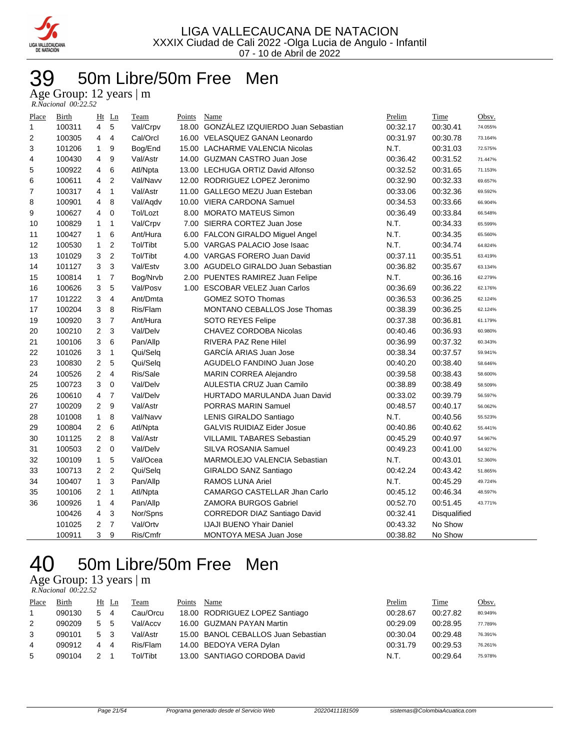

### 50m Libre/50m Free Men 39 50m Libre<br>Age Group: 12 years | m

| R.Nacional 00:22.52 |  |
|---------------------|--|

| Place          | Birth  | Ht             | Ln             | <b>Team</b> | Points | <b>Name</b>                             | Prelim   | Time         | Obsv.   |
|----------------|--------|----------------|----------------|-------------|--------|-----------------------------------------|----------|--------------|---------|
| $\mathbf{1}$   | 100311 | 4              | 5              | Val/Crpv    |        | 18.00 GONZÁLEZ IZQUIERDO Juan Sebastian | 00:32.17 | 00:30.41     | 74.055% |
| $\overline{c}$ | 100305 | 4              | 4              | Cal/Orcl    |        | 16.00 VELASQUEZ GANAN Leonardo          | 00:31.97 | 00:30.78     | 73.164% |
| 3              | 101206 | $\mathbf{1}$   | 9              | Bog/End     |        | 15.00 LACHARME VALENCIA Nicolas         | N.T.     | 00:31.03     | 72.575% |
| $\overline{4}$ | 100430 | 4              | 9              | Val/Astr    |        | 14.00 GUZMAN CASTRO Juan Jose           | 00:36.42 | 00:31.52     | 71.447% |
| 5              | 100922 | 4              | 6              | Atl/Npta    |        | 13.00 LECHUGA ORTIZ David Alfonso       | 00:32.52 | 00:31.65     | 71.153% |
| 6              | 100611 | 4              | $\overline{2}$ | Val/Navv    |        | 12.00 RODRIGUEZ LOPEZ Jeronimo          | 00:32.90 | 00:32.33     | 69.657% |
| 7              | 100317 | 4              | $\mathbf{1}$   | Val/Astr    |        | 11.00 GALLEGO MEZU Juan Esteban         | 00:33.06 | 00:32.36     | 69.592% |
| 8              | 100901 | 4              | 8              | Val/Aqdv    |        | 10.00 VIERA CARDONA Samuel              | 00:34.53 | 00:33.66     | 66.904% |
| 9              | 100627 | 4              | $\mathbf 0$    | Tol/Lozt    |        | 8.00 MORATO MATEUS Simon                | 00:36.49 | 00:33.84     | 66.548% |
| 10             | 100829 | $\mathbf{1}$   | $\mathbf{1}$   | Val/Crpv    |        | 7.00 SIERRA CORTEZ Juan Jose            | N.T.     | 00:34.33     | 65.599% |
| 11             | 100427 | $\mathbf{1}$   | 6              | Ant/Hura    |        | 6.00 FALCON GIRALDO Miguel Angel        | N.T.     | 00:34.35     | 65.560% |
| 12             | 100530 | $\mathbf{1}$   | $\overline{2}$ | Tol/Tibt    |        | 5.00 VARGAS PALACIO Jose Isaac          | N.T.     | 00:34.74     | 64.824% |
| 13             | 101029 | 3              | $\overline{2}$ | Tol/Tibt    |        | 4.00 VARGAS FORERO Juan David           | 00:37.11 | 00:35.51     | 63.419% |
| 14             | 101127 | 3              | 3              | Val/Estv    |        | 3.00 AGUDELO GIRALDO Juan Sebastian     | 00:36.82 | 00:35.67     | 63.134% |
| 15             | 100814 | $\mathbf{1}$   | $\overline{7}$ | Bog/Nrvb    | 2.00   | <b>PUENTES RAMIREZ Juan Felipe</b>      | N.T.     | 00:36.16     | 62.279% |
| 16             | 100626 | 3              | 5              | Val/Posv    |        | 1.00 ESCOBAR VELEZ Juan Carlos          | 00:36.69 | 00:36.22     | 62.176% |
| 17             | 101222 | 3              | $\overline{4}$ | Ant/Dmta    |        | <b>GOMEZ SOTO Thomas</b>                | 00:36.53 | 00:36.25     | 62.124% |
| 17             | 100204 | 3              | 8              | Ris/Flam    |        | <b>MONTANO CEBALLOS Jose Thomas</b>     | 00:38.39 | 00:36.25     | 62.124% |
| 19             | 100920 | 3              | $\overline{7}$ | Ant/Hura    |        | <b>SOTO REYES Felipe</b>                | 00:37.38 | 00:36.81     | 61.179% |
| 20             | 100210 | $\overline{2}$ | 3              | Val/Delv    |        | CHAVEZ CORDOBA Nicolas                  | 00:40.46 | 00:36.93     | 60.980% |
| 21             | 100106 | 3              | 6              | Pan/Allp    |        | <b>RIVERA PAZ Rene Hilel</b>            | 00:36.99 | 00:37.32     | 60.343% |
| 22             | 101026 | 3              | $\mathbf{1}$   | Qui/Selq    |        | <b>GARCÍA ARIAS Juan Jose</b>           | 00:38.34 | 00:37.57     | 59.941% |
| 23             | 100830 | $\overline{2}$ | 5              | Qui/Sela    |        | <b>AGUDELO FANDINO Juan Jose</b>        | 00:40.20 | 00:38.40     | 58.646% |
| 24             | 100526 | $\overline{2}$ | 4              | Ris/Sale    |        | MARIN CORREA Alejandro                  | 00:39.58 | 00:38.43     | 58.600% |
| 25             | 100723 | 3              | $\mathbf 0$    | Val/Delv    |        | AULESTIA CRUZ Juan Camilo               | 00:38.89 | 00:38.49     | 58.509% |
| 26             | 100610 | $\overline{4}$ | $\overline{7}$ | Val/Delv    |        | <b>HURTADO MARULANDA Juan David</b>     | 00:33.02 | 00:39.79     | 56.597% |
| 27             | 100209 | 2              | 9              | Val/Astr    |        | PORRAS MARIN Samuel                     | 00:48.57 | 00:40.17     | 56.062% |
| 28             | 101008 | $\mathbf{1}$   | 8              | Val/Navv    |        | LENIS GIRALDO Santiago                  | N.T.     | 00:40.56     | 55.523% |
| 29             | 100804 | $\overline{2}$ | 6              | Atl/Npta    |        | <b>GALVIS RUIDIAZ Eider Josue</b>       | 00:40.86 | 00:40.62     | 55.441% |
| 30             | 101125 | 2              | 8              | Val/Astr    |        | <b>VILLAMIL TABARES Sebastian</b>       | 00:45.29 | 00:40.97     | 54.967% |
| 31             | 100503 | $\overline{2}$ | $\mathbf{0}$   | Val/Delv    |        | <b>SILVA ROSANIA Samuel</b>             | 00:49.23 | 00:41.00     | 54.927% |
| 32             | 100109 | $\mathbf{1}$   | 5              | Val/Ocea    |        | MARMOLEJO VALENCIA Sebastian            | N.T.     | 00:43.01     | 52.360% |
| 33             | 100713 | $\overline{2}$ | $\mathbf{2}$   | Qui/Selg    |        | GIRALDO SANZ Santiago                   | 00:42.24 | 00:43.42     | 51.865% |
| 34             | 100407 | $\mathbf{1}$   | 3              | Pan/Allp    |        | <b>RAMOS LUNA Ariel</b>                 | N.T.     | 00:45.29     | 49.724% |
| 35             | 100106 | 2              | $\mathbf{1}$   | Atl/Npta    |        | CAMARGO CASTELLAR Jhan Carlo            | 00:45.12 | 00:46.34     | 48.597% |
| 36             | 100926 | $\mathbf{1}$   | $\overline{4}$ | Pan/Allp    |        | <b>ZAMORA BURGOS Gabriel</b>            | 00:52.70 | 00:51.45     | 43.771% |
|                | 100426 | 4              | 3              | Nor/Spns    |        | CORREDOR DIAZ Santiago David            | 00:32.41 | Disqualified |         |
|                | 101025 | $\overline{2}$ | $\overline{7}$ | Val/Ortv    |        | <b>IJAJI BUENO Yhair Daniel</b>         | 00:43.32 | No Show      |         |
|                | 100911 | 3              | 9              | Ris/Cmfr    |        | MONTOYA MESA Juan Jose                  | 00:38.82 | No Show      |         |

## 50m Libre/50m Free Men

Age Group: 13 years | m

| $R. Nacional$ 00:22.52 |
|------------------------|
|                        |

| Place | Birth  | Ht Ln |    | Team     | Points | Name                                | Prelim   | Time     | Obsv.   |
|-------|--------|-------|----|----------|--------|-------------------------------------|----------|----------|---------|
|       | 090130 | 5     | 4  | Cau/Orcu |        | 18.00 RODRIGUEZ LOPEZ Santiago      | 00:28.67 | 00:27.82 | 80.949% |
| 2     | 090209 | 5     | -5 | Val/Accv |        | 16.00 GUZMAN PAYAN Martin           | 00:29.09 | 00:28.95 | 77.789% |
| 3     | 090101 | 5 3   |    | Val/Astr |        | 15.00 BANOL CEBALLOS Juan Sebastian | 00:30.04 | 00:29.48 | 76.391% |
| 4     | 090912 | 4     | -4 | Ris/Flam |        | 14.00 BEDOYA VERA Dylan             | 00:31.79 | 00:29.53 | 76.261% |
| 5     | 090104 |       |    | Tol/Tibt |        | 13.00 SANTIAGO CORDOBA David        | N.T.     | 00:29.64 | 75.978% |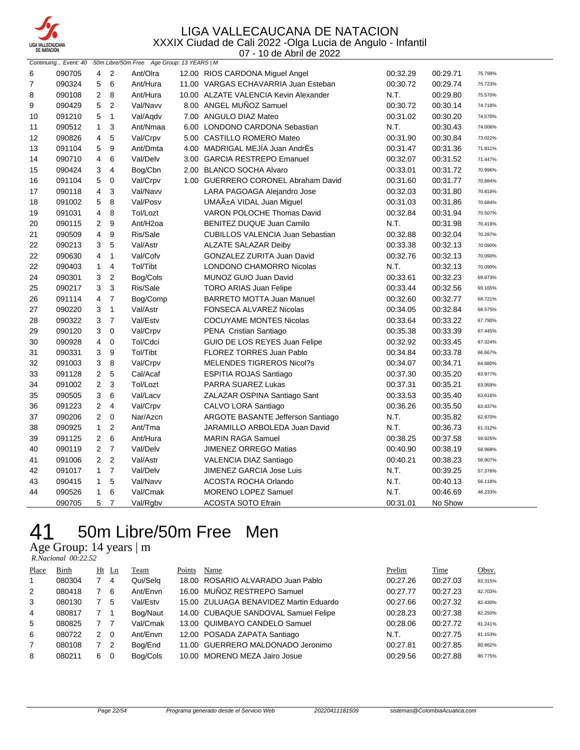

07 - 10 de Abril de 2022

|                | Continuing Event: 40 |                |                | 50m Libre/50m Free Age Group: 13 YEARS   M |      |                                         |          |          |         |
|----------------|----------------------|----------------|----------------|--------------------------------------------|------|-----------------------------------------|----------|----------|---------|
| 6              | 090705               | 4              | $\overline{2}$ | Ant/Olra                                   |      | 12.00 RIOS CARDONA Miguel Angel         | 00:32.29 | 00:29.71 | 75.799% |
| $\overline{7}$ | 090324               | 5              | 6              | Ant/Hura                                   |      | 11.00 VARGAS ECHAVARRIA Juan Esteban    | 00:30.72 | 00:29.74 | 75.723% |
| 8              | 090108               | $\overline{2}$ | 8              | Ant/Hura                                   |      | 10.00 ALZATE VALENCIA Kevin Alexander   | N.T.     | 00:29.80 | 75.570% |
| 9              | 090429               | 5              | 2              | Val/Navv                                   |      | 8.00 ANGEL MUÑOZ Samuel                 | 00:30.72 | 00:30.14 | 74.718% |
| 10             | 091210               | 5              | $\mathbf{1}$   | Val/Aqdv                                   |      | 7.00 ANGULO DIAZ Mateo                  | 00:31.02 | 00:30.20 | 74.570% |
| 11             | 090512               | $\mathbf{1}$   | 3              | Ant/Nmaa                                   | 6.00 | LONDONO CARDONA Sebastian               | N.T.     | 00:30.43 | 74.006% |
| 12             | 090826               | $\overline{4}$ | 5              | Val/Crpv                                   |      | 5.00 CASTILLO ROMERO Mateo              | 00:31.90 | 00:30.84 | 73.022% |
| 13             | 091104               | 5              | 9              | Ant/Dmta                                   |      | 4.00 MADRIGAL MEJÍA Juan AndrÉs         | 00:31.47 | 00:31.36 | 71.811% |
| 14             | 090710               | $\overline{4}$ | 6              | Val/Delv                                   |      | 3.00 GARCIA RESTREPO Emanuel            | 00:32.07 | 00:31.52 | 71.447% |
| 15             | 090424               | 3              | 4              | Bog/Cbn                                    |      | 2.00 BLANCO SOCHA Alvaro                | 00:33.01 | 00:31.72 | 70.996% |
| 16             | 091104               | 5              | $\pmb{0}$      | Val/Crpv                                   |      | 1.00 GUERRERO CORONEL Abraham David     | 00:31.60 | 00:31.77 | 70.884% |
| 17             | 090118               | 4              | 3              | Val/Navv                                   |      | LARA PAGOAGA Alejandro Jose             | 00:32.03 | 00:31.80 | 70.818% |
| 18             | 091002               | 5              | 8              | Val/Posv                                   |      | UMAñA VIDAL Juan Miguel                 | 00:31.03 | 00:31.86 | 70.684% |
| 19             | 091031               | 4              | 8              | Tol/Lozt                                   |      | <b>VARON POLOCHE Thomas David</b>       | 00:32.84 | 00:31.94 | 70.507% |
| 20             | 090115               | $\overline{2}$ | 9              | Ant/H <sub>2oa</sub>                       |      | <b>BENITEZ DUQUE Juan Camilo</b>        | N.T.     | 00:31.98 | 70.419% |
| 21             | 090509               | $\overline{4}$ | 9              | Ris/Sale                                   |      | <b>CUBILLOS VALENCIA Juan Sebastian</b> | 00:32.88 | 00:32.04 | 70.287% |
| 22             | 090213               | 3              | 5              | Val/Astr                                   |      | <b>ALZATE SALAZAR Deiby</b>             | 00:33.38 | 00:32.13 | 70.090% |
| 22             | 090630               | 4              | $\mathbf{1}$   | Val/Cofv                                   |      | GONZALEZ ZURITA Juan David              | 00:32.76 | 00:32.13 | 70.090% |
| 22             | 090403               | $\mathbf{1}$   | $\overline{4}$ | Tol/Tibt                                   |      | LONDONO CHAMORRO Nicolas                | N.T.     | 00:32.13 | 70.090% |
| 24             | 090301               | 3              | $\overline{2}$ | Bog/Cols                                   |      | MUNOZ GUIO Juan David                   | 00:33.61 | 00:32.23 | 69.873% |
| 25             | 090217               | 3              | 3              | Ris/Sale                                   |      | <b>TORO ARIAS Juan Felipe</b>           | 00:33.44 | 00:32.56 | 69.165% |
| 26             | 091114               | $\overline{4}$ | $\overline{7}$ | Bog/Comp                                   |      | <b>BARRETO MOTTA Juan Manuel</b>        | 00:32.60 | 00:32.77 | 68.721% |
| 27             | 090220               | 3              | $\mathbf{1}$   | Val/Astr                                   |      | <b>FONSECA ALVAREZ Nicolas</b>          | 00:34.05 | 00:32.84 | 68.575% |
| 28             | 090322               | 3              | $\overline{7}$ | Val/Estv                                   |      | <b>COCUYAME MONTES Nicolas</b>          | 00:33.64 | 00:33.22 | 67.790% |
| 29             | 090120               | 3              | $\mathbf 0$    | Val/Crpv                                   |      | PENA Cristian Santiago                  | 00:35.38 | 00:33.39 | 67.445% |
| 30             | 090928               | $\overline{4}$ | $\mathbf 0$    | Tol/Cdci                                   |      | GUIO DE LOS REYES Juan Felipe           | 00:32.92 | 00:33.45 | 67.324% |
| 31             | 090331               | 3              | 9              | Tol/Tibt                                   |      | <b>FLOREZ TORRES Juan Pablo</b>         | 00:34.84 | 00:33.78 | 66.667% |
| 32             | 091003               | 3              | 8              | Val/Crpv                                   |      | <b>MELENDES TIGREROS Nicol?s</b>        | 00:34.07 | 00:34.71 | 64.880% |
| 33             | 091128               | $\overline{2}$ | 5              | Cal/Acaf                                   |      | ESPITIA ROJAS Santiago                  | 00:37.30 | 00:35.20 | 63.977% |
| 34             | 091002               | $\overline{2}$ | 3              | Tol/Lozt                                   |      | PARRA SUAREZ Lukas                      | 00:37.31 | 00:35.21 | 63.959% |
| 35             | 090505               | 3              | 6              | Val/Lacv                                   |      | ZALAZAR OSPINA Santiago Sant            | 00:33.53 | 00:35.40 | 63.616% |
| 36             | 091223               | 2              | $\overline{4}$ | Val/Crpv                                   |      | CALVO LORA Santiago                     | 00:36.26 | 00:35.50 | 63.437% |
| 37             | 090206               | $\overline{2}$ | $\mathbf 0$    | Nar/Azcn                                   |      | ARGOTE BASANTE Jefferson Santiago       | N.T.     | 00:35.82 | 62.870% |
| 38             | 090925               | $\mathbf{1}$   | $\overline{2}$ | Ant/Tma                                    |      | JARAMILLO ARBOLEDA Juan David           | N.T.     | 00:36.73 | 61.312% |
| 39             | 091125               | 2              | 6              | Ant/Hura                                   |      | <b>MARIN RAGA Samuel</b>                | 00:38.25 | 00:37.58 | 59.925% |
| 40             | 090119               | $\overline{2}$ | $\overline{7}$ | Val/Delv                                   |      | <b>JIMENEZ ORREGO Matias</b>            | 00:40.90 | 00:38.19 | 58.968% |
| 41             | 091006               | $\overline{2}$ | $\overline{2}$ | Val/Astr                                   |      | VALENCIA DIAZ Santiago                  | 00:40.21 | 00:38.23 | 58.907% |
| 42             | 091017               | $\mathbf{1}$   | $\overline{7}$ | Val/Delv                                   |      | JIMENEZ GARCIA Jose Luis                | N.T.     | 00:39.25 | 57.376% |
| 43             | 090415               | $\mathbf{1}$   | 5              | Val/Navv                                   |      | ACOSTA ROCHA Orlando                    | N.T.     | 00:40.13 | 56.118% |
| 44             | 090526               | $\mathbf{1}$   | 6              | Val/Cmak                                   |      | <b>MORENO LOPEZ Samuel</b>              | N.T.     | 00:46.69 | 48.233% |
|                | 090705               | 5              | $\overline{7}$ | Val/Rgbv                                   |      | <b>ACOSTA SOTO Efrain</b>               | 00:31.01 | No Show  |         |

## 50m Libre/50m Free Men

### Age Group: 14 years | m

 *R.Nacional 00:22.52* 

| Place          | Birth  |               | $Ht$ Ln | Team     | Points | Name                                   | Prelim   | Time     | Obsv.   |
|----------------|--------|---------------|---------|----------|--------|----------------------------------------|----------|----------|---------|
| $\overline{1}$ | 080304 |               | 4       | Qui/Selg |        | 18.00 ROSARIO ALVARADO Juan Pablo      | 00:27.26 | 00:27.03 | 83.315% |
| 2              | 080418 |               | -6      | Ant/Envn |        | 16.00 MUÑOZ RESTREPO Samuel            | 00:27.77 | 00:27.23 | 82.703% |
| 3              | 080130 |               | 5       | Val/Estv |        | 15.00 ZULUAGA BENAVIDEZ Martin Eduardo | 00:27.66 | 00:27.32 | 82.430% |
| 4              | 080817 |               | -1      | Bog/Naut |        | 14.00 CUBAQUE SANDOVAL Samuel Felipe   | 00:28.23 | 00:27.38 | 82.250% |
| 5              | 080825 |               |         | Val/Cmak |        | 13.00 QUIMBAYO CANDELO Samuel          | 00:28.06 | 00:27.72 | 81.241% |
| 6              | 080722 | $\mathcal{P}$ | - 0     | Ant/Envn |        | 12.00 POSADA ZAPATA Santiago           | N.T.     | 00:27.75 | 81.153% |
| 7              | 080108 |               | -2      | Bog/End  |        | 11.00 GUERRERO MALDONADO Jeronimo      | 00:27.81 | 00:27.85 | 80.862% |
| 8              | 080211 | 6.            | - 0     | Bog/Cols |        | 10.00 MORENO MEZA Jairo Josue          | 00:29.56 | 00:27.88 | 80.775% |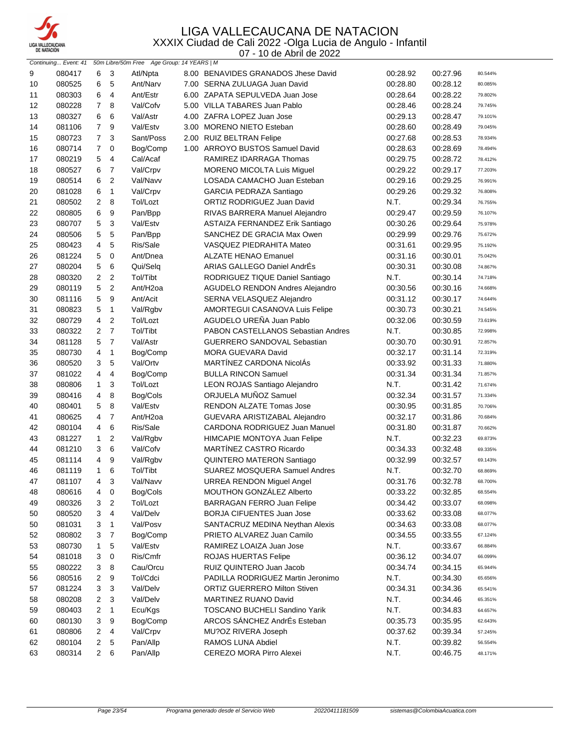

| <b>DE NATACION</b> |                      |                |                         |                                            |                   | 07 - 10 de Abril de 2022             |          |          |         |
|--------------------|----------------------|----------------|-------------------------|--------------------------------------------|-------------------|--------------------------------------|----------|----------|---------|
|                    | Continuing Event: 41 |                |                         | 50m Libre/50m Free Age Group: 14 YEARS   M |                   |                                      |          |          |         |
| 9                  | 080417               | 6              | 3                       | Atl/Npta                                   |                   | 8.00 BENAVIDES GRANADOS Jhese David  | 00:28.92 | 00:27.96 | 80.544% |
| 10                 | 080525               | 6              | 5                       | Ant/Narv                                   |                   | 7.00 SERNA ZULUAGA Juan David        | 00:28.80 | 00:28.12 | 80.085% |
| 11                 | 080303               | 6              | 4                       | Ant/Estr                                   |                   | 6.00 ZAPATA SEPULVEDA Juan Jose      | 00:28.64 | 00:28.22 | 79.802% |
| 12                 | 080228               | $\overline{7}$ | 8                       | Val/Cofv                                   |                   | 5.00 VILLA TABARES Juan Pablo        | 00:28.46 | 00:28.24 | 79.745% |
| 13                 | 080327               | 6              | 6                       | Val/Astr                                   |                   | 4.00 ZAFRA LOPEZ Juan Jose           | 00:29.13 | 00:28.47 | 79.101% |
| 14                 | 081106               | $\overline{7}$ | 9                       | Val/Estv                                   | 3.00 <sub>1</sub> | <b>MORENO NIETO Esteban</b>          | 00:28.60 | 00:28.49 | 79.045% |
| 15                 | 080723               | $\overline{7}$ | 3                       | Sant/Poss                                  |                   | 2.00 RUIZ BELTRAN Felipe             | 00:27.68 | 00:28.53 | 78.934% |
| 16                 | 080714               | $\overline{7}$ | $\mathbf 0$             | Bog/Comp                                   |                   | 1.00 ARROYO BUSTOS Samuel David      | 00:28.63 | 00:28.69 | 78.494% |
| 17                 | 080219               | 5              | 4                       | Cal/Acaf                                   |                   | RAMIREZ IDARRAGA Thomas              | 00:29.75 | 00:28.72 | 78.412% |
| 18                 | 080527               | 6              | 7                       | Val/Crpv                                   |                   | <b>MORENO MICOLTA Luis Miguel</b>    | 00:29.22 | 00:29.17 | 77.203% |
| 19                 | 080514               | 6              | $\overline{2}$          | Val/Navv                                   |                   | LOSADA CAMACHO Juan Esteban          | 00:29.16 | 00:29.25 | 76.991% |
| 20                 | 081028               | 6              | $\mathbf{1}$            | Val/Crpv                                   |                   | <b>GARCIA PEDRAZA Santiago</b>       | 00:29.26 | 00:29.32 | 76.808% |
| 21                 | 080502               | $\overline{2}$ | 8                       | Tol/Lozt                                   |                   | ORTIZ RODRIGUEZ Juan David           | N.T.     | 00:29.34 | 76.755% |
| 22                 | 080805               | 6              | 9                       | Pan/Bpp                                    |                   | RIVAS BARRERA Manuel Alejandro       | 00:29.47 | 00:29.59 | 76.107% |
| 23                 | 080707               | 5              | 3                       | Val/Estv                                   |                   | ASTAIZA FERNANDEZ Erik Santiago      |          |          | 75.978% |
|                    |                      |                | 5                       |                                            |                   | SANCHEZ DE GRACIA Max Owen           | 00:30.26 | 00:29.64 |         |
| 24                 | 080506               | 5              |                         | Pan/Bpp                                    |                   |                                      | 00:29.99 | 00:29.76 | 75.672% |
| 25                 | 080423               | 4              | 5                       | Ris/Sale                                   |                   | VASQUEZ PIEDRAHITA Mateo             | 00:31.61 | 00:29.95 | 75.192% |
| 26                 | 081224               | 5              | $\mathbf 0$             | Ant/Dnea                                   |                   | <b>ALZATE HENAO Emanuel</b>          | 00:31.16 | 00:30.01 | 75.042% |
| 27                 | 080204               | 5              | 6                       | Qui/Selq                                   |                   | ARIAS GALLEGO Daniel AndrEs          | 00:30.31 | 00:30.08 | 74.867% |
| 28                 | 080320               | 2              | $\overline{\mathbf{c}}$ | Tol/Tibt                                   |                   | RODRIGUEZ TIQUE Daniel Santiago      | N.T.     | 00:30.14 | 74.718% |
| 29                 | 080119               | 5              | $\overline{2}$          | Ant/H <sub>2oa</sub>                       |                   | AGUDELO RENDON Andres Alejandro      | 00:30.56 | 00:30.16 | 74.668% |
| 30                 | 081116               | 5              | 9                       | Ant/Acit                                   |                   | SERNA VELASQUEZ Alejandro            | 00:31.12 | 00:30.17 | 74.644% |
| 31                 | 080823               | 5              | $\mathbf{1}$            | Val/Rgbv                                   |                   | AMORTEGUI CASANOVA Luis Felipe       | 00:30.73 | 00:30.21 | 74.545% |
| 32                 | 080729               | 4              | $\overline{2}$          | Tol/Lozt                                   |                   | AGUDELO UREÑA Juan Pablo             | 00:32.06 | 00:30.59 | 73.619% |
| 33                 | 080322               | $\overline{2}$ | $\overline{7}$          | Tol/Tibt                                   |                   | PABON CASTELLANOS Sebastian Andres   | N.T.     | 00:30.85 | 72.998% |
| 34                 | 081128               | 5              | $\overline{7}$          | Val/Astr                                   |                   | GUERRERO SANDOVAL Sebastian          | 00:30.70 | 00:30.91 | 72.857% |
| 35                 | 080730               | 4              | 1                       | Bog/Comp                                   |                   | <b>MORA GUEVARA David</b>            | 00:32.17 | 00:31.14 | 72.319% |
| 36                 | 080520               | 3              | 5                       | Val/Ortv                                   |                   | MARTÍNEZ CARDONA NicolÁs             | 00:33.92 | 00:31.33 | 71.880% |
| 37                 | 081022               | 4              | 4                       | Bog/Comp                                   |                   | <b>BULLA RINCON Samuel</b>           | 00:31.34 | 00:31.34 | 71.857% |
| 38                 | 080806               | $\mathbf{1}$   | 3                       | Tol/Lozt                                   |                   | LEON ROJAS Santiago Alejandro        | N.T.     | 00:31.42 | 71.674% |
| 39                 | 080416               | 4              | 8                       | Bog/Cols                                   |                   | ORJUELA MUÑOZ Samuel                 | 00:32.34 | 00:31.57 | 71.334% |
| 40                 | 080401               | 5              | 8                       | Val/Estv                                   |                   | <b>RENDON ALZATE Tomas Jose</b>      | 00:30.95 | 00:31.85 | 70.706% |
| 41                 | 080625               | 4              | $\overline{7}$          | Ant/H <sub>2oa</sub>                       |                   | GUEVARA ARISTIZABAL Alejandro        | 00:32.17 | 00:31.86 | 70.684% |
| 42                 | 080104               | 4              | 6                       | Ris/Sale                                   |                   | CARDONA RODRIGUEZ Juan Manuel        | 00:31.80 | 00:31.87 | 70.662% |
| 43                 | 081227               | $\mathbf{1}$   | 2                       | Val/Rgbv                                   |                   | HIMCAPIE MONTOYA Juan Felipe         | N.T.     | 00:32.23 | 69.873% |
| 44                 | 081210               | 3              | 6                       | Val/Cofv                                   |                   | MARTÍNEZ CASTRO Ricardo              | 00:34.33 | 00:32.48 | 69.335% |
| 45                 | 081114               | 4              | 9                       | Val/Rgbv                                   |                   | <b>QUINTERO MATERON Santiago</b>     | 00:32.99 | 00:32.57 | 69.143% |
| 46                 | 081119               | $\mathbf{1}$   | 6                       | Tol/Tibt                                   |                   | SUAREZ MOSQUERA Samuel Andres        | N.T.     | 00:32.70 | 68.869% |
| 47                 | 081107               | 4              | 3                       | Val/Navv                                   |                   | <b>URREA RENDON Miguel Angel</b>     | 00:31.76 | 00:32.78 | 68.700% |
| 48                 | 080616               | 4              | 0                       | Bog/Cols                                   |                   | MOUTHON GONZÁLEZ Alberto             | 00:33.22 | 00:32.85 | 68.554% |
| 49                 | 080326               | 3              | 2                       | Tol/Lozt                                   |                   | <b>BARRAGAN FERRO Juan Felipe</b>    | 00:34.42 | 00:33.07 | 68.098% |
|                    | 080520               | 3              |                         | Val/Delv                                   |                   | BORJA CIFUENTES Juan Jose            | 00:33.62 |          |         |
| 50                 |                      |                | 4                       |                                            |                   |                                      |          | 00:33.08 | 68.077% |
| 50                 | 081031               | 3              | 1                       | Val/Posv                                   |                   | SANTACRUZ MEDINA Neythan Alexis      | 00:34.63 | 00:33.08 | 68.077% |
| 52                 | 080802               | 3              | 7                       | Bog/Comp                                   |                   | PRIETO ALVAREZ Juan Camilo           | 00:34.55 | 00:33.55 | 67.124% |
| 53                 | 080730               | 1              | 5                       | Val/Estv                                   |                   | RAMIREZ LOAIZA Juan Jose             | N.T.     | 00:33.67 | 66.884% |
| 54                 | 081018               | 3              | 0                       | Ris/Cmfr                                   |                   | <b>ROJAS HUERTAS Felipe</b>          | 00:36.12 | 00:34.07 | 66.099% |
| 55                 | 080222               | 3              | 8                       | Cau/Orcu                                   |                   | RUIZ QUINTERO Juan Jacob             | 00:34.74 | 00:34.15 | 65.944% |
| 56                 | 080516               | 2              | 9                       | Tol/Cdci                                   |                   | PADILLA RODRIGUEZ Martin Jeronimo    | N.T.     | 00:34.30 | 65.656% |
| 57                 | 081224               | 3              | 3                       | Val/Delv                                   |                   | <b>ORTIZ GUERRERO Milton Stiven</b>  | 00:34.31 | 00:34.36 | 65.541% |
| 58                 | 080208               | 2              | 3                       | Val/Delv                                   |                   | MARTINEZ RUANO David                 | N.T.     | 00:34.46 | 65.351% |
| 59                 | 080403               | $\overline{2}$ | 1                       | Ecu/Kgs                                    |                   | <b>TOSCANO BUCHELI Sandino Yarik</b> | N.T.     | 00:34.83 | 64.657% |
| 60                 | 080130               | 3              | 9                       | Bog/Comp                                   |                   | ARCOS SANCHEZ AndrEs Esteban         | 00:35.73 | 00:35.95 | 62.643% |
| 61                 | 080806               | 2              | 4                       | Val/Crpv                                   |                   | MU?OZ RIVERA Joseph                  | 00:37.62 | 00:39.34 | 57.245% |
| 62                 | 080104               | 2              | 5                       | Pan/Allp                                   |                   | RAMOS LUNA Abdiel                    | N.T.     | 00:39.82 | 56.554% |
| 63                 | 080314               | $\overline{2}$ | 6                       | Pan/Allp                                   |                   | CEREZO MORA Pirro Alexei             | N.T.     | 00:46.75 | 48.171% |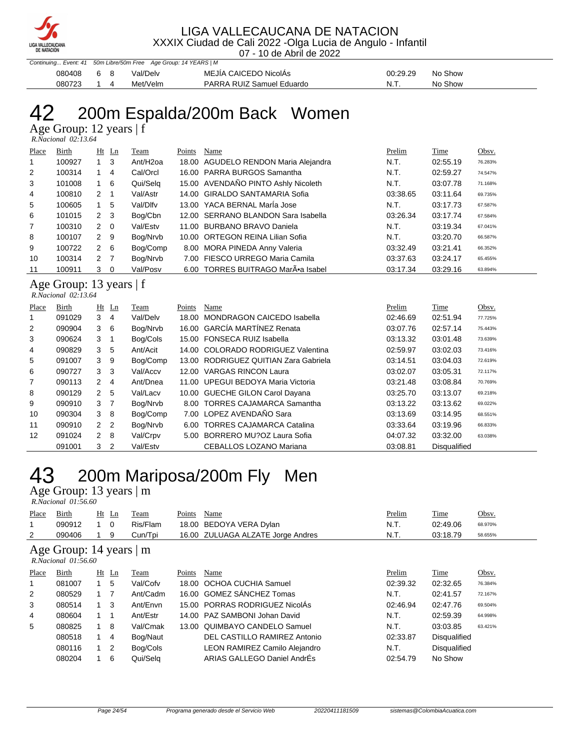

07 - 10 de Abril de 2022

|        |   |     | Continuing Event: 41 50m Libre/50m Free Age Group: 14 YEARS   M |                           |          |         |
|--------|---|-----|-----------------------------------------------------------------|---------------------------|----------|---------|
| 080408 | 6 | - 8 | Val/Delv                                                        | MEJÍA CAICEDO NicolÁs     | 00:29.29 | No Show |
| 080723 |   |     | Met/Velm                                                        | PARRA RUIZ Samuel Eduardo | N.T.     | No Show |

### 200m Espalda/200m Back Women Age Group: 12 years | f

 *R.Nacional 02:13.64* 

| Place          | <b>Birth</b> |                | Ht Ln          | Team                 | Points | Name                                 | Prelim   | Time     | Obsv.   |
|----------------|--------------|----------------|----------------|----------------------|--------|--------------------------------------|----------|----------|---------|
| 1              | 100927       | $1 \quad 3$    |                | Ant/H <sub>20a</sub> |        | 18.00 AGUDELO RENDON Maria Alejandra | N.T.     | 02:55.19 | 76.283% |
| 2              | 100314       |                | 4              | Cal/Orcl             |        | 16.00 PARRA BURGOS Samantha          | N.T.     | 02:59.27 | 74.547% |
| 3              | 101008       |                | -6             | Qui/Selg             |        | 15.00 AVENDAÑO PINTO Ashly Nicoleth  | N.T.     | 03:07.78 | 71.168% |
| $\overline{4}$ | 100810       | $2 \quad 1$    |                | Val/Astr             |        | 14.00 GIRALDO SANTAMARIA Sofia       | 03:38.65 | 03:11.64 | 69.735% |
| 5              | 100605       |                | 5              | Val/Dlfv             |        | 13.00 YACA BERNAL Maria Jose         | N.T.     | 03:17.73 | 67.587% |
| 6              | 101015       | $2 \quad 3$    |                | Bog/Cbn              |        | 12.00 SERRANO BLANDON Sara Isabella  | 03:26.34 | 03:17.74 | 67.584% |
| 7              | 100310       | $2 \quad 0$    |                | Val/Estv             |        | 11.00 BURBANO BRAVO Daniela          | N.T.     | 03:19.34 | 67.041% |
| 8              | 100107       | 2 9            |                | Bog/Nrvb             |        | 10.00 ORTEGON REINA Lilian Sofia     | N.T.     | 03:20.70 | 66.587% |
| 9              | 100722       | $2 \quad 6$    |                | Bog/Comp             | 8.00   | <b>MORA PINEDA Anny Valeria</b>      | 03:32.49 | 03:21.41 | 66.352% |
| 10             | 100314       | 2 <sub>7</sub> |                | Bog/Nrvb             | 7.00   | FIESCO URREGO Maria Camila           | 03:37.63 | 03:24.17 | 65.455% |
| 11             | 100911       | 3              | $\overline{0}$ | Val/Posv             |        | 6.00 TORRES BUITRAGO MarÕa Isabel    | 03:17.34 | 03:29.16 | 63.894% |

Age Group: 13 years | f  *R.Nacional 02:13.64* 

| Place | Birth  |                | $Ht$ Ln                    | Team     | Points | Name                                  | Prelim   | Time         | Obsv.   |
|-------|--------|----------------|----------------------------|----------|--------|---------------------------------------|----------|--------------|---------|
|       | 091029 | 3              | 4                          | Val/Delv |        | 18.00 MONDRAGON CAICEDO Isabella      | 02:46.69 | 02:51.94     | 77.725% |
| 2     | 090904 | 3              | - 6                        | Bog/Nrvb |        | 16.00 GARCÍA MARTÍNEZ Renata          | 03:07.76 | 02:57.14     | 75.443% |
| 3     | 090624 | 3              | - 1                        | Bog/Cols |        | 15.00 FONSECA RUIZ Isabella           | 03:13.32 | 03:01.48     | 73.639% |
| 4     | 090829 | 3              | 5                          | Ant/Acit |        | 14.00 COLORADO RODRIGUEZ Valentina    | 02:59.97 | 03:02.03     | 73.416% |
| 5     | 091007 | 3              | 9                          | Bog/Comp |        | 13.00 RODRIGUEZ QUITIAN Zara Gabriela | 03:14.51 | 03:04.03     | 72.619% |
| 6     | 090727 | 3              | - 3                        | Val/Accv |        | 12.00 VARGAS RINCON Laura             | 03:02.07 | 03:05.31     | 72.117% |
| 7     | 090113 | 2              | 4                          | Ant/Dnea |        | 11.00 UPEGUI BEDOYA Maria Victoria    | 03:21.48 | 03:08.84     | 70.769% |
| 8     | 090129 | 2 <sub>5</sub> |                            | Val/Lacv |        | 10.00 GUECHE GILON Carol Dayana       | 03:25.70 | 03:13.07     | 69.218% |
| 9     | 090910 | 3              | $\overline{7}$             | Bog/Nrvb |        | 8.00 TORRES CAJAMARCA Samantha        | 03:13.22 | 03:13.62     | 69.022% |
| 10    | 090304 | 3              | - 8                        | Bog/Comp |        | 7.00 LOPEZ AVENDAÑO Sara              | 03:13.69 | 03:14.95     | 68.551% |
| 11    | 090910 | 2              | $\overline{\phantom{0}}^2$ | Bog/Nrvb |        | 6.00 TORRES CAJAMARCA Catalina        | 03:33.64 | 03:19.96     | 66.833% |
| 12    | 091024 | $2 \quad 8$    |                            | Val/Crpv |        | 5.00 BORRERO MU?OZ Laura Sofia        | 04:07.32 | 03:32.00     | 63.038% |
|       | 091001 | 3              | $\overline{2}$             | Val/Estv |        | CEBALLOS LOZANO Mariana               | 03:08.81 | Disqualified |         |

## 200m Mariposa/200m Fly Men

Age Group: 13 years | m

| R.Nacional 01:56.60 |                                                     |             |                |          |        |                                   |          |              |         |  |  |
|---------------------|-----------------------------------------------------|-------------|----------------|----------|--------|-----------------------------------|----------|--------------|---------|--|--|
| Place               | Birth                                               |             | $Ht$ Ln        | Team     | Points | Name                              | Prelim   | Time         | Obsv.   |  |  |
| 1                   | 090912                                              | $1 \quad 0$ |                | Ris/Flam | 18.00  | BEDOYA VERA Dylan                 | N.T.     | 02:49.06     | 68.970% |  |  |
| 2                   | 090406                                              |             | 9              | Cun/Tpi  |        | 16.00 ZULUAGA ALZATE Jorge Andres | N.T.     | 03:18.79     | 58.655% |  |  |
|                     | Age Group: 14 years   m<br>$R. Nacional$ $01:56.60$ |             |                |          |        |                                   |          |              |         |  |  |
| Place               | Birth                                               | Ht          | Ln             | Team     | Points | Name                              | Prelim   | Time         | Obsv.   |  |  |
| 1                   | 081007                                              | $1\quad5$   |                | Val/Cofv | 18.00  | <b>OCHOA CUCHIA Samuel</b>        | 02:39.32 | 02:32.65     | 76.384% |  |  |
| 2                   | 080529                                              | $1 \quad 7$ |                | Ant/Cadm |        | 16.00 GOMEZ SÁNCHEZ Tomas         | N.T.     | 02:41.57     | 72.167% |  |  |
| 3                   | 080514                                              | $1 \quad$   | -3             | Ant/Envn | 15.00  | PORRAS RODRIGUEZ NicolAs          | 02:46.94 | 02:47.76     | 69.504% |  |  |
| 4                   | 080604                                              | $1 \quad 1$ |                | Ant/Estr | 14.00  | PAZ SAMBONI Johan David           | N.T.     | 02:59.39     | 64.998% |  |  |
| 5                   | 080825                                              | 1           | 8              | Val/Cmak | 13.00  | QUIMBAYO CANDELO Samuel           | N.T.     | 03:03.85     | 63.421% |  |  |
|                     | 080518                                              |             | 4              | Bog/Naut |        | DEL CASTILLO RAMIREZ Antonio      | 02:33.87 | Disqualified |         |  |  |
|                     | 080116                                              |             | $\overline{2}$ | Bog/Cols |        | LEON RAMIREZ Camilo Alejandro     | N.T.     | Disqualified |         |  |  |
|                     | 080204                                              |             | 6              | Qui/Selq |        | ARIAS GALLEGO Daniel AndrÉs       | 02:54.79 | No Show      |         |  |  |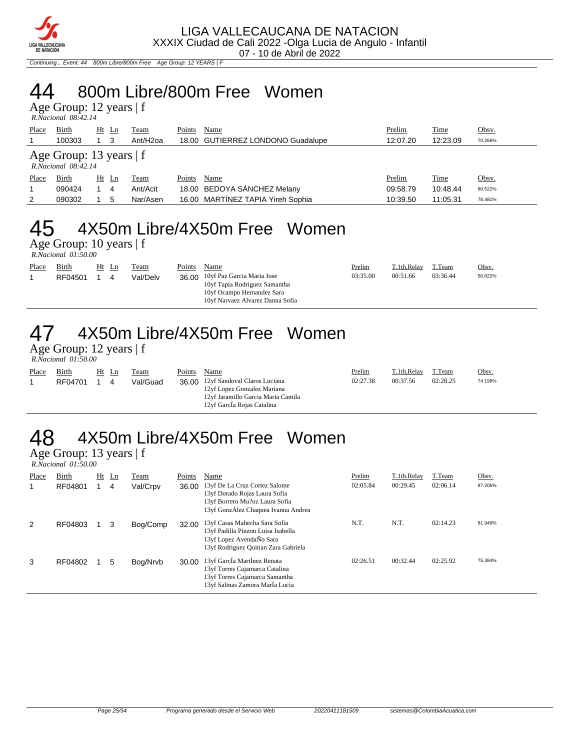

Continuing... Event: 44 800m Libre/800m Free Age Group: 12 YEARS | F

## 44 800m Libre/800m Free Women

Age Group: 12 years | f

|       | R.Nacional 08:42.14                              |  |       |                      |        |                                   |          |          |         |  |  |  |  |
|-------|--------------------------------------------------|--|-------|----------------------|--------|-----------------------------------|----------|----------|---------|--|--|--|--|
| Place | Birth                                            |  | Ht Ln | Team                 | Points | Name                              | Prelim   | Time     | Obsv.   |  |  |  |  |
|       | 100303                                           |  | 3     | Ant/H <sub>20a</sub> |        | 18.00 GUTIERREZ LONDONO Guadalupe | 12:07.20 | 12:23.09 | 70.266% |  |  |  |  |
|       | Age Group: 13 years $ f $<br>R.Nacional 08:42.14 |  |       |                      |        |                                   |          |          |         |  |  |  |  |
| Place | Birth                                            |  | Ht Ln | Team                 | Points | Name                              | Prelim   | Time     | Obsv.   |  |  |  |  |
|       | 090424                                           |  | 4     | Ant/Acit             |        | 18.00 BEDOYA SÁNCHEZ Melany       | 09:58.79 | 10:48.44 | 80.522% |  |  |  |  |
| 2     | 090302                                           |  | 5     | Nar/Asen             |        | 16.00 MARTINEZ TAPIA Yireh Sophia | 10:39.50 | 11:05.31 | 78.481% |  |  |  |  |

### 45 4X50m Libre/4X50m Free Women

Age Group: 10 years | f  *R.Nacional 01:50.00* 

| Place | Birth   | Ht | Ln | Team     | Points | Name                             | Prelim   | T.1th.Relay | T.Team   | Obsv.   |
|-------|---------|----|----|----------|--------|----------------------------------|----------|-------------|----------|---------|
|       | RF04501 |    |    | Val/Delv |        | 36.00 10yf Paz Garcia Maria Jose | 03:35.00 | 00:51.66    | 03:36.44 | 50.822% |
|       |         |    |    |          |        | 10yf Tapia Rodriguez Samantha    |          |             |          |         |
|       |         |    |    |          |        | 10vf Ocampo Hernandez Sara       |          |             |          |         |
|       |         |    |    |          |        | 10yf Narvaez Alvarez Danna Sofia |          |             |          |         |

## 47 4X50m Libre/4X50m Free Women

Age Group: 12 years | f  *R.Nacional 01:50.00* 

| Place | Birth<br>RF04701 | Ht Ln<br>4 | Team<br>Val/Guad | Points | Name<br>36.00 12yf Sandoval Claros Luciana<br>12 or Lopez Gonzalez Mariana | Prelim<br>02:27.38 | T.1th.Relay<br>00:37.56 | T.Team<br>02:28.25 | Obsv.<br>74.199% |
|-------|------------------|------------|------------------|--------|----------------------------------------------------------------------------|--------------------|-------------------------|--------------------|------------------|
|       |                  |            |                  |        | 12yf Jaramillo Garcia Maria Camila                                         |                    |                         |                    |                  |
|       |                  |            |                  |        | 12yf García Rojas Catalina                                                 |                    |                         |                    |                  |

## 48 4X50m Libre/4X50m Free Women

Age Group: 13 years | f  *R.Nacional 01:50.00* 

| Place<br>1 | <b>Birth</b><br>RF04801 | Ht | $\mathbf{L}$ n<br>4 | Team<br>Val/Crpv | Points<br>36.00 | Name<br>13yf De La Cruz Cortez Salome<br>13yf Dorado Rojas Laura Sofia<br>13yf Borrero Mu?oz Laura Sofia<br>13yf GonzÁlez Chaquea Ivanna Andrea | Prelim<br>02:05.84 | T.1th.Relay<br>00:29.45 | T.Team<br>02:06.14 | Obsv.<br>87.205% |
|------------|-------------------------|----|---------------------|------------------|-----------------|-------------------------------------------------------------------------------------------------------------------------------------------------|--------------------|-------------------------|--------------------|------------------|
| 2          | RF04803                 |    | 3                   | Bog/Comp         | 32.00           | 13yf Casas Mahecha Sara Sofia<br>13yf Padilla Pinzon Luisa Isabella<br>13yf Lopez AvendaÑo Sara<br>13yf Rodriguez Quitian Zara Gabriela         | N.T.               | N.T.                    | 02:14.23           | 81.949%          |
| 3          | RF04802                 |    | 5                   | Bog/Nrvb         | 30.00           | 13yf García Martínez Renata<br>13yf Torres Cajamarca Catalina<br>13yf Torres Cajamarca Samantha<br>13yf Salinas Zamora MarÍa Lucia              | 02:26.51           | 00:32.44                | 02:25.92           | 75.384%          |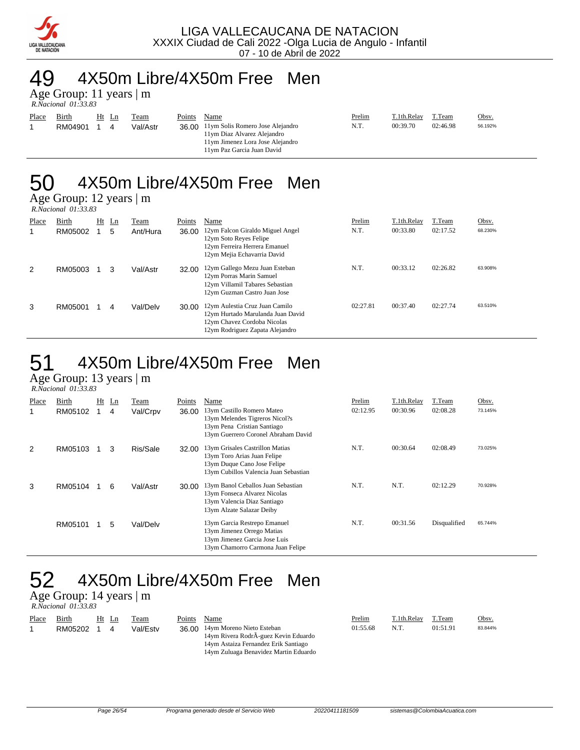

### 49 4X50m Libre/4X50m Free Men

Age Group: 11 years | m  *R.Nacional 01:33.83* 

| Place | Birth<br>RM04901 |  | Ht Ln<br>4 | Team<br>Val/Astr | Points | Name<br>36.00 11ym Solis Romero Jose Alejandro<br>11ym Diaz Alvarez Alejandro<br>11ym Jimenez Lora Jose Alejandro<br>11ym Paz Garcia Juan David | Prelim<br>N.T. | T.1th.Relay<br>00:39.70 | T.Team<br>02:46.98 | Obsv.<br>56.192% |
|-------|------------------|--|------------|------------------|--------|-------------------------------------------------------------------------------------------------------------------------------------------------|----------------|-------------------------|--------------------|------------------|
|-------|------------------|--|------------|------------------|--------|-------------------------------------------------------------------------------------------------------------------------------------------------|----------------|-------------------------|--------------------|------------------|

12ym Villamil Tabares Sebastian 12ym Guzman Castro Juan Jose

3 RM05001 1 4 Val/Delv 30.00 12ym Aulestia Cruz Juan Camilo 02:27.81 00:37.40 02:27.74 63.510% 12ym Hurtado Marulanda Juan David 12ym Chavez Cordoba Nicolas 12ym Rodriguez Zapata Alejandro

## 50 4X50m Libre/4X50m Free Men

Age Group: 12 years | m  *R.Nacional 01:33.83* 

| Place | Birth   | Ht | Ln | Team     | Points | Name                                                                                                                       | Prelim | T.1th.Relay | T.Team   | Obsv.   |
|-------|---------|----|----|----------|--------|----------------------------------------------------------------------------------------------------------------------------|--------|-------------|----------|---------|
|       | RM05002 |    | 5  | Ant/Hura | 36.00  | 12ym Falcon Giraldo Miguel Angel<br>12ym Soto Reyes Felipe<br>12ym Ferreira Herrera Emanuel<br>12ym Mejia Echavarria David | N.T.   | 00:33.80    | 02:17.52 | 68.230% |
| 2     | RM05003 |    | 3  | Val/Astr | 32.00  | 12ym Gallego Mezu Juan Esteban<br>12ym Porras Marin Samuel                                                                 | N.T.   | 00:33.12    | 02:26.82 | 63.908% |

# 4X50m Libre/4X50m Free Men

Age Group: 13 years | m  *R.Nacional 01:33.83* 

| Place | Birth<br>RM05102 | Ht | $\mathbf{L}$ n<br>4 | Team<br>Val/Crpv | Points<br>36.00 | Name<br>13ym Castillo Romero Mateo<br>13ym Melendes Tigreros Nicol?s<br>13ym Pena Cristian Santiago<br>13ym Guerrero Coronel Abraham David | Prelim<br>02:12.95 | T.1th.Relay<br>00:30.96 | T.Team<br>02:08.28 | Obsv.<br>73.145% |
|-------|------------------|----|---------------------|------------------|-----------------|--------------------------------------------------------------------------------------------------------------------------------------------|--------------------|-------------------------|--------------------|------------------|
| 2     | RM05103          |    | 3                   | Ris/Sale         | 32.00           | 13ym Grisales Castrillon Matias<br>13ym Toro Arias Juan Felipe<br>13ym Duque Cano Jose Felipe<br>13ym Cubillos Valencia Juan Sebastian     | N.T.               | 00:30.64                | 02:08.49           | 73.025%          |
| 3     | RM05104          |    | 6                   | Val/Astr         | 30.00           | 13ym Banol Ceballos Juan Sebastian<br>13ym Fonseca Alvarez Nicolas<br>13ym Valencia Diaz Santiago<br>13ym Alzate Salazar Deiby             | N.T.               | N.T.                    | 02:12.29           | 70.928%          |
|       | RM05101          |    | 5                   | Val/Delv         |                 | 13ym Garcia Restrepo Emanuel<br>13ym Jimenez Orrego Matias<br>13ym Jimenez Garcia Jose Luis<br>13ym Chamorro Carmona Juan Felipe           | N.T.               | 00:31.56                | Disqualified       | 65.744%          |

## 4X50m Libre/4X50m Free Men

Age Group: 14 years | m  *R.Nacional 01:33.83* 

| Place | Birth   | Ht Ln | Team     | Points | Name                                                                                                            | <b>Prelim</b> | T.1th.Relay | T.Team   | Obsv.   |
|-------|---------|-------|----------|--------|-----------------------------------------------------------------------------------------------------------------|---------------|-------------|----------|---------|
|       | RM05202 | 4     | Val/Estv |        | 36.00 14ym Moreno Nieto Esteban<br>14ym Rivera RodrÃ-guez Kevin Eduardo<br>14ym Astaiza Fernandez Erik Santiago | 01:55.68      | N.T.        | 01:51.91 | 83.844% |
|       |         |       |          |        | 14ym Zuluaga Benavidez Martin Eduardo                                                                           |               |             |          |         |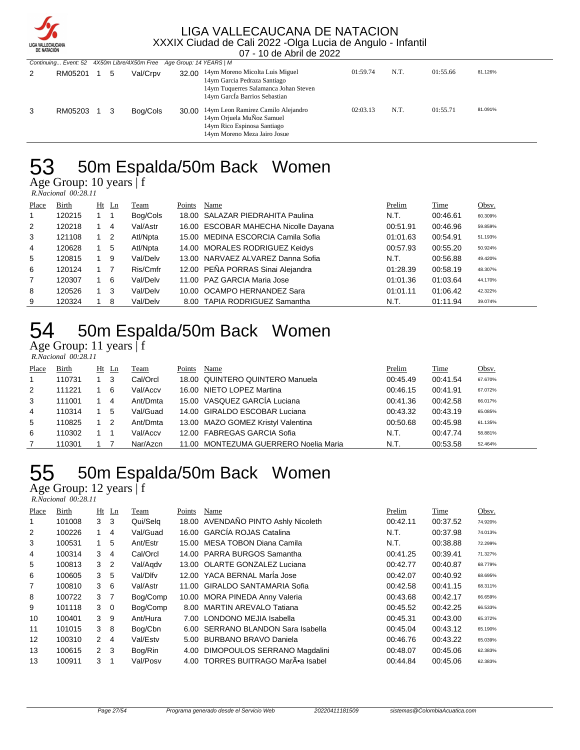

|   |         |     |          | Continuing Event: 52 4X50m Libre/4X50m Free Age Group: 14 YEARS   M |                                                                                                                                           |          |      |          |         |
|---|---------|-----|----------|---------------------------------------------------------------------|-------------------------------------------------------------------------------------------------------------------------------------------|----------|------|----------|---------|
|   | RM05201 | 5   | Val/Crpv | 32.00                                                               | 14ym Moreno Micolta Luis Miguel<br>14ym Garcia Pedraza Santiago<br>14ym Tuquerres Salamanca Johan Steven<br>14ym García Barrios Sebastian | 01:59.74 | N.T. | 01:55.66 | 81.126% |
| 3 | RM05203 | - 3 | Bog/Cols | 30.00                                                               | 14ym Leon Ramirez Camilo Alejandro<br>14ym Orjuela MuÑoz Samuel<br>14ym Rico Espinosa Santiago<br>14ym Moreno Meza Jairo Josue            | 02:03.13 | N.T. | 01:55.71 | 81.091% |

### 50m Espalda/50m Back Women

Age Group: 10 years | f

 *R.Nacional 00:28.11* 

| Place          | Birth  | Ht | Ln  | Team     | Points | Name                                 | Prelim   | Time     | Obsv.   |
|----------------|--------|----|-----|----------|--------|--------------------------------------|----------|----------|---------|
|                | 120215 |    |     | Bog/Cols |        | 18.00 SALAZAR PIEDRAHITA Paulina     | N.T.     | 00:46.61 | 60.309% |
| 2              | 120218 |    | 4   | Val/Astr |        | 16.00 ESCOBAR MAHECHA Nicolle Dayana | 00:51.91 | 00:46.96 | 59.859% |
| 3              | 121108 |    | 2   | Atl/Npta |        | 15.00 MEDINA ESCORCIA Camila Sofia   | 01:01.63 | 00:54.91 | 51.193% |
| $\overline{4}$ | 120628 |    | 5   | Atl/Npta |        | 14.00 MORALES RODRIGUEZ Keidys       | 00:57.93 | 00:55.20 | 50.924% |
| 5              | 120815 |    | 9   | Val/Delv |        | 13.00 NARVAEZ ALVAREZ Danna Sofia    | N.T.     | 00:56.88 | 49.420% |
| 6              | 120124 |    |     | Ris/Cmfr |        | 12.00 PEÑA PORRAS Sinai Alejandra    | 01:28.39 | 00:58.19 | 48.307% |
| $\overline{7}$ | 120307 |    | -6  | Val/Delv |        | 11.00 PAZ GARCIA Maria Jose          | 01:01.36 | 01:03.64 | 44.170% |
| 8              | 120526 |    | - 3 | Val/Delv |        | 10.00 OCAMPO HERNANDEZ Sara          | 01:01.11 | 01:06.42 | 42.322% |
| 9              | 120324 |    | 8   | Val/Delv |        | 8.00 TAPIA RODRIGUEZ Samantha        | N.T.     | 01:11.94 | 39.074% |

## 50m Espalda/50m Back Women

Age Group: 11 years | f

|       | R.Nacional 00:28.11 |            |         |          |        |                                       |          |          |         |  |  |  |
|-------|---------------------|------------|---------|----------|--------|---------------------------------------|----------|----------|---------|--|--|--|
| Place | <b>Birth</b>        |            | $Ht$ Ln | Team     | Points | Name                                  | Prelim   | Time     | Obsv.   |  |  |  |
|       | 110731              | 1 3        |         | Cal/Orcl |        | 18.00 QUINTERO QUINTERO Manuela       | 00:45.49 | 00:41.54 | 67.670% |  |  |  |
| 2     | 111221              |            | -6      | Val/Accv |        | 16.00 NIETO LOPEZ Martina             | 00:46.15 | 00:41.91 | 67.072% |  |  |  |
| 3     | 111001              |            | 4       | Ant/Dmta |        | 15.00 VASQUEZ GARCÍA Luciana          | 00:41.36 | 00:42.58 | 66.017% |  |  |  |
| 4     | 110314              |            | 5       | Val/Guad |        | 14.00 GIRALDO ESCOBAR Luciana         | 00:43.32 | 00:43.19 | 65.085% |  |  |  |
| 5     | 110825              | $1\quad 2$ |         | Ant/Dmta |        | 13.00 MAZO GOMEZ Kristyl Valentina    | 00:50.68 | 00:45.98 | 61.135% |  |  |  |
| 6     | 110302              |            |         | Val/Accv |        | 12.00 FABREGAS GARCIA Sofia           | N.T.     | 00:47.74 | 58.881% |  |  |  |
|       | 110301              |            |         | Nar/Azcn |        | 11.00 MONTEZUMA GUERRERO Noelia Maria | N.T.     | 00:53.58 | 52.464% |  |  |  |

## 50m Espalda/50m Back Women

Age Group: 12 years | f  *R.Nacional 00:28.11* 

| Place          | Birth  |               | $Ht$ Ln        | Team     | Points | Name                                | Prelim   | Time     | Obsv.   |
|----------------|--------|---------------|----------------|----------|--------|-------------------------------------|----------|----------|---------|
| 1              | 101008 | 3             | 3              | Qui/Selg |        | 18.00 AVENDAÑO PINTO Ashly Nicoleth | 00:42.11 | 00:37.52 | 74.920% |
| $\overline{2}$ | 100226 |               | 4              | Val/Guad |        | 16.00 GARCÍA ROJAS Catalina         | N.T.     | 00:37.98 | 74.013% |
| 3              | 100531 | 1.            | 5              | Ant/Estr |        | 15.00 MESA TOBON Diana Camila       | N.T.     | 00:38.88 | 72.299% |
| 4              | 100314 | 3             | 4              | Cal/Orcl |        | 14.00 PARRA BURGOS Samantha         | 00:41.25 | 00:39.41 | 71.327% |
| 5              | 100813 | 3             | $\overline{2}$ | Val/Agdv |        | 13.00 OLARTE GONZALEZ Luciana       | 00:42.77 | 00:40.87 | 68.779% |
| 6              | 100605 | 3             | 5              | Val/Dlfv |        | 12.00 YACA BERNAL Maria Jose        | 00:42.07 | 00:40.92 | 68.695% |
| 7              | 100810 | 3             | 6              | Val/Astr |        | 11.00 GIRALDO SANTAMARIA Sofia      | 00:42.58 | 00:41.15 | 68.311% |
| 8              | 100722 | 3             | $\overline{7}$ | Bog/Comp |        | 10.00 MORA PINEDA Anny Valeria      | 00:43.68 | 00:42.17 | 66.659% |
| 9              | 101118 | 3             | $\mathbf 0$    | Bog/Comp |        | 8.00 MARTIN AREVALO Tatiana         | 00:45.52 | 00:42.25 | 66.533% |
| 10             | 100401 | 3             | 9              | Ant/Hura |        | 7.00 LONDONO MEJIA Isabella         | 00:45.31 | 00:43.00 | 65.372% |
| 11             | 101015 | 3             | 8              | Bog/Cbn  |        | 6.00 SERRANO BLANDON Sara Isabella  | 00:45.04 | 00:43.12 | 65.190% |
| 12             | 100310 | $\mathcal{P}$ | 4              | Val/Estv | 5.00   | BURBANO BRAVO Daniela               | 00:46.76 | 00:43.22 | 65.039% |
| 13             | 100615 | $\mathcal{P}$ | 3              | Bog/Rin  | 4.00   | DIMOPOULOS SERRANO Magdalini        | 00:48.07 | 00:45.06 | 62.383% |
| 13             | 100911 | 3             |                | Val/Posv |        | 4.00 TORRES BUITRAGO MarÃo a Isabel | 00:44.84 | 00:45.06 | 62.383% |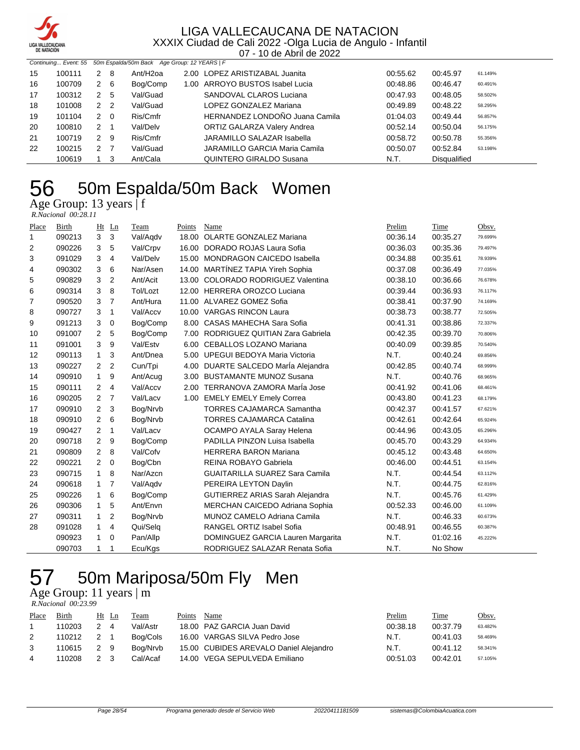

07 - 10 de Abril de 2022

|    | Continuing Event: 55 50m Espalda/50m Back Age Group: 12 YEARS   F |                      |                |          |  |                                    |          |                     |         |  |
|----|-------------------------------------------------------------------|----------------------|----------------|----------|--|------------------------------------|----------|---------------------|---------|--|
| 15 | 100111                                                            |                      | 2 8            | Ant/H2oa |  | 2.00 LOPEZ ARISTIZABAL Juanita     | 00:55.62 | 00:45.97            | 61.149% |  |
| 16 | 100709                                                            |                      | $2 \quad 6$    | Bog/Comp |  | 1.00 ARROYO BUSTOS Isabel Lucia    | 00:48.86 | 00:46.47            | 60.491% |  |
| 17 | 100312                                                            | $\mathbf{2}^{\circ}$ | 5              | Val/Guad |  | SANDOVAL CLAROS Luciana            | 00:47.93 | 00:48.05            | 58.502% |  |
| 18 | 101008                                                            | 2                    | $\overline{2}$ | Val/Guad |  | LOPEZ GONZALEZ Mariana             | 00:49.89 | 00:48.22            | 58.295% |  |
| 19 | 101104                                                            |                      | 2 0            | Ris/Cmfr |  | HERNANDEZ LONDOÑO Juana Camila     | 01:04.03 | 00:49.44            | 56.857% |  |
| 20 | 100810                                                            | 2                    |                | Val/Delv |  | <b>ORTIZ GALARZA Valery Andrea</b> | 00:52.14 | 00:50.04            | 56.175% |  |
| 21 | 100719                                                            | 2                    | - 9            | Ris/Cmfr |  | JARAMILLO SALAZAR Isabella         | 00:58.72 | 00:50.78            | 55.356% |  |
| 22 | 100215                                                            | 2                    | $\overline{7}$ | Val/Guad |  | JARAMILLO GARCIA Maria Camila      | 00:50.07 | 00:52.84            | 53.198% |  |
|    | 100619                                                            |                      | 3              | Ant/Cala |  | QUINTERO GIRALDO Susana            | N.T.     | <b>Disqualified</b> |         |  |

# 56 50m Espalda/50m Back Women

Age Group: 13 years | f  *R.Nacional 00:28.11* 

| Place | <b>Birth</b> | Ht             | Ln             | Team     | Points | Name                                   | Prelim   | Time     | Obsv.   |
|-------|--------------|----------------|----------------|----------|--------|----------------------------------------|----------|----------|---------|
| 1     | 090213       | 3              | 3              | Val/Aqdv | 18.00  | <b>OLARTE GONZALEZ Mariana</b>         | 00:36.14 | 00:35.27 | 79.699% |
| 2     | 090226       | 3              | 5              | Val/Crpv | 16.00  | DORADO ROJAS Laura Sofia               | 00:36.03 | 00:35.36 | 79.497% |
| 3     | 091029       | 3              | 4              | Val/Delv | 15.00  | <b>MONDRAGON CAICEDO Isabella</b>      | 00:34.88 | 00:35.61 | 78.939% |
| 4     | 090302       | 3              | 6              | Nar/Asen |        | 14.00 MARTÍNEZ TAPIA Yireh Sophia      | 00:37.08 | 00:36.49 | 77.035% |
| 5     | 090829       | 3              | $\overline{2}$ | Ant/Acit |        | 13.00 COLORADO RODRIGUEZ Valentina     | 00:38.10 | 00:36.66 | 76.678% |
| 6     | 090314       | 3              | 8              | Tol/Lozt |        | 12.00 HERRERA OROZCO Luciana           | 00:39.44 | 00:36.93 | 76.117% |
| 7     | 090520       | 3              | $\overline{7}$ | Ant/Hura |        | 11.00 ALVAREZ GOMEZ Sofia              | 00:38.41 | 00:37.90 | 74.169% |
| 8     | 090727       | 3              | 1              | Val/Accv |        | 10.00 VARGAS RINCON Laura              | 00:38.73 | 00:38.77 | 72.505% |
| 9     | 091213       | 3              | 0              | Bog/Comp |        | 8.00 CASAS MAHECHA Sara Sofia          | 00:41.31 | 00:38.86 | 72.337% |
| 10    | 091007       | $\overline{2}$ | 5              | Bog/Comp |        | 7.00 RODRIGUEZ QUITIAN Zara Gabriela   | 00:42.35 | 00:39.70 | 70.806% |
| 11    | 091001       | 3              | 9              | Val/Estv | 6.00   | CEBALLOS LOZANO Mariana                | 00:40.09 | 00:39.85 | 70.540% |
| 12    | 090113       | 1              | 3              | Ant/Dnea |        | 5.00 UPEGUI BEDOYA Maria Victoria      | N.T.     | 00:40.24 | 69.856% |
| 13    | 090227       | $\overline{2}$ | $\overline{2}$ | Cun/Tpi  | 4.00   | DUARTE SALCEDO MarÍa Alejandra         | 00:42.85 | 00:40.74 | 68.999% |
| 14    | 090910       | 1              | 9              | Ant/Acug |        | 3.00 BUSTAMANTE MUNOZ Susana           | N.T.     | 00:40.76 | 68.965% |
| 15    | 090111       | 2              | 4              | Val/Accv |        | 2.00 TERRANOVA ZAMORA María Jose       | 00:41.92 | 00:41.06 | 68.461% |
| 16    | 090205       | $\overline{2}$ | $\overline{7}$ | Val/Lacv |        | 1.00 EMELY EMELY Emely Correa          | 00:43.80 | 00:41.23 | 68.179% |
| 17    | 090910       | $\overline{2}$ | 3              | Bog/Nrvb |        | <b>TORRES CAJAMARCA Samantha</b>       | 00:42.37 | 00:41.57 | 67.621% |
| 18    | 090910       | $\overline{2}$ | 6              | Bog/Nrvb |        | <b>TORRES CAJAMARCA Catalina</b>       | 00:42.61 | 00:42.64 | 65.924% |
| 19    | 090427       | 2              | -1             | Val/Lacv |        | OCAMPO AYALA Saray Helena              | 00:44.96 | 00:43.05 | 65.296% |
| 20    | 090718       | 2              | 9              | Bog/Comp |        | PADILLA PINZON Luisa Isabella          | 00:45.70 | 00:43.29 | 64.934% |
| 21    | 090809       | 2              | 8              | Val/Cofv |        | <b>HERRERA BARON Mariana</b>           | 00:45.12 | 00:43.48 | 64.650% |
| 22    | 090221       | $\overline{2}$ | $\mathbf 0$    | Bog/Cbn  |        | REINA ROBAYO Gabriela                  | 00:46.00 | 00:44.51 | 63.154% |
| 23    | 090715       | $\mathbf{1}$   | 8              | Nar/Azcn |        | <b>GUAITARILLA SUAREZ Sara Camila</b>  | N.T.     | 00:44.54 | 63.112% |
| 24    | 090618       | $\mathbf{1}$   | $\overline{7}$ | Val/Aqdv |        | PEREIRA LEYTON Daylin                  | N.T.     | 00:44.75 | 62.816% |
| 25    | 090226       | 1              | 6              | Bog/Comp |        | <b>GUTIERREZ ARIAS Sarah Alejandra</b> | N.T.     | 00:45.76 | 61.429% |
| 26    | 090306       | 1              | 5              | Ant/Envn |        | MERCHAN CAICEDO Adriana Sophia         | 00:52.33 | 00:46.00 | 61.109% |
| 27    | 090311       | $\mathbf{1}$   | $\overline{2}$ | Bog/Nrvb |        | MUNOZ CAMELO Adriana Camila            | N.T.     | 00:46.33 | 60.673% |
| 28    | 091028       | 1              | 4              | Qui/Selq |        | RANGEL ORTIZ Isabel Sofia              | 00:48.91 | 00:46.55 | 60.387% |
|       | 090923       | 1              | 0              | Pan/Allp |        | DOMINGUEZ GARCIA Lauren Margarita      | N.T.     | 01:02.16 | 45.222% |
|       | 090703       | 1              | 1              | Ecu/Kgs  |        | RODRIGUEZ SALAZAR Renata Sofia         | N.T.     | No Show  |         |

### 50m Mariposa/50m Fly Men Age Group: 11 years | m

 *R.Nacional 00:23.99* 

| Place | Birth  | Ht Ln       | Team     | Points | Name                                   | Prelim   | Time     | Obsv.   |
|-------|--------|-------------|----------|--------|----------------------------------------|----------|----------|---------|
|       | 110203 | $2\sqrt{4}$ | Val/Astr |        | 18.00 PAZ GARCIA Juan David            | 00:38.18 | 00:37.79 | 63.482% |
|       | 110212 | 2 1         | Bog/Cols |        | 16.00 VARGAS SILVA Pedro Jose          | N.T.     | 00:41.03 | 58.469% |
| 3     | 110615 | 2 9         | Boa/Nrvb |        | 15.00 CUBIDES AREVALO Daniel Alejandro | N.T.     | 00:41.12 | 58.341% |
| 4     | 110208 | 2 3         | Cal/Acaf |        | 14.00 VEGA SEPULVEDA Emiliano          | 00:51.03 | 00:42.01 | 57.105% |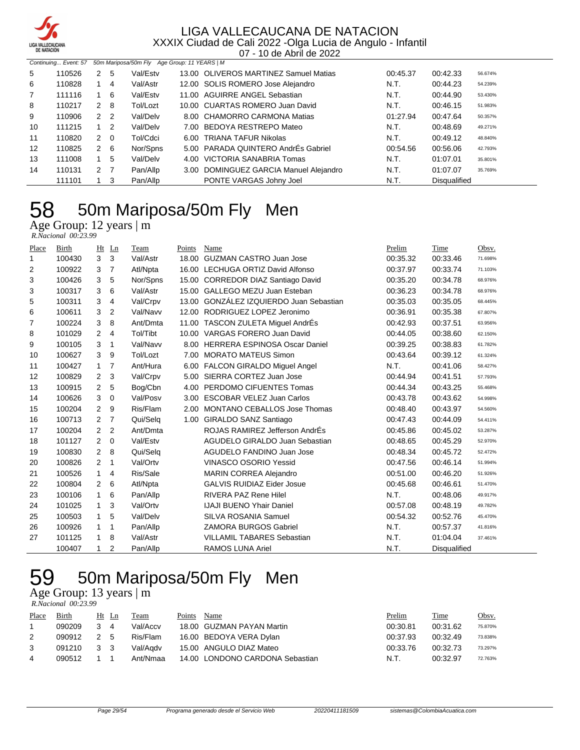

07 - 10 de Abril de 2022

| 50m Mariposa/50m Fly Age Group: 11 YEARS   M<br>Continuing Event: 57 |        |                |    |          |  |                                        |          |                     |         |
|----------------------------------------------------------------------|--------|----------------|----|----------|--|----------------------------------------|----------|---------------------|---------|
| 5                                                                    | 110526 | 2              | 5  | Val/Estv |  | 13.00 OLIVEROS MARTINEZ Samuel Matias  | 00:45.37 | 00:42.33            | 56.674% |
| 6                                                                    | 110828 |                | 4  | Val/Astr |  | 12.00 SOLIS ROMERO Jose Alejandro      | N.T.     | 00:44.23            | 54.239% |
| 7                                                                    | 111116 |                | -6 | Val/Estv |  | 11.00 AGUIRRE ANGEL Sebastian          | N.T.     | 00:44.90            | 53.430% |
| 8                                                                    | 110217 | 2              | -8 | Tol/Lozt |  | 10.00 CUARTAS ROMERO Juan David        | N.T.     | 00:46.15            | 51.983% |
| 9                                                                    | 110906 | 2 <sub>2</sub> |    | Val/Delv |  | 8.00 CHAMORRO CARMONA Matias           | 01:27.94 | 00:47.64            | 50.357% |
| 10                                                                   | 111215 |                | 2  | Val/Delv |  | 7.00 BEDOYA RESTREPO Mateo             | N.T.     | 00:48.69            | 49.271% |
| 11                                                                   | 110820 | $2 \quad 0$    |    | Tol/Cdci |  | 6.00 TRIANA TAFUR Nikolas              | N.T.     | 00:49.12            | 48.840% |
| 12                                                                   | 110825 | $2 \quad 6$    |    | Nor/Spns |  | 5.00 PARADA QUINTERO AndrÉs Gabriel    | 00:54.56 | 00:56.06            | 42.793% |
| 13                                                                   | 111008 |                | 5  | Val/Delv |  | 4.00 VICTORIA SANABRIA Tomas           | N.T.     | 01:07.01            | 35.801% |
| 14                                                                   | 110131 | 2 <sub>7</sub> |    | Pan/Allp |  | 3.00 DOMINGUEZ GARCIA Manuel Alejandro | N.T.     | 01:07.07            | 35.769% |
|                                                                      | 111101 |                | 3  | Pan/Allp |  | PONTE VARGAS Johny Joel                | N.T.     | <b>Disqualified</b> |         |

## 58 50m Mariposa/50m Fly Men

Age Group: 12 years | m  *R.Nacional 00:23.99* 

| Place | <b>Birth</b> | Ht             | Ln             | Team     | Points | Name                                 | Prelim   | Time         | Obsv.   |
|-------|--------------|----------------|----------------|----------|--------|--------------------------------------|----------|--------------|---------|
| 1     | 100430       | 3              | 3              | Val/Astr | 18.00  | <b>GUZMAN CASTRO Juan Jose</b>       | 00:35.32 | 00:33.46     | 71.698% |
| 2     | 100922       | 3              | 7              | Atl/Npta |        | 16.00 LECHUGA ORTIZ David Alfonso    | 00:37.97 | 00:33.74     | 71.103% |
| 3     | 100426       | 3              | 5              | Nor/Spns | 15.00  | <b>CORREDOR DIAZ Santiago David</b>  | 00:35.20 | 00:34.78     | 68.976% |
| 3     | 100317       | 3              | 6              | Val/Astr |        | 15.00 GALLEGO MEZU Juan Esteban      | 00:36.23 | 00:34.78     | 68.976% |
| 5     | 100311       | 3              | 4              | Val/Crpv | 13.00  | GONZÁLEZ IZQUIERDO Juan Sebastian    | 00:35.03 | 00:35.05     | 68.445% |
| 6     | 100611       | 3              | 2              | Val/Navv | 12.00  | RODRIGUEZ LOPEZ Jeronimo             | 00:36.91 | 00:35.38     | 67.807% |
| 7     | 100224       | 3              | 8              | Ant/Dmta |        | 11.00 TASCON ZULETA Miguel AndrEs    | 00:42.93 | 00:37.51     | 63.956% |
| 8     | 101029       | $\overline{2}$ | 4              | Tol/Tibt |        | 10.00 VARGAS FORERO Juan David       | 00:44.05 | 00:38.60     | 62.150% |
| 9     | 100105       | 3              | 1              | Val/Navv | 8.00   | <b>HERRERA ESPINOSA Oscar Daniel</b> | 00:39.25 | 00:38.83     | 61.782% |
| 10    | 100627       | 3              | 9              | Tol/Lozt | 7.00   | <b>MORATO MATEUS Simon</b>           | 00:43.64 | 00:39.12     | 61.324% |
| 11    | 100427       | $\mathbf{1}$   | $\overline{7}$ | Ant/Hura |        | 6.00 FALCON GIRALDO Miquel Angel     | N.T.     | 00:41.06     | 58.427% |
| 12    | 100829       | $\overline{2}$ | 3              | Val/Crpv | 5.00   | SIERRA CORTEZ Juan Jose              | 00:44.94 | 00:41.51     | 57.793% |
| 13    | 100915       | $\overline{2}$ | 5              | Bog/Cbn  | 4.00   | PERDOMO CIFUENTES Tomas              | 00:44.34 | 00:43.25     | 55.468% |
| 14    | 100626       | 3              | 0              | Val/Posv | 3.00   | <b>ESCOBAR VELEZ Juan Carlos</b>     | 00:43.78 | 00:43.62     | 54.998% |
| 15    | 100204       | 2              | 9              | Ris/Flam | 2.00   | MONTANO CEBALLOS Jose Thomas         | 00:48.40 | 00:43.97     | 54.560% |
| 16    | 100713       | $\overline{2}$ | 7              | Qui/Sela | 1.00   | <b>GIRALDO SANZ Santiago</b>         | 00:47.43 | 00:44.09     | 54.411% |
| 17    | 100204       | $\overline{2}$ | $\overline{2}$ | Ant/Dmta |        | ROJAS RAMIREZ Jefferson AndrÉs       | 00:45.86 | 00:45.02     | 53.287% |
| 18    | 101127       | $\overline{2}$ | 0              | Val/Estv |        | AGUDELO GIRALDO Juan Sebastian       | 00:48.65 | 00:45.29     | 52.970% |
| 19    | 100830       | $\overline{2}$ | 8              | Qui/Sela |        | AGUDELO FANDINO Juan Jose            | 00:48.34 | 00:45.72     | 52.472% |
| 20    | 100826       | $\overline{2}$ | 1              | Val/Ortv |        | <b>VINASCO OSORIO Yessid</b>         | 00:47.56 | 00:46.14     | 51.994% |
| 21    | 100526       | 1              | 4              | Ris/Sale |        | <b>MARIN CORREA Alejandro</b>        | 00:51.00 | 00:46.20     | 51.926% |
| 22    | 100804       | $\overline{2}$ | 6              | Atl/Npta |        | <b>GALVIS RUIDIAZ Eider Josue</b>    | 00:45.68 | 00:46.61     | 51.470% |
| 23    | 100106       | $\mathbf{1}$   | 6              | Pan/Allp |        | <b>RIVERA PAZ Rene Hilel</b>         | N.T.     | 00:48.06     | 49.917% |
| 24    | 101025       | $\mathbf{1}$   | 3              | Val/Ortv |        | <b>IJAJI BUENO Yhair Daniel</b>      | 00:57.08 | 00:48.19     | 49.782% |
| 25    | 100503       | $\mathbf 1$    | 5              | Val/Delv |        | SILVA ROSANIA Samuel                 | 00:54.32 | 00:52.76     | 45.470% |
| 26    | 100926       | 1              | 1              | Pan/Allp |        | <b>ZAMORA BURGOS Gabriel</b>         | N.T.     | 00:57.37     | 41.816% |
| 27    | 101125       | 1              | 8              | Val/Astr |        | <b>VILLAMIL TABARES Sebastian</b>    | N.T.     | 01:04.04     | 37.461% |
|       | 100407       | 1              | $\overline{2}$ | Pan/Allp |        | <b>RAMOS LUNA Ariel</b>              | N.T.     | Disqualified |         |

# 59 50m Mariposa/50m Fly Men

Age Group: 13 years | m

| R.Nacional 00:23.99 |  |
|---------------------|--|
|                     |  |

| Place | Birth  |     | Ht Ln          | Team     | Points | Name                            | Prelim   | Time     | Obsv.   |
|-------|--------|-----|----------------|----------|--------|---------------------------------|----------|----------|---------|
|       | 090209 | 3.  | $\overline{4}$ | Val/Accv |        | 18.00 GUZMAN PAYAN Martin       | 00:30.81 | 00:31.62 | 75.870% |
|       | 090912 | 2 5 |                | Ris/Flam |        | 16.00 BEDOYA VERA Dylan         | 00:37.93 | 00:32.49 | 73.838% |
|       | 091210 | 3 3 |                | Val/Agdy |        | 15.00 ANGULO DIAZ Mateo         | 00:33.76 | 00:32.73 | 73.297% |
| 4     | 090512 |     |                | Ant/Nmaa |        | 14.00 LONDONO CARDONA Sebastian | N.T.     | 00:32.97 | 72.763% |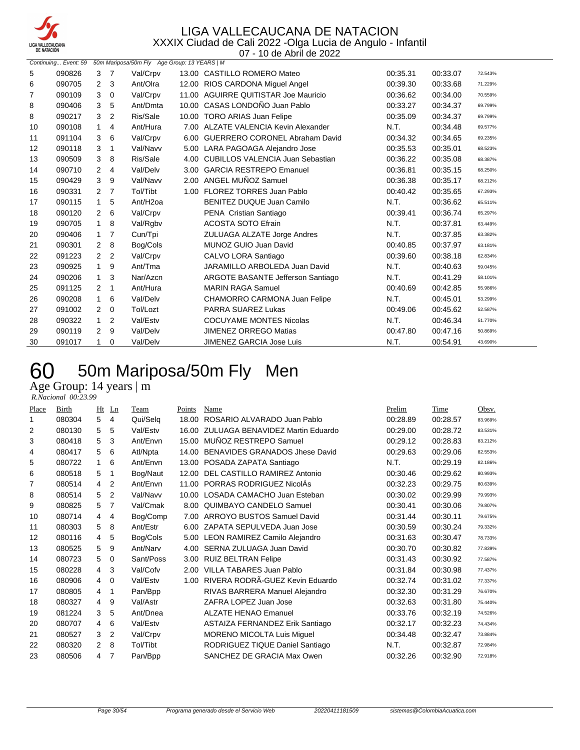

07 - 10 de Abril de 2022

| 50m Mariposa/50m Fly Age Group: 13 YEARS   M<br>Continuing Event: 59 |        |                |                |                      |      |                                         |          |          |         |  |
|----------------------------------------------------------------------|--------|----------------|----------------|----------------------|------|-----------------------------------------|----------|----------|---------|--|
| 5                                                                    | 090826 | 3              | 7              | Val/Crpv             |      | 13.00 CASTILLO ROMERO Mateo             | 00:35.31 | 00:33.07 | 72.543% |  |
| 6                                                                    | 090705 | $\overline{2}$ | 3              | Ant/Olra             |      | 12.00 RIOS CARDONA Miquel Angel         | 00:39.30 | 00:33.68 | 71.229% |  |
| 7                                                                    | 090109 | 3              | 0              | Val/Crpv             |      | 11.00 AGUIRRE QUITISTAR Joe Mauricio    | 00:36.62 | 00:34.00 | 70.559% |  |
| 8                                                                    | 090406 | 3              | 5              | Ant/Dmta             |      | 10.00 CASAS LONDOÑO Juan Pablo          | 00:33.27 | 00:34.37 | 69.799% |  |
| 8                                                                    | 090217 | 3              | $\overline{2}$ | Ris/Sale             |      | 10.00 TORO ARIAS Juan Felipe            | 00:35.09 | 00:34.37 | 69.799% |  |
| 10                                                                   | 090108 | 1              | 4              | Ant/Hura             |      | 7.00 ALZATE VALENCIA Kevin Alexander    | N.T.     | 00:34.48 | 69.577% |  |
| 11                                                                   | 091104 | 3              | 6              | Val/Crpv             |      | 6.00 GUERRERO CORONEL Abraham David     | 00:34.32 | 00:34.65 | 69.235% |  |
| 12                                                                   | 090118 | 3              | 1              | Val/Navv             |      | 5.00 LARA PAGOAGA Alejandro Jose        | 00:35.53 | 00:35.01 | 68.523% |  |
| 13                                                                   | 090509 | 3              | 8              | Ris/Sale             | 4.00 | <b>CUBILLOS VALENCIA Juan Sebastian</b> | 00:36.22 | 00:35.08 | 68.387% |  |
| 14                                                                   | 090710 | 2              | 4              | Val/Delv             |      | 3.00 GARCIA RESTREPO Emanuel            | 00:36.81 | 00:35.15 | 68.250% |  |
| 15                                                                   | 090429 | 3              | 9              | Val/Navv             |      | 2.00 ANGEL MUÑOZ Samuel                 | 00:36.38 | 00:35.17 | 68.212% |  |
| 16                                                                   | 090331 | $\overline{2}$ | 7              | Tol/Tibt             |      | 1.00 FLOREZ TORRES Juan Pablo           | 00:40.42 | 00:35.65 | 67.293% |  |
| 17                                                                   | 090115 | $\mathbf{1}$   | 5              | Ant/H <sub>20a</sub> |      | BENITEZ DUQUE Juan Camilo               | N.T.     | 00:36.62 | 65.511% |  |
| 18                                                                   | 090120 | $\overline{2}$ | 6              | Val/Crpv             |      | PENA Cristian Santiago                  | 00:39.41 | 00:36.74 | 65.297% |  |
| 19                                                                   | 090705 | 1              | 8              | Val/Rgbv             |      | <b>ACOSTA SOTO Efrain</b>               | N.T.     | 00:37.81 | 63.449% |  |
| 20                                                                   | 090406 | 1              | 7              | Cun/Tpi              |      | ZULUAGA ALZATE Jorge Andres             | N.T.     | 00:37.85 | 63.382% |  |
| 21                                                                   | 090301 | 2              | 8              | Bog/Cols             |      | MUNOZ GUIO Juan David                   | 00:40.85 | 00:37.97 | 63.181% |  |
| 22                                                                   | 091223 | 2              | 2              | Val/Crpv             |      | CALVO LORA Santiago                     | 00:39.60 | 00:38.18 | 62.834% |  |
| 23                                                                   | 090925 | 1              | 9              | Ant/Tma              |      | JARAMILLO ARBOLEDA Juan David           | N.T.     | 00:40.63 | 59.045% |  |
| 24                                                                   | 090206 | $\mathbf{1}$   | 3              | Nar/Azcn             |      | ARGOTE BASANTE Jefferson Santiago       | N.T.     | 00:41.29 | 58.101% |  |
| 25                                                                   | 091125 | 2              | 1              | Ant/Hura             |      | <b>MARIN RAGA Samuel</b>                | 00:40.69 | 00:42.85 | 55.986% |  |
| 26                                                                   | 090208 | 1              | 6              | Val/Delv             |      | <b>CHAMORRO CARMONA Juan Felipe</b>     | N.T.     | 00:45.01 | 53.299% |  |
| 27                                                                   | 091002 | 2              | 0              | Tol/Lozt             |      | PARRA SUAREZ Lukas                      | 00:49.06 | 00:45.62 | 52.587% |  |
| 28                                                                   | 090322 | 1              | 2              | Val/Estv             |      | <b>COCUYAME MONTES Nicolas</b>          | N.T.     | 00:46.34 | 51.770% |  |
| 29                                                                   | 090119 | 2              | 9              | Val/Delv             |      | <b>JIMENEZ ORREGO Matias</b>            | 00:47.80 | 00:47.16 | 50.869% |  |
| 30                                                                   | 091017 | 1              | 0              | Val/Delv             |      | <b>JIMENEZ GARCIA Jose Luis</b>         | N.T.     | 00:54.91 | 43.690% |  |

## 50m Mariposa/50m Fly Men

Age Group: 14 years | m

| R.Nacional 00:23.99 |  |
|---------------------|--|

| Place | Birth  | Ht             | $_{\text{Ln}}$ | Team      | Points | Name                                   | Prelim   | Time     | Obsv.   |
|-------|--------|----------------|----------------|-----------|--------|----------------------------------------|----------|----------|---------|
| 1     | 080304 | 5              | 4              | Qui/Selg  | 18.00  | ROSARIO ALVARADO Juan Pablo            | 00:28.89 | 00:28.57 | 83.969% |
| 2     | 080130 | 5              | 5              | Val/Estv  |        | 16.00 ZULUAGA BENAVIDEZ Martin Eduardo | 00:29.00 | 00:28.72 | 83.531% |
| 3     | 080418 | 5              | 3              | Ant/Envn  | 15.00  | MUÑOZ RESTREPO Samuel                  | 00:29.12 | 00:28.83 | 83.212% |
| 4     | 080417 | 5              | 6              | Atl/Npta  | 14.00  | <b>BENAVIDES GRANADOS Jhese David</b>  | 00:29.63 | 00:29.06 | 82.553% |
| 5     | 080722 | 1              | 6              | Ant/Envn  | 13.00  | POSADA ZAPATA Santiago                 | N.T.     | 00:29.19 | 82.186% |
| 6     | 080518 | 5              | 1              | Bog/Naut  | 12.00  | DEL CASTILLO RAMIREZ Antonio           | 00:30.46 | 00:29.62 | 80.993% |
| 7     | 080514 | 4              | 2              | Ant/Envn  | 11.00  | PORRAS RODRIGUEZ NicolÁs               | 00:32.23 | 00:29.75 | 80.639% |
| 8     | 080514 | 5              | 2              | Val/Navv  | 10.00  | LOSADA CAMACHO Juan Esteban            | 00:30.02 | 00:29.99 | 79.993% |
| 9     | 080825 | 5              | 7              | Val/Cmak  |        | 8.00 QUIMBAYO CANDELO Samuel           | 00:30.41 | 00:30.06 | 79.807% |
| 10    | 080714 | 4              | 4              | Bog/Comp  | 7.00   | ARROYO BUSTOS Samuel David             | 00:31.44 | 00:30.11 | 79.675% |
| 11    | 080303 | 5              | 8              | Ant/Estr  | 6.00   | ZAPATA SEPULVEDA Juan Jose             | 00:30.59 | 00:30.24 | 79.332% |
| 12    | 080116 | 4              | 5              | Bog/Cols  |        | 5.00 LEON RAMIREZ Camilo Alejandro     | 00:31.63 | 00:30.47 | 78.733% |
| 13    | 080525 | 5              | 9              | Ant/Narv  | 4.00   | SERNA ZULUAGA Juan David               | 00:30.70 | 00:30.82 | 77.839% |
| 14    | 080723 | 5              | $\mathbf 0$    | Sant/Poss |        | 3.00 RUIZ BELTRAN Felipe               | 00:31.43 | 00:30.92 | 77.587% |
| 15    | 080228 | 4              | 3              | Val/Cofv  | 2.00   | <b>VILLA TABARES Juan Pablo</b>        | 00:31.84 | 00:30.98 | 77.437% |
| 16    | 080906 | 4              | 0              | Val/Estv  | 1.00   | RIVERA RODRÃ-GUEZ Kevin Eduardo        | 00:32.74 | 00:31.02 | 77.337% |
| 17    | 080805 | 4              | 1              | Pan/Bpp   |        | RIVAS BARRERA Manuel Alejandro         | 00:32.30 | 00:31.29 | 76.670% |
| 18    | 080327 | 4              | 9              | Val/Astr  |        | ZAFRA LOPEZ Juan Jose                  | 00:32.63 | 00:31.80 | 75.440% |
| 19    | 081224 | 3              | 5              | Ant/Dnea  |        | <b>ALZATE HENAO Emanuel</b>            | 00:33.76 | 00:32.19 | 74.526% |
| 20    | 080707 | 4              | 6              | Val/Estv  |        | ASTAIZA FERNANDEZ Erik Santiago        | 00:32.17 | 00:32.23 | 74.434% |
| 21    | 080527 | 3              | $\overline{2}$ | Val/Crpv  |        | <b>MORENO MICOLTA Luis Miguel</b>      | 00:34.48 | 00:32.47 | 73.884% |
| 22    | 080320 | $\overline{2}$ | 8              | Tol/Tibt  |        | RODRIGUEZ TIQUE Daniel Santiago        | N.T.     | 00:32.87 | 72.984% |
| 23    | 080506 | 4              | 7              | Pan/Bpp   |        | SANCHEZ DE GRACIA Max Owen             | 00:32.26 | 00:32.90 | 72.918% |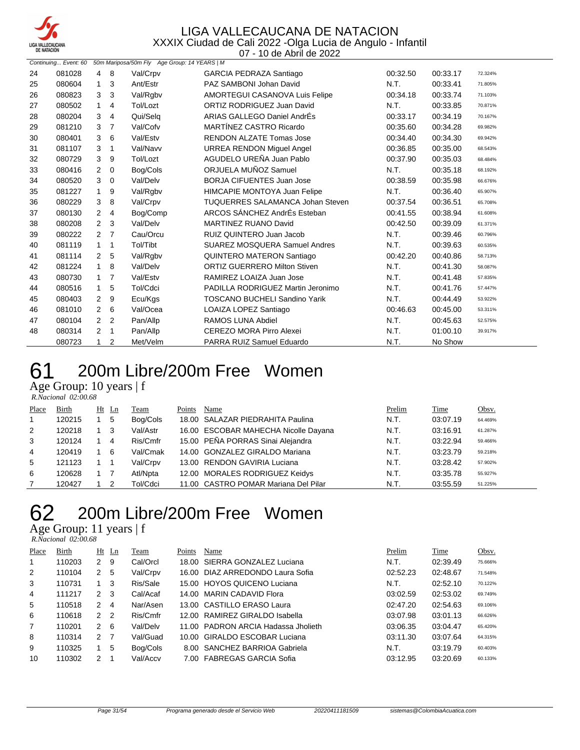

|    | Continuing Event: 60 |                |                | 50m Mariposa/50m Fly Age Group: 14 YEARS   M |                                         |          |          |         |
|----|----------------------|----------------|----------------|----------------------------------------------|-----------------------------------------|----------|----------|---------|
| 24 | 081028               | 4              | 8              | Val/Crpv                                     | GARCIA PEDRAZA Santiago                 | 00:32.50 | 00:33.17 | 72.324% |
| 25 | 080604               | $\mathbf{1}$   | 3              | Ant/Estr                                     | PAZ SAMBONI Johan David                 | N.T.     | 00:33.41 | 71.805% |
| 26 | 080823               | 3              | 3              | Val/Rgbv                                     | AMORTEGUI CASANOVA Luis Felipe          | 00:34.18 | 00:33.74 | 71.103% |
| 27 | 080502               | 1              | 4              | Tol/Lozt                                     | ORTIZ RODRIGUEZ Juan David              | N.T.     | 00:33.85 | 70.871% |
| 28 | 080204               | 3              | $\overline{4}$ | Qui/Selg                                     | ARIAS GALLEGO Daniel AndrÉs             | 00:33.17 | 00:34.19 | 70.167% |
| 29 | 081210               | 3              | 7              | Val/Cofv                                     | MARTÍNEZ CASTRO Ricardo                 | 00:35.60 | 00:34.28 | 69.982% |
| 30 | 080401               | 3              | 6              | Val/Estv                                     | <b>RENDON ALZATE Tomas Jose</b>         | 00:34.40 | 00:34.30 | 69.942% |
| 31 | 081107               | 3              | 1              | Val/Navv                                     | <b>URREA RENDON Miquel Angel</b>        | 00:36.85 | 00:35.00 | 68.543% |
| 32 | 080729               | 3              | 9              | Tol/Lozt                                     | AGUDELO UREÑA Juan Pablo                | 00:37.90 | 00:35.03 | 68.484% |
| 33 | 080416               | 2              | $\mathbf 0$    | Bog/Cols                                     | ORJUELA MUÑOZ Samuel                    | N.T.     | 00:35.18 | 68.192% |
| 34 | 080520               | 3              | $\mathbf 0$    | Val/Delv                                     | <b>BORJA CIFUENTES Juan Jose</b>        | 00:38.59 | 00:35.98 | 66.676% |
| 35 | 081227               | 1              | 9              | Val/Rgbv                                     | HIMCAPIE MONTOYA Juan Felipe            | N.T.     | 00:36.40 | 65.907% |
| 36 | 080229               | 3              | 8              | Val/Crpv                                     | <b>TUQUERRES SALAMANCA Johan Steven</b> | 00:37.54 | 00:36.51 | 65.708% |
| 37 | 080130               | $\overline{2}$ | 4              | Bog/Comp                                     | ARCOS SÁNCHEZ AndrÉs Esteban            | 00:41.55 | 00:38.94 | 61.608% |
| 38 | 080208               | $\overline{2}$ | 3              | Val/Delv                                     | <b>MARTINEZ RUANO David</b>             | 00:42.50 | 00:39.09 | 61.371% |
| 39 | 080222               | $\overline{2}$ | $\overline{7}$ | Cau/Orcu                                     | RUIZ QUINTERO Juan Jacob                | N.T.     | 00:39.46 | 60.796% |
| 40 | 081119               | $\mathbf{1}$   | $\overline{1}$ | Tol/Tibt                                     | SUAREZ MOSQUERA Samuel Andres           | N.T.     | 00:39.63 | 60.535% |
| 41 | 081114               | $\overline{2}$ | 5              | Val/Rgbv                                     | <b>QUINTERO MATERON Santiago</b>        | 00:42.20 | 00:40.86 | 58.713% |
| 42 | 081224               | $\mathbf{1}$   | 8              | Val/Delv                                     | <b>ORTIZ GUERRERO Milton Stiven</b>     | N.T.     | 00:41.30 | 58.087% |
| 43 | 080730               | $\mathbf{1}$   | 7              | Val/Estv                                     | RAMIREZ LOAIZA Juan Jose                | N.T.     | 00:41.48 | 57.835% |
| 44 | 080516               | 1.             | 5              | Tol/Cdci                                     | PADILLA RODRIGUEZ Martin Jeronimo       | N.T.     | 00:41.76 | 57.447% |
| 45 | 080403               | 2              | 9              | Ecu/Kgs                                      | <b>TOSCANO BUCHELI Sandino Yarik</b>    | N.T.     | 00:44.49 | 53.922% |
| 46 | 081010               | $\overline{2}$ | 6              | Val/Ocea                                     | LOAIZA LOPEZ Santiago                   | 00:46.63 | 00:45.00 | 53.311% |
| 47 | 080104               | $\overline{2}$ | $\overline{2}$ | Pan/Allp                                     | RAMOS LUNA Abdiel                       | N.T.     | 00:45.63 | 52.575% |
| 48 | 080314               | 2              | $\overline{1}$ | Pan/Allp                                     | CEREZO MORA Pirro Alexei                | N.T.     | 01:00.10 | 39.917% |
|    | 080723               | 1              | 2              | Met/Velm                                     | PARRA RUIZ Samuel Eduardo               | N.T.     | No Show  |         |

## 61 200m Libre/200m Free Women

Age Group: 10 years | f

|  | R.Nacional 02:00.68 |  |  |
|--|---------------------|--|--|
|  |                     |  |  |

| Place        | Birth  | Ht Ln | Team     | Points | Name                                 | Prelim | Time     | Obsv.   |
|--------------|--------|-------|----------|--------|--------------------------------------|--------|----------|---------|
| $\mathbf{1}$ | 120215 | 5     | Bog/Cols |        | 18.00 SALAZAR PIEDRAHITA Paulina     | N.T.   | 03:07.19 | 64.469% |
| 2            | 120218 | -3    | Val/Astr |        | 16.00 ESCOBAR MAHECHA Nicolle Dayana | N.T.   | 03:16.91 | 61.287% |
| 3            | 120124 | 4     | Ris/Cmfr |        | 15.00 PEÑA PORRAS Sinai Alejandra    | N.T.   | 03:22.94 | 59.466% |
| 4            | 120419 | -6    | Val/Cmak |        | 14.00 GONZALEZ GIRALDO Mariana       | N.T.   | 03:23.79 | 59.218% |
| 5            | 121123 |       | Val/Crpv |        | 13.00 RENDON GAVIRIA Luciana         | N.T.   | 03:28.42 | 57.902% |
| 6            | 120628 |       | Atl/Npta |        | 12.00 MORALES RODRIGUEZ Keidys       | N.T.   | 03:35.78 | 55.927% |
|              | 120427 |       | Tol/Cdci |        | 11.00 CASTRO POMAR Mariana Del Pilar | N.T.   | 03:55.59 | 51.225% |

## 200m Libre/200m Free Women

Age Group: 11 years | f

| R.Nacional 02:00.68 |  |
|---------------------|--|

| Place          | Birth  |               | $Ht$ Ln | Team     | Points | Name                                | Prelim   | Time     | Obsv.   |
|----------------|--------|---------------|---------|----------|--------|-------------------------------------|----------|----------|---------|
| 1              | 110203 | 2             | -9      | Cal/Orcl |        | 18.00 SIERRA GONZALEZ Luciana       | N.T.     | 02:39.49 | 75.666% |
| 2              | 110104 | 2             | 5       | Val/Crpv |        | 16.00 DIAZ ARREDONDO Laura Sofia    | 02:52.23 | 02:48.67 | 71.548% |
| 3              | 110731 |               | 3       | Ris/Sale |        | 15.00 HOYOS QUICENO Luciana         | N.T.     | 02:52.10 | 70.122% |
| 4              | 111217 | 2             | -3      | Cal/Acaf |        | 14.00 MARIN CADAVID Flora           | 03:02.59 | 02:53.02 | 69.749% |
| 5              | 110518 | $\mathcal{P}$ | 4       | Nar/Asen |        | 13.00 CASTILLO ERASO Laura          | 02:47.20 | 02:54.63 | 69.106% |
| 6              | 110618 | $\mathcal{P}$ | -2      | Ris/Cmfr |        | 12.00 RAMIREZ GIRALDO Isabella      | 03:07.98 | 03:01.13 | 66.626% |
| $\overline{7}$ | 110201 | $\mathcal{P}$ | -6      | Val/Delv |        | 11.00 PADRON ARCIA Hadassa Jholieth | 03:06.35 | 03:04.47 | 65.420% |
| 8              | 110314 | $\mathcal{P}$ | -7      | Val/Guad |        | 10.00 GIRALDO ESCOBAR Luciana       | 03:11.30 | 03:07.64 | 64.315% |
| 9              | 110325 |               | 5       | Bog/Cols |        | 8.00 SANCHEZ BARRIOA Gabriela       | N.T.     | 03:19.79 | 60.403% |
| 10             | 110302 |               |         | Val/Accv |        | 7.00 FABREGAS GARCIA Sofia          | 03:12.95 | 03:20.69 | 60.133% |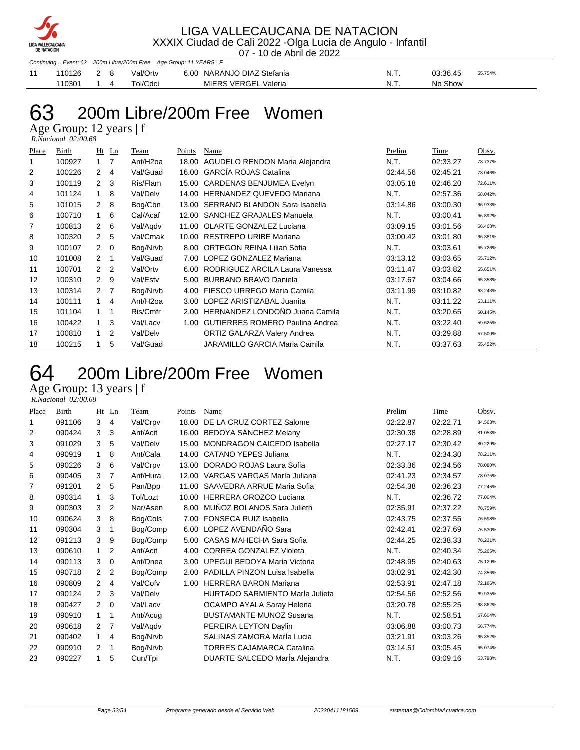

### LIGA VALLECAUCANA DE NATACION

XXXIX Ciudad de Cali 2022 -Olga Lucia de Angulo - Infantil

|  | 07 - 10 de Abril de 2022 |  |
|--|--------------------------|--|

|    |            |            | Continuing Event: 62 200m Libre/200m Free Age Group: 11 YEARS   F |                            |      |          |         |
|----|------------|------------|-------------------------------------------------------------------|----------------------------|------|----------|---------|
| 11 | 110126 2 8 |            | Val/Ortv                                                          | 6.00 NARANJO DIAZ Stefania | N.T. | 03:36.45 | 55.754% |
|    | 110301     | $1\quad 4$ | Tol/Cdci                                                          | MIERS VERGEL Valeria       | N.T. | No Show  |         |

# 200m Libre/200m Free Women

Age Group: 12 years | f  *R.Nacional 02:00.68* 

| Place          | Birth  |                | $Ht$ Ln | Team                 | Points | Name                                   | Prelim   | Time     | Obsv.   |
|----------------|--------|----------------|---------|----------------------|--------|----------------------------------------|----------|----------|---------|
|                | 100927 | $1 \quad 7$    |         | Ant/H <sub>20a</sub> | 18.00  | AGUDELO RENDON Maria Alejandra         | N.T.     | 02:33.27 | 78.737% |
| $\overline{2}$ | 100226 | $\overline{2}$ | 4       | Val/Guad             |        | 16.00 GARCÍA ROJAS Catalina            | 02:44.56 | 02:45.21 | 73.046% |
| 3              | 100119 | 2 <sub>3</sub> |         | Ris/Flam             | 15.00  | CARDENAS BENJUMEA Evelyn               | 03:05.18 | 02:46.20 | 72.611% |
| 4              | 101124 |                | 8       | Val/Delv             | 14.00  | <b>HERNANDEZ QUEVEDO Mariana</b>       | N.T.     | 02:57.36 | 68.042% |
| 5              | 101015 | 2              | -8      | Bog/Cbn              | 13.00  | <b>SERRANO BLANDON Sara Isabella</b>   | 03:14.86 | 03:00.30 | 66.933% |
| 6              | 100710 |                | 6       | Cal/Acaf             | 12.00  | SANCHEZ GRAJALES Manuela               | N.T.     | 03:00.41 | 66.892% |
|                | 100813 | $\overline{2}$ | - 6     | Val/Agdv             | 11.00  | <b>OLARTE GONZALEZ Luciana</b>         | 03:09.15 | 03:01.56 | 66.468% |
| 8              | 100320 | 2              | 5       | Val/Cmak             | 10.00  | RESTREPO URIBE Mariana                 | 03:00.42 | 03:01.80 | 66.381% |
| 9              | 100107 | $2 \quad 0$    |         | Bog/Nrvb             | 8.00   | <b>ORTEGON REINA Lilian Sofia</b>      | N.T.     | 03:03.61 | 65.726% |
| 10             | 101008 | $2 \quad 1$    |         | Val/Guad             | 7.00   | LOPEZ GONZALEZ Mariana                 | 03:13.12 | 03:03.65 | 65.712% |
| 11             | 100701 | 2 <sub>2</sub> |         | Val/Ortv             | 6.00   | RODRIGUEZ ARCILA Laura Vanessa         | 03:11.47 | 03:03.82 | 65.651% |
| 12             | 100310 | $\mathbf{2}$   | 9       | Val/Estv             | 5.00   | <b>BURBANO BRAVO Daniela</b>           | 03:17.67 | 03:04.66 | 65.353% |
| 13             | 100314 | 2 <sub>7</sub> |         | Bog/Nrvb             | 4.00   | FIESCO URREGO Maria Camila             | 03:11.99 | 03:10.82 | 63.243% |
| 14             | 100111 |                | 4       | Ant/H <sub>20a</sub> | 3.00   | LOPEZ ARISTIZABAL Juanita              | N.T.     | 03:11.22 | 63.111% |
| 15             | 101104 |                | - 1     | Ris/Cmfr             | 2.00   | HERNANDEZ LONDOÑO Juana Camila         | N.T.     | 03:20.65 | 60.145% |
| 16             | 100422 |                | 3       | Val/Lacv             | 1.00   | <b>GUTIERRES ROMERO Paulina Andrea</b> | N.T.     | 03:22.40 | 59.625% |
| 17             | 100810 |                | 2       | Val/Delv             |        | <b>ORTIZ GALARZA Valery Andrea</b>     | N.T.     | 03:29.88 | 57.500% |
| 18             | 100215 |                | 5       | Val/Guad             |        | <b>JARAMILLO GARCIA Maria Camila</b>   | N.T.     | 03:37.63 | 55.452% |

### 200m Libre/200m Free Women 200m Lib Age Group: 13 years  $|f|$

|        | R.Nacional 02:00.68          |         |  |
|--------|------------------------------|---------|--|
| Dlace. | $\mathbf{D}_{\mathbf{irth}}$ | $Hf$ In |  |

| Place | Birth  | Ht                   | Ln             | Team     | Points | Name                                   | Prelim   | Time     | Obsv.   |
|-------|--------|----------------------|----------------|----------|--------|----------------------------------------|----------|----------|---------|
| 1     | 091106 | 3                    | 4              | Val/Crpv | 18.00  | DE LA CRUZ CORTEZ Salome               | 02:22.87 | 02:22.71 | 84.563% |
| 2     | 090424 | 3                    | 3              | Ant/Acit |        | 16.00 BEDOYA SANCHEZ Melany            | 02:30.38 | 02:28.89 | 81.053% |
| 3     | 091029 | 3                    | 5              | Val/Delv | 15.00  | <b>MONDRAGON CAICEDO Isabella</b>      | 02:27.17 | 02:30.42 | 80.229% |
| 4     | 090919 | $\mathbf{1}$         | 8              | Ant/Cala |        | 14.00 CATANO YEPES Juliana             | N.T.     | 02:34.30 | 78.211% |
| 5     | 090226 | 3                    | 6              | Val/Crpv | 13.00  | DORADO ROJAS Laura Sofia               | 02:33.36 | 02:34.56 | 78.080% |
| 6     | 090405 | 3                    | 7              | Ant/Hura | 12.00  | VARGAS VARGAS Marla Juliana            | 02:41.23 | 02:34.57 | 78.075% |
| 7     | 091201 | $\overline{2}$       | 5              | Pan/Bpp  | 11.00  | SAAVEDRA ARRUE Maria Sofia             | 02:54.38 | 02:36.23 | 77.245% |
| 8     | 090314 | $\mathbf 1$          | 3              | Tol/Lozt |        | 10.00 HERRERA OROZCO Luciana           | N.T.     | 02:36.72 | 77.004% |
| 9     | 090303 | 3                    | 2              | Nar/Asen |        | 8.00 MUÑOZ BOLANOS Sara Julieth        | 02:35.91 | 02:37.22 | 76.759% |
| 10    | 090624 | 3                    | 8              | Bog/Cols | 7.00   | FONSECA RUIZ Isabella                  | 02:43.75 | 02:37.55 | 76.598% |
| 11    | 090304 | 3                    | 1              | Bog/Comp | 6.00   | LOPEZ AVENDAÑO Sara                    | 02:42.41 | 02:37.69 | 76.530% |
| 12    | 091213 | 3                    | 9              | Bog/Comp | 5.00   | CASAS MAHECHA Sara Sofia               | 02:44.25 | 02:38.33 | 76.221% |
| 13    | 090610 | 1                    | $\overline{2}$ | Ant/Acit | 4.00   | <b>CORREA GONZALEZ Violeta</b>         | N.T.     | 02:40.34 | 75.265% |
| 14    | 090113 | 3                    | $\mathbf 0$    | Ant/Dnea |        | 3.00 UPEGUI BEDOYA Maria Victoria      | 02:48.95 | 02:40.63 | 75.129% |
| 15    | 090718 | $\mathbf{2}^{\circ}$ | $\overline{2}$ | Bog/Comp | 2.00   | PADILLA PINZON Luisa Isabella          | 03:02.91 | 02:42.30 | 74.356% |
| 16    | 090809 | $\overline{2}$       | 4              | Val/Cofv | 1.00   | <b>HERRERA BARON Mariana</b>           | 02:53.91 | 02:47.18 | 72.186% |
| 17    | 090124 | $\mathcal{P}$        | 3              | Val/Delv |        | <b>HURTADO SARMIENTO María Julieta</b> | 02:54.56 | 02:52.56 | 69.935% |
| 18    | 090427 | $\overline{2}$       | 0              | Val/Lacv |        | OCAMPO AYALA Saray Helena              | 03:20.78 | 02:55.25 | 68.862% |
| 19    | 090910 | $\mathbf{1}$         | 1              | Ant/Acug |        | <b>BUSTAMANTE MUNOZ Susana</b>         | N.T.     | 02:58.51 | 67.604% |
| 20    | 090618 | $\overline{2}$       | 7              | Val/Aqdv |        | PEREIRA LEYTON Daylin                  | 03:06.88 | 03:00.73 | 66.774% |
| 21    | 090402 | $\mathbf{1}$         | 4              | Bog/Nrvb |        | SALINAS ZAMORA Marla Lucia             | 03:21.91 | 03:03.26 | 65.852% |
| 22    | 090910 | 2                    | 1              | Bog/Nrvb |        | <b>TORRES CAJAMARCA Catalina</b>       | 03:14.51 | 03:05.45 | 65.074% |
| 23    | 090227 | 1                    | 5              | Cun/Tpi  |        | DUARTE SALCEDO María Alejandra         | N.T.     | 03:09.16 | 63.798% |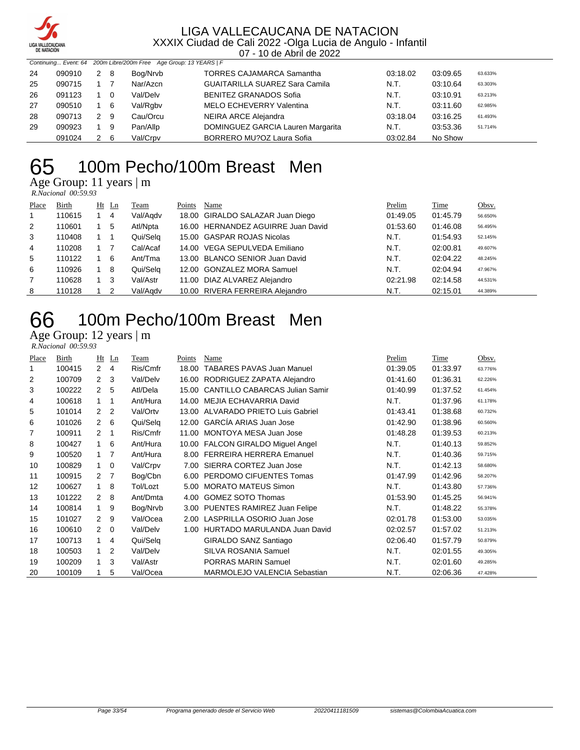

|    | <b>DE NATACION</b> |                |                                                                   | 07 - 10 de Abril de 2022              |          |          |         |  |
|----|--------------------|----------------|-------------------------------------------------------------------|---------------------------------------|----------|----------|---------|--|
|    |                    |                | Continuing Event: 64 200m Libre/200m Free Age Group: 13 YEARS   F |                                       |          |          |         |  |
| 24 | 090910             | 2 8            | Bog/Nrvb                                                          | <b>TORRES CAJAMARCA Samantha</b>      | 03:18.02 | 03:09.65 | 63.633% |  |
| 25 | 090715             |                | Nar/Azcn                                                          | <b>GUAITARILLA SUAREZ Sara Camila</b> | N.T.     | 03:10.64 | 63.303% |  |
| 26 | 091123             | $\overline{0}$ | Val/Delv                                                          | <b>BENITEZ GRANADOS Sofia</b>         | N.T.     | 03:10.91 | 63.213% |  |
| 27 | 090510             | 1 6            | Val/Rgbv                                                          | MELO ECHEVERRY Valentina              | N.T.     | 03:11.60 | 62.985% |  |
| 28 | 090713             | 2 9            | Cau/Orcu                                                          | NEIRA ARCE Alejandra                  | 03:18.04 | 03:16.25 | 61.493% |  |
| 29 | 090923             | - 9            | Pan/Allp                                                          | DOMINGUEZ GARCIA Lauren Margarita     | N.T.     | 03:53.36 | 51.714% |  |
|    | 091024             | 2 6            | Val/Crpv                                                          | BORRERO MU?OZ Laura Sofia             | 03:02.84 | No Show  |         |  |

### 100m Pecho/100m Breast Men

Age Group: 11 years | m

 *R.Nacional 00:59.93* 

| Place | <b>Birth</b> | $Ht$ Ln | Team     | Points | Name                               | Prelim   | <b>Time</b> | Obsv.   |
|-------|--------------|---------|----------|--------|------------------------------------|----------|-------------|---------|
| 1     | 110615       | 4       | Val/Agdv |        | 18.00 GIRALDO SALAZAR Juan Diego   | 01:49.05 | 01:45.79    | 56.650% |
| 2     | 110601       | 5       | Atl/Npta |        | 16.00 HERNANDEZ AGUIRRE Juan David | 01:53.60 | 01:46.08    | 56.495% |
| 3     | 110408       |         | Qui/Selg |        | 15.00 GASPAR ROJAS Nicolas         | N.T.     | 01:54.93    | 52.145% |
| 4     | 110208       |         | Cal/Acaf |        | 14.00 VEGA SEPULVEDA Emiliano      | N.T.     | 02:00.81    | 49.607% |
| 5     | 110122       | 6       | Ant/Tma  |        | 13.00 BLANCO SENIOR Juan David     | N.T.     | 02:04.22    | 48.245% |
| 6     | 110926       | 8       | Qui/Selg |        | 12.00 GONZALEZ MORA Samuel         | N.T.     | 02:04.94    | 47.967% |
| 7     | 110628       | -3      | Val/Astr |        | 11.00 DIAZ ALVAREZ Alejandro       | 02:21.98 | 02:14.58    | 44.531% |
| 8     | 110128       |         | Val/Agdy |        | 10.00 RIVERA FERREIRA Alejandro    | N.T.     | 02:15.01    | 44.389% |

## 100m Pecho/100m Breast Men

Age Group: 12 years | m  *R.Nacional 00:59.93* 

| Place | <b>Birth</b> | Ht             | Ln             | Team     | Points | Name                                  | Prelim   | Time     | Obsv.   |
|-------|--------------|----------------|----------------|----------|--------|---------------------------------------|----------|----------|---------|
|       | 100415       | $\overline{2}$ | 4              | Ris/Cmfr | 18.00  | <b>TABARES PAVAS Juan Manuel</b>      | 01:39.05 | 01:33.97 | 63.776% |
| 2     | 100709       | $\mathcal{P}$  | 3              | Val/Delv | 16.00  | RODRIGUEZ ZAPATA Alejandro            | 01:41.60 | 01:36.31 | 62.226% |
| 3     | 100222       | $\mathcal{P}$  | 5              | Atl/Dela | 15.00  | <b>CANTILLO CABARCAS Julian Samir</b> | 01:40.99 | 01:37.52 | 61.454% |
| 4     | 100618       | 1              | 1              | Ant/Hura | 14.00  | MEJIA ECHAVARRIA David                | N.T.     | 01:37.96 | 61.178% |
| 5     | 101014       | $\mathcal{P}$  | $\overline{2}$ | Val/Ortv | 13.00  | <b>ALVARADO PRIETO Luis Gabriel</b>   | 01:43.41 | 01:38.68 | 60.732% |
| 6     | 101026       | $\mathcal{P}$  | 6              | Qui/Selg | 12.00  | <b>GARCÍA ARIAS Juan Jose</b>         | 01:42.90 | 01:38.96 | 60.560% |
| 7     | 100911       | $\mathcal{P}$  | 1              | Ris/Cmfr | 11.00  | MONTOYA MESA Juan Jose                | 01:48.28 | 01:39.53 | 60.213% |
| 8     | 100427       | $\mathbf 1$    | 6              | Ant/Hura | 10.00  | FALCON GIRALDO Miguel Angel           | N.T.     | 01:40.13 | 59.852% |
| 9     | 100520       | $\mathbf 1$    | 7              | Ant/Hura | 8.00   | <b>FERREIRA HERRERA Emanuel</b>       | N.T.     | 01:40.36 | 59.715% |
| 10    | 100829       | $\mathbf{1}$   | 0              | Val/Crpv | 7.00   | SIERRA CORTEZ Juan Jose               | N.T.     | 01:42.13 | 58.680% |
| 11    | 100915       | $\mathcal{P}$  | 7              | Bog/Cbn  | 6.00   | PERDOMO CIFUENTES Tomas               | 01:47.99 | 01:42.96 | 58.207% |
| 12    | 100627       | 1              | 8              | Tol/Lozt | 5.00   | <b>MORATO MATEUS Simon</b>            | N.T.     | 01:43.80 | 57.736% |
| 13    | 101222       | $\mathcal{P}$  | 8              | Ant/Dmta | 4.00   | <b>GOMEZ SOTO Thomas</b>              | 01:53.90 | 01:45.25 | 56.941% |
| 14    | 100814       | $\mathbf{1}$   | 9              | Bog/Nrvb | 3.00   | PUENTES RAMIREZ Juan Felipe           | N.T.     | 01:48.22 | 55.378% |
| 15    | 101027       | $\mathcal{P}$  | 9              | Val/Ocea | 2.00   | LASPRILLA OSORIO Juan Jose            | 02:01.78 | 01:53.00 | 53.035% |
| 16    | 100610       | $\mathcal{P}$  | 0              | Val/Delv | 1.00   | <b>HURTADO MARULANDA Juan David</b>   | 02:02.57 | 01:57.02 | 51.213% |
| 17    | 100713       | $\mathbf{1}$   | 4              | Qui/Selg |        | <b>GIRALDO SANZ Santiago</b>          | 02:06.40 | 01:57.79 | 50.879% |
| 18    | 100503       | $\mathbf 1$    | $\overline{2}$ | Val/Delv |        | SILVA ROSANIA Samuel                  | N.T.     | 02:01.55 | 49.305% |
| 19    | 100209       | 1              | 3              | Val/Astr |        | <b>PORRAS MARIN Samuel</b>            | N.T.     | 02:01.60 | 49.285% |
| 20    | 100109       |                | 5              | Val/Ocea |        | MARMOLEJO VALENCIA Sebastian          | N.T.     | 02:06.36 | 47.428% |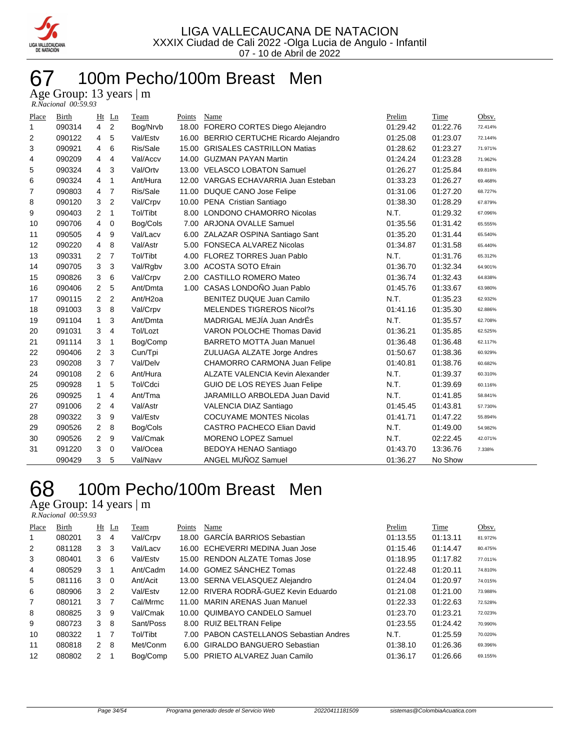

### 100m Pecho/100m Breast Men 67 100m Pec<br>Age Group: 13 years | m

| R.Nacional 00:59.93 |  |
|---------------------|--|

| Place        | Birth  |                | Ht Ln          | Team                 | Points | Name                                    | Prelim   | Time     | Obsv.   |
|--------------|--------|----------------|----------------|----------------------|--------|-----------------------------------------|----------|----------|---------|
| $\mathbf{1}$ | 090314 | $\overline{4}$ | 2              | Bog/Nrvb             |        | 18.00 FORERO CORTES Diego Alejandro     | 01:29.42 | 01:22.76 | 72.414% |
| 2            | 090122 | 4              | 5              | Val/Estv             |        | 16.00 BERRIO CERTUCHE Ricardo Alejandro | 01:25.08 | 01:23.07 | 72.144% |
| 3            | 090921 | $\overline{4}$ | 6              | Ris/Sale             |        | 15.00 GRISALES CASTRILLON Matias        | 01:28.62 | 01:23.27 | 71.971% |
| 4            | 090209 | $\overline{4}$ | 4              | Val/Accv             |        | 14.00 GUZMAN PAYAN Martin               | 01:24.24 | 01:23.28 | 71.962% |
| 5            | 090324 | $\overline{4}$ | 3              | Val/Ortv             |        | 13.00 VELASCO LOBATON Samuel            | 01:26.27 | 01:25.84 | 69.816% |
| 6            | 090324 | 4              | 1              | Ant/Hura             |        | 12.00 VARGAS ECHAVARRIA Juan Esteban    | 01:33.23 | 01:26.27 | 69.468% |
| 7            | 090803 | 4              | $\overline{7}$ | Ris/Sale             |        | 11.00 DUQUE CANO Jose Felipe            | 01:31.06 | 01:27.20 | 68.727% |
| 8            | 090120 | 3              | 2              | Val/Crpv             |        | 10.00 PENA Cristian Santiago            | 01:38.30 | 01:28.29 | 67.879% |
| 9            | 090403 | 2              | 1              | Tol/Tibt             |        | 8.00 LONDONO CHAMORRO Nicolas           | N.T.     | 01:29.32 | 67.096% |
| 10           | 090706 | $\overline{4}$ | 0              | Bog/Cols             |        | 7.00 ARJONA OVALLE Samuel               | 01:35.56 | 01:31.42 | 65.555% |
| 11           | 090505 | 4              | 9              | Val/Lacv             |        | 6.00 ZALAZAR OSPINA Santiago Sant       | 01:35.20 | 01:31.44 | 65.540% |
| 12           | 090220 | $\overline{4}$ | 8              | Val/Astr             |        | 5.00 FONSECA ALVAREZ Nicolas            | 01:34.87 | 01:31.58 | 65.440% |
| 13           | 090331 | 2              | $\overline{7}$ | Tol/Tibt             | 4.00   | FLOREZ TORRES Juan Pablo                | N.T.     | 01:31.76 | 65.312% |
| 14           | 090705 | 3              | 3              | Val/Rgbv             |        | 3.00 ACOSTA SOTO Efrain                 | 01:36.70 | 01:32.34 | 64.901% |
| 15           | 090826 | 3              | 6              | Val/Crpv             |        | 2.00 CASTILLO ROMERO Mateo              | 01:36.74 | 01:32.43 | 64.838% |
| 16           | 090406 | 2              | 5              | Ant/Dmta             |        | 1.00 CASAS LONDOÑO Juan Pablo           | 01:45.76 | 01:33.67 | 63.980% |
| 17           | 090115 | 2              | 2              | Ant/H <sub>2oa</sub> |        | <b>BENITEZ DUQUE Juan Camilo</b>        | N.T.     | 01:35.23 | 62.932% |
| 18           | 091003 | 3              | 8              | Val/Crpv             |        | <b>MELENDES TIGREROS Nicol?s</b>        | 01:41.16 | 01:35.30 | 62.886% |
| 19           | 091104 | $\mathbf{1}$   | 3              | Ant/Dmta             |        | MADRIGAL MEJÍA Juan AndrÉs              | N.T.     | 01:35.57 | 62.708% |
| 20           | 091031 | 3              | 4              | Tol/Lozt             |        | <b>VARON POLOCHE Thomas David</b>       | 01:36.21 | 01:35.85 | 62.525% |
| 21           | 091114 | 3              | 1              | Bog/Comp             |        | <b>BARRETO MOTTA Juan Manuel</b>        | 01:36.48 | 01:36.48 | 62.117% |
| 22           | 090406 | 2              | 3              | Cun/Tpi              |        | ZULUAGA ALZATE Jorge Andres             | 01:50.67 | 01:38.36 | 60.929% |
| 23           | 090208 | 3              | $\overline{7}$ | Val/Delv             |        | CHAMORRO CARMONA Juan Felipe            | 01:40.81 | 01:38.76 | 60.682% |
| 24           | 090108 | 2              | 6              | Ant/Hura             |        | ALZATE VALENCIA Kevin Alexander         | N.T.     | 01:39.37 | 60.310% |
| 25           | 090928 | $\mathbf{1}$   | 5              | Tol/Cdci             |        | GUIO DE LOS REYES Juan Felipe           | N.T.     | 01:39.69 | 60.116% |
| 26           | 090925 | $\mathbf{1}$   | 4              | Ant/Tma              |        | JARAMILLO ARBOLEDA Juan David           | N.T.     | 01:41.85 | 58.841% |
| 27           | 091006 | 2              | 4              | Val/Astr             |        | VALENCIA DIAZ Santiago                  | 01:45.45 | 01:43.81 | 57.730% |
| 28           | 090322 | 3              | 9              | Val/Estv             |        | <b>COCUYAME MONTES Nicolas</b>          | 01:41.71 | 01:47.22 | 55.894% |
| 29           | 090526 | 2              | 8              | Bog/Cols             |        | <b>CASTRO PACHECO Elian David</b>       | N.T.     | 01:49.00 | 54.982% |
| 30           | 090526 | $\overline{2}$ | 9              | Val/Cmak             |        | <b>MORENO LOPEZ Samuel</b>              | N.T.     | 02:22.45 | 42.071% |
| 31           | 091220 | 3              | 0              | Val/Ocea             |        | BEDOYA HENAO Santiago                   | 01:43.70 | 13:36.76 | 7.338%  |
|              | 090429 | 3              | 5              | Val/Navv             |        | ANGEL MUÑOZ Samuel                      | 01:36.27 | No Show  |         |

### 100m Pecho/100m Breast Men Age Group: 14 years | m

 *R.Nacional 00:59.93* 

| Place          | Birth  |               | $Ht$ Ln        | Team      | Points | Name                                    | Prelim   | Time     | Obsv.   |
|----------------|--------|---------------|----------------|-----------|--------|-----------------------------------------|----------|----------|---------|
|                | 080201 | 3             | $\overline{4}$ | Val/Crpv  |        | 18.00 GARCÍA BARRIOS Sebastian          | 01:13.55 | 01:13.11 | 81.972% |
| 2              | 081128 | 3             | -3             | Val/Lacv  |        | 16.00 ECHEVERRI MEDINA Juan Jose        | 01:15.46 | 01:14.47 | 80.475% |
| 3              | 080401 | 3             | -6             | Val/Estv  |        | 15.00 RENDON ALZATE Tomas Jose          | 01:18.95 | 01:17.82 | 77.011% |
| 4              | 080529 | 3             | -1             | Ant/Cadm  |        | 14.00 GOMEZ SÁNCHEZ Tomas               | 01:22.48 | 01:20.11 | 74.810% |
| 5              | 081116 | 3             | $\Omega$       | Ant/Acit  |        | 13.00 SERNA VELASQUEZ Alejandro         | 01:24.04 | 01:20.97 | 74.015% |
| 6              | 080906 | 3             | $\overline{2}$ | Val/Estv  |        | 12.00 RIVERA RODRÃ-GUEZ Kevin Eduardo   | 01:21.08 | 01:21.00 | 73.988% |
| $\overline{7}$ | 080121 | 3             | 7              | Cal/Mrmc  |        | 11.00 MARIN ARENAS Juan Manuel          | 01:22.33 | 01:22.63 | 72.528% |
| 8              | 080825 | 3             | -9             | Val/Cmak  |        | 10.00 QUIMBAYO CANDELO Samuel           | 01:23.70 | 01:23.21 | 72.023% |
| 9              | 080723 | 3             | -8             | Sant/Poss |        | 8.00 RUIZ BELTRAN Felipe                | 01:23.55 | 01:24.42 | 70.990% |
| 10             | 080322 |               | -7             | Tol/Tibt  |        | 7.00 PABON CASTELLANOS Sebastian Andres | N.T.     | 01:25.59 | 70.020% |
| 11             | 080818 | 2 8           |                | Met/Conm  |        | 6.00 GIRALDO BANGUERO Sebastian         | 01:38.10 | 01:26.36 | 69.396% |
| 12             | 080802 | $\mathcal{P}$ |                | Bog/Comp  |        | 5.00 PRIETO ALVAREZ Juan Camilo         | 01:36.17 | 01:26.66 | 69.155% |
|                |        |               |                |           |        |                                         |          |          |         |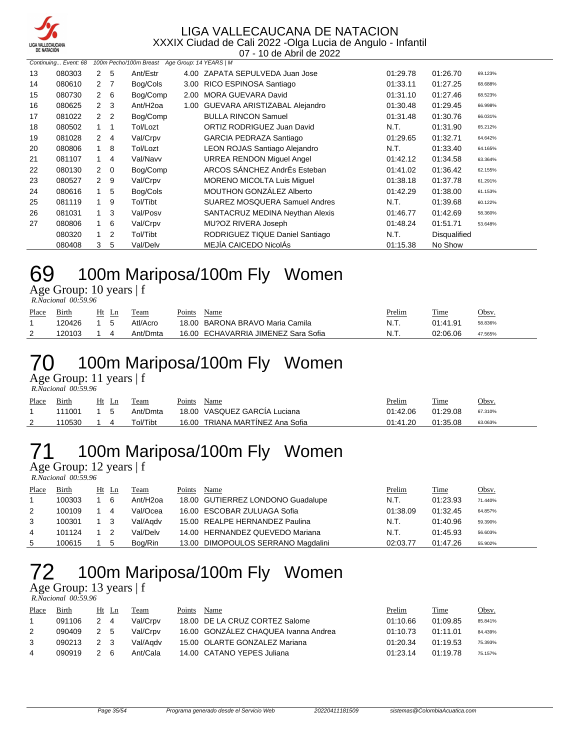

07 - 10 de Abril de 2022

|    | Continuing Event: 68 |                      |                | 100m Pecho/100m Breast Age Group: 14 YEARS   M |      |                                      |          |              |         |
|----|----------------------|----------------------|----------------|------------------------------------------------|------|--------------------------------------|----------|--------------|---------|
| 13 | 080303               | 2                    | -5             | Ant/Estr                                       |      | 4.00 ZAPATA SEPULVEDA Juan Jose      | 01:29.78 | 01:26.70     | 69.123% |
| 14 | 080610               | $\mathbf{2}$         | $\overline{7}$ | Bog/Cols                                       |      | 3.00 RICO ESPINOSA Santiago          | 01:33.11 | 01:27.25     | 68.688% |
| 15 | 080730               | $\mathbf{2}^{\circ}$ | -6             | Bog/Comp                                       | 2.00 | MORA GUEVARA David                   | 01:31.10 | 01:27.46     | 68.523% |
| 16 | 080625               | $2 \quad 3$          |                | Ant/H <sub>2</sub> oa                          | 1.00 | GUEVARA ARISTIZABAL Alejandro        | 01:30.48 | 01:29.45     | 66.998% |
| 17 | 081022               | 2 <sub>2</sub>       |                | Bog/Comp                                       |      | <b>BULLA RINCON Samuel</b>           | 01:31.48 | 01:30.76     | 66.031% |
| 18 | 080502               |                      | -1             | Tol/Lozt                                       |      | ORTIZ RODRIGUEZ Juan David           | N.T.     | 01:31.90     | 65.212% |
| 19 | 081028               | $\overline{2}$       | $\overline{4}$ | Val/Crpv                                       |      | GARCIA PEDRAZA Santiago              | 01:29.65 | 01:32.71     | 64.642% |
| 20 | 080806               | $\mathbf{1}$         | 8              | Tol/Lozt                                       |      | LEON ROJAS Santiago Alejandro        | N.T.     | 01:33.40     | 64.165% |
| 21 | 081107               |                      | 4              | Val/Navv                                       |      | <b>URREA RENDON Miguel Angel</b>     | 01:42.12 | 01:34.58     | 63.364% |
| 22 | 080130               | 2                    | $\overline{0}$ | Bog/Comp                                       |      | ARCOS SÁNCHEZ AndrÉs Esteban         | 01:41.02 | 01:36.42     | 62.155% |
| 23 | 080527               | $\overline{2}$       | 9              | Val/Crpv                                       |      | <b>MORENO MICOLTA Luis Miquel</b>    | 01:38.18 | 01:37.78     | 61.291% |
| 24 | 080616               |                      | 5              | Bog/Cols                                       |      | MOUTHON GONZÁLEZ Alberto             | 01:42.29 | 01:38.00     | 61.153% |
| 25 | 081119               |                      | 9              | Tol/Tibt                                       |      | <b>SUAREZ MOSQUERA Samuel Andres</b> | N.T.     | 01:39.68     | 60.122% |
| 26 | 081031               | $\overline{1}$       | 3              | Val/Posv                                       |      | SANTACRUZ MEDINA Neythan Alexis      | 01:46.77 | 01:42.69     | 58.360% |
| 27 | 080806               |                      | - 6            | Val/Crpv                                       |      | MU?OZ RIVERA Joseph                  | 01:48.24 | 01:51.71     | 53.648% |
|    | 080320               |                      | $\overline{2}$ | Tol/Tibt                                       |      | RODRIGUEZ TIQUE Daniel Santiago      | N.T.     | Disqualified |         |
|    | 080408               | 3                    | 5              | Val/Delv                                       |      | MEJÍA CAICEDO NicolÁs                | 01:15.38 | No Show      |         |

## 100m Mariposa/100m Fly Women

Age Group: 10 years | f

 *R.Nacional 00:59.96* 

| Place | Birth  | Ht | Ln | $T$ eam  | Points | Name                                | Prelim | Time     | Obsv.   |
|-------|--------|----|----|----------|--------|-------------------------------------|--------|----------|---------|
|       | 120426 |    |    | Atl/Acro |        | 18.00 BARONA BRAVO Maria Camila     | N.T.   | 01:41.91 | 58.836% |
| -     | 120103 |    |    | Ant/Dmta |        | 16.00 ECHAVARRIA JIMENEZ Sara Sofia | N.T.   | 02:06.06 | 47.565% |

### 100m Mariposa/100m Fly Women Age Group: 11 years | f

 *R.Nacional 00:59.96* 

| Place | Birth  | Ht | Ln             | Team     | Points | Name                            | Prelim   | Time     | Obsv.   |
|-------|--------|----|----------------|----------|--------|---------------------------------|----------|----------|---------|
|       | 111001 |    |                | Ant/Dmta |        | 18.00 VASQUEZ GARCÍA Luciana    | 01:42.06 | 01:29.08 | 67.310% |
| 2     | 110530 |    | $\overline{4}$ | Tol/Tibt |        | 16.00 TRIANA MARTINEZ Ana Sofia | 01:41.20 | 01:35.08 | 63.063% |

# 100m Mariposa/100m Fly Women

Age Group: 12 years | f

|       | R.Nacional 00:59.96 |  |                |                      |        |                                    |          |          |         |  |  |  |  |
|-------|---------------------|--|----------------|----------------------|--------|------------------------------------|----------|----------|---------|--|--|--|--|
| Place | <b>Birth</b>        |  | Ht Ln          | Team                 | Points | Name                               | Prelim   | Time     | Obsv.   |  |  |  |  |
|       | 100303              |  | 6              | Ant/H <sub>20a</sub> |        | 18.00 GUTIERREZ LONDONO Guadalupe  | N.T.     | 01:23.93 | 71.440% |  |  |  |  |
| 2     | 100109              |  | 4              | Val/Ocea             |        | 16.00 ESCOBAR ZULUAGA Sofia        | 01:38.09 | 01:32.45 | 64.857% |  |  |  |  |
| 3     | 100301              |  | 1 3            | Val/Agdv             |        | 15.00 REALPE HERNANDEZ Paulina     | N.T.     | 01:40.96 | 59.390% |  |  |  |  |
| 4     | 101124              |  | $\overline{2}$ | Val/Delv             |        | 14.00 HERNANDEZ QUEVEDO Mariana    | N.T.     | 01:45.93 | 56.603% |  |  |  |  |
| -5    | 100615              |  | 5              | Bog/Rin              |        | 13.00 DIMOPOULOS SERRANO Magdalini | 02:03.77 | 01:47.26 | 55.902% |  |  |  |  |

## 100m Mariposa/100m Fly Women

Age Group: 13 years | f

| R.Nacional 00:59.96 |  |
|---------------------|--|
|---------------------|--|

| Place | Birth  | Ht Ln       | <u>ream</u> | Points | Name                                 | <b>Prelim</b> | <b>Time</b> | Obsv.   |
|-------|--------|-------------|-------------|--------|--------------------------------------|---------------|-------------|---------|
|       | 091106 | $2 \quad 4$ | Val/Crpv    |        | 18.00 DE LA CRUZ CORTEZ Salome       | 01:10.66      | 01:09.85    | 85.841% |
| 2     | 090409 | 2 5         | Val/Crpv    |        | 16.00 GONZÁLEZ CHAQUEA Ivanna Andrea | 01:10.73      | 01:11.01    | 84.439% |
| 3     | 090213 | 2 3         | Val/Agdy    |        | 15.00 OLARTE GONZALEZ Mariana        | 01:20.34      | 01:19.53    | 75.393% |
| 4     | 090919 | 26          | Ant/Cala    |        | 14.00 CATANO YEPES Juliana           | 01:23.14      | 01:19.78    | 75.157% |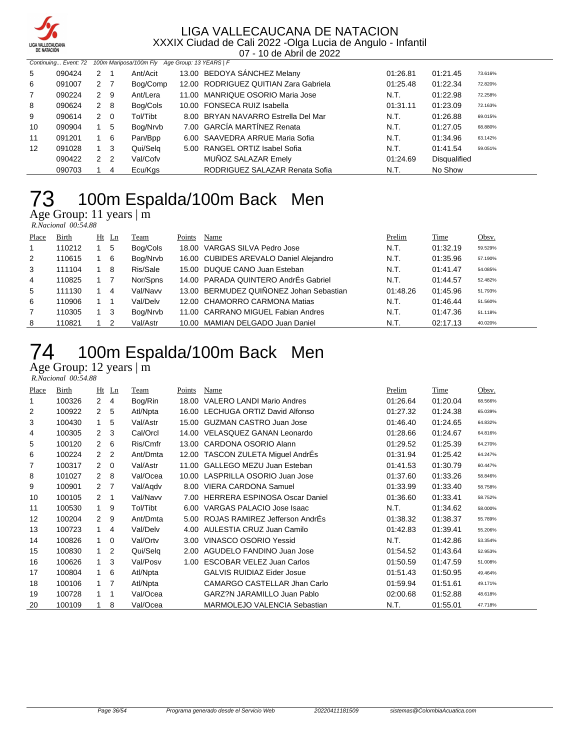

07 - 10 de Abril de 2022

|    | Continuing Event: 72 |                |     | 100m Mariposa/100m Fly Age Group: 13 YEARS   F |                                       |          |                     |         |
|----|----------------------|----------------|-----|------------------------------------------------|---------------------------------------|----------|---------------------|---------|
| 5  | 090424               | 2              |     | Ant/Acit                                       | 13.00 BEDOYA SÁNCHEZ Melany           | 01:26.81 | 01:21.45            | 73.616% |
| 6  | 091007               | 2 7            |     | Bog/Comp                                       | 12.00 RODRIGUEZ QUITIAN Zara Gabriela | 01:25.48 | 01:22.34            | 72.820% |
| 7  | 090224               | 2              | - 9 | Ant/Lera                                       | 11.00 MANRIQUE OSORIO Maria Jose      | N.T.     | 01:22.98            | 72.258% |
| 8  | 090624               | 2 8            |     | Bog/Cols                                       | 10.00 FONSECA RUIZ Isabella           | 01:31.11 | 01:23.09            | 72.163% |
| 9  | 090614               | $2 \quad 0$    |     | Tol/Tibt                                       | 8.00 BRYAN NAVARRO Estrella Del Mar   | N.T.     | 01:26.88            | 69.015% |
| 10 | 090904               |                | -5  | Bog/Nrvb                                       | 7.00 GARCÍA MARTÍNEZ Renata           | N.T.     | 01:27.05            | 68.880% |
| 11 | 091201               |                | -6  | Pan/Bpp                                        | 6.00 SAAVEDRA ARRUE Maria Sofia       | N.T.     | 01:34.96            | 63.142% |
| 12 | 091028               |                | -3  | Qui/Selg                                       | 5.00 RANGEL ORTIZ Isabel Sofia        | N.T.     | 01:41.54            | 59.051% |
|    | 090422               | 2 <sub>2</sub> |     | Val/Cofv                                       | MUÑOZ SALAZAR Emely                   | 01:24.69 | <b>Disqualified</b> |         |
|    | 090703               |                | 4   | Ecu/Kgs                                        | RODRIGUEZ SALAZAR Renata Sofia        | N.T.     | No Show             |         |

## 100m Espalda/100m Back Men

Age Group: 11 years | m

|       | R.Nacional 00:54.88 |         |    |          |        |                                         |          |          |         |  |  |  |  |
|-------|---------------------|---------|----|----------|--------|-----------------------------------------|----------|----------|---------|--|--|--|--|
| Place | Birth               | $Ht$ Ln |    | Team     | Points | Name                                    | Prelim   | Time     | Obsv.   |  |  |  |  |
| 1     | 110212              |         | -5 | Bog/Cols |        | 18.00 VARGAS SILVA Pedro Jose           | N.T.     | 01:32.19 | 59.529% |  |  |  |  |
| 2     | 110615              | 1 6     |    | Bog/Nrvb |        | 16.00 CUBIDES AREVALO Daniel Alejandro  | N.T.     | 01:35.96 | 57.190% |  |  |  |  |
| 3     | 111104              | 1 8     |    | Ris/Sale |        | 15.00 DUQUE CANO Juan Esteban           | N.T.     | 01:41.47 | 54.085% |  |  |  |  |
| 4     | 110825              |         |    | Nor/Spns |        | 14.00 PARADA QUINTERO AndrÉs Gabriel    | N.T.     | 01:44.57 | 52.482% |  |  |  |  |
| 5     | 111130              |         | -4 | Val/Navv |        | 13.00 BERMUDEZ QUIÑONEZ Johan Sebastian | 01:48.26 | 01:45.96 | 51.793% |  |  |  |  |
| 6     | 110906              |         |    | Val/Delv |        | 12.00 CHAMORRO CARMONA Matias           | N.T.     | 01:46.44 | 51.560% |  |  |  |  |
| 7     | 110305              | 1 3     |    | Bog/Nrvb |        | 11.00 CARRANO MIGUEL Fabian Andres      | N.T.     | 01:47.36 | 51.118% |  |  |  |  |
| 8     | 110821              |         | -2 | Val/Astr |        | 10.00 MAMIAN DELGADO Juan Daniel        | N.T.     | 02:17.13 | 40.020% |  |  |  |  |

## 100m Espalda/100m Back Men

Age Group: 12 years | m  *R.Nacional 00:54.88* 

| Place | Birth  | Ht             | $\mathop{\underline{\mathsf{Ln}}}$ | Team     | Points | Name                                 | Prelim   | Time     | Obsv.   |
|-------|--------|----------------|------------------------------------|----------|--------|--------------------------------------|----------|----------|---------|
| 1     | 100326 | $2^{\circ}$    | 4                                  | Bog/Rin  | 18.00  | <b>VALERO LANDI Mario Andres</b>     | 01:26.64 | 01:20.04 | 68.566% |
| 2     | 100922 | $\mathbf{2}$   | 5                                  | Atl/Npta |        | 16.00 LECHUGA ORTIZ David Alfonso    | 01:27.32 | 01:24.38 | 65.039% |
| 3     | 100430 | $\mathbf{1}$   | 5                                  | Val/Astr | 15.00  | <b>GUZMAN CASTRO Juan Jose</b>       | 01:46.40 | 01:24.65 | 64.832% |
| 4     | 100305 | 2              | 3                                  | Cal/Orcl | 14.00  | <b>VELASQUEZ GANAN Leonardo</b>      | 01:28.66 | 01:24.67 | 64.816% |
| 5     | 100120 | 2              | 6                                  | Ris/Cmfr |        | 13.00 CARDONA OSORIO Alann           | 01:29.52 | 01:25.39 | 64.270% |
| 6     | 100224 | 2 <sub>2</sub> |                                    | Ant/Dmta |        | 12.00 TASCON ZULETA Miguel AndrÉs    | 01:31.94 | 01:25.42 | 64.247% |
| 7     | 100317 | $\overline{2}$ | $\Omega$                           | Val/Astr |        | 11.00 GALLEGO MEZU Juan Esteban      | 01:41.53 | 01:30.79 | 60.447% |
| 8     | 101027 | $\overline{2}$ | 8                                  | Val/Ocea |        | 10.00 LASPRILLA OSORIO Juan Jose     | 01:37.60 | 01:33.26 | 58.846% |
| 9     | 100901 | 2 <sub>7</sub> |                                    | Val/Aqdv | 8.00   | VIERA CARDONA Samuel                 | 01:33.99 | 01:33.40 | 58.758% |
| 10    | 100105 | 2 <sub>1</sub> |                                    | Val/Navv | 7.00   | <b>HERRERA ESPINOSA Oscar Daniel</b> | 01:36.60 | 01:33.41 | 58.752% |
| 11    | 100530 | 1              | 9                                  | Tol/Tibt |        | 6.00 VARGAS PALACIO Jose Isaac       | N.T.     | 01:34.62 | 58.000% |
| 12    | 100204 | 2              | 9                                  | Ant/Dmta |        | 5.00 ROJAS RAMIREZ Jefferson AndrÉs  | 01:38.32 | 01:38.37 | 55.789% |
| 13    | 100723 | $\mathbf{1}$   | 4                                  | Val/Delv | 4.00   | AULESTIA CRUZ Juan Camilo            | 01:42.83 | 01:39.41 | 55.206% |
| 14    | 100826 | 1              | $\mathbf 0$                        | Val/Ortv | 3.00   | VINASCO OSORIO Yessid                | N.T.     | 01:42.86 | 53.354% |
| 15    | 100830 | 1              | 2                                  | Qui/Selg | 2.00   | AGUDELO FANDINO Juan Jose            | 01:54.52 | 01:43.64 | 52.953% |
| 16    | 100626 | $\mathbf{1}$   | 3                                  | Val/Posv |        | 1.00 ESCOBAR VELEZ Juan Carlos       | 01:50.59 | 01:47.59 | 51.008% |
| 17    | 100804 | $\mathbf{1}$   | 6                                  | Atl/Npta |        | <b>GALVIS RUIDIAZ Eider Josue</b>    | 01:51.43 | 01:50.95 | 49.464% |
| 18    | 100106 | 1              | 7                                  | Atl/Npta |        | CAMARGO CASTELLAR Jhan Carlo         | 01:59.94 | 01:51.61 | 49.171% |
| 19    | 100728 | $\mathbf{1}$   |                                    | Val/Ocea |        | GARZ?N JARAMILLO Juan Pablo          | 02:00.68 | 01:52.88 | 48.618% |
| 20    | 100109 |                | 8                                  | Val/Ocea |        | MARMOLEJO VALENCIA Sebastian         | N.T.     | 01:55.01 | 47.718% |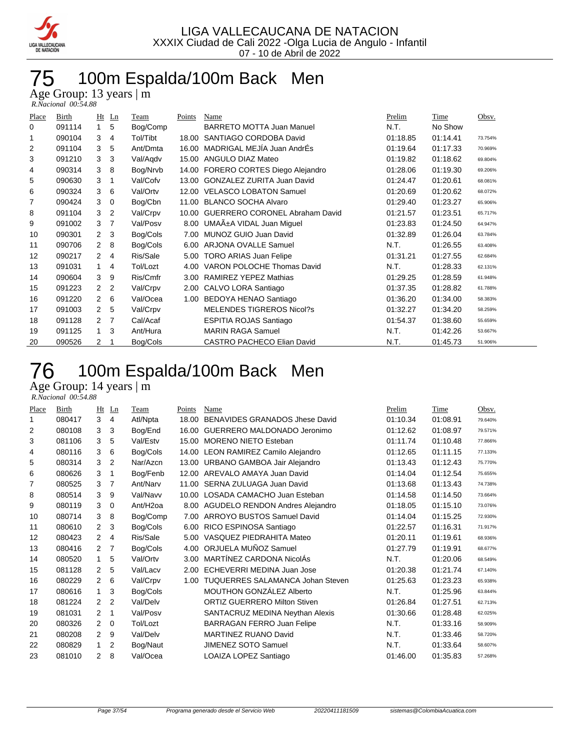

## 75 100m Espalda/100m Back Men

Age Group: 13 years | m

| R.Nacional 00:54.88 |  |
|---------------------|--|

| Place | <b>Birth</b> | Ht            | $_{\text{Ln}}$ | Team     | Points | Name                                  | Prelim   | Time     | Obsv.   |
|-------|--------------|---------------|----------------|----------|--------|---------------------------------------|----------|----------|---------|
| 0     | 091114       | $\mathbf{1}$  | 5              | Bog/Comp |        | BARRETO MOTTA Juan Manuel             | N.T.     | No Show  |         |
| 1     | 090104       | 3             | 4              | Tol/Tibt | 18.00  | SANTIAGO CORDOBA David                | 01:18.85 | 01:14.41 | 73.754% |
| 2     | 091104       | 3             | 5              | Ant/Dmta | 16.00  | MADRIGAL MEJÍA Juan AndrÉs            | 01:19.64 | 01:17.33 | 70.969% |
| 3     | 091210       | 3             | 3              | Val/Agdv | 15.00  | ANGULO DIAZ Mateo                     | 01:19.82 | 01:18.62 | 69.804% |
| 4     | 090314       | 3             | 8              | Bog/Nrvb | 14.00  | FORERO CORTES Diego Alejandro         | 01:28.06 | 01:19.30 | 69.206% |
| 5     | 090630       | 3             |                | Val/Cofv | 13.00  | <b>GONZALEZ ZURITA Juan David</b>     | 01:24.47 | 01:20.61 | 68.081% |
| 6     | 090324       | 3             | 6              | Val/Ortv | 12.00  | <b>VELASCO LOBATON Samuel</b>         | 01:20.69 | 01:20.62 | 68.072% |
| 7     | 090424       | 3             | $\mathbf 0$    | Bog/Cbn  | 11.00  | <b>BLANCO SOCHA Alvaro</b>            | 01:29.40 | 01:23.27 | 65.906% |
| 8     | 091104       | 3             | 2              | Val/Crpv | 10.00  | <b>GUERRERO CORONEL Abraham David</b> | 01:21.57 | 01:23.51 | 65.717% |
| 9     | 091002       | 3             | $\overline{7}$ | Val/Posv | 8.00   | UMAñA VIDAL Juan Miquel               | 01:23.83 | 01:24.50 | 64.947% |
| 10    | 090301       | $\mathbf{2}$  | 3              | Bog/Cols | 7.00   | MUNOZ GUIO Juan David                 | 01:32.89 | 01:26.04 | 63.784% |
| 11    | 090706       | $\mathbf{2}$  | 8              | Bog/Cols | 6.00   | <b>ARJONA OVALLE Samuel</b>           | N.T.     | 01:26.55 | 63.408% |
| 12    | 090217       | $\mathcal{P}$ | 4              | Ris/Sale | 5.00   | <b>TORO ARIAS Juan Felipe</b>         | 01:31.21 | 01:27.55 | 62.684% |
| 13    | 091031       | 1             | 4              | Tol/Lozt | 4.00   | <b>VARON POLOCHE Thomas David</b>     | N.T.     | 01:28.33 | 62.131% |
| 14    | 090604       | 3             | 9              | Ris/Cmfr | 3.00   | RAMIREZ YEPEZ Mathias                 | 01:29.25 | 01:28.59 | 61.948% |
| 15    | 091223       | $\mathbf{2}$  | 2              | Val/Crpv | 2.00   | CALVO LORA Santiago                   | 01:37.35 | 01:28.82 | 61.788% |
| 16    | 091220       | $\mathcal{P}$ | 6              | Val/Ocea | 1.00   | BEDOYA HENAO Santiago                 | 01:36.20 | 01:34.00 | 58.383% |
| 17    | 091003       | $\mathbf{2}$  | 5              | Val/Crpv |        | <b>MELENDES TIGREROS Nicol?s</b>      | 01:32.27 | 01:34.20 | 58.259% |
| 18    | 091128       | $\mathcal{P}$ | 7              | Cal/Acaf |        | <b>ESPITIA ROJAS Santiago</b>         | 01:54.37 | 01:38.60 | 55.659% |
| 19    | 091125       | 1             | 3              | Ant/Hura |        | <b>MARIN RAGA Samuel</b>              | N.T.     | 01:42.26 | 53.667% |
| 20    | 090526       | 2             |                | Bog/Cols |        | <b>CASTRO PACHECO Elian David</b>     | N.T.     | 01:45.73 | 51.906% |

## 76 100m Espalda/100m Back Men

Age Group: 14 years | m

| R.Nacional 00:54.88 |  |
|---------------------|--|
|                     |  |

| Place | Birth  | Ht             | $_{\text{Ln}}$ | Team                  | Points | Name                                    | Prelim   | Time     | Obsv.   |
|-------|--------|----------------|----------------|-----------------------|--------|-----------------------------------------|----------|----------|---------|
| 1     | 080417 | 3              | 4              | Atl/Npta              | 18.00  | <b>BENAVIDES GRANADOS Jhese David</b>   | 01:10.34 | 01:08.91 | 79.640% |
| 2     | 080108 | 3              | 3              | Bog/End               |        | 16.00 GUERRERO MALDONADO Jeronimo       | 01:12.62 | 01:08.97 | 79.571% |
| 3     | 081106 | 3              | 5              | Val/Estv              |        | 15.00 MORENO NIETO Esteban              | 01:11.74 | 01:10.48 | 77.866% |
| 4     | 080116 | 3              | 6              | Bog/Cols              |        | 14.00 LEON RAMIREZ Camilo Alejandro     | 01:12.65 | 01:11.15 | 77.133% |
| 5     | 080314 | 3              | 2              | Nar/Azcn              |        | 13.00 URBANO GAMBOA Jair Alejandro      | 01:13.43 | 01:12.43 | 75.770% |
| 6     | 080626 | 3              | 1              | Bog/Fenb              |        | 12.00 AREVALO AMAYA Juan David          | 01:14.04 | 01:12.54 | 75.655% |
| 7     | 080525 | 3              | 7              | Ant/Narv              | 11.00  | SERNA ZULUAGA Juan David                | 01:13.68 | 01:13.43 | 74.738% |
| 8     | 080514 | 3              | 9              | Val/Navv              |        | 10.00 LOSADA CAMACHO Juan Esteban       | 01:14.58 | 01:14.50 | 73.664% |
| 9     | 080119 | 3              | $\mathbf 0$    | Ant/H <sub>2</sub> oa |        | 8.00 AGUDELO RENDON Andres Alejandro    | 01:18.05 | 01:15.10 | 73.076% |
| 10    | 080714 | 3              | 8              | Bog/Comp              | 7.00   | ARROYO BUSTOS Samuel David              | 01:14.04 | 01:15.25 | 72.930% |
| 11    | 080610 | $\mathcal{P}$  | 3              | Bog/Cols              | 6.00   | RICO ESPINOSA Santiago                  | 01:22.57 | 01:16.31 | 71.917% |
| 12    | 080423 | $\overline{2}$ | 4              | Ris/Sale              |        | 5.00 VASQUEZ PIEDRAHITA Mateo           | 01:20.11 | 01:19.61 | 68.936% |
| 13    | 080416 | 2              | 7              | Bog/Cols              | 4.00   | ORJUELA MUÑOZ Samuel                    | 01:27.79 | 01:19.91 | 68.677% |
| 14    | 080520 | 1              | 5              | Val/Ortv              |        | 3.00 MARTÍNEZ CARDONA NicolÁs           | N.T.     | 01:20.06 | 68.549% |
| 15    | 081128 | 2              | 5              | Val/Lacv              | 2.00   | ECHEVERRI MEDINA Juan Jose              | 01:20.38 | 01:21.74 | 67.140% |
| 16    | 080229 | 2              | 6              | Val/Crpv              | 1.00   | <b>TUQUERRES SALAMANCA Johan Steven</b> | 01:25.63 | 01:23.23 | 65.938% |
| 17    | 080616 | 1              | 3              | Bog/Cols              |        | <b>MOUTHON GONZÁLEZ Alberto</b>         | N.T.     | 01:25.96 | 63.844% |
| 18    | 081224 | 2              | 2              | Val/Delv              |        | <b>ORTIZ GUERRERO Milton Stiven</b>     | 01:26.84 | 01:27.51 | 62.713% |
| 19    | 081031 | 2              | 1              | Val/Posv              |        | SANTACRUZ MEDINA Neythan Alexis         | 01:30.66 | 01:28.48 | 62.025% |
| 20    | 080326 | 2              | 0              | Tol/Lozt              |        | <b>BARRAGAN FERRO Juan Felipe</b>       | N.T.     | 01:33.16 | 58.909% |
| 21    | 080208 | 2              | 9              | Val/Delv              |        | MARTINEZ RUANO David                    | N.T.     | 01:33.46 | 58.720% |
| 22    | 080829 | 1.             | 2              | Bog/Naut              |        | <b>JIMENEZ SOTO Samuel</b>              | N.T.     | 01:33.64 | 58.607% |
| 23    | 081010 | 2              | 8              | Val/Ocea              |        | LOAIZA LOPEZ Santiago                   | 01:46.00 | 01:35.83 | 57.268% |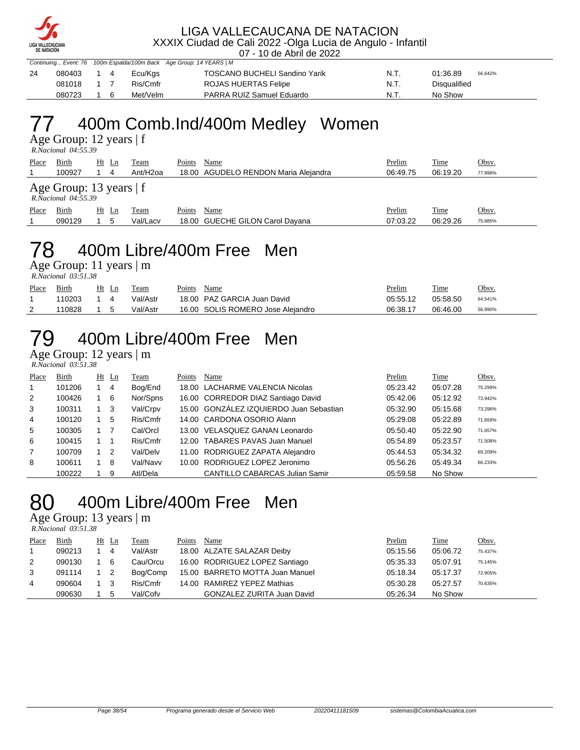

07 - 10 de Abril de 2022

|    |        | Continuing Event: 76 100m Espalda/100m Back Age Group: 14 YEARS   M |     |          |                                      |      |              |         |  |  |
|----|--------|---------------------------------------------------------------------|-----|----------|--------------------------------------|------|--------------|---------|--|--|
| 24 | 080403 | $1 \quad 4$                                                         |     | Ecu/Kas  | <b>TOSCANO BUCHELI Sandino Yarik</b> | N.T. | 01:36.89     | 56.642% |  |  |
|    | 081018 |                                                                     |     | Ris/Cmfr | ROJAS HUERTAS Felipe                 | N.T. | Disqualified |         |  |  |
|    | 080723 |                                                                     | - 6 | Met/Velm | PARRA RUIZ Samuel Eduardo            | N.T. | No Show      |         |  |  |

### 77 400m Comb.Ind/400m Medley Women

Age Group: 12 years | f

 *R.Nacional 04:55.39* 

| Place | Birth                                               | Ht | $\mathop{\rm Ln}$ | Team                 | Points | Name                                 | Prelim   | <b>Time</b> | Obsv.   |
|-------|-----------------------------------------------------|----|-------------------|----------------------|--------|--------------------------------------|----------|-------------|---------|
|       | 100927                                              |    |                   | Ant/H <sub>20a</sub> |        | 18.00 AGUDELO RENDON Maria Alejandra | 06:49.75 | 06:19.20    | 77.898% |
|       | Age Group: 13 years $ f $<br>$R. Nacional$ 04:55.39 |    |                   |                      |        |                                      |          |             |         |
| Place | Birth                                               | Ht | Ln                | Team                 | Points | Name                                 | Prelim   | <b>Time</b> | Obsv.   |
|       | 090129                                              |    | 5                 | Val/Lacv             |        | 18.00 GUECHE GILON Carol Dayana      | 07:03.22 | 06:29.26    | 75.885% |

## 78 400m Libre/400m Free Men

Age Group: 11 years | m  *R.Nacional 03:51.38* 

| Place | Birth  | Ht<br>Ln | Team     | Name<br>Points                    | <u>Prelim</u> | Time     | Obsv.   |
|-------|--------|----------|----------|-----------------------------------|---------------|----------|---------|
|       | 110203 |          | Val/Astr | 18.00 PAZ GARCIA Juan David       | 05:55.12      | 05:58.50 | 64.541% |
| 2     | 110828 |          | Val/Astr | 16.00 SOLIS ROMERO Jose Aleiandro | 06:38.17      | 06:46.00 | 56.990% |

## 79 400m Libre/400m Free Men

Age Group: 12 years | m

| . .                 |  |
|---------------------|--|
| R.Nacional 03:51.38 |  |

| Place          | Birth  | $Ht$ Ln | Team     | Points | Name                                    | Prelim   | Time     | Obsv.   |
|----------------|--------|---------|----------|--------|-----------------------------------------|----------|----------|---------|
| $\mathbf{1}$   | 101206 | 4       | Bog/End  |        | 18.00 LACHARME VALENCIA Nicolas         | 05:23.42 | 05:07.28 | 75.299% |
| 2              | 100426 | -6      | Nor/Spns |        | 16.00 CORREDOR DIAZ Santiago David      | 05:42.06 | 05:12.92 | 73.942% |
| 3              | 100311 | 3       | Val/Crpv |        | 15.00 GONZÁLEZ IZQUIERDO Juan Sebastian | 05:32.90 | 05:15.68 | 73.296% |
| 4              | 100120 | 5       | Ris/Cmfr |        | 14.00 CARDONA OSORIO Alann              | 05:29.08 | 05:22.89 | 71.659% |
| 5              | 100305 |         | Cal/Orcl |        | 13.00 VELASQUEZ GANAN Leonardo          | 05:50.40 | 05:22.90 | 71.657% |
| 6              | 100415 |         | Ris/Cmfr |        | 12.00 TABARES PAVAS Juan Manuel         | 05:54.89 | 05:23.57 | 71.508% |
| $\overline{7}$ | 100709 | -2      | Val/Delv |        | 11.00 RODRIGUEZ ZAPATA Alejandro        | 05:44.53 | 05:34.32 | 69.209% |
| 8              | 100611 | 8       | Val/Navv |        | 10.00 RODRIGUEZ LOPEZ Jeronimo          | 05:56.26 | 05:49.34 | 66.233% |
|                | 100222 | 9       | Atl/Dela |        | <b>CANTILLO CABARCAS Julian Samir</b>   | 05:59.58 | No Show  |         |

## 80 400m Libre/400m Free Men

Age Group: 13 years | m  *R.Nacional 03:51.38* 

| Place | Birth  | $Ht$ Ln    | <b>Team</b> | Points | Name                            | Prelim   | <b>Time</b> | Obsv.   |
|-------|--------|------------|-------------|--------|---------------------------------|----------|-------------|---------|
|       | 090213 | -4         | Val/Astr    |        | 18.00 ALZATE SALAZAR Deiby      | 05:15.56 | 05:06.72    | 75.437% |
| 2     | 090130 | - 6        | Cau/Orcu    |        | 16.00 RODRIGUEZ LOPEZ Santiago  | 05:35.33 | 05:07.91    | 75.145% |
| 3     | 091114 | $1\quad 2$ | Bog/Comp    |        | 15.00 BARRETO MOTTA Juan Manuel | 05:18.34 | 05:17.37    | 72.905% |
| 4     | 090604 | 1 3        | Ris/Cmfr    |        | 14.00 RAMIREZ YEPEZ Mathias     | 05:30.28 | 05:27.57    | 70.635% |
|       | 090630 | 5          | Val/Cofv    |        | GONZALEZ ZURITA Juan David      | 05:26.34 | No Show     |         |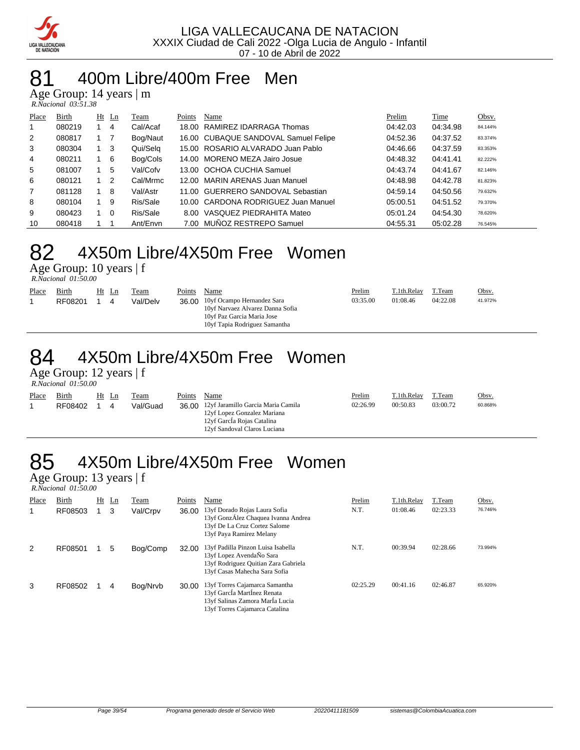

### 81 400m Libre/400m Free Men

Age Group: 14 years | m

| R.Nacional 03:51.38 |  |
|---------------------|--|

| Place | Birth  |             | $Ht$ Ln  | Team     | Points | Name                                 | Prelim   | Time     | Obsv.   |
|-------|--------|-------------|----------|----------|--------|--------------------------------------|----------|----------|---------|
|       | 080219 |             | 4        | Cal/Acaf |        | 18.00 RAMIREZ IDARRAGA Thomas        | 04:42.03 | 04:34.98 | 84.144% |
| 2     | 080817 |             |          | Bog/Naut |        | 16.00 CUBAQUE SANDOVAL Samuel Felipe | 04:52.36 | 04:37.52 | 83.374% |
| 3     | 080304 | $1 \quad 3$ |          | Qui/Selg |        | 15.00 ROSARIO ALVARADO Juan Pablo    | 04:46.66 | 04:37.59 | 83.353% |
| 4     | 080211 |             | -6       | Bog/Cols |        | 14.00 MORENO MEZA Jairo Josue        | 04:48.32 | 04:41.41 | 82.222% |
| 5     | 081007 |             | 5        | Val/Cofv |        | 13.00 OCHOA CUCHIA Samuel            | 04:43.74 | 04:41.67 | 82.146% |
| 6     | 080121 |             | -2       | Cal/Mrmc |        | 12.00 MARIN ARENAS Juan Manuel       | 04:48.98 | 04:42.78 | 81.823% |
| 7     | 081128 |             | -8       | Val/Astr |        | 11.00 GUERRERO SANDOVAL Sebastian    | 04:59.14 | 04:50.56 | 79.632% |
| 8     | 080104 |             | -9       | Ris/Sale |        | 10.00 CARDONA RODRIGUEZ Juan Manuel  | 05:00.51 | 04:51.52 | 79.370% |
| 9     | 080423 |             | $\Omega$ | Ris/Sale |        | 8.00 VASQUEZ PIEDRAHITA Mateo        | 05:01.24 | 04:54.30 | 78.620% |
| 10    | 080418 |             |          | Ant/Envn |        | 7.00 MUÑOZ RESTREPO Samuel           | 04:55.31 | 05:02.28 | 76.545% |

## 82 4X50m Libre/4X50m Free Women

Age Group: 10 years | f  *R.Nacional 01:50.00* 

| Place | Birth<br>RF08201 | Ht | $\mathbf{L}$ n<br>4 | Team<br>Val/Delv | Points | Name<br>36.00 10yf Ocampo Hernandez Sara<br>10yf Narvaez Alvarez Danna Sofia<br>10yf Paz Garcia Maria Jose<br>10yf Tapia Rodriguez Samantha | Prelim<br>03:35.00 | T.1th.Relay<br>01:08.46 | T.Team<br>04:22.08 | Obsv.<br>41.972% |
|-------|------------------|----|---------------------|------------------|--------|---------------------------------------------------------------------------------------------------------------------------------------------|--------------------|-------------------------|--------------------|------------------|
|-------|------------------|----|---------------------|------------------|--------|---------------------------------------------------------------------------------------------------------------------------------------------|--------------------|-------------------------|--------------------|------------------|

## 84 4X50m Libre/4X50m Free Women

Age Group: 12 years | f  *R.Nacional 01:50.00* 

| Place | Birth   | Ht Ln | Team     | Points | Name                                                                                                                                  | <u>Prelim</u> | T.1th.Relay | T.Team   | Obsv.   |
|-------|---------|-------|----------|--------|---------------------------------------------------------------------------------------------------------------------------------------|---------------|-------------|----------|---------|
|       | RF08402 |       | Val/Guad |        | 36.00 12yf Jaramillo Garcia Maria Camila<br>12yf Lopez Gonzalez Mariana<br>12yf GarcIa Rojas Catalina<br>12vf Sandoval Claros Luciana | 02:26.99      | 00:50.83    | 03:00.72 | 60.868% |

## 85 4X50m Libre/4X50m Free Women

Age Group: 13 years | f  *R.Nacional 01:50.00* 

| Place | Birth   | Ht | $\mathbf{L}$ n | Team     | Points | Name                                                                                                                                    | Prelim   | T.1th.Relay | T.Team   | Obsv.   |
|-------|---------|----|----------------|----------|--------|-----------------------------------------------------------------------------------------------------------------------------------------|----------|-------------|----------|---------|
|       | RF08503 |    | 3              | Val/Crpv | 36.00  | 13yf Dorado Rojas Laura Sofia<br>13yf GonzÁlez Chaquea Ivanna Andrea<br>13yf De La Cruz Cortez Salome<br>13yf Paya Ramirez Melany       | N.T.     | 01:08.46    | 02:23.33 | 76.746% |
| 2     | RF08501 |    | 5              | Bog/Comp | 32.00  | 13yf Padilla Pinzon Luisa Isabella<br>13yf Lopez AvendaÑo Sara<br>13yf Rodriguez Quitian Zara Gabriela<br>13yf Casas Mahecha Sara Sofia | N.T.     | 00:39.94    | 02:28.66 | 73.994% |
| 3     | RF08502 |    | 4              | Bog/Nrvb | 30.00  | 13yf Torres Cajamarca Samantha<br>13yf García Martínez Renata<br>13yf Salinas Zamora MarÍa Lucia<br>13yf Torres Cajamarca Catalina      | 02:25.29 | 00:41.16    | 02:46.87 | 65.920% |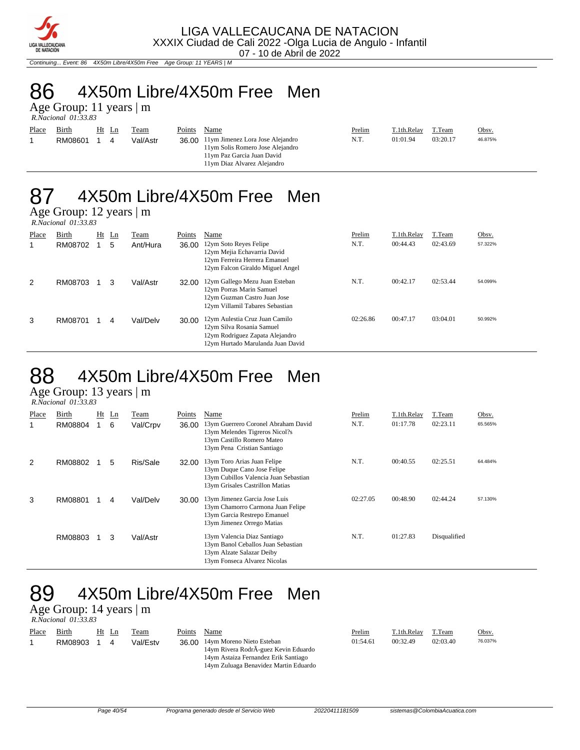

Continuing... Event: 86 4X50m Libre/4X50m Free Age Group: 11 YEARS | M

# 86 4X50m Libre/4X50m Free Men

Age Group: 11 years | m  *R.Nacional 01:33.83* 

| Place | Birth<br>RM08601 |  | Ht Ln<br>4 | Team<br>Val/Astr | Points | Name<br>36.00 11ym Jimenez Lora Jose Alejandro<br>11ym Solis Romero Jose Alejandro<br>11ym Paz Garcia Juan David<br>11ym Diaz Alvarez Alejandro |  | <b>Prelim</b><br>N.T. | T.1th.Relay<br>01:01.94 | T.Team<br>03:20.17 | Obsv.<br>46.875% |
|-------|------------------|--|------------|------------------|--------|-------------------------------------------------------------------------------------------------------------------------------------------------|--|-----------------------|-------------------------|--------------------|------------------|
|-------|------------------|--|------------|------------------|--------|-------------------------------------------------------------------------------------------------------------------------------------------------|--|-----------------------|-------------------------|--------------------|------------------|

### 87 4X50m Libre/4X50m Free Men

Age Group: 12 years | m

|       | $R. Nacional$ $01:33.83$ |    |    |          |        |                                                                                                                                     |          |             |          |         |  |  |
|-------|--------------------------|----|----|----------|--------|-------------------------------------------------------------------------------------------------------------------------------------|----------|-------------|----------|---------|--|--|
| Place | Birth                    | Ht | Ln | Team     | Points | Name                                                                                                                                | Prelim   | T.1th.Relay | T.Team   | Obsv.   |  |  |
|       | RM08702                  |    | 5  | Ant/Hura | 36.00  | 12ym Soto Reyes Felipe<br>12ym Mejia Echavarria David<br>12ym Ferreira Herrera Emanuel<br>12ym Falcon Giraldo Miguel Angel          | N.T.     | 00:44.43    | 02:43.69 | 57.322% |  |  |
| 2     | RM08703                  |    | 3  | Val/Astr | 32.00  | 12ym Gallego Mezu Juan Esteban<br>12ym Porras Marin Samuel<br>12ym Guzman Castro Juan Jose<br>12ym Villamil Tabares Sebastian       | N.T.     | 00:42.17    | 02:53.44 | 54.099% |  |  |
| 3     | RM08701                  |    | 4  | Val/Delv | 30.00  | 12ym Aulestia Cruz Juan Camilo<br>12ym Silva Rosania Samuel<br>12ym Rodriguez Zapata Alejandro<br>12ym Hurtado Marulanda Juan David | 02:26.86 | 00:47.17    | 03:04.01 | 50.992% |  |  |

## 88 4X50m Libre/4X50m Free Men

Age Group: 13 years | m  *R.Nacional 01:33.83* 

| Place<br>1 | Birth<br>RM08804 | Ht | $\mathbf{L}$ n<br>6 | Team<br>Val/Crpv | Points<br>36.00 | Name<br>13ym Guerrero Coronel Abraham David<br>13ym Melendes Tigreros Nicol?s<br>13ym Castillo Romero Mateo<br>13ym Pena Cristian Santiago | Prelim<br>N.T. | T.1th.Relay<br>01:17.78 | T.Team<br>02:23.11 | Obsv.<br>65.565% |
|------------|------------------|----|---------------------|------------------|-----------------|--------------------------------------------------------------------------------------------------------------------------------------------|----------------|-------------------------|--------------------|------------------|
| 2          | RM08802          |    | 5                   | Ris/Sale         | 32.00           | 13ym Toro Arias Juan Felipe<br>13ym Duque Cano Jose Felipe<br>13ym Cubillos Valencia Juan Sebastian<br>13ym Grisales Castrillon Matias     | N.T.           | 00:40.55                | 02:25.51           | 64.484%          |
| 3          | RM08801          |    | 4                   | Val/Delv         | 30.00           | 13ym Jimenez Garcia Jose Luis<br>13ym Chamorro Carmona Juan Felipe<br>13ym Garcia Restrepo Emanuel<br>13ym Jimenez Orrego Matias           | 02:27.05       | 00:48.90                | 02:44.24           | 57.130%          |
|            | RM08803          |    | 3                   | Val/Astr         |                 | 13ym Valencia Diaz Santiago<br>13ym Banol Ceballos Juan Sebastian<br>13ym Alzate Salazar Deiby<br>13ym Fonseca Alvarez Nicolas             | N.T.           | 01:27.83                | Disqualified       |                  |

## 89 4X50m Libre/4X50m Free Men

Age Group: 14 years | m

| R.Nacional 01:33.83 |  |
|---------------------|--|
|                     |  |

| Place | Birth   | Ht Ln | Team     | Points | Name                                  | Prelim   | T.1th.Relav | T.Team   | Obsv.   |
|-------|---------|-------|----------|--------|---------------------------------------|----------|-------------|----------|---------|
|       | RM08903 |       | Val/Estv |        | 36.00 14ym Moreno Nieto Esteban       | 01:54.61 | 00:32.49    | 02:03.40 | 76.037% |
|       |         |       |          |        | 14ym Rivera RodrÃ-guez Kevin Eduardo  |          |             |          |         |
|       |         |       |          |        | 14ym Astaiza Fernandez Erik Santiago  |          |             |          |         |
|       |         |       |          |        | 14ym Zuluaga Benavidez Martin Eduardo |          |             |          |         |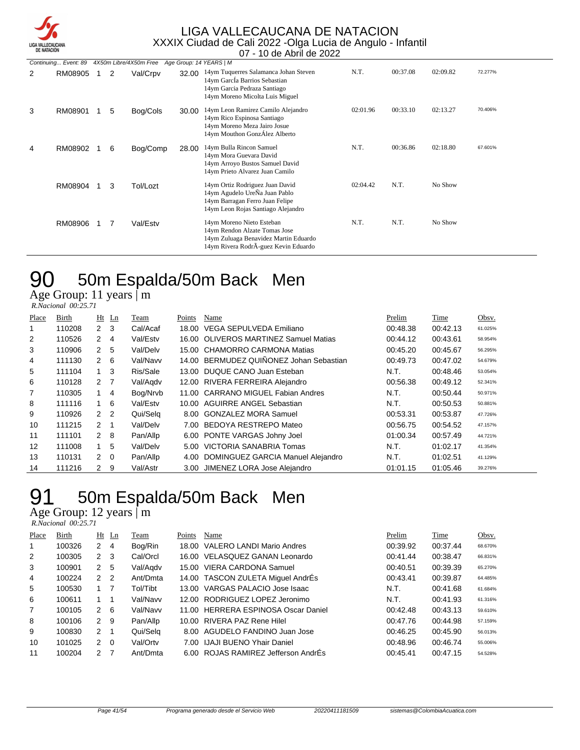

|   | Continuing Event: 89 |   | 4X50m Libre/4X50m Free Age Group: 14 YEARS   M |       |                                                                                                                                             |          |          |          |         |
|---|----------------------|---|------------------------------------------------|-------|---------------------------------------------------------------------------------------------------------------------------------------------|----------|----------|----------|---------|
| 2 | RM08905              | 2 | Val/Crpv                                       | 32.00 | 14ym Tuquerres Salamanca Johan Steven<br>14ym García Barrios Sebastian<br>14ym Garcia Pedraza Santiago<br>14ym Moreno Micolta Luis Miguel   | N.T.     | 00:37.08 | 02:09.82 | 72.277% |
| 3 | RM08901              | 5 | Bog/Cols                                       | 30.00 | 14ym Leon Ramirez Camilo Alejandro<br>14ym Rico Espinosa Santiago<br>14ym Moreno Meza Jairo Josue<br>14ym Mouthon GonzÁlez Alberto          | 02:01.96 | 00:33.10 | 02:13.27 | 70.406% |
| 4 | RM08902              | 6 | Bog/Comp                                       | 28.00 | 14ym Bulla Rincon Samuel<br>14ym Mora Guevara David<br>14ym Arroyo Bustos Samuel David<br>14ym Prieto Alvarez Juan Camilo                   | N.T.     | 00:36.86 | 02:18.80 | 67.601% |
|   | RM08904              | 3 | Tol/Lozt                                       |       | 14ym Ortiz Rodriguez Juan David<br>14ym Agudelo UreÑa Juan Pablo<br>14ym Barragan Ferro Juan Felipe<br>14ym Leon Rojas Santiago Alejandro   | 02:04.42 | N.T.     | No Show  |         |
|   | RM08906              | 7 | Val/Estv                                       |       | 14ym Moreno Nieto Esteban<br>14ym Rendon Alzate Tomas Jose<br>14ym Zuluaga Benavidez Martin Eduardo<br>14ym Rivera RodrÃ-guez Kevin Eduardo | N.T.     | N.T.     | No Show  |         |

## 50m Espalda/50m Back Men

Age Group: 11 years | m

| R.Nacional 00:25.71 |  |
|---------------------|--|

| Place          | Birth  |                  | $Ht$ Ln | Team     | Points | Name                                    | Prelim   | Time     | Obsv.   |
|----------------|--------|------------------|---------|----------|--------|-----------------------------------------|----------|----------|---------|
| 1              | 110208 | $2 \quad 3$      |         | Cal/Acaf | 18.00  | VEGA SEPULVEDA Emiliano                 | 00:48.38 | 00:42.13 | 61.025% |
| $\overline{2}$ | 110526 | 2                | 4       | Val/Estv |        | 16.00 OLIVEROS MARTINEZ Samuel Matias   | 00:44.12 | 00:43.61 | 58.954% |
| 3              | 110906 | 2 <sub>5</sub>   |         | Val/Delv |        | 15.00 CHAMORRO CARMONA Matias           | 00:45.20 | 00:45.67 | 56.295% |
| 4              | 111130 | $2 \quad 6$      |         | Val/Navv |        | 14.00 BERMUDEZ QUIÑONEZ Johan Sebastian | 00:49.73 | 00:47.02 | 54.679% |
| 5              | 111104 | $1 \quad 3$      |         | Ris/Sale | 13.00  | DUQUE CANO Juan Esteban                 | N.T.     | 00:48.46 | 53.054% |
| 6              | 110128 | $2 \overline{7}$ |         | Val/Agdv |        | 12.00 RIVERA FERREIRA Alejandro         | 00:56.38 | 00:49.12 | 52.341% |
| $\overline{7}$ | 110305 |                  | 4       | Bog/Nrvb | 11.00  | CARRANO MIGUEL Fabian Andres            | N.T.     | 00:50.44 | 50.971% |
| 8              | 111116 | $\mathbf{1}$     | -6      | Val/Estv |        | 10.00 AGUIRRE ANGEL Sebastian           | N.T.     | 00:50.53 | 50.881% |
| 9              | 110926 | 2 <sub>2</sub>   |         | Qui/Selq |        | 8.00 GONZALEZ MORA Samuel               | 00:53.31 | 00:53.87 | 47.726% |
| 10             | 111215 | $2 \quad 1$      |         | Val/Delv | 7.00   | BEDOYA RESTREPO Mateo                   | 00:56.75 | 00:54.52 | 47.157% |
| 11             | 111101 | $2 \quad 8$      |         | Pan/Allp |        | 6.00 PONTE VARGAS Johny Joel            | 01:00.34 | 00:57.49 | 44.721% |
| 12             | 111008 | 1                | 5       | Val/Delv |        | 5.00 VICTORIA SANABRIA Tomas            | N.T.     | 01:02.17 | 41.354% |
| 13             | 110131 | $2 \quad 0$      |         | Pan/Allp | 4.00   | DOMINGUEZ GARCIA Manuel Alejandro       | N.T.     | 01:02.51 | 41.129% |
| 14             | 111216 | $\overline{2}$   | 9       | Val/Astr |        | 3.00 JIMENEZ LORA Jose Alejandro        | 01:01.15 | 01:05.46 | 39.276% |

## 91 50m Espalda/50m Back Men

Age Group: 12 years | m

| R.Nacional 00:25.71 |  |
|---------------------|--|
|                     |  |

|        |               |          | Team                                      |  |                                                                                                                                                                                                                                                                                                                                                                                           |          | Obsv.                            |
|--------|---------------|----------|-------------------------------------------|--|-------------------------------------------------------------------------------------------------------------------------------------------------------------------------------------------------------------------------------------------------------------------------------------------------------------------------------------------------------------------------------------------|----------|----------------------------------|
| 100326 | 2             | 4        | Bog/Rin                                   |  | 00:39.92                                                                                                                                                                                                                                                                                                                                                                                  | 00:37.44 | 68.670%                          |
| 100305 | 2             | -3       | Cal/Orcl                                  |  | 00:41.44                                                                                                                                                                                                                                                                                                                                                                                  | 00:38.47 | 66.831%                          |
| 100901 | 2             | 5        | Val/Agdy                                  |  | 00:40.51                                                                                                                                                                                                                                                                                                                                                                                  | 00:39.39 | 65.270%                          |
| 100224 |               |          | Ant/Dmta                                  |  | 00:43.41                                                                                                                                                                                                                                                                                                                                                                                  | 00:39.87 | 64.485%                          |
| 100530 |               |          | Tol/Tibt                                  |  | N.T.                                                                                                                                                                                                                                                                                                                                                                                      | 00:41.68 | 61.684%                          |
| 100611 | 1.            |          | Val/Navv                                  |  | N.T.                                                                                                                                                                                                                                                                                                                                                                                      | 00:41.93 | 61.316%                          |
| 100105 | $\mathcal{P}$ | - 6      | Val/Navv                                  |  | 00:42.48                                                                                                                                                                                                                                                                                                                                                                                  | 00:43.13 | 59.610%                          |
| 100106 | 2             | -9       | Pan/Allp                                  |  | 00:47.76                                                                                                                                                                                                                                                                                                                                                                                  | 00:44.98 | 57.159%                          |
| 100830 | 2             |          | Qui/Selg                                  |  | 00:46.25                                                                                                                                                                                                                                                                                                                                                                                  | 00:45.90 | 56.013%                          |
| 101025 | $\mathcal{P}$ | $\Omega$ | Val/Ortv                                  |  | 00:48.96                                                                                                                                                                                                                                                                                                                                                                                  | 00:46.74 | 55.006%                          |
| 100204 | 2             |          | Ant/Dmta                                  |  | 00:45.41                                                                                                                                                                                                                                                                                                                                                                                  | 00:47.15 | 54.528%                          |
|        |               |          | <b>Birth</b><br>$Ht$ Ln<br>2 <sub>2</sub> |  | 18.00 VALERO LANDI Mario Andres<br>16.00 VELASQUEZ GANAN Leonardo<br>15.00 VIERA CARDONA Samuel<br>14.00 TASCON ZULETA Miquel AndrÉs<br>13.00 VARGAS PALACIO Jose Isaac<br>12.00 RODRIGUEZ LOPEZ Jeronimo<br>11.00 HERRERA ESPINOSA Oscar Daniel<br>10.00 RIVERA PAZ Rene Hilel<br>8.00 AGUDELO FANDINO Juan Jose<br>7.00 IJAJI BUENO Yhair Daniel<br>6.00 ROJAS RAMIREZ Jefferson AndrÉs |          | Points<br>Prelim<br>Time<br>Name |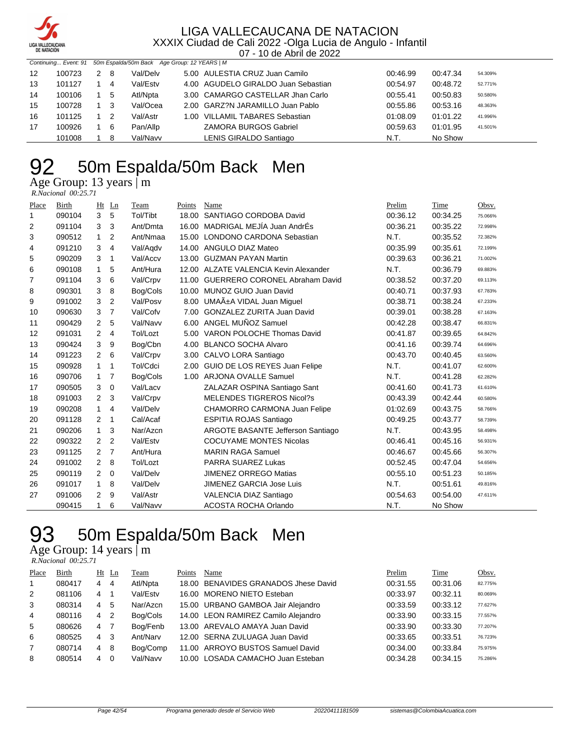

| <b>DE NATACION</b> |                      |   |                |                                              |                                     |          |          |         |
|--------------------|----------------------|---|----------------|----------------------------------------------|-------------------------------------|----------|----------|---------|
|                    | Continuing Event: 91 |   |                | 50m Espalda/50m Back Age Group: 12 YEARS   M |                                     |          |          |         |
| 12                 | 100723               | 2 | - 8            | Val/Delv                                     | 5.00 AULESTIA CRUZ Juan Camilo      | 00:46.99 | 00:47.34 | 54.309% |
| 13                 | 101127               |   | 4              | Val/Estv                                     | 4.00 AGUDELO GIRALDO Juan Sebastian | 00:54.97 | 00:48.72 | 52.771% |
| 14                 | 100106               |   | 5              | Atl/Npta                                     | 3.00 CAMARGO CASTELLAR Jhan Carlo   | 00:55.41 | 00:50.83 | 50.580% |
| 15                 | 100728               |   | 1 3            | Val/Ocea                                     | 2.00 GARZ?N JARAMILLO Juan Pablo    | 00:55.86 | 00:53.16 | 48.363% |
| 16                 | 101125               |   | $\overline{2}$ | Val/Astr                                     | 1.00 VILLAMIL TABARES Sebastian     | 01:08.09 | 01:01.22 | 41.996% |
| 17                 | 100926               |   | - 6            | Pan/Allp                                     | <b>ZAMORA BURGOS Gabriel</b>        | 00:59.63 | 01:01.95 | 41.501% |
|                    | 101008               |   | 8              | Val/Navv                                     | LENIS GIRALDO Santiago              | N.T.     | No Show  |         |

## 92 50m Espalda/50m Back Men

Age Group: 13 years | m

 *R.Nacional 00:25.71* 

| Place | Birth  | Ht             | Ln             | Team     | Points | Name                                  | Prelim   | Time     | Obsv.   |
|-------|--------|----------------|----------------|----------|--------|---------------------------------------|----------|----------|---------|
| 1     | 090104 | 3              | 5              | Tol/Tibt | 18.00  | SANTIAGO CORDOBA David                | 00:36.12 | 00:34.25 | 75.066% |
| 2     | 091104 | 3              | 3              | Ant/Dmta | 16.00  | MADRIGAL MEJÍA Juan AndrÉs            | 00:36.21 | 00:35.22 | 72.998% |
| 3     | 090512 | $\mathbf{1}$   | 2              | Ant/Nmaa | 15.00  | <b>LONDONO CARDONA Sebastian</b>      | N.T.     | 00:35.52 | 72.382% |
| 4     | 091210 | 3              | 4              | Val/Aqdv | 14.00  | ANGULO DIAZ Mateo                     | 00:35.99 | 00:35.61 | 72.199% |
| 5     | 090209 | 3              | 1              | Val/Accv | 13.00  | <b>GUZMAN PAYAN Martin</b>            | 00:39.63 | 00:36.21 | 71.002% |
| 6     | 090108 | $\mathbf{1}$   | 5              | Ant/Hura |        | 12.00 ALZATE VALENCIA Kevin Alexander | N.T.     | 00:36.79 | 69.883% |
| 7     | 091104 | 3              | 6              | Val/Crpv | 11.00  | <b>GUERRERO CORONEL Abraham David</b> | 00:38.52 | 00:37.20 | 69.113% |
| 8     | 090301 | 3              | 8              | Bog/Cols | 10.00  | MUNOZ GUIO Juan David                 | 00:40.71 | 00:37.93 | 67.783% |
| 9     | 091002 | 3              | $\overline{2}$ | Val/Posv | 8.00   | UMAñA VIDAL Juan Miquel               | 00:38.71 | 00:38.24 | 67.233% |
| 10    | 090630 | 3              | 7              | Val/Cofv | 7.00   | <b>GONZALEZ ZURITA Juan David</b>     | 00:39.01 | 00:38.28 | 67.163% |
| 11    | 090429 | $\overline{2}$ | 5              | Val/Navv | 6.00   | ANGEL MUÑOZ Samuel                    | 00:42.28 | 00:38.47 | 66.831% |
| 12    | 091031 | $\overline{2}$ | 4              | Tol/Lozt | 5.00   | <b>VARON POLOCHE Thomas David</b>     | 00:41.87 | 00:39.65 | 64.842% |
| 13    | 090424 | 3              | 9              | Bog/Cbn  | 4.00   | <b>BLANCO SOCHA Alvaro</b>            | 00:41.16 | 00:39.74 | 64.696% |
| 14    | 091223 | 2              | 6              | Val/Crpv | 3.00   | CALVO LORA Santiago                   | 00:43.70 | 00:40.45 | 63.560% |
| 15    | 090928 | $\mathbf{1}$   | 1              | Tol/Cdci | 2.00   | GUIO DE LOS REYES Juan Felipe         | N.T.     | 00:41.07 | 62.600% |
| 16    | 090706 | $\mathbf{1}$   | 7              | Bog/Cols | 1.00   | ARJONA OVALLE Samuel                  | N.T.     | 00:41.28 | 62.282% |
| 17    | 090505 | 3              | 0              | Val/Lacv |        | ZALAZAR OSPINA Santiago Sant          | 00:41.60 | 00:41.73 | 61.610% |
| 18    | 091003 | $\overline{2}$ | 3              | Val/Crpv |        | <b>MELENDES TIGREROS Nicol?s</b>      | 00:43.39 | 00:42.44 | 60.580% |
| 19    | 090208 | $\mathbf{1}$   | 4              | Val/Delv |        | CHAMORRO CARMONA Juan Felipe          | 01:02.69 | 00:43.75 | 58.766% |
| 20    | 091128 | $\overline{2}$ | 1              | Cal/Acaf |        | ESPITIA ROJAS Santiago                | 00:49.25 | 00:43.77 | 58.739% |
| 21    | 090206 | $\mathbf{1}$   | 3              | Nar/Azcn |        | ARGOTE BASANTE Jefferson Santiago     | N.T.     | 00:43.95 | 58.498% |
| 22    | 090322 | $\overline{2}$ | $\overline{2}$ | Val/Estv |        | <b>COCUYAME MONTES Nicolas</b>        | 00:46.41 | 00:45.16 | 56.931% |
| 23    | 091125 | 2              | $\overline{7}$ | Ant/Hura |        | <b>MARIN RAGA Samuel</b>              | 00:46.67 | 00:45.66 | 56.307% |
| 24    | 091002 | 2              | 8              | Tol/Lozt |        | PARRA SUAREZ Lukas                    | 00:52.45 | 00:47.04 | 54.656% |
| 25    | 090119 | 2              | 0              | Val/Delv |        | <b>JIMENEZ ORREGO Matias</b>          | 00:55.10 | 00:51.23 | 50.185% |
| 26    | 091017 | $\mathbf{1}$   | 8              | Val/Delv |        | <b>JIMENEZ GARCIA Jose Luis</b>       | N.T.     | 00:51.61 | 49.816% |
| 27    | 091006 | 2              | 9              | Val/Astr |        | VALENCIA DIAZ Santiago                | 00:54.63 | 00:54.00 | 47.611% |
|       | 090415 | 1.             | 6              | Val/Navv |        | ACOSTA ROCHA Orlando                  | N.T.     | No Show  |         |

## 50m Espalda/50m Back Men

Age Group: 14 years | m

| R.Nacional 00:25.71 |  |
|---------------------|--|

| Place        | Birth  |   | Ht Ln          | Team     | Points | Name                                 | Prelim   | Time     | Obsv.   |
|--------------|--------|---|----------------|----------|--------|--------------------------------------|----------|----------|---------|
| $\mathbf{1}$ | 080417 | 4 | 4              | Atl/Npta |        | 18.00 BENAVIDES GRANADOS Jhese David | 00:31.55 | 00:31.06 | 82.775% |
| 2            | 081106 | 4 |                | Val/Estv |        | 16.00 MORENO NIETO Esteban           | 00:33.97 | 00:32.11 | 80.069% |
| 3            | 080314 | 4 | 5              | Nar/Azcn |        | 15.00 URBANO GAMBOA Jair Alejandro   | 00:33.59 | 00:33.12 | 77.627% |
| 4            | 080116 | 4 | $\overline{2}$ | Bog/Cols |        | 14.00 LEON RAMIREZ Camilo Alejandro  | 00:33.90 | 00:33.15 | 77.557% |
| 5            | 080626 | 4 | - 7            | Bog/Fenb |        | 13.00 AREVALO AMAYA Juan David       | 00:33.90 | 00:33.30 | 77.207% |
| 6            | 080525 | 4 | - 3            | Ant/Narv |        | 12.00 SERNA ZULUAGA Juan David       | 00:33.65 | 00:33.51 | 76.723% |
| 7            | 080714 | 4 | - 8            | Bog/Comp |        | 11.00 ARROYO BUSTOS Samuel David     | 00:34.00 | 00:33.84 | 75.975% |
| 8            | 080514 | 4 | - 0            | Val/Navv |        | 10.00 LOSADA CAMACHO Juan Esteban    | 00:34.28 | 00:34.15 | 75.286% |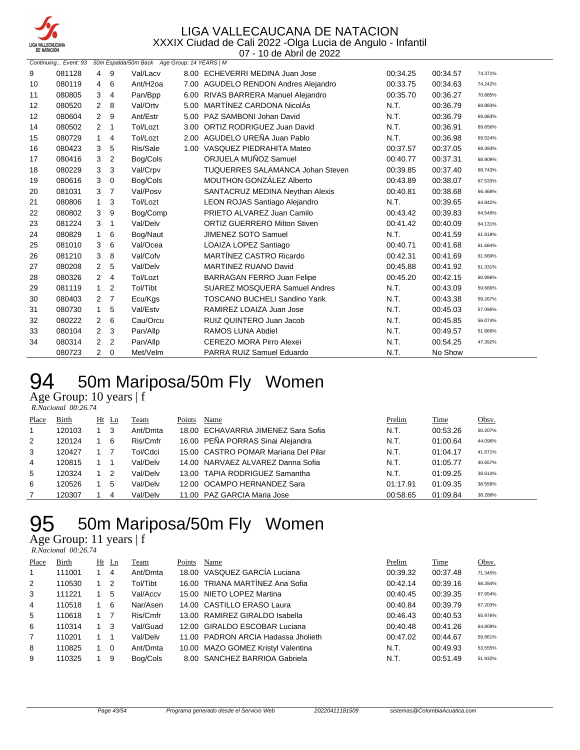

07 - 10 de Abril de 2022

|                   |        |                |                | Continuing Event: 93 50m Espalda/50m Back Age Group: 14 YEARS   M |                   |                                         |          |          |         |
|-------------------|--------|----------------|----------------|-------------------------------------------------------------------|-------------------|-----------------------------------------|----------|----------|---------|
| 9                 | 081128 | 4              | 9              | Val/Lacv                                                          |                   | 8.00 ECHEVERRI MEDINA Juan Jose         | 00:34.25 | 00:34.57 | 74.371% |
| 10                | 080119 | 4              | 6              | Ant/H <sub>2oa</sub>                                              |                   | 7.00 AGUDELO RENDON Andres Alejandro    | 00:33.75 | 00:34.63 | 74.242% |
| 11                | 080805 | 3              | 4              | Pan/Bpp                                                           |                   | 6.00 RIVAS BARRERA Manuel Alejandro     | 00:35.70 | 00:36.27 | 70.885% |
| $12 \overline{ }$ | 080520 | 2              | 8              | Val/Ortv                                                          |                   | 5.00 MARTÍNEZ CARDONA NicolÁs           | N.T.     | 00:36.79 | 69.883% |
| 12                | 080604 | 2              | 9              | Ant/Estr                                                          | 5.00              | PAZ SAMBONI Johan David                 | N.T.     | 00:36.79 | 69.883% |
| 14                | 080502 | 2              | $\mathbf{1}$   | Tol/Lozt                                                          | 3.00 <sub>1</sub> | <b>ORTIZ RODRIGUEZ Juan David</b>       | N.T.     | 00:36.91 | 69.656% |
| 15                | 080729 | 1              | 4              | Tol/Lozt                                                          |                   | 2.00 AGUDELO UREÑA Juan Pablo           | N.T.     | 00:36.98 | 69.524% |
| 16                | 080423 | 3              | 5              | Ris/Sale                                                          |                   | 1.00 VASQUEZ PIEDRAHITA Mateo           | 00:37.57 | 00:37.05 | 69.393% |
| 17                | 080416 | 3              | $\overline{2}$ | Bog/Cols                                                          |                   | ORJUELA MUÑOZ Samuel                    | 00:40.77 | 00:37.31 | 68.909% |
| 18                | 080229 | 3              | 3              | Val/Crpv                                                          |                   | <b>TUQUERRES SALAMANCA Johan Steven</b> | 00:39.85 | 00:37.40 | 68.743% |
| 19                | 080616 | 3              | 0              | Bog/Cols                                                          |                   | <b>MOUTHON GONZÁLEZ Alberto</b>         | 00:43.89 | 00:38.07 | 67.533% |
| 20                | 081031 | 3              | 7              | Val/Posv                                                          |                   | SANTACRUZ MEDINA Neythan Alexis         | 00:40.81 | 00:38.68 | 66.468% |
| 21                | 080806 | 1              | 3              | Tol/Lozt                                                          |                   | LEON ROJAS Santiago Alejandro           | N.T.     | 00:39.65 | 64.842% |
| 22                | 080802 | 3              | 9              | Bog/Comp                                                          |                   | PRIETO ALVAREZ Juan Camilo              | 00:43.42 | 00:39.83 | 64.549% |
| 23                | 081224 | 3              | $\mathbf 1$    | Val/Delv                                                          |                   | <b>ORTIZ GUERRERO Milton Stiven</b>     | 00:41.42 | 00:40.09 | 64.131% |
| 24                | 080829 | 1              | 6              | Bog/Naut                                                          |                   | <b>JIMENEZ SOTO Samuel</b>              | N.T.     | 00:41.59 | 61.818% |
| 25                | 081010 | 3              | 6              | Val/Ocea                                                          |                   | LOAIZA LOPEZ Santiago                   | 00:40.71 | 00:41.68 | 61.684% |
| 26                | 081210 | 3              | 8              | Val/Cofv                                                          |                   | MARTÍNEZ CASTRO Ricardo                 | 00:42.31 | 00:41.69 | 61.669% |
| 27                | 080208 | 2              | 5              | Val/Delv                                                          |                   | <b>MARTINEZ RUANO David</b>             | 00:45.88 | 00:41.92 | 61.331% |
| 28                | 080326 | $\overline{2}$ | $\overline{4}$ | Tol/Lozt                                                          |                   | <b>BARRAGAN FERRO Juan Felipe</b>       | 00:45.20 | 00:42.15 | 60.996% |
| 29                | 081119 | 1              | 2              | Tol/Tibt                                                          |                   | <b>SUAREZ MOSQUERA Samuel Andres</b>    | N.T.     | 00:43.09 | 59.666% |
| 30                | 080403 | 2              | 7              | Ecu/Kgs                                                           |                   | <b>TOSCANO BUCHELI Sandino Yarik</b>    | N.T.     | 00:43.38 | 59.267% |
| 31                | 080730 | 1              | 5              | Val/Estv                                                          |                   | RAMIREZ LOAIZA Juan Jose                | N.T.     | 00:45.03 | 57.095% |
| 32                | 080222 | $\overline{2}$ | 6              | Cau/Orcu                                                          |                   | RUIZ QUINTERO Juan Jacob                | N.T.     | 00:45.85 | 56.074% |
| 33                | 080104 | 2              | 3              | Pan/Allp                                                          |                   | <b>RAMOS LUNA Abdiel</b>                | N.T.     | 00:49.57 | 51.866% |
| 34                | 080314 | $\overline{2}$ | $\overline{2}$ | Pan/Allp                                                          |                   | CEREZO MORA Pirro Alexei                | N.T.     | 00:54.25 | 47.392% |
|                   | 080723 | 2              | 0              | Met/Velm                                                          |                   | PARRA RUIZ Samuel Eduardo               | N.T.     | No Show  |         |

# 94 50m Mariposa/50m Fly Women

Age Group: 10 years | f  *R.Nacional 00:26.74* 

| Place | Birth  | Ht Ln | Team     | Points | Name                                 | Prelim   | Time     | Obsv.   |
|-------|--------|-------|----------|--------|--------------------------------------|----------|----------|---------|
|       | 120103 | 3     | Ant/Dmta |        | 18.00 ECHAVARRIA JIMENEZ Sara Sofia  | N.T.     | 00:53.26 | 50.207% |
| 2     | 120124 | 6     | Ris/Cmfr |        | 16.00 PEÑA PORRAS Sinai Alejandra    | N.T.     | 01:00.64 | 44.096% |
| 3     | 120427 |       | Tol/Cdci |        | 15.00 CASTRO POMAR Mariana Del Pilar | N.T.     | 01:04.17 | 41.671% |
| 4     | 120815 |       | Val/Delv |        | 14.00 NARVAEZ ALVAREZ Danna Sofia    | N.T.     | 01:05.77 | 40.657% |
| 5     | 120324 | 2     | Val/Delv |        | 13.00 TAPIA RODRIGUEZ Samantha       | N.T.     | 01:09.25 | 38.614% |
| 6     | 120526 | 5     | Val/Delv |        | 12.00 OCAMPO HERNANDEZ Sara          | 01:17.91 | 01:09.35 | 38.558% |
|       | 120307 | 4     | Val/Delv |        | 11.00 PAZ GARCIA Maria Jose          | 00:58.65 | 01:09.84 | 38.288% |

## 95 50m Mariposa/50m Fly Women

Age Group: 11 years | f

| R.Nacional 00:26.74 |  |
|---------------------|--|

| Place | Birth  | $Ht$ Ln | Team     | Points | Name                                | Prelim   | Time     | Obsv.   |
|-------|--------|---------|----------|--------|-------------------------------------|----------|----------|---------|
| 1     | 111001 | 4       | Ant/Dmta |        | 18.00 VASQUEZ GARCÍA Luciana        | 00:39.32 | 00:37.48 | 71.345% |
| 2     | 110530 | 2       | Tol/Tibt |        | 16.00 TRIANA MARTINEZ Ana Sofia     | 00:42.14 | 00:39.16 | 68.284% |
| 3     | 111221 | 5       | Val/Accv |        | 15.00 NIETO LOPEZ Martina           | 00:40.45 | 00:39.35 | 67.954% |
| 4     | 110518 | 6       | Nar/Asen |        | 14.00 CASTILLO ERASO Laura          | 00:40.84 | 00:39.79 | 67.203% |
| 5     | 110618 |         | Ris/Cmfr |        | 13.00 RAMIREZ GIRALDO Isabella      | 00:46.43 | 00:40.53 | 65.976% |
| 6     | 110314 | 3       | Val/Guad |        | 12.00 GIRALDO ESCOBAR Luciana       | 00:40.48 | 00:41.26 | 64.809% |
| 7     | 110201 |         | Val/Delv |        | 11.00 PADRON ARCIA Hadassa Jholieth | 00:47.02 | 00:44.67 | 59.861% |
| 8     | 110825 | 0       | Ant/Dmta |        | 10.00 MAZO GOMEZ Kristyl Valentina  | N.T.     | 00:49.93 | 53.555% |
| 9     | 110325 | 9       | Bog/Cols |        | 8.00 SANCHEZ BARRIOA Gabriela       | N.T.     | 00:51.49 | 51.932% |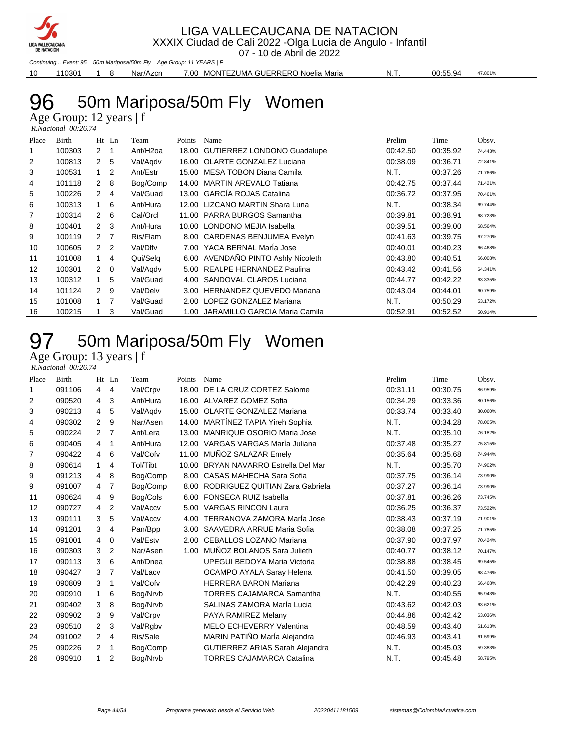

07 - 10 de Abril de 2022

Continuing... Event: 95 50m Mariposa/50m Fly Age Group: 11 YEARS | F

10 110301 1 8 Nar/Azcn 7.00 MONTEZUMA GUERRERO Noelia Maria N.T. 00:55.94 47.801%

## 96 50m Mariposa/50m Fly Women

Age Group: 12 years | f  *R.Nacional 00:26.74* 

| Place | <b>Birth</b> |                  | $Ht$ Ln        | Team                 | Points | Name                               | Prelim   | Time     | Obsv.   |
|-------|--------------|------------------|----------------|----------------------|--------|------------------------------------|----------|----------|---------|
|       | 100303       | $\mathbf{2}$     |                | Ant/H <sub>20a</sub> | 18.00  | <b>GUTIERREZ LONDONO Guadalupe</b> | 00:42.50 | 00:35.92 | 74.443% |
| 2     | 100813       | 2                | -5             | Val/Agdv             | 16.00  | <b>OLARTE GONZALEZ Luciana</b>     | 00:38.09 | 00:36.71 | 72.841% |
| 3     | 100531       |                  | 2              | Ant/Estr             | 15.00  | MESA TOBON Diana Camila            | N.T.     | 00:37.26 | 71.766% |
| 4     | 101118       | 2                | 8              | Bog/Comp             | 14.00  | <b>MARTIN AREVALO Tatiana</b>      | 00:42.75 | 00:37.44 | 71.421% |
| 5     | 100226       | 2 4              |                | Val/Guad             |        | 13.00 GARCÍA ROJAS Catalina        | 00:36.72 | 00:37.95 | 70.461% |
| 6     | 100313       | 1                | 6              | Ant/Hura             |        | 12.00 LIZCANO MARTIN Shara Luna    | N.T.     | 00:38.34 | 69.744% |
| 7     | 100314       | 2                | - 6            | Cal/Orcl             |        | 11.00 PARRA BURGOS Samantha        | 00:39.81 | 00:38.91 | 68.723% |
| 8     | 100401       | 2 <sub>3</sub>   |                | Ant/Hura             |        | 10.00 LONDONO MEJIA Isabella       | 00:39.51 | 00:39.00 | 68.564% |
| 9     | 100119       | $2 \overline{7}$ |                | Ris/Flam             |        | 8.00 CARDENAS BENJUMEA Evelyn      | 00:41.63 | 00:39.75 | 67.270% |
| 10    | 100605       | 2 <sub>2</sub>   |                | Val/Dlfv             | 7.00   | YACA BERNAL MarÍa Jose             | 00:40.01 | 00:40.23 | 66.468% |
| 11    | 101008       | $1 \quad$        | $\overline{4}$ | Qui/Selg             |        | 6.00 AVENDAÑO PINTO Ashly Nicoleth | 00:43.80 | 00:40.51 | 66.008% |
| 12    | 100301       | $2\quad 0$       |                | Val/Agdv             | 5.00   | REALPE HERNANDEZ Paulina           | 00:43.42 | 00:41.56 | 64.341% |
| 13    | 100312       |                  | 5              | Val/Guad             | 4.00   | SANDOVAL CLAROS Luciana            | 00:44.77 | 00:42.22 | 63.335% |
| 14    | 101124       | 2                | 9              | Val/Delv             | 3.00   | <b>HERNANDEZ QUEVEDO Mariana</b>   | 00:43.04 | 00:44.01 | 60.759% |
| 15    | 101008       | $1 \quad 7$      |                | Val/Guad             | 2.00   | LOPEZ GONZALEZ Mariana             | N.T.     | 00:50.29 | 53.172% |
| 16    | 100215       |                  | 3              | Val/Guad             | 1.00   | JARAMILLO GARCIA Maria Camila      | 00:52.91 | 00:52.52 | 50.914% |

# 97 50m Mariposa/50m Fly Women

Age Group: 13 years | f  *R.Nacional 00:26.74* 

| Place | Birth  | Ht             | $_{\text{Ln}}$ | Team     | Points | Name                                  | Prelim   | Time     | Obsv.   |
|-------|--------|----------------|----------------|----------|--------|---------------------------------------|----------|----------|---------|
| 1     | 091106 | 4              | 4              | Val/Crpv | 18.00  | DE LA CRUZ CORTEZ Salome              | 00:31.11 | 00:30.75 | 86.959% |
| 2     | 090520 | 4              | 3              | Ant/Hura |        | 16.00 ALVAREZ GOMEZ Sofia             | 00:34.29 | 00:33.36 | 80.156% |
| 3     | 090213 | 4              | 5              | Val/Aqdv |        | 15.00 OLARTE GONZALEZ Mariana         | 00:33.74 | 00:33.40 | 80.060% |
| 4     | 090302 | $\overline{2}$ | 9              | Nar/Asen |        | 14.00 MARTÍNEZ TAPIA Yireh Sophia     | N.T.     | 00:34.28 | 78.005% |
| 5     | 090224 | 2              | $\overline{7}$ | Ant/Lera |        | 13.00 MANRIQUE OSORIO Maria Jose      | N.T.     | 00:35.10 | 76.182% |
| 6     | 090405 | 4              | 1              | Ant/Hura |        | 12.00 VARGAS VARGAS Maria Juliana     | 00:37.48 | 00:35.27 | 75.815% |
| 7     | 090422 | 4              | 6              | Val/Cofv | 11.00  | MUÑOZ SALAZAR Emely                   | 00:35.64 | 00:35.68 | 74.944% |
| 8     | 090614 | $\mathbf{1}$   | 4              | Tol/Tibt | 10.00  | <b>BRYAN NAVARRO Estrella Del Mar</b> | N.T.     | 00:35.70 | 74.902% |
| 9     | 091213 | 4              | 8              | Bog/Comp | 8.00   | CASAS MAHECHA Sara Sofia              | 00:37.75 | 00:36.14 | 73.990% |
| 9     | 091007 | 4              | 7              | Bog/Comp |        | 8.00 RODRIGUEZ QUITIAN Zara Gabriela  | 00:37.27 | 00:36.14 | 73.990% |
| 11    | 090624 | 4              | 9              | Bog/Cols | 6.00   | <b>FONSECA RUIZ Isabella</b>          | 00:37.81 | 00:36.26 | 73.745% |
| 12    | 090727 | 4              | 2              | Val/Accv | 5.00   | <b>VARGAS RINCON Laura</b>            | 00:36.25 | 00:36.37 | 73.522% |
| 13    | 090111 | 3              | 5              | Val/Accv | 4.00   | TERRANOVA ZAMORA María Jose           | 00:38.43 | 00:37.19 | 71.901% |
| 14    | 091201 | 3              | 4              | Pan/Bpp  | 3.00   | SAAVEDRA ARRUE Maria Sofia            | 00:38.08 | 00:37.25 | 71.785% |
| 15    | 091001 | 4              | 0              | Val/Estv | 2.00   | CEBALLOS LOZANO Mariana               | 00:37.90 | 00:37.97 | 70.424% |
| 16    | 090303 | 3              | $\overline{2}$ | Nar/Asen | 1.00   | MUÑOZ BOLANOS Sara Julieth            | 00:40.77 | 00:38.12 | 70.147% |
| 17    | 090113 | 3              | 6              | Ant/Dnea |        | UPEGUI BEDOYA Maria Victoria          | 00:38.88 | 00:38.45 | 69.545% |
| 18    | 090427 | 3              | 7              | Val/Lacv |        | OCAMPO AYALA Saray Helena             | 00:41.50 | 00:39.05 | 68.476% |
| 19    | 090809 | 3              | 1              | Val/Cofv |        | <b>HERRERA BARON Mariana</b>          | 00:42.29 | 00:40.23 | 66.468% |
| 20    | 090910 | 1              | 6              | Bog/Nrvb |        | <b>TORRES CAJAMARCA Samantha</b>      | N.T.     | 00:40.55 | 65.943% |
| 21    | 090402 | 3              | 8              | Bog/Nrvb |        | SALINAS ZAMORA Marla Lucia            | 00:43.62 | 00:42.03 | 63.621% |
| 22    | 090902 | 3              | 9              | Val/Crpv |        | PAYA RAMIREZ Melany                   | 00:44.86 | 00:42.42 | 63.036% |
| 23    | 090510 | 2              | 3              | Val/Rgbv |        | <b>MELO ECHEVERRY Valentina</b>       | 00:48.59 | 00:43.40 | 61.613% |
| 24    | 091002 | 2              | 4              | Ris/Sale |        | MARIN PATIÑO MarÍa Alejandra          | 00:46.93 | 00:43.41 | 61.599% |
| 25    | 090226 | 2              | $\mathbf{1}$   | Bog/Comp |        | GUTIERREZ ARIAS Sarah Alejandra       | N.T.     | 00:45.03 | 59.383% |
| 26    | 090910 | 1              | 2              | Bog/Nrvb |        | <b>TORRES CAJAMARCA Catalina</b>      | N.T.     | 00:45.48 | 58.795% |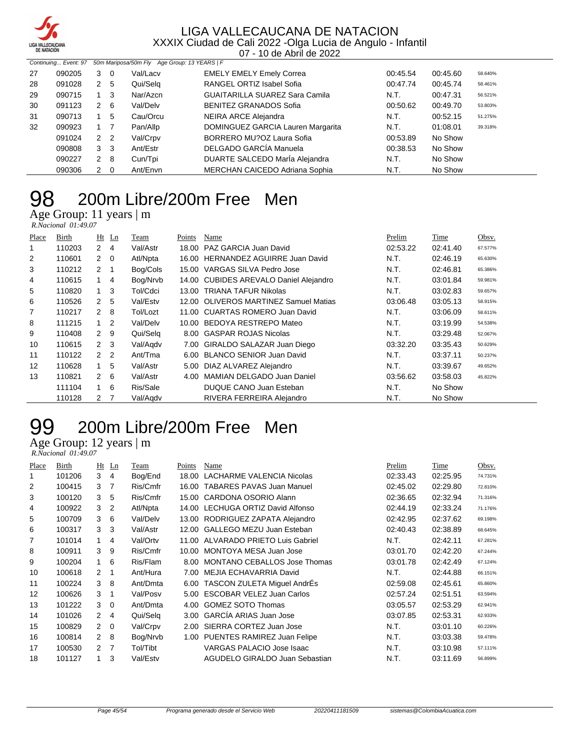

07 - 10 de Abril de 2022

|    | Continuing Event: 97 |                | 50m Mariposa/50m Fly Age Group: 13 YEARS   F |          |                                       |          |          |         |  |  |  |
|----|----------------------|----------------|----------------------------------------------|----------|---------------------------------------|----------|----------|---------|--|--|--|
| 27 | 090205               | 3              | - 0                                          | Val/Lacv | <b>EMELY EMELY Emely Correa</b>       | 00:45.54 | 00:45.60 | 58.640% |  |  |  |
| 28 | 091028               | 2              | 5                                            | Qui/Selg | RANGEL ORTIZ Isabel Sofia             | 00:47.74 | 00:45.74 | 58.461% |  |  |  |
| 29 | 090715               |                | -3                                           | Nar/Azcn | <b>GUAITARILLA SUAREZ Sara Camila</b> | N.T.     | 00:47.31 | 56.521% |  |  |  |
| 30 | 091123               | 2              | - 6                                          | Val/Delv | <b>BENITEZ GRANADOS Sofia</b>         | 00:50.62 | 00:49.70 | 53.803% |  |  |  |
| 31 | 090713               |                | 5                                            | Cau/Orcu | NEIRA ARCE Alejandra                  | N.T.     | 00:52.15 | 51.275% |  |  |  |
| 32 | 090923               | $1 \quad 7$    |                                              | Pan/Allp | DOMINGUEZ GARCIA Lauren Margarita     | N.T.     | 01:08.01 | 39.318% |  |  |  |
|    | 091024               | 2 <sub>2</sub> |                                              | Val/Crpv | BORRERO MU?OZ Laura Sofia             | 00:53.89 | No Show  |         |  |  |  |
|    | 090808               | 3 <sub>3</sub> |                                              | Ant/Estr | DELGADO GARCÍA Manuela                | 00:38.53 | No Show  |         |  |  |  |
|    | 090227               | $\mathbf{2}$   | - 8                                          | Cun/Tpi  | DUARTE SALCEDO MarÍa Alejandra        | N.T.     | No Show  |         |  |  |  |
|    | 090306               | 2              | - 0                                          | Ant/Envn | MERCHAN CAICEDO Adriana Sophia        | N.T.     | No Show  |         |  |  |  |

## 200m Libre/200m Free Men

Age Group: 11 years | m

 *R.Nacional 01:49.07* 

| Place | Birth  | $Ht$ Ln        |   | Team     | Points | Name                                   | Prelim   | Time     | Obsv.   |
|-------|--------|----------------|---|----------|--------|----------------------------------------|----------|----------|---------|
|       | 110203 | 2              | 4 | Val/Astr | 18.00  | PAZ GARCIA Juan David                  | 02:53.22 | 02:41.40 | 67.577% |
| 2     | 110601 | $2 \quad 0$    |   | Atl/Npta |        | 16.00 HERNANDEZ AGUIRRE Juan David     | N.T.     | 02:46.19 | 65.630% |
| 3     | 110212 | $2 \quad 1$    |   | Bog/Cols | 15.00  | VARGAS SILVA Pedro Jose                | N.T.     | 02:46.81 | 65.386% |
| 4     | 110615 | 1.             | 4 | Bog/Nrvb |        | 14.00 CUBIDES AREVALO Daniel Alejandro | N.T.     | 03:01.84 | 59.981% |
| 5     | 110820 | 1              | 3 | Tol/Cdci | 13.00  | TRIANA TAFUR Nikolas                   | N.T.     | 03:02.83 | 59.657% |
| 6     | 110526 | 2 5            |   | Val/Estv |        | 12.00 OLIVEROS MARTINEZ Samuel Matias  | 03:06.48 | 03:05.13 | 58.915% |
|       | 110217 | $2 \quad 8$    |   | Tol/Lozt |        | 11.00 CUARTAS ROMERO Juan David        | N.T.     | 03:06.09 | 58.611% |
| 8     | 111215 | $1\quad 2$     |   | Val/Delv |        | 10.00 BEDOYA RESTREPO Mateo            | N.T.     | 03:19.99 | 54.538% |
| 9     | 110408 | 2 9            |   | Qui/Selg |        | 8.00 GASPAR ROJAS Nicolas              | N.T.     | 03:29.48 | 52.067% |
| 10    | 110615 | $2 \quad 3$    |   | Val/Agdv |        | 7.00 GIRALDO SALAZAR Juan Diego        | 03:32.20 | 03:35.43 | 50.629% |
| 11    | 110122 | 2 <sub>2</sub> |   | Ant/Tma  | 6.00   | <b>BLANCO SENIOR Juan David</b>        | N.T.     | 03:37.11 | 50.237% |
| 12    | 110628 | $1\quad5$      |   | Val/Astr |        | 5.00 DIAZ ALVAREZ Alejandro            | N.T.     | 03:39.67 | 49.652% |
| 13    | 110821 | $2 \quad 6$    |   | Val/Astr | 4.00   | MAMIAN DELGADO Juan Daniel             | 03:56.62 | 03:58.03 | 45.822% |
|       | 111104 | $1 \quad$      | 6 | Ris/Sale |        | DUQUE CANO Juan Esteban                | N.T.     | No Show  |         |
|       | 110128 | 2 <sub>7</sub> |   | Val/Agdv |        | RIVERA FERREIRA Alejandro              | N.T.     | No Show  |         |

# 200m Libre/200m Free Men

Age Group: 12 years | m  *R.Nacional 01:49.07* 

| Place | <b>Birth</b> |                | $Ht$ Ln     | Team     | Points | Name                              | Prelim   | Time     | Obsv.   |
|-------|--------------|----------------|-------------|----------|--------|-----------------------------------|----------|----------|---------|
|       | 101206       | 3              | 4           | Bog/End  | 18.00  | LACHARME VALENCIA Nicolas         | 02:33.43 | 02:25.95 | 74.731% |
| 2     | 100415       | 3              | 7           | Ris/Cmfr | 16.00  | <b>TABARES PAVAS Juan Manuel</b>  | 02:45.02 | 02:29.80 | 72.810% |
| 3     | 100120       | 3              | 5           | Ris/Cmfr |        | 15.00 CARDONA OSORIO Alann        | 02:36.65 | 02:32.94 | 71.316% |
| 4     | 100922       | 3              | 2           | Atl/Npta |        | 14.00 LECHUGA ORTIZ David Alfonso | 02:44.19 | 02:33.24 | 71.176% |
| 5     | 100709       | 3              | 6           | Val/Delv |        | 13.00 RODRIGUEZ ZAPATA Alejandro  | 02:42.95 | 02:37.62 | 69.198% |
| 6     | 100317       | 3              | 3           | Val/Astr |        | 12.00 GALLEGO MEZU Juan Esteban   | 02:40.43 | 02:38.89 | 68.645% |
|       | 101014       |                | 4           | Val/Ortv | 11.00  | ALVARADO PRIETO Luis Gabriel      | N.T.     | 02:42.11 | 67.281% |
| 8     | 100911       | 3              | 9           | Ris/Cmfr |        | 10.00 MONTOYA MESA Juan Jose      | 03:01.70 | 02:42.20 | 67.244% |
| 9     | 100204       |                | 6           | Ris/Flam | 8.00   | MONTANO CEBALLOS Jose Thomas      | 03:01.78 | 02:42.49 | 67.124% |
| 10    | 100618       | 2              |             | Ant/Hura | 7.00   | MEJIA ECHAVARRIA David            | N.T.     | 02:44.88 | 66.151% |
| 11    | 100224       | 3              | 8           | Ant/Dmta |        | 6.00 TASCON ZULETA Miguel AndrÉs  | 02:59.08 | 02:45.61 | 65.860% |
| 12    | 100626       | 3              | 1           | Val/Posv |        | 5.00 ESCOBAR VELEZ Juan Carlos    | 02:57.24 | 02:51.51 | 63.594% |
| 13    | 101222       | 3              | $\Omega$    | Ant/Dmta |        | 4.00 GOMEZ SOTO Thomas            | 03:05.57 | 02:53.29 | 62.941% |
| 14    | 101026       | $\overline{2}$ | 4           | Qui/Selg |        | 3.00 GARCIA ARIAS Juan Jose       | 03:07.85 | 02:53.31 | 62.933% |
| 15    | 100829       | 2              | $\mathbf 0$ | Val/Crpv | 2.00   | SIERRA CORTEZ Juan Jose           | N.T.     | 03:01.10 | 60.226% |
| 16    | 100814       | $\mathcal{P}$  | 8           | Bog/Nrvb |        | 1.00 PUENTES RAMIREZ Juan Felipe  | N.T.     | 03:03.38 | 59.478% |
| 17    | 100530       | 2              | 7           | Tol/Tibt |        | VARGAS PALACIO Jose Isaac         | N.T.     | 03:10.98 | 57.111% |
| 18    | 101127       |                | 3           | Val/Estv |        | AGUDELO GIRALDO Juan Sebastian    | N.T.     | 03:11.69 | 56.899% |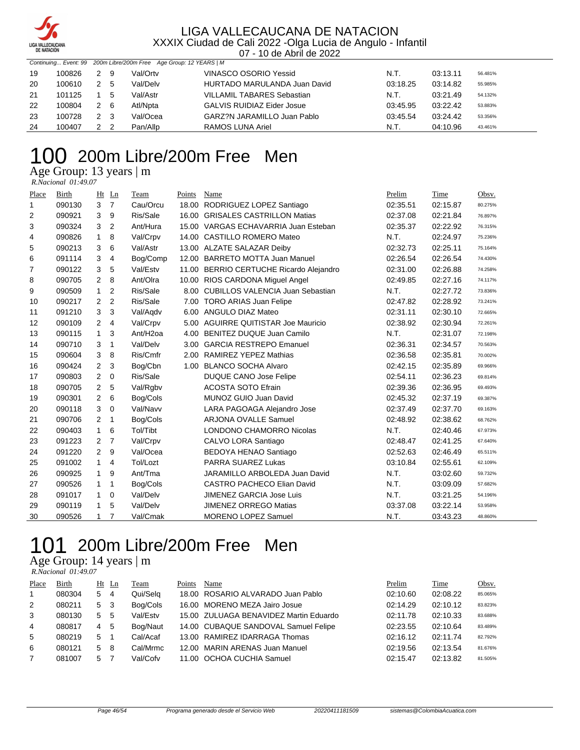

07 - 10 de Abril de 2022

|     |        |           | Continuing Event: 99 200m Libre/200m Free Age Group: 12 YEARS   M |                                   |          |          |         |
|-----|--------|-----------|-------------------------------------------------------------------|-----------------------------------|----------|----------|---------|
| 19  | 100826 | 2 9       | Val/Ortv                                                          | VINASCO OSORIO Yessid             | N.T.     | 03:13.11 | 56.481% |
| 20  | 100610 | 2 5       | Val/Delv                                                          | HURTADO MARULANDA Juan David      | 03:18.25 | 03:14.82 | 55.985% |
| -21 | 101125 | $1\quad5$ | Val/Astr                                                          | <b>VILLAMIL TABARES Sebastian</b> | N.T.     | 03:21.49 | 54.132% |
| 22  | 100804 | 2 6       | Atl/Npta                                                          | <b>GALVIS RUIDIAZ Eider Josue</b> | 03:45.95 | 03:22.42 | 53.883% |
| 23  | 100728 | 2 3       | Val/Ocea                                                          | GARZ?N JARAMILLO Juan Pablo       | 03:45.54 | 03:24.42 | 53.356% |
| 24  | 100407 | 2 2       | Pan/Allp                                                          | RAMOS LUNA Ariel                  | N.T.     | 04:10.96 | 43.461% |

## 200m Libre/200m Free Men

Age Group: 13 years | m

 *R.Nacional 01:49.07* 

| Place | <b>Birth</b> | Ht             | Ln             | Team                 | Points | Name                                    | Prelim   | Time     | Obsv.   |
|-------|--------------|----------------|----------------|----------------------|--------|-----------------------------------------|----------|----------|---------|
| 1     | 090130       | 3              | $\overline{7}$ | Cau/Orcu             |        | 18.00 RODRIGUEZ LOPEZ Santiago          | 02:35.51 | 02:15.87 | 80.275% |
| 2     | 090921       | 3              | 9              | Ris/Sale             |        | 16.00 GRISALES CASTRILLON Matias        | 02:37.08 | 02:21.84 | 76.897% |
| 3     | 090324       | 3              | $\overline{2}$ | Ant/Hura             |        | 15.00 VARGAS ECHAVARRIA Juan Esteban    | 02:35.37 | 02:22.92 | 76.315% |
| 4     | 090826       | 1              | 8              | Val/Crpv             | 14.00  | <b>CASTILLO ROMERO Mateo</b>            | N.T.     | 02:24.97 | 75.236% |
| 5     | 090213       | 3              | 6              | Val/Astr             |        | 13.00 ALZATE SALAZAR Deibv              | 02:32.73 | 02:25.11 | 75.164% |
| 6     | 091114       | 3              | 4              | Bog/Comp             |        | 12.00 BARRETO MOTTA Juan Manuel         | 02:26.54 | 02:26.54 | 74.430% |
| 7     | 090122       | 3              | 5              | Val/Estv             | 11.00  | BERRIO CERTUCHE Ricardo Alejandro       | 02:31.00 | 02:26.88 | 74.258% |
| 8     | 090705       | 2              | 8              | Ant/Olra             |        | 10.00 RIOS CARDONA Miguel Angel         | 02:49.85 | 02:27.16 | 74.117% |
| 9     | 090509       | 1              | $\overline{2}$ | Ris/Sale             | 8.00   | <b>CUBILLOS VALENCIA Juan Sebastian</b> | N.T.     | 02:27.72 | 73.836% |
| 10    | 090217       | 2              | $\overline{2}$ | Ris/Sale             | 7.00   | <b>TORO ARIAS Juan Felipe</b>           | 02:47.82 | 02:28.92 | 73.241% |
| 11    | 091210       | 3              | 3              | Val/Aqdv             |        | 6.00 ANGULO DIAZ Mateo                  | 02:31.11 | 02:30.10 | 72.665% |
| 12    | 090109       | 2              | 4              | Val/Crpv             | 5.00   | <b>AGUIRRE QUITISTAR Joe Mauricio</b>   | 02:38.92 | 02:30.94 | 72.261% |
| 13    | 090115       | $\mathbf{1}$   | 3              | Ant/H <sub>2oa</sub> | 4.00   | <b>BENITEZ DUQUE Juan Camilo</b>        | N.T.     | 02:31.07 | 72.198% |
| 14    | 090710       | 3              | 1              | Val/Delv             | 3.00   | <b>GARCIA RESTREPO Emanuel</b>          | 02:36.31 | 02:34.57 | 70.563% |
| 15    | 090604       | 3              | 8              | Ris/Cmfr             |        | 2.00 RAMIREZ YEPEZ Mathias              | 02:36.58 | 02:35.81 | 70.002% |
| 16    | 090424       | 2              | 3              | Bog/Cbn              | 1.00   | <b>BLANCO SOCHA Alvaro</b>              | 02:42.15 | 02:35.89 | 69.966% |
| 17    | 090803       | 2              | 0              | Ris/Sale             |        | <b>DUQUE CANO Jose Felipe</b>           | 02:54.11 | 02:36.23 | 69.814% |
| 18    | 090705       | $\overline{2}$ | 5              | Val/Rgbv             |        | <b>ACOSTA SOTO Efrain</b>               | 02:39.36 | 02:36.95 | 69.493% |
| 19    | 090301       | 2              | 6              | Bog/Cols             |        | MUNOZ GUIO Juan David                   | 02:45.32 | 02:37.19 | 69.387% |
| 20    | 090118       | 3              | $\mathbf 0$    | Val/Navv             |        | LARA PAGOAGA Alejandro Jose             | 02:37.49 | 02:37.70 | 69.163% |
| 21    | 090706       | $\overline{2}$ | 1              | Bog/Cols             |        | <b>ARJONA OVALLE Samuel</b>             | 02:48.92 | 02:38.62 | 68.762% |
| 22    | 090403       | 1              | 6              | Tol/Tibt             |        | LONDONO CHAMORRO Nicolas                | N.T.     | 02:40.46 | 67.973% |
| 23    | 091223       | 2              | $\overline{7}$ | Val/Crpv             |        | CALVO LORA Santiago                     | 02:48.47 | 02:41.25 | 67.640% |
| 24    | 091220       | 2              | 9              | Val/Ocea             |        | BEDOYA HENAO Santiago                   | 02:52.63 | 02:46.49 | 65.511% |
| 25    | 091002       | 1              | 4              | Tol/Lozt             |        | PARRA SUAREZ Lukas                      | 03:10.84 | 02:55.61 | 62.109% |
| 26    | 090925       | $\mathbf{1}$   | 9              | Ant/Tma              |        | JARAMILLO ARBOLEDA Juan David           | N.T.     | 03:02.60 | 59.732% |
| 27    | 090526       | 1              | 1              | Bog/Cols             |        | <b>CASTRO PACHECO Elian David</b>       | N.T.     | 03:09.09 | 57.682% |
| 28    | 091017       | $\mathbf{1}$   | $\mathbf 0$    | Val/Delv             |        | <b>JIMENEZ GARCIA Jose Luis</b>         | N.T.     | 03:21.25 | 54.196% |
| 29    | 090119       | 1              | 5              | Val/Delv             |        | <b>JIMENEZ ORREGO Matias</b>            | 03:37.08 | 03:22.14 | 53.958% |
| 30    | 090526       | 1              | 7              | Val/Cmak             |        | <b>MORENO LOPEZ Samuel</b>              | N.T.     | 03:43.23 | 48.860% |

# 200m Libre/200m Free Men

Age Group: 14 years | m

 *R.Nacional 01:49.07* 

| Place | <b>Birth</b> |                | $Ht$ Ln | l`eam    | Points | Name                                   | Prelim   | Time     | Obsv.   |
|-------|--------------|----------------|---------|----------|--------|----------------------------------------|----------|----------|---------|
| 1     | 080304       | 5 4            |         | Qui/Selg |        | 18.00 ROSARIO ALVARADO Juan Pablo      | 02:10.60 | 02:08.22 | 85.065% |
| 2     | 080211       | 5 <sup>3</sup> |         | Bog/Cols |        | 16.00 MORENO MEZA Jairo Josue          | 02:14.29 | 02:10.12 | 83.823% |
| 3     | 080130       | 5 5            |         | Val/Estv |        | 15.00 ZULUAGA BENAVIDEZ Martin Eduardo | 02:11.78 | 02:10.33 | 83.688% |
| 4     | 080817       | 4 5            |         | Bog/Naut |        | 14.00 CUBAQUE SANDOVAL Samuel Felipe   | 02:23.55 | 02:10.64 | 83.489% |
| 5     | 080219       | 5.             |         | Cal/Acaf |        | 13.00 RAMIREZ IDARRAGA Thomas          | 02:16.12 | 02:11.74 | 82.792% |
| 6     | 080121       | 5              | -8      | Cal/Mrmc |        | 12.00 MARIN ARENAS Juan Manuel         | 02:19.56 | 02:13.54 | 81.676% |
|       | 081007       | 5.             |         | Val/Cofv |        | 11.00 OCHOA CUCHIA Samuel              | 02:15.47 | 02:13.82 | 81.505% |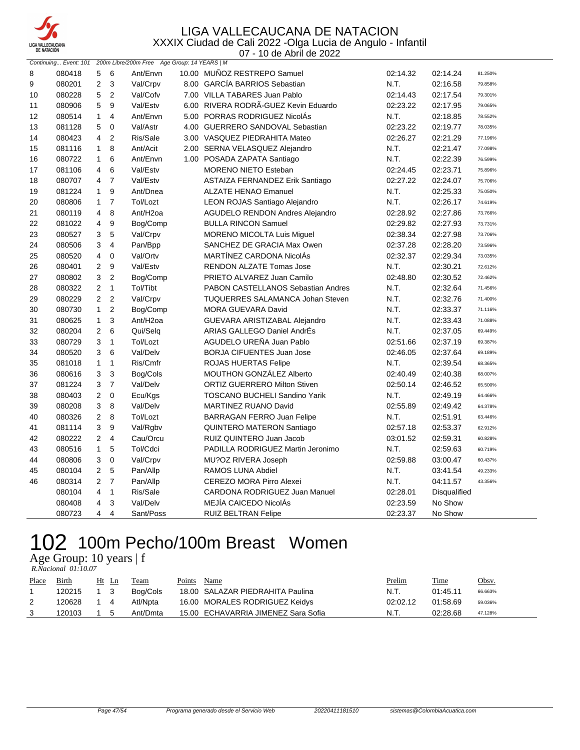

07 - 10 de Abril de 2022

|    |        |                         | Continuing Event: 101 200m Libre/200m Free Age Group: 14 YEARS   M |                      |  |                                         |          |              |         |  |  |  |  |
|----|--------|-------------------------|--------------------------------------------------------------------|----------------------|--|-----------------------------------------|----------|--------------|---------|--|--|--|--|
| 8  | 080418 | 5                       | 6                                                                  | Ant/Envn             |  | 10.00 MUNOZ RESTREPO Samuel             | 02:14.32 | 02:14.24     | 81.250% |  |  |  |  |
| 9  | 080201 | $\overline{\mathbf{c}}$ | 3                                                                  | Val/Crpv             |  | 8.00 GARCÍA BARRIOS Sebastian           | N.T.     | 02:16.58     | 79.858% |  |  |  |  |
| 10 | 080228 | 5                       | $\overline{2}$                                                     | Val/Cofv             |  | 7.00 VILLA TABARES Juan Pablo           | 02:14.43 | 02:17.54     | 79.301% |  |  |  |  |
| 11 | 080906 | 5                       | 9                                                                  | Val/Estv             |  | 6.00 RIVERA RODRÃ-GUEZ Kevin Eduardo    | 02:23.22 | 02:17.95     | 79.065% |  |  |  |  |
| 12 | 080514 | $\mathbf{1}$            | $\overline{\mathbf{4}}$                                            | Ant/Envn             |  | 5.00 PORRAS RODRIGUEZ NicolÁs           | N.T.     | 02:18.85     | 78.552% |  |  |  |  |
| 13 | 081128 | 5                       | $\mathbf 0$                                                        | Val/Astr             |  | 4.00 GUERRERO SANDOVAL Sebastian        | 02:23.22 | 02:19.77     | 78.035% |  |  |  |  |
| 14 | 080423 | 4                       | $\overline{2}$                                                     | Ris/Sale             |  | 3.00 VASQUEZ PIEDRAHITA Mateo           | 02:26.27 | 02:21.29     | 77.196% |  |  |  |  |
| 15 | 081116 | $\mathbf{1}$            | 8                                                                  | Ant/Acit             |  | 2.00 SERNA VELASQUEZ Alejandro          | N.T.     | 02:21.47     | 77.098% |  |  |  |  |
| 16 | 080722 | $\mathbf{1}$            | 6                                                                  | Ant/Envn             |  | 1.00 POSADA ZAPATA Santiago             | N.T.     | 02:22.39     | 76.599% |  |  |  |  |
| 17 | 081106 | $\overline{4}$          | 6                                                                  | Val/Estv             |  | <b>MORENO NIETO Esteban</b>             | 02:24.45 | 02:23.71     | 75.896% |  |  |  |  |
| 18 | 080707 | 4                       | $\overline{7}$                                                     | Val/Estv             |  | ASTAIZA FERNANDEZ Erik Santiago         | 02:27.22 | 02:24.07     | 75.706% |  |  |  |  |
| 19 | 081224 | $\mathbf{1}$            | 9                                                                  | Ant/Dnea             |  | <b>ALZATE HENAO Emanuel</b>             | N.T.     | 02:25.33     | 75.050% |  |  |  |  |
| 20 | 080806 | $\mathbf{1}$            | $\overline{7}$                                                     | Tol/Lozt             |  | LEON ROJAS Santiago Alejandro           | N.T.     | 02:26.17     | 74.619% |  |  |  |  |
| 21 | 080119 | 4                       | 8                                                                  | Ant/H <sub>2oa</sub> |  | AGUDELO RENDON Andres Alejandro         | 02:28.92 | 02:27.86     | 73.766% |  |  |  |  |
| 22 | 081022 | 4                       | 9                                                                  | Bog/Comp             |  | <b>BULLA RINCON Samuel</b>              | 02:29.82 | 02:27.93     | 73.731% |  |  |  |  |
| 23 | 080527 | 3                       | 5                                                                  | Val/Crpv             |  | <b>MORENO MICOLTA Luis Miguel</b>       | 02:38.34 | 02:27.98     | 73.706% |  |  |  |  |
| 24 | 080506 | 3                       | 4                                                                  | Pan/Bpp              |  | SANCHEZ DE GRACIA Max Owen              | 02:37.28 | 02:28.20     | 73.596% |  |  |  |  |
| 25 | 080520 | 4                       | $\mathbf 0$                                                        | Val/Ortv             |  | MARTÍNEZ CARDONA NicolÁs                | 02:32.37 | 02:29.34     | 73.035% |  |  |  |  |
| 26 | 080401 | 2                       | 9                                                                  | Val/Estv             |  | <b>RENDON ALZATE Tomas Jose</b>         | N.T.     | 02:30.21     | 72.612% |  |  |  |  |
| 27 | 080802 | 3                       | $\overline{2}$                                                     | Bog/Comp             |  | PRIETO ALVAREZ Juan Camilo              | 02:48.80 | 02:30.52     | 72.462% |  |  |  |  |
| 28 | 080322 | $\overline{2}$          | $\mathbf{1}$                                                       | Tol/Tibt             |  | PABON CASTELLANOS Sebastian Andres      | N.T.     | 02:32.64     | 71.456% |  |  |  |  |
| 29 | 080229 | $\overline{2}$          | $\overline{2}$                                                     | Val/Crpv             |  | <b>TUQUERRES SALAMANCA Johan Steven</b> | N.T.     | 02:32.76     | 71.400% |  |  |  |  |
| 30 | 080730 | $\mathbf{1}$            | $\overline{2}$                                                     | Bog/Comp             |  | MORA GUEVARA David                      | N.T.     | 02:33.37     | 71.116% |  |  |  |  |
| 31 | 080625 | $\mathbf{1}$            | 3                                                                  | Ant/H <sub>2oa</sub> |  | GUEVARA ARISTIZABAL Alejandro           | N.T.     | 02:33.43     | 71.088% |  |  |  |  |
| 32 | 080204 | $\overline{2}$          | 6                                                                  | Qui/Selq             |  | ARIAS GALLEGO Daniel AndrÉs             | N.T.     | 02:37.05     | 69.449% |  |  |  |  |
| 33 | 080729 | 3                       | $\mathbf{1}$                                                       | Tol/Lozt             |  | AGUDELO UREÑA Juan Pablo                | 02:51.66 | 02:37.19     | 69.387% |  |  |  |  |
| 34 | 080520 | 3                       | 6                                                                  | Val/Delv             |  | BORJA CIFUENTES Juan Jose               | 02:46.05 | 02:37.64     | 69.189% |  |  |  |  |
| 35 | 081018 | $\mathbf{1}$            | $\mathbf{1}$                                                       | Ris/Cmfr             |  | ROJAS HUERTAS Felipe                    | N.T.     | 02:39.54     | 68.365% |  |  |  |  |
| 36 | 080616 | 3                       | 3                                                                  | Bog/Cols             |  | <b>MOUTHON GONZALEZ Alberto</b>         | 02:40.49 | 02:40.38     | 68.007% |  |  |  |  |
| 37 | 081224 | 3                       | $\overline{7}$                                                     | Val/Delv             |  | <b>ORTIZ GUERRERO Milton Stiven</b>     | 02:50.14 | 02:46.52     | 65.500% |  |  |  |  |
| 38 | 080403 | $\overline{c}$          | $\mathbf 0$                                                        | Ecu/Kgs              |  | <b>TOSCANO BUCHELI Sandino Yarik</b>    | N.T.     | 02:49.19     | 64.466% |  |  |  |  |
| 39 | 080208 | 3                       | 8                                                                  | Val/Delv             |  | MARTINEZ RUANO David                    | 02:55.89 | 02:49.42     | 64.378% |  |  |  |  |
| 40 | 080326 | $\overline{\mathbf{c}}$ | 8                                                                  | Tol/Lozt             |  | <b>BARRAGAN FERRO Juan Felipe</b>       | N.T.     | 02:51.91     | 63.446% |  |  |  |  |
| 41 | 081114 | 3                       | 9                                                                  | Val/Rgbv             |  | <b>QUINTERO MATERON Santiago</b>        | 02:57.18 | 02:53.37     | 62.912% |  |  |  |  |
| 42 | 080222 | $\overline{2}$          | $\overline{4}$                                                     | Cau/Orcu             |  | RUIZ QUINTERO Juan Jacob                | 03:01.52 | 02:59.31     | 60.828% |  |  |  |  |
| 43 | 080516 | $\mathbf{1}$            | 5                                                                  | Tol/Cdci             |  | PADILLA RODRIGUEZ Martin Jeronimo       | N.T.     | 02:59.63     | 60.719% |  |  |  |  |
| 44 | 080806 | 3                       | $\mathbf 0$                                                        | Val/Crpv             |  | MU?OZ RIVERA Joseph                     | 02:59.88 | 03:00.47     | 60.437% |  |  |  |  |
| 45 | 080104 | $\overline{2}$          | 5                                                                  | Pan/Allp             |  | <b>RAMOS LUNA Abdiel</b>                | N.T.     | 03:41.54     | 49.233% |  |  |  |  |
| 46 | 080314 | $\overline{2}$          | $\overline{7}$                                                     | Pan/Allp             |  | CEREZO MORA Pirro Alexei                | N.T.     | 04:11.57     | 43.356% |  |  |  |  |
|    | 080104 | $\overline{4}$          | $\mathbf{1}$                                                       | Ris/Sale             |  | <b>CARDONA RODRIGUEZ Juan Manuel</b>    | 02:28.01 | Disqualified |         |  |  |  |  |
|    | 080408 | $\overline{4}$          | 3                                                                  | Val/Delv             |  | MEJÍA CAICEDO NicolÁs                   | 02:23.59 | No Show      |         |  |  |  |  |
|    | 080723 | $\overline{4}$          | $\overline{4}$                                                     | Sant/Poss            |  | <b>RUIZ BELTRAN Felipe</b>              | 02:23.37 | No Show      |         |  |  |  |  |

## 100m Pecho/100m Breast Women

Age Group: 10 years | f

|              | R.Nacional 01:10.07 |            |          |        |                                     |        |                      |         |  |  |  |  |
|--------------|---------------------|------------|----------|--------|-------------------------------------|--------|----------------------|---------|--|--|--|--|
| <b>Place</b> | Birth               | Ht Ln      | Team     | Points | Name                                | Prelim | <b>Time</b>          | Obsv.   |  |  |  |  |
|              | 120215              |            | Bog/Cols |        | 18.00 SALAZAR PIEDRAHITA Paulina    | N.T.   | 01:45.11             | 66.663% |  |  |  |  |
|              | 120628              | 14         | Atl/Npta |        | 16.00 MORALES RODRIGUEZ Keidys      |        | 01:58.69<br>02:02.12 | 59.036% |  |  |  |  |
|              | 120103              | $1\quad 5$ | Ant/Dmta |        | 15.00 ECHAVARRIA JIMENEZ Sara Sofia | N.T.   | 02:28.68             | 47.128% |  |  |  |  |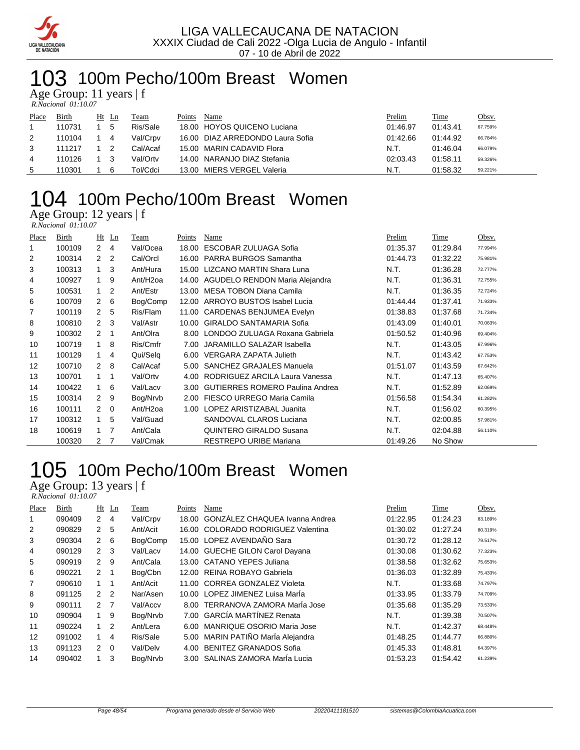

## 100m Pecho/100m Breast Women

Age Group: 11 years | f

| $R. Nacional$ $01:10.07$ |  |
|--------------------------|--|

| Place | Birth  | Ht Ln | Team     | Points | Name                             | Prelim   | Time     | <u>Obsv.</u> |
|-------|--------|-------|----------|--------|----------------------------------|----------|----------|--------------|
|       | 110731 |       | Ris/Sale |        | 18.00 HOYOS QUICENO Luciana      | 01:46.97 | 01:43.41 | 67.759%      |
| 2     | 110104 | -4    | Val/Crpv |        | 16.00 DIAZ ARREDONDO Laura Sofia | 01:42.66 | 01:44.92 | 66.784%      |
| 3     | 111217 |       | Cal/Acaf |        | 15.00 MARIN CADAVID Flora        | N.T.     | 01:46.04 | 66.079%      |
| 4     | 110126 |       | Val/Ortv |        | 14.00 NARANJO DIAZ Stefania      | 02:03.43 | 01:58.11 | 59.326%      |
| 5     | 110301 | 6     | Tol/Cdci |        | 13.00 MIERS VERGEL Valeria       | N.T.     | 01:58.32 | 59.221%      |

## 100m Pecho/100m Breast Women

Age Group: 12 years | f  *R.Nacional 01:10.07* 

| Place | Birth  | Ht                   | Ln             | Team                  | Points | Name                                   | Prelim   | Time     | Obsv.   |
|-------|--------|----------------------|----------------|-----------------------|--------|----------------------------------------|----------|----------|---------|
|       | 100109 | $\mathbf{2}$         | 4              | Val/Ocea              | 18.00  | ESCOBAR ZULUAGA Sofia                  | 01:35.37 | 01:29.84 | 77.994% |
| 2     | 100314 | $\mathcal{P} \equiv$ | 2              | Cal/Orcl              | 16.00  | PARRA BURGOS Samantha                  | 01:44.73 | 01:32.22 | 75.981% |
| 3     | 100313 | 1                    | 3              | Ant/Hura              | 15.00  | LIZCANO MARTIN Shara Luna              | N.T.     | 01:36.28 | 72.777% |
| 4     | 100927 | 1                    | 9              | Ant/H <sub>2</sub> oa | 14.00  | AGUDELO RENDON Maria Alejandra         | N.T.     | 01:36.31 | 72.755% |
| 5     | 100531 | 1                    | 2              | Ant/Estr              | 13.00  | MESA TOBON Diana Camila                | N.T.     | 01:36.35 | 72.724% |
| 6     | 100709 | 2                    | 6              | Bog/Comp              | 12.00  | ARROYO BUSTOS Isabel Lucia             | 01:44.44 | 01:37.41 | 71.933% |
| 7     | 100119 | $\mathbf{2}$         | 5              | Ris/Flam              | 11.00  | CARDENAS BENJUMEA Evelyn               | 01:38.83 | 01:37.68 | 71.734% |
| 8     | 100810 | $\mathcal{P}$        | 3              | Val/Astr              | 10.00  | GIRALDO SANTAMARIA Sofia               | 01:43.09 | 01:40.01 | 70.063% |
| 9     | 100302 | $\mathcal{P}$        | 1              | Ant/Olra              | 8.00   | LONDOO ZULUAGA Roxana Gabriela         | 01:50.52 | 01:40.96 | 69.404% |
| 10    | 100719 | $\mathbf{1}$         | 8              | Ris/Cmfr              | 7.00   | JARAMILLO SALAZAR Isabella             | N.T.     | 01:43.05 | 67.996% |
| 11    | 100129 | 1                    | 4              | Qui/Selg              | 6.00   | VERGARA ZAPATA Julieth                 | N.T.     | 01:43.42 | 67.753% |
| 12    | 100710 | $\mathcal{P}$        | 8              | Cal/Acaf              | 5.00   | <b>SANCHEZ GRAJALES Manuela</b>        | 01:51.07 | 01:43.59 | 67.642% |
| 13    | 100701 | $\mathbf{1}$         | 1              | Val/Ortv              | 4.00   | RODRIGUEZ ARCILA Laura Vanessa         | N.T.     | 01:47.13 | 65.407% |
| 14    | 100422 | $\mathbf{1}$         | 6              | Val/Lacv              | 3.00   | <b>GUTIERRES ROMERO Paulina Andrea</b> | N.T.     | 01:52.89 | 62.069% |
| 15    | 100314 | 2                    | 9              | Bog/Nrvb              | 2.00   | FIESCO URREGO Maria Camila             | 01:56.58 | 01.54.34 | 61.282% |
| 16    | 100111 | $\mathcal{P}$        | 0              | Ant/H <sub>2</sub> oa | 1.00   | LOPEZ ARISTIZABAL Juanita              | N.T.     | 01:56.02 | 60.395% |
| 17    | 100312 | $\mathbf{1}$         | 5              | Val/Guad              |        | SANDOVAL CLAROS Luciana                | N.T.     | 02:00.85 | 57.981% |
| 18    | 100619 | 1                    | 7              | Ant/Cala              |        | QUINTERO GIRALDO Susana                | N.T.     | 02:04.88 | 56.110% |
|       | 100320 | 2                    | $\overline{7}$ | Val/Cmak              |        | <b>RESTREPO URIBE Mariana</b>          | 01:49.26 | No Show  |         |

## 100m Pecho/100m Breast Women

Age Group: 13 years | f  *R.Nacional 01:10.07* 

| Place | Birth  |                      | $Ht$ Ln        | Team     | Points | Name                               | Prelim   | Time     | Obsv.   |
|-------|--------|----------------------|----------------|----------|--------|------------------------------------|----------|----------|---------|
| 1     | 090409 | $\mathbf{2}^{\circ}$ | 4              | Val/Crpv | 18.00  | GONZALEZ CHAQUEA Ivanna Andrea     | 01:22.95 | 01:24.23 | 83.189% |
| 2     | 090829 | $\overline{2}$       | 5              | Ant/Acit |        | 16.00 COLORADO RODRIGUEZ Valentina | 01:30.02 | 01:27.24 | 80.319% |
| 3     | 090304 | $\overline{2}$       | 6              | Bog/Comp |        | 15.00 LOPEZ AVENDAÑO Sara          | 01:30.72 | 01:28.12 | 79.517% |
| 4     | 090129 | $\mathcal{P}$        | 3              | Val/Lacv |        | 14.00 GUECHE GILON Carol Dayana    | 01:30.08 | 01:30.62 | 77.323% |
| 5     | 090919 | $\mathcal{P}$        | 9              | Ant/Cala |        | 13.00 CATANO YEPES Juliana         | 01:38.58 | 01:32.62 | 75.653% |
| 6     | 090221 | $\mathcal{P}$        | $\mathbf 1$    | Bog/Cbn  | 12.00  | REINA ROBAYO Gabriela              | 01:36.03 | 01:32.89 | 75.433% |
| 7     | 090610 |                      | 1              | Ant/Acit |        | 11.00 CORREA GONZALEZ Violeta      | N.T.     | 01:33.68 | 74.797% |
| 8     | 091125 | $\mathcal{P}$        | $\overline{2}$ | Nar/Asen |        | 10.00 LOPEZ JIMENEZ Luisa Marla    | 01:33.95 | 01:33.79 | 74.709% |
| 9     | 090111 | $\mathcal{P}$        | 7              | Val/Accv |        | 8.00 TERRANOVA ZAMORA María Jose   | 01:35.68 | 01:35.29 | 73.533% |
| 10    | 090904 | 1                    | 9              | Bog/Nrvb | 7.00   | <b>GARCÍA MARTÍNEZ Renata</b>      | N.T.     | 01:39.38 | 70.507% |
| 11    | 090224 |                      | 2              | Ant/Lera | 6.00   | <b>MANRIQUE OSORIO Maria Jose</b>  | N.T.     | 01:42.37 | 68.448% |
| 12    | 091002 | $\overline{1}$       | 4              | Ris/Sale |        | 5.00 MARIN PATIÑO MarÍa Alejandra  | 01:48.25 | 01:44.77 | 66.880% |
| 13    | 091123 | $\mathcal{P}$        | $\Omega$       | Val/Delv | 4.00   | <b>BENITEZ GRANADOS Sofia</b>      | 01:45.33 | 01:48.81 | 64.397% |
| 14    | 090402 |                      | 3              | Bog/Nrvb |        | 3.00 SALINAS ZAMORA MarÍa Lucia    | 01:53.23 | 01:54.42 | 61.239% |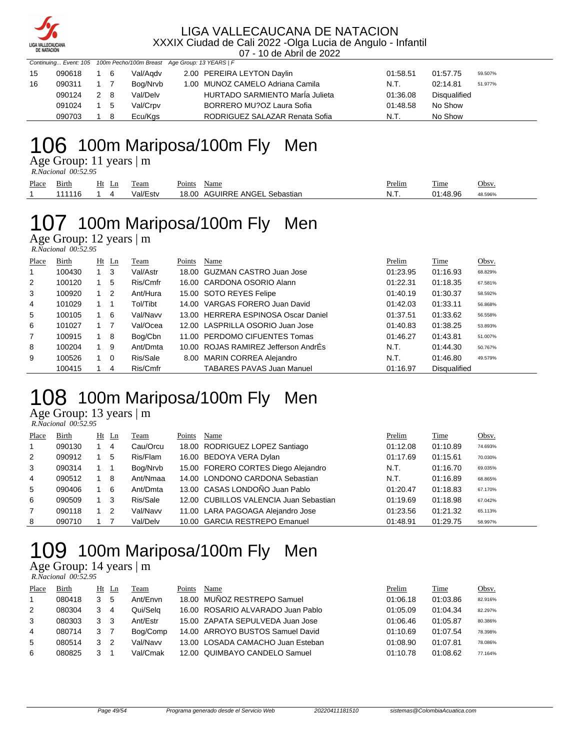

07 - 10 de Abril de 2022

|    |        | Continuing Event: 105 100m Pecho/100m Breast Age Group: 13 YEARS   F |                 |          |                                  |                     |              |         |
|----|--------|----------------------------------------------------------------------|-----------------|----------|----------------------------------|---------------------|--------------|---------|
| 15 | 090618 | 1 6                                                                  |                 | Val/Agdv | 2.00 PEREIRA LEYTON Daylin       | 01:58.51            | 01:57.75     | 59.507% |
| 16 | 090311 | 1 7                                                                  |                 | Bog/Nrvb | 1.00 MUNOZ CAMELO Adriana Camila | N.T.                | 02:14.81     | 51.977% |
|    | 090124 | 2 8                                                                  |                 | Val/Delv | HURTADO SARMIENTO MarÍa Julieta  | 01:36.08            | Disqualified |         |
|    | 091024 |                                                                      | Val/Crpv<br>1 5 |          | BORRERO MU?OZ Laura Sofia        | 01:48.58<br>No Show |              |         |
|    | 090703 |                                                                      | - 8             | Ecu/Kgs  | RODRIGUEZ SALAZAR Renata Sofia   | N.T.                | No Show      |         |

## 100m Mariposa/100m Fly Men

Age Group: 11 years | m  *R.Nacional 00:52.95* 

| Place | Birth | HЦ<br>ப | eam      | -<br>oints' | Name                | Prelim  | m.<br>l'ime | <b>Obsy</b> |
|-------|-------|---------|----------|-------------|---------------------|---------|-------------|-------------|
|       | ' I C |         | 'al/Esty | 8.00        | NGE<br>ШF<br>astıar | NI<br>. | :48.96      |             |

# 100m Mariposa/100m Fly Men

Age Group: 12 years | m  *R.Nacional 00:52.95* 

| Place        | Birth  | $Ht$ Ln  | Team     | Points | Name                                 | Prelim   | Time                | Obsv.   |
|--------------|--------|----------|----------|--------|--------------------------------------|----------|---------------------|---------|
| $\mathbf{1}$ | 100430 | 3        | Val/Astr |        | 18.00 GUZMAN CASTRO Juan Jose        | 01:23.95 | 01:16.93            | 68.829% |
| 2            | 100120 | 5        | Ris/Cmfr |        | 16.00 CARDONA OSORIO Alann           | 01:22.31 | 01:18.35            | 67.581% |
| 3            | 100920 | -2       | Ant/Hura |        | 15.00 SOTO REYES Felipe              | 01:40.19 | 01:30.37            | 58.592% |
| 4            | 101029 |          | Tol/Tibt |        | 14.00 VARGAS FORERO Juan David       | 01:42.03 | 01:33.11            | 56.868% |
| 5            | 100105 | -6       | Val/Navv |        | 13.00 HERRERA ESPINOSA Oscar Daniel  | 01:37.51 | 01:33.62            | 56.558% |
| 6            | 101027 |          | Val/Ocea |        | 12.00 LASPRILLA OSORIO Juan Jose     | 01:40.83 | 01:38.25            | 53.893% |
| 7            | 100915 | -8       | Bog/Cbn  |        | 11.00 PERDOMO CIFUENTES Tomas        | 01:46.27 | 01:43.81            | 51.007% |
| 8            | 100204 | -9       | Ant/Dmta |        | 10.00 ROJAS RAMIREZ Jefferson AndrÉs | N.T.     | 01:44.30            | 50.767% |
| 9            | 100526 | $\Omega$ | Ris/Sale |        | 8.00 MARIN CORREA Alejandro          | N.T.     | 01:46.80            | 49.579% |
|              | 100415 | 4        | Ris/Cmfr |        | <b>TABARES PAVAS Juan Manuel</b>     | 01:16.97 | <b>Disqualified</b> |         |

## 100m Mariposa/100m Fly Men

Age Group: 13 years | m

|           | R.Nacional 00:52.95 |  |
|-----------|---------------------|--|
| <b>DI</b> |                     |  |

| Place          | <b>Birth</b> | Ht  | Ln | Team     | Points | Name                                   | Prelim   | <b>Time</b> | Obsv.   |
|----------------|--------------|-----|----|----------|--------|----------------------------------------|----------|-------------|---------|
| $\overline{1}$ | 090130       |     | 4  | Cau/Orcu |        | 18.00 RODRIGUEZ LOPEZ Santiago         | 01:12.08 | 01:10.89    | 74.693% |
| 2              | 090912       |     | 5  | Ris/Flam |        | 16.00 BEDOYA VERA Dylan                | 01:17.69 | 01:15.61    | 70.030% |
| 3              | 090314       |     |    | Bog/Nrvb |        | 15.00 FORERO CORTES Diego Alejandro    | N.T.     | 01:16.70    | 69.035% |
| 4              | 090512       |     | 8  | Ant/Nmaa |        | 14.00 LONDONO CARDONA Sebastian        | N.T.     | 01:16.89    | 68.865% |
| 5              | 090406       |     | -6 | Ant/Dmta |        | 13.00 CASAS LONDOÑO Juan Pablo         | 01:20.47 | 01:18.83    | 67.170% |
| 6              | 090509       | 1 3 |    | Ris/Sale |        | 12.00 CUBILLOS VALENCIA Juan Sebastian | 01:19.69 | 01:18.98    | 67.042% |
| 7              | 090118       |     | 2  | Val/Navv |        | 11.00 LARA PAGOAGA Alejandro Jose      | 01:23.56 | 01:21.32    | 65.113% |
| 8              | 090710       |     |    | Val/Delv |        | 10.00 GARCIA RESTREPO Emanuel          | 01:48.91 | 01:29.75    | 58.997% |

# 100m Mariposa/100m Fly Men

Age Group: 14 years | m  *R.Nacional 00:52.95* 

| Place | Birth  |               | $Ht$ Ln       | Team     | Points | Name                              | Prelim   | <b>Time</b> | Obsv.   |
|-------|--------|---------------|---------------|----------|--------|-----------------------------------|----------|-------------|---------|
|       | 080418 |               | 5             | Ant/Envn |        | 18.00 MUÑOZ RESTREPO Samuel       | 01:06.18 | 01:03.86    | 82.916% |
| 2     | 080304 | 3             | 4             | Qui/Sela |        | 16.00 ROSARIO ALVARADO Juan Pablo | 01:05.09 | 01:04.34    | 82.297% |
| 3     | 080303 | 3             | 3             | Ant/Estr |        | 15.00 ZAPATA SEPULVEDA Juan Jose  | 01:06.46 | 01:05.87    | 80.386% |
| 4     | 080714 | 3             |               | Bog/Comp |        | 14.00 ARROYO BUSTOS Samuel David  | 01:10.69 | 01:07.54    | 78.398% |
| -5    | 080514 | $\mathcal{S}$ | $\mathcal{P}$ | Val/Navv |        | 13.00 LOSADA CAMACHO Juan Esteban | 01:08.90 | 01:07.81    | 78.086% |
| 6     | 080825 |               |               | Val/Cmak |        | 12.00 QUIMBAYO CANDELO Samuel     | 01:10.78 | 01:08.62    | 77.164% |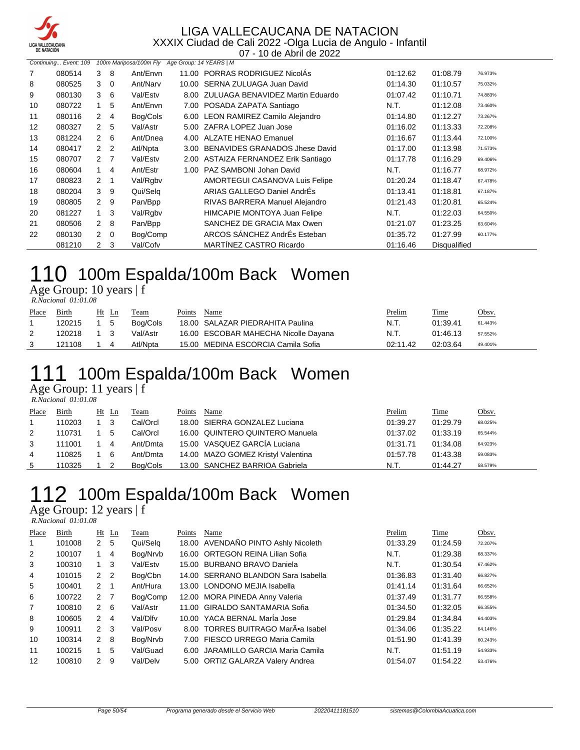

07 - 10 de Abril de 2022

| Continuing Event: 109 |        |                      |                | 100m Mariposa/100m Fly | Age Group: 14 YEARS   M |                                       |          |                     |         |
|-----------------------|--------|----------------------|----------------|------------------------|-------------------------|---------------------------------------|----------|---------------------|---------|
| 7                     | 080514 | 3                    | 8              | Ant/Envn               |                         | 11.00 PORRAS RODRIGUEZ NicolAs        | 01:12.62 | 01:08.79            | 76.973% |
| 8                     | 080525 | 3                    | $\Omega$       | Ant/Narv               |                         | 10.00 SERNA ZULUAGA Juan David        | 01:14.30 | 01:10.57            | 75.032% |
| 9                     | 080130 | 3                    | 6              | Val/Estv               |                         | 8.00 ZULUAGA BENAVIDEZ Martin Eduardo | 01:07.42 | 01:10.71            | 74.883% |
| 10                    | 080722 |                      | 5              | Ant/Envn               |                         | 7.00 POSADA ZAPATA Santiago           | N.T.     | 01:12.08            | 73.460% |
| 11                    | 080116 | $\mathbf{2}^{\circ}$ | $\overline{4}$ | Bog/Cols               |                         | 6.00 LEON RAMIREZ Camilo Alejandro    | 01:14.80 | 01:12.27            | 73.267% |
| 12                    | 080327 | $\mathbf{2}$         | 5              | Val/Astr               |                         | 5.00 ZAFRA LOPEZ Juan Jose            | 01:16.02 | 01:13.33            | 72.208% |
| 13                    | 081224 | 2                    | 6              | Ant/Dnea               |                         | 4.00 ALZATE HENAO Emanuel             | 01:16.67 | 01:13.44            | 72.100% |
| 14                    | 080417 | $\overline{2}$       | 2              | Atl/Npta               | 3.00                    | <b>BENAVIDES GRANADOS Jhese David</b> | 01:17.00 | 01:13.98            | 71.573% |
| 15                    | 080707 | 2 <sub>7</sub>       |                | Val/Estv               |                         | 2.00 ASTAIZA FERNANDEZ Erik Santiago  | 01:17.78 | 01:16.29            | 69.406% |
| 16                    | 080604 |                      | 4              | Ant/Estr               | 1.00                    | PAZ SAMBONI Johan David               | N.T.     | 01:16.77            | 68.972% |
| 17                    | 080823 | $\overline{2}$       |                | Val/Rgbv               |                         | AMORTEGUI CASANOVA Luis Felipe        | 01:20.24 | 01:18.47            | 67.478% |
| 18                    | 080204 | 3                    | 9              | Qui/Selg               |                         | ARIAS GALLEGO Daniel AndrEs           | 01:13.41 | 01:18.81            | 67.187% |
| 19                    | 080805 | $\mathbf{2}$         | -9             | Pan/Bpp                |                         | RIVAS BARRERA Manuel Alejandro        | 01:21.43 | 01:20.81            | 65.524% |
| 20                    | 081227 |                      | -3             | Val/Rgbv               |                         | HIMCAPIE MONTOYA Juan Felipe          | N.T.     | 01:22.03            | 64.550% |
| 21                    | 080506 | $\mathbf{2}$         | -8             | Pan/Bpp                |                         | SANCHEZ DE GRACIA Max Owen            | 01:21.07 | 01:23.25            | 63.604% |
| 22                    | 080130 | $\overline{2}$       | $\mathbf 0$    | Bog/Comp               |                         | ARCOS SÁNCHEZ AndrÉs Esteban          | 01:35.72 | 01:27.99            | 60.177% |
|                       | 081210 | 2                    | 3              | Val/Cofv               |                         | MARTÍNEZ CASTRO Ricardo               | 01:16.46 | <b>Disqualified</b> |         |

## 110 100m Espalda/100m Back Women

Age Group: 10 years | f

 *R.Nacional 01:01.08* 

| Place | <b>Birth</b> |             | Ht Ln | Team     | Points | Name                                 | <u>Prelim</u> | <b>Time</b> | Obsv.   |
|-------|--------------|-------------|-------|----------|--------|--------------------------------------|---------------|-------------|---------|
|       | 120215       | 1 5         |       | Bog/Cols |        | 18.00 SALAZAR PIEDRAHITA Paulina     | - N.T.        | 01:39.41    | 61.443% |
|       | 120218       | $1 \quad 3$ |       | Val/Astr |        | 16.00 ESCOBAR MAHECHA Nicolle Dayana | - N.T.        | 01:46.13    | 57.552% |
|       | 121108       |             |       | Atl/Npta |        | 15.00 MEDINA ESCORCIA Camila Sofia   | 02:11.42      | 02:03.64    | 49.401% |

## 100m Espalda/100m Back Women

Age Group: 11 years | f  *R.Nacional 01:01.08* 

| Place | Birth  |             | Ht Ln | Team     | Points | Name                               | Prelim   | <b>Time</b> | Obsv.   |
|-------|--------|-------------|-------|----------|--------|------------------------------------|----------|-------------|---------|
|       | 110203 |             | - 3   | Cal/Orcl |        | 18.00 SIERRA GONZALEZ Luciana      | 01:39.27 | 01:29.79    | 68.025% |
| 2     | 110731 |             | -5    | Cal/Orcl |        | 16.00 QUINTERO QUINTERO Manuela    | 01:37.02 | 01:33.19    | 65.544% |
| 3     | 111001 | $1 \quad 4$ |       | Ant/Dmta |        | 15.00 VASQUEZ GARCÍA Luciana       | 01:31.71 | 01:34.08    | 64.923% |
| 4     | 110825 |             | 16    | Ant/Dmta |        | 14.00 MAZO GOMEZ Kristyl Valentina | 01:57.78 | 01:43.38    | 59.083% |
| 5     | 110325 |             |       | Bog/Cols |        | 13.00 SANCHEZ BARRIOA Gabriela     | N.T.     | 01:44.27    | 58.579% |

## 112 100m Espalda/100m Back Women

Age Group: 12 years | f

| R.Nacional 01:01.08 |  |
|---------------------|--|
|---------------------|--|

| Place       | Birth  |               | $Ht$ Ln        | Team     | Points | Name                                | Prelim   | Time     | Obsv.   |
|-------------|--------|---------------|----------------|----------|--------|-------------------------------------|----------|----------|---------|
| $\mathbf 1$ | 101008 | $\mathbf{2}$  | 5              | Qui/Selg |        | 18.00 AVENDAÑO PINTO Ashly Nicoleth | 01:33.29 | 01:24.59 | 72.207% |
| 2           | 100107 |               | 4              | Bog/Nrvb |        | 16.00 ORTEGON REINA Lilian Sofia    | N.T.     | 01:29.38 | 68.337% |
| 3           | 100310 |               | 3              | Val/Estv |        | 15.00 BURBANO BRAVO Daniela         | N.T.     | 01:30.54 | 67.462% |
| 4           | 101015 | 2             | $\overline{2}$ | Bog/Cbn  |        | 14.00 SERRANO BLANDON Sara Isabella | 01:36.83 | 01:31.40 | 66.827% |
| 5           | 100401 | $\mathcal{P}$ | $\overline{1}$ | Ant/Hura |        | 13.00 LONDONO MEJIA Isabella        | 01:41.14 | 01:31.64 | 66.652% |
| 6           | 100722 | $\mathcal{P}$ | $\overline{7}$ | Bog/Comp |        | 12.00 MORA PINEDA Anny Valeria      | 01:37.49 | 01:31.77 | 66.558% |
| 7           | 100810 | $\mathcal{P}$ | - 6            | Val/Astr |        | 11.00 GIRALDO SANTAMARIA Sofia      | 01:34.50 | 01:32.05 | 66.355% |
| 8           | 100605 | $\mathcal{P}$ | $\overline{4}$ | Val/Dlfv |        | 10.00 YACA BERNAL Maria Jose        | 01:29.84 | 01:34.84 | 64.403% |
| 9           | 100911 | 2             | -3             | Val/Posv |        | 8.00 TORRES BUITRAGO MarA.a Isabel  | 01:34.06 | 01:35.22 | 64.146% |
| 10          | 100314 | $\mathcal{P}$ | 8              | Bog/Nrvb |        | 7.00 FIESCO URREGO Maria Camila     | 01:51.90 | 01:41.39 | 60.243% |
| 11          | 100215 |               | 5              | Val/Guad |        | 6.00 JARAMILLO GARCIA Maria Camila  | N.T.     | 01:51.19 | 54.933% |
| 12          | 100810 | $\mathcal{P}$ | 9              | Val/Delv |        | 5.00 ORTIZ GALARZA Valery Andrea    | 01:54.07 | 01:54.22 | 53.476% |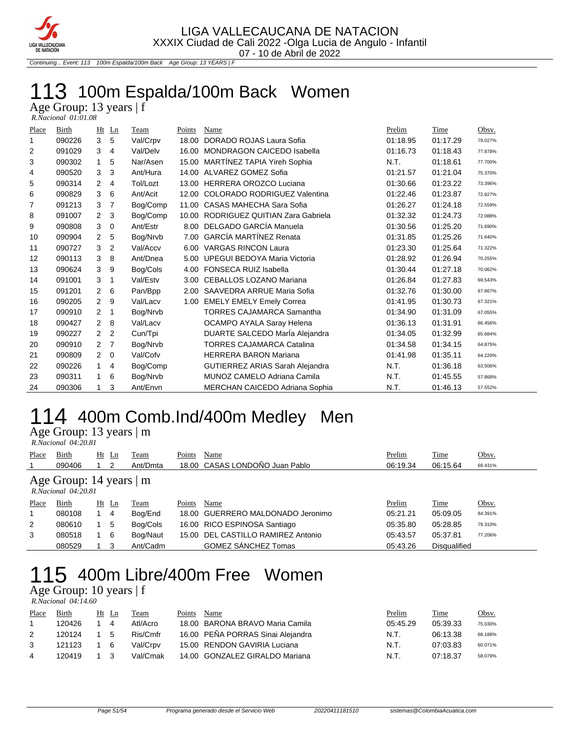

Continuing... Event: 113 100m Espalda/100m Back Age Group: 13 YEARS | F

# 100m Espalda/100m Back Women

Age Group: 13 years | f  *R.Nacional 01:01.08* 

| Place | <b>Birth</b> | Ht             | $\mathbf{L}$ n | Team     | Points | Name                                | Prelim   | Time     | Obsv.   |
|-------|--------------|----------------|----------------|----------|--------|-------------------------------------|----------|----------|---------|
| 1     | 090226       | 3              | 5              | Val/Crpv | 18.00  | DORADO ROJAS Laura Sofia            | 01:18.95 | 01:17.29 | 79.027% |
| 2     | 091029       | 3              | 4              | Val/Delv | 16.00  | <b>MONDRAGON CAICEDO Isabella</b>   | 01:16.73 | 01:18.43 | 77.878% |
| 3     | 090302       | $\mathbf{1}$   | 5              | Nar/Asen | 15.00  | MARTÍNEZ TAPIA Yireh Sophia         | N.T.     | 01:18.61 | 77.700% |
| 4     | 090520       | 3              | 3              | Ant/Hura |        | 14.00 ALVAREZ GOMEZ Sofia           | 01:21.57 | 01:21.04 | 75.370% |
| 5     | 090314       | $\overline{2}$ | 4              | Tol/Lozt | 13.00  | <b>HERRERA OROZCO Luciana</b>       | 01:30.66 | 01:23.22 | 73.396% |
| 6     | 090829       | 3              | 6              | Ant/Acit | 12.00  | <b>COLORADO RODRIGUEZ Valentina</b> | 01:22.46 | 01:23.87 | 72.827% |
| 7     | 091213       | 3              | 7              | Bog/Comp | 11.00  | CASAS MAHECHA Sara Sofia            | 01:26.27 | 01:24.18 | 72.559% |
| 8     | 091007       | 2              | 3              | Bog/Comp | 10.00  | RODRIGUEZ QUITIAN Zara Gabriela     | 01:32.32 | 01:24.73 | 72.088% |
| 9     | 090808       | 3              | $\mathbf 0$    | Ant/Estr | 8.00   | DELGADO GARCÍA Manuela              | 01:30.56 | 01:25.20 | 71.690% |
| 10    | 090904       | $\overline{2}$ | 5              | Bog/Nrvb | 7.00   | <b>GARCÍA MARTÍNEZ Renata</b>       | 01:31.85 | 01:25.26 | 71.640% |
| 11    | 090727       | 3              | 2              | Val/Accv | 6.00   | <b>VARGAS RINCON Laura</b>          | 01:23.30 | 01:25.64 | 71.322% |
| 12    | 090113       | 3              | 8              | Ant/Dnea | 5.00   | UPEGUI BEDOYA Maria Victoria        | 01:28.92 | 01:26.94 | 70.255% |
| 13    | 090624       | 3              | 9              | Bog/Cols | 4.00   | <b>FONSECA RUIZ Isabella</b>        | 01:30.44 | 01:27.18 | 70.062% |
| 14    | 091001       | 3              | 1              | Val/Estv | 3.00   | CEBALLOS LOZANO Mariana             | 01:26.84 | 01:27.83 | 69.543% |
| 15    | 091201       | $\overline{2}$ | 6              | Pan/Bpp  | 2.00   | SAAVEDRA ARRUE Maria Sofia          | 01:32.76 | 01:30.00 | 67.867% |
| 16    | 090205       | $\overline{2}$ | 9              | Val/Lacv | 1.00   | <b>EMELY EMELY Emely Correa</b>     | 01:41.95 | 01:30.73 | 67.321% |
| 17    | 090910       | 2              | 1              | Bog/Nrvb |        | <b>TORRES CAJAMARCA Samantha</b>    | 01:34.90 | 01:31.09 | 67.055% |
| 18    | 090427       | 2              | 8              | Val/Lacv |        | OCAMPO AYALA Saray Helena           | 01:36.13 | 01:31.91 | 66.456% |
| 19    | 090227       | $\overline{2}$ | $\overline{2}$ | Cun/Tpi  |        | DUARTE SALCEDO MarÍa Alejandra      | 01:34.05 | 01:32.99 | 65.684% |
| 20    | 090910       | 2              | 7              | Bog/Nrvb |        | <b>TORRES CAJAMARCA Catalina</b>    | 01:34.58 | 01:34.15 | 64.875% |
| 21    | 090809       | $\overline{2}$ | $\mathbf 0$    | Val/Cofv |        | <b>HERRERA BARON Mariana</b>        | 01:41.98 | 01:35.11 | 64.220% |
| 22    | 090226       | $\mathbf{1}$   | 4              | Bog/Comp |        | GUTIERREZ ARIAS Sarah Alejandra     | N.T.     | 01:36.18 | 63.506% |
| 23    | 090311       | 1              | 6              | Bog/Nrvb |        | MUNOZ CAMELO Adriana Camila         | N.T.     | 01:45.55 | 57.868% |
| 24    | 090306       |                | 3              | Ant/Envn |        | MERCHAN CAICEDO Adriana Sophia      | N.T.     | 01:46.13 | 57.552% |

## 400m Comb.Ind/400m Medley Men

Age Group: 13 years | m  *R.Nacional 04:20.81* 

| Place | Birth                                               |  | $Ht$ Ln | Team     | Points | Name                               | Prelim   | <b>Time</b>         | Obsv.   |  |  |  |
|-------|-----------------------------------------------------|--|---------|----------|--------|------------------------------------|----------|---------------------|---------|--|--|--|
|       | 090406                                              |  | - 2     | Ant/Dmta |        | 18.00 CASAS LONDOÑO Juan Pablo     | 06:19.34 | 06:15.64            | 69.431% |  |  |  |
|       | Age Group: 14 years   m<br>$R. Nacional$ $04:20.81$ |  |         |          |        |                                    |          |                     |         |  |  |  |
| Place | Birth                                               |  | $Ht$ Ln | Team     | Points | Name                               | Prelim   | <b>Time</b>         | Obsv.   |  |  |  |
|       | 080108                                              |  | 4       | Bog/End  |        | 18.00 GUERRERO MALDONADO Jeronimo  | 05:21.21 | 05:09.05            | 84.391% |  |  |  |
| 2     | 080610                                              |  | 5       | Bog/Cols |        | 16.00 RICO ESPINOSA Santiago       | 05:35.80 | 05:28.85            | 79.310% |  |  |  |
| 3     | 080518                                              |  | - 6     | Bog/Naut |        | 15.00 DEL CASTILLO RAMIREZ Antonio | 05:43.57 | 05:37.81            | 77.206% |  |  |  |
|       | 080529                                              |  | -3      | Ant/Cadm |        | <b>GOMEZ SÁNCHEZ Tomas</b>         | 05:43.26 | <b>Disqualified</b> |         |  |  |  |

# 400m Libre/400m Free Women

Age Group: 10 years | f  *R.Nacional 04:14.60* 

| Place | Birth  | Ht Ln |   | Team     | Points | Name                              | Prelim   | Time     | Obsv.   |
|-------|--------|-------|---|----------|--------|-----------------------------------|----------|----------|---------|
|       | 120426 |       | 4 | Atl/Acro |        | 18.00 BARONA BRAVO Maria Camila   | 05:45.29 | 05:39.33 | 75.030% |
|       | 120124 |       | 5 | Ris/Cmfr |        | 16.00 PEÑA PORRAS Sinai Alejandra | N.T.     | 06:13.38 | 68.188% |
|       | 121123 | 1 6   |   | Val/Crpv |        | 15.00 RENDON GAVIRIA Luciana      | N.T.     | 07:03.83 | 60.071% |
| 4     | 120419 |       |   | Val/Cmak |        | 14.00 GONZALEZ GIRALDO Mariana    | N.T.     | 07:18.37 | 58.079% |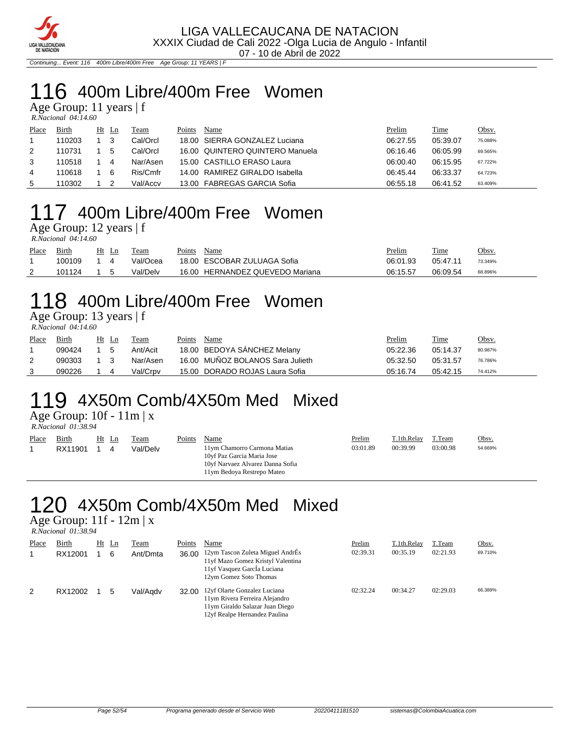

Continuing... Event: 116 400m Libre/400m Free Age Group: 11 YEARS | F

# 116 400m Libre/400m Free Women

Age Group: 11 years | f  *R.Nacional 04:14.60* 

| Place | Birth  | Ht Ln | Team     | Points | Name                            | Prelim   | Time     | Obsv.   |
|-------|--------|-------|----------|--------|---------------------------------|----------|----------|---------|
|       | 110203 | -3    | Cal/Orcl |        | 18.00 SIERRA GONZALEZ Luciana   | 06:27.55 | 05:39.07 | 75.088% |
| 2     | 110731 | 5     | Cal/Orcl |        | 16.00 QUINTERO QUINTERO Manuela | 06:16.46 | 06:05.99 | 69.565% |
| 3     | 110518 | 4     | Nar/Asen |        | 15.00 CASTILLO ERASO Laura      | 06:00.40 | 06:15.95 | 67.722% |
| 4     | 110618 | 6     | Ris/Cmfr |        | 14.00 RAMIREZ GIRALDO Isabella  | 06:45.44 | 06:33.37 | 64.723% |
| 5     | 110302 |       | Val/Accv |        | 13.00 FABREGAS GARCIA Sofia     | 06:55.18 | 06:41.52 | 63.409% |

### 117 400m Libre/400m Free Women

Age Group: 12 years | f

 *R.Nacional 04:14.60* 

| Place | Birth  | Ht | Ln | `eam     | Points | Name                        | Prelim<br><u> The Communication of the Communication of the Communication of the Communication of the Communication of the Communication of the Communication of the Communication of the Communication of the Communication of the Commun</u> | Time     | Obsv.   |
|-------|--------|----|----|----------|--------|-----------------------------|------------------------------------------------------------------------------------------------------------------------------------------------------------------------------------------------------------------------------------------------|----------|---------|
|       | 100109 |    |    | Val/Ocea |        | 18.00 ESCOBAR ZULUAGA Sofia | 06:01.93                                                                                                                                                                                                                                       | 05:47.11 | 73.349% |
| ∸     | 101124 |    |    | Val/Delv | 16.00  | HERNANDEZ QUEVEDO Mariana   | 06:15.57                                                                                                                                                                                                                                       | 06:09.54 | 68.896% |

## 118 400m Libre/400m Free Women

Age Group: 13 years | f  *R.Nacional 04:14.60* 

| Place | <b>Birth</b> | Ht Ln |     | Team     | Points | Name                             | Prelim   | <b>Time</b> | <u>Obsv.</u> |
|-------|--------------|-------|-----|----------|--------|----------------------------------|----------|-------------|--------------|
|       | 090424       |       | - 5 | Ant/Acit |        | 18.00 BEDOYA SANCHEZ Melany      | 05:22.36 | 05:14.37    | 80.987%      |
| 2     | 090303       |       |     | Nar/Asen |        | 16.00 MUÑOZ BOLANOS Sara Julieth | 05:32.50 | 05:31.57    | 76.786%      |
|       | 090226       |       |     | Val/Crov |        | 15.00 DORADO ROJAS Laura Sofia   | 05:16.74 | 05:42.15    | 74.412%      |

## 119 4X50m Comb/4X50m Med Mixed

Age Group: 10f - 11m | x

 *R.Nacional 01:38.94* 

| Place | Birth   | Ht Ln | Team     | Points | Name                                                                                                                         | Prelim   | T.1th.Relav | T.Team   | <u>Obsv.</u> |
|-------|---------|-------|----------|--------|------------------------------------------------------------------------------------------------------------------------------|----------|-------------|----------|--------------|
|       | RX11901 |       | Val/Delv |        | 11ym Chamorro Carmona Matias<br>10vf Paz Garcia Maria Jose<br>10yf Narvaez Alvarez Danna Sofia<br>11ym Bedoya Restrepo Mateo | 03:01.89 | 00:39.99    | 03:00.98 | 54.669%      |

## 120 4X50m Comb/4X50m Med Mixed

Age Group: 11f - 12m | x  *R.Nacional 01:38.94* 

| Place | Birth<br>RX12001 | Ht | Ln<br>6 | Team<br>Ant/Dmta | Points<br>36.00 | Name<br>12ym Tascon Zuleta Miguel AndrÉs<br>11yf Mazo Gomez Kristyl Valentina<br>11yf Vasquez García Luciana<br>12ym Gomez Soto Thomas | Prelim<br>02:39.31 | T.1th.Relay<br>00:35.19 | T.Team<br>02:21.93 | Obsv.<br>69.710% |
|-------|------------------|----|---------|------------------|-----------------|----------------------------------------------------------------------------------------------------------------------------------------|--------------------|-------------------------|--------------------|------------------|
| 2     | RX12002          |    | 5       | Val/Agdv         | 32.00           | 12yf Olarte Gonzalez Luciana<br>11ym Rivera Ferreira Alejandro<br>11ym Giraldo Salazar Juan Diego<br>12yf Realpe Hernandez Paulina     | 02:32.24           | 00:34.27                | 02:29.03           | 66.389%          |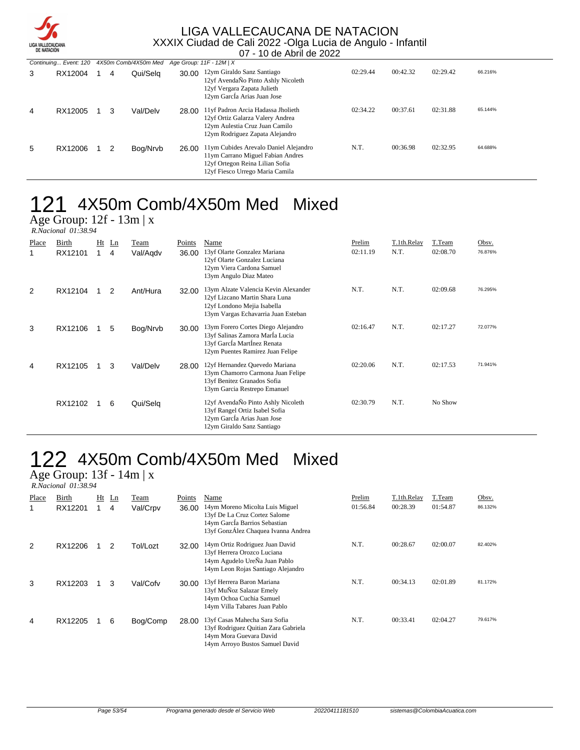

|   |                       |            |                      |       | ັັ<br>19.90119022                                                                                                                                |          |          |          |         |
|---|-----------------------|------------|----------------------|-------|--------------------------------------------------------------------------------------------------------------------------------------------------|----------|----------|----------|---------|
|   | Continuing Event: 120 |            | 4X50m Comb/4X50m Med |       | Age Group: 11F - 12M   X                                                                                                                         |          |          |          |         |
| 3 | RX12004               | 4          | Qui/Selg             | 30.00 | 12ym Giraldo Sanz Santiago<br>12yf AvendaÑo Pinto Ashly Nicoleth<br>12yf Vergara Zapata Julieth<br>12ym García Arias Juan Jose                   | 02:29.44 | 00:42.32 | 02:29.42 | 66.216% |
| 4 | RX12005               | 3          | Val/Delv             | 28.00 | 11yf Padron Arcia Hadassa Jholieth<br>12yf Ortiz Galarza Valery Andrea<br>12ym Aulestia Cruz Juan Camilo<br>12ym Rodriguez Zapata Alejandro      | 02:34.22 | 00:37.61 | 02:31.88 | 65.144% |
| 5 | RX12006               | $1\quad 2$ | Bog/Nrvb             | 26.00 | 11ym Cubides Arevalo Daniel Alejandro<br>11ym Carrano Miguel Fabian Andres<br>12yf Ortegon Reina Lilian Sofia<br>12yf Fiesco Urrego Maria Camila | N.T.     | 00:36.98 | 02:32.95 | 64.688% |

## 121 4X50m Comb/4X50m Med Mixed

Age Group: 12f - 13m | x  *R.Nacional 01:38.94* 

| Place | Birth<br>RX12101 | $Ht$ Ln<br>4 | Team<br>Val/Aqdv | <b>Points</b><br>36.00 | Name<br>13yf Olarte Gonzalez Mariana<br>12yf Olarte Gonzalez Luciana<br>12ym Viera Cardona Samuel<br>13ym Angulo Diaz Mateo                  | Prelim<br>02:11.19 | T.1th.Relay<br>N.T. | T.Team<br>02:08.70 | Obsv.<br>76.876% |
|-------|------------------|--------------|------------------|------------------------|----------------------------------------------------------------------------------------------------------------------------------------------|--------------------|---------------------|--------------------|------------------|
| 2     | RX12104          | 2            | Ant/Hura         | 32.00                  | 13ym Alzate Valencia Kevin Alexander<br>12yf Lizcano Martin Shara Luna<br>12yf Londono Mejia Isabella<br>13ym Vargas Echavarria Juan Esteban | N.T.               | N.T.                | 02:09.68           | 76.295%          |
| 3     | RX12106          | 5            | Bog/Nrvb         | 30.00                  | 13ym Forero Cortes Diego Alejandro<br>13yf Salinas Zamora Marla Lucia<br>13yf García Martínez Renata<br>12ym Puentes Ramirez Juan Felipe     | 02:16.47           | N.T.                | 02:17.27           | 72.077%          |
| 4     | RX12105          | 3            | Val/Delv         | 28.00                  | 12yf Hernandez Quevedo Mariana<br>13ym Chamorro Carmona Juan Felipe<br>13yf Benitez Granados Sofia<br>13ym Garcia Restrepo Emanuel           | 02:20.06           | N.T.                | 02:17.53           | 71.941%          |
|       | RX12102          | 6            | Qui/Selq         |                        | 12yf AvendaÑo Pinto Ashly Nicoleth<br>13yf Rangel Ortiz Isabel Sofia<br>12ym García Arias Juan Jose<br>12ym Giraldo Sanz Santiago            | 02:30.79           | N.T.                | No Show            |                  |

## 122 4X50m Comb/4X50m Med Mixed

Age Group: 13f - 14m | x

 *R.Nacional 01:38.94*  Place Birth Ht Ln Team Points Name **Property Access Prelim Prelim** T.1th.Relay T.Team Obsv. 1 RX12201 1 4 Val/Crpv 36.00 14ym Moreno Micolta Luis Miguel 01:56.84 00:28.39 01:54.87 86.132% 13yf De La Cruz Cortez Salome 14ym GarcÍa Barrios Sebastian 13yf GonzÁlez Chaquea Ivanna Andrea 2 RX12206 1 2 Tol/Lozt 32.00 14ym Ortiz Rodriguez Juan David N.T. 00:28.67 02:00.07 82.402% 13yf Herrera Orozco Luciana 14ym Agudelo UreÑa Juan Pablo 14ym Leon Rojas Santiago Alejandro 3 RX12203 1 3 Val/Cofv 30.00 13yf Herrera Baron Mariana N.T. 00:34.13 02:01.89 81.172% 13yf MuÑoz Salazar Emely 14ym Ochoa Cuchia Samuel 14ym Villa Tabares Juan Pablo 4 RX12205 1 6 Bog/Comp 28.00 13yf Casas Mahecha Sara Sofia N.T. 00:33.41 02:04.27 79.617% 13yf Rodriguez Quitian Zara Gabriela 14ym Mora Guevara David 14ym Arroyo Bustos Samuel David